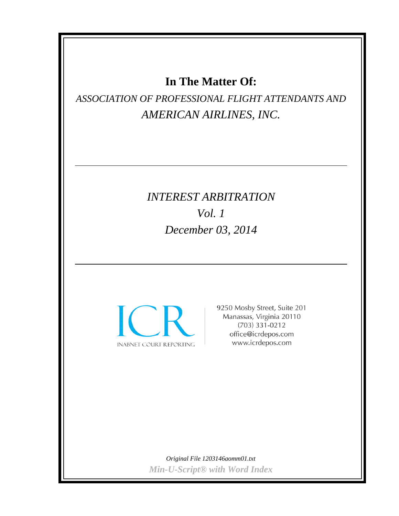# **In The Matter Of:**

*ASSOCIATION OF PROFESSIONAL FLIGHT ATTENDANTS AND AMERICAN AIRLINES, INC.*

# *INTEREST ARBITRATION Vol. 1 December 03, 2014*



9250 Mosby Street, Suite 201 Manassas, Virginia 20110  $(703)$  331-0212 office@icrdepos.com www.icrdepos.com

*Original File 1203146aomm01.txt Min-U-Script® with Word Index*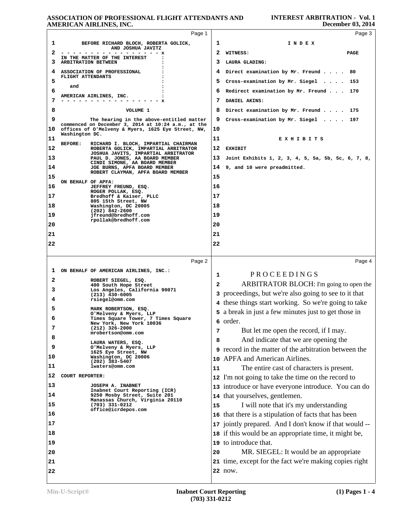#### **INTEREST ARBITRATION - Vol. 1 December 03, 2014**

|          | Page 1                                                                                                    |                   | Page 3                                                                                                       |
|----------|-----------------------------------------------------------------------------------------------------------|-------------------|--------------------------------------------------------------------------------------------------------------|
| ı        | BEFORE RICHARD BLOCH, ROBERTA GOLICK,                                                                     | 1                 | INDEX                                                                                                        |
| 2        | AND JOSHUA JAVITZ                                                                                         | 2                 | WITNESS:<br><b>PAGE</b>                                                                                      |
| з        | IN THE MATTER OF THE INTEREST<br>ARBITRATION BETWEEN                                                      | з                 | LAURA GLADING:                                                                                               |
| 4        | ASSOCIATION OF PROFESSIONAL                                                                               | 4                 | Direct examination by Mr. Freund $\cdots$<br>80                                                              |
| 5        | FLIGHT ATTENDANTS                                                                                         | 5                 | Cross-examination by Mr. Siegel $\ldots$ . 153                                                               |
| 6        | and                                                                                                       | 6                 | Redirect examination by Mr. Freund 170                                                                       |
| 7        | AMERICAN AIRLINES, INC.                                                                                   | 7                 | DANIEL AKINS:                                                                                                |
| 8        | VOLUME 1                                                                                                  | 8                 | Direct examination by Mr. Freund $\cdots$<br>175                                                             |
| 9        | The hearing in the above-entitled matter                                                                  | 9                 | Cross-examination by Mr. Siegel $\ldots$ . 197                                                               |
| 10       | commenced on December 3, 2014 at 10:24 a.m., at the<br>offices of O'Melveny & Myers, 1625 Eye Street, NW, | 10                |                                                                                                              |
| 11       | Washington DC.                                                                                            | 11                | EXHIBITS                                                                                                     |
| 12       | <b>BEFORE:</b><br>RICHARD I. BLOCH, IMPARTIAL CHAIRMAN<br>ROBERTA GOLICK, IMPARTIAL ARBITRATOR            | 12                | <b>EXHIBIT</b>                                                                                               |
| 13       | JOSHUA JAVITS, IMPARTIAL ARBITRATOR<br>PAUL D. JONES, AA BOARD MEMBER                                     | 13                | Joint Exhibits 1, 2, 3, 4, 5, 5a, 5b, 5c, 6, 7, 8,                                                           |
| 14       | CINDI SIMONE, AA BOARD MEMBER<br>JOE BURNS, APFA BOARD MEMBER                                             | 14                | 9, and 10 were preadmitted.                                                                                  |
| 15       | ROBERT CLAYMAN, APFA BOARD MEMBER                                                                         | 15                |                                                                                                              |
| 16       | ON BEHALF OF APFA:<br>JEFFREY FREUND, ESQ.                                                                | 16                |                                                                                                              |
| 17       | ROGER POLLAK, ESQ.<br>Bredhoff & Kaiser, PLLC                                                             | 17                |                                                                                                              |
| 18       | 805 15th Street, NW<br>Washington, DC 20005                                                               | 18                |                                                                                                              |
| 19       | $(202)$ 842-2600<br>jfreund@bredhoff.com                                                                  | 19                |                                                                                                              |
| 20       | rpollak@bredhoff.com                                                                                      | 20                |                                                                                                              |
| 21       |                                                                                                           | 21                |                                                                                                              |
| 22       |                                                                                                           | 22                |                                                                                                              |
|          |                                                                                                           |                   |                                                                                                              |
|          |                                                                                                           |                   |                                                                                                              |
|          | Page 2                                                                                                    |                   | Page 4                                                                                                       |
| ı        | ON BEHALF OF AMERICAN AIRLINES, INC.:                                                                     |                   |                                                                                                              |
| 2        | ROBERT SIEGEL, ESQ.                                                                                       | 1<br>$\mathbf{2}$ | PROCEEDINGS                                                                                                  |
| 3        | 400 South Hope Street<br>Los Angeles, California 90071                                                    |                   | ARBITRATOR BLOCH: I'm going to open the                                                                      |
| 4        | $(213)$ 430-6005<br>rsiegel@omm.com                                                                       |                   | 3 proceedings, but we're also going to see to it that                                                        |
| 5        | MARK ROBERTSON, ESQ.                                                                                      |                   | 4 these things start working. So we're going to take<br>5 a break in just a few minutes just to get those in |
| 6        | O'Melveny & Myers, LLP<br>Times Square Tower, 7 Times Square                                              |                   | 6 order.                                                                                                     |
| 7        | New York, New York 10036<br>$(212)$ 326-2000<br>mrobertson@omm.com                                        | 7                 | But let me open the record, if I may.                                                                        |
| 8        | LAURA WATERS, ESQ.                                                                                        | 8                 | And indicate that we are opening the                                                                         |
| 9        | O'Melveny & Myers, LLP<br>1625 Eye Street, NW                                                             |                   | <b>9</b> record in the matter of the arbitration between the                                                 |
| 10       | Washington, DC 20006<br>$(202)$ 383-5407                                                                  | 10                | APFA and American Airlines.                                                                                  |
| 11       | lwaters@omm.com                                                                                           | 11                | The entire cast of characters is present.                                                                    |
| 12       | <b>COURT REPORTER:</b>                                                                                    | 12                | I'm not going to take the time on the record to                                                              |
| 13       | <b>JOSEPH A. INABNET</b><br>Inabnet Court Reporting (ICR)                                                 |                   | 13 introduce or have everyone introduce. You can do                                                          |
| 14       | 9250 Mosby Street, Suite 201<br>Manassas Church, Virginia 20110                                           |                   | 14 that yourselves, gentlemen.                                                                               |
| 15       | $(703)$ 331-0212<br>office@icrdepos.com                                                                   | 15                | I will note that it's my understanding                                                                       |
| 16       |                                                                                                           | 16                | that there is a stipulation of facts that has been                                                           |
| 17       |                                                                                                           |                   | 17 jointly prepared. And I don't know if that would --                                                       |
| 18       |                                                                                                           |                   | 18 if this would be an appropriate time, it might be,                                                        |
| 19       |                                                                                                           |                   | 19 to introduce that.                                                                                        |
| 20       |                                                                                                           | 20                | MR. SIEGEL: It would be an appropriate                                                                       |
| 21<br>22 |                                                                                                           |                   | 21 time, except for the fact we're making copies right<br>22 now.                                            |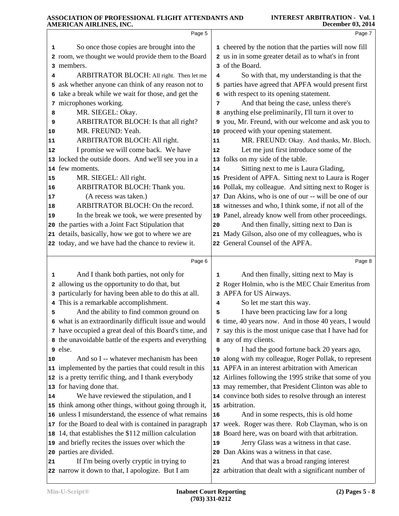|    | Page 5                                                                                       |                 | Page 7                                                                                          |
|----|----------------------------------------------------------------------------------------------|-----------------|-------------------------------------------------------------------------------------------------|
| 1  | So once those copies are brought into the                                                    |                 | 1 cheered by the notion that the parties will now fill                                          |
|    | 2 room, we thought we would provide them to the Board                                        |                 | 2 us in in some greater detail as to what's in front                                            |
|    | 3 members.                                                                                   |                 | 3 of the Board.                                                                                 |
| 4  | ARBITRATOR BLOCH: All right. Then let me                                                     | 4               | So with that, my understanding is that the                                                      |
|    | 5 ask whether anyone can think of any reason not to                                          |                 | 5 parties have agreed that APFA would present first                                             |
|    | 6 take a break while we wait for those, and get the                                          |                 | 6 with respect to its opening statement.                                                        |
|    | 7 microphones working.                                                                       | 7               | And that being the case, unless there's                                                         |
| 8  | MR. SIEGEL: Okay.                                                                            | 8               | anything else preliminarily, I'll turn it over to                                               |
| 9  | ARBITRATOR BLOCH: Is that all right?                                                         | 9               | you, Mr. Freund, with our welcome and ask you to                                                |
| 10 | MR. FREUND: Yeah.                                                                            |                 | 10 proceed with your opening statement.                                                         |
| 11 | ARBITRATOR BLOCH: All right.                                                                 | 11              | MR. FREUND: Okay. And thanks, Mr. Bloch.                                                        |
| 12 | I promise we will come back. We have                                                         | 12              | Let me just first introduce some of the                                                         |
|    | 13 locked the outside doors. And we'll see you in a                                          | 13 <sup>2</sup> | folks on my side of the table.                                                                  |
|    | 14 few moments.                                                                              | 14              | Sitting next to me is Laura Glading,                                                            |
| 15 | MR. SIEGEL: All right.                                                                       |                 | 15 President of APFA. Sitting next to Laura is Roger                                            |
| 16 | ARBITRATOR BLOCH: Thank you.                                                                 |                 | 16 Pollak, my colleague. And sitting next to Roger is                                           |
| 17 | (A recess was taken.)                                                                        |                 | 17 Dan Akins, who is one of our -- will be one of our                                           |
| 18 | ARBITRATOR BLOCH: On the record.                                                             |                 | 18 witnesses and who, I think some, if not all of the                                           |
| 19 | In the break we took, we were presented by                                                   |                 | 19 Panel, already know well from other proceedings.                                             |
|    | 20 the parties with a Joint Fact Stipulation that                                            | 20              | And then finally, sitting next to Dan is                                                        |
|    | 21 details, basically, how we got to where we are                                            |                 | 21 Mady Gilson, also one of my colleagues, who is                                               |
|    | 22 today, and we have had the chance to review it.                                           |                 | 22 General Counsel of the APFA.                                                                 |
|    | Page 6                                                                                       |                 | Page 8                                                                                          |
| 1  | And I thank both parties, not only for                                                       | 1               | And then finally, sitting next to May is                                                        |
|    | 2 allowing us the opportunity to do that, but                                                |                 | 2 Roger Holmin, who is the MEC Chair Emeritus from                                              |
| 3  | particularly for having been able to do this at all.                                         |                 | 3 APFA for US Airways.                                                                          |
|    | 4 This is a remarkable accomplishment.                                                       | 4               | So let me start this way.                                                                       |
| 5  | And the ability to find common ground on                                                     | 5               | I have been practicing law for a long                                                           |
|    | 6 what is an extraordinarily difficult issue and would                                       |                 | 6 time, 40 years now. And in those 40 years, I would                                            |
|    | 7 have occupied a great deal of this Board's time, and                                       |                 | 7 say this is the most unique case that I have had for                                          |
|    | 8 the unavoidable battle of the experts and everything                                       |                 | 8 any of my clients.                                                                            |
|    | 9 else.                                                                                      | 9               | I had the good fortune back 20 years ago,                                                       |
|    |                                                                                              |                 |                                                                                                 |
| 10 | And so I -- whatever mechanism has been                                                      |                 | 10 along with my colleague, Roger Pollak, to represent                                          |
|    | 11 implemented by the parties that could result in this                                      |                 | 11 APFA in an interest arbitration with American                                                |
|    | 12 is a pretty terrific thing, and I thank everybody                                         |                 | 12 Airlines following the 1995 strike that some of you                                          |
|    | 13 for having done that.                                                                     |                 | 13 may remember, that President Clinton was able to                                             |
|    | We have reviewed the stipulation, and I                                                      |                 | 14 convince both sides to resolve through an interest                                           |
|    | 15 think among other things, without going through it,                                       |                 | 15 arbitration.                                                                                 |
|    | 16 unless I misunderstand, the essence of what remains                                       | 16              | And in some respects, this is old home                                                          |
| 14 | 17 for the Board to deal with is contained in paragraph                                      |                 | 17 week. Roger was there. Rob Clayman, who is on                                                |
|    | 18 14, that establishes the \$112 million calculation                                        |                 | 18 Board here, was on board with that arbitration.                                              |
|    | 19 and briefly recites the issues over which the                                             | 19              | Jerry Glass was a witness in that case.                                                         |
|    | 20 parties are divided.                                                                      | 20              | Dan Akins was a witness in that case.                                                           |
| 21 | If I'm being overly cryptic in trying to<br>22 narrow it down to that, I apologize. But I am | 21              | And that was a broad ranging interest<br>22 arbitration that dealt with a significant number of |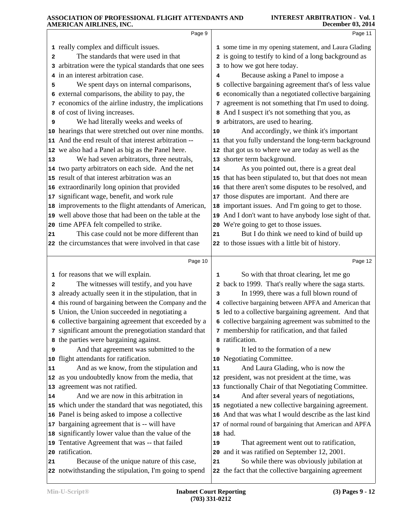|    | Аніектелі аткілтер, пус                                                                              |    |                                                                                                    |
|----|------------------------------------------------------------------------------------------------------|----|----------------------------------------------------------------------------------------------------|
|    | Page 9                                                                                               |    | Page 11                                                                                            |
|    | 1 really complex and difficult issues.                                                               |    | 1 some time in my opening statement, and Laura Glading                                             |
| 2  | The standards that were used in that                                                                 |    | 2 is going to testify to kind of a long background as                                              |
|    | 3 arbitration were the typical standards that one sees                                               |    | 3 to how we got here today.                                                                        |
| 4  | in an interest arbitration case.                                                                     | 4  | Because asking a Panel to impose a                                                                 |
| 5  | We spent days on internal comparisons,                                                               |    | 5 collective bargaining agreement that's of less value                                             |
|    | 6 external comparisons, the ability to pay, the                                                      | 6  | economically than a negotiated collective bargaining                                               |
|    | 7 economics of the airline industry, the implications                                                |    | agreement is not something that I'm used to doing.                                                 |
|    | 8 of cost of living increases.                                                                       |    | 8 And I suspect it's not something that you, as                                                    |
| 9  | We had literally weeks and weeks of                                                                  |    | arbitrators, are used to hearing.                                                                  |
|    | 10 hearings that were stretched out over nine months.                                                | 10 | And accordingly, we think it's important                                                           |
|    | 11 And the end result of that interest arbitration --                                                |    | 11 that you fully understand the long-term background                                              |
|    | 12 we also had a Panel as big as the Panel here.                                                     |    | 12 that got us to where we are today as well as the                                                |
| 13 | We had seven arbitrators, three neutrals,                                                            |    | 13 shorter term background.                                                                        |
|    | 14 two party arbitrators on each side. And the net                                                   | 14 | As you pointed out, there is a great deal                                                          |
|    | 15 result of that interest arbitration was an                                                        |    | 15 that has been stipulated to, but that does not mean                                             |
|    | 16 extraordinarily long opinion that provided                                                        | 16 | that there aren't some disputes to be resolved, and                                                |
|    | 17 significant wage, benefit, and work rule                                                          |    | 17 those disputes are important. And there are                                                     |
|    | 18 improvements to the flight attendants of American,                                                |    | 18 important issues. And I'm going to get to those.                                                |
|    | 19 well above those that had been on the table at the                                                |    | 19 And I don't want to have anybody lose sight of that.                                            |
|    | 20 time APFA felt compelled to strike.                                                               |    | 20 We're going to get to those issues.                                                             |
| 21 | This case could not be more different than                                                           | 21 | But I do think we need to kind of build up                                                         |
|    | 22 the circumstances that were involved in that case                                                 |    | 22 to those issues with a little bit of history.                                                   |
|    | Page 10                                                                                              |    | Page 12                                                                                            |
|    | 1 for reasons that we will explain.                                                                  | 1  | So with that throat clearing, let me go                                                            |
| 2  | The witnesses will testify, and you have                                                             |    | 2 back to 1999. That's really where the saga starts.                                               |
| 3  | already actually seen it in the stipulation, that in                                                 | 3  | In 1999, there was a full blown round of                                                           |
|    | 4 this round of bargaining between the Company and the                                               |    |                                                                                                    |
|    |                                                                                                      |    | 4 collective bargaining between APFA and American that                                             |
|    | 5 Union, the Union succeeded in negotiating a                                                        |    | 5 led to a collective bargaining agreement. And that                                               |
|    | 6 collective bargaining agreement that exceeded by a                                                 |    | 6 collective bargaining agreement was submitted to the                                             |
|    | 7 significant amount the prenegotiation standard that                                                |    | 7 membership for ratification, and that failed                                                     |
|    | 8 the parties were bargaining against.                                                               |    | 8 ratification.                                                                                    |
| 9  | And that agreement was submitted to the                                                              | 9  | It led to the formation of a new                                                                   |
|    | 10 flight attendants for ratification.                                                               | 10 | Negotiating Committee.                                                                             |
| 11 | And as we know, from the stipulation and                                                             | 11 | And Laura Glading, who is now the                                                                  |
|    | 12 as you undoubtedly know from the media, that                                                      |    | 12 president, was not president at the time, was                                                   |
|    | 13 agreement was not ratified.                                                                       |    | 13 functionally Chair of that Negotiating Committee.                                               |
| 14 | And we are now in this arbitration in                                                                | 14 | And after several years of negotiations,                                                           |
|    | 15 which under the standard that was negotiated, this                                                |    | 15 negotiated a new collective bargaining agreement.                                               |
|    | 16 Panel is being asked to impose a collective                                                       | 16 | And that was what I would describe as the last kind                                                |
|    | 17 bargaining agreement that is -- will have                                                         | 17 | of normal round of bargaining that American and APFA                                               |
|    | 18 significantly lower value than the value of the                                                   | 18 | had.                                                                                               |
|    | 19 Tentative Agreement that was -- that failed                                                       | 19 | That agreement went out to ratification,                                                           |
|    | 20 ratification.                                                                                     | 20 | and it was ratified on September 12, 2001.                                                         |
| 21 | Because of the unique nature of this case,<br>22 notwithstanding the stipulation, I'm going to spend | 21 | So while there was obviously jubilation at<br>22 the fact that the collective bargaining agreement |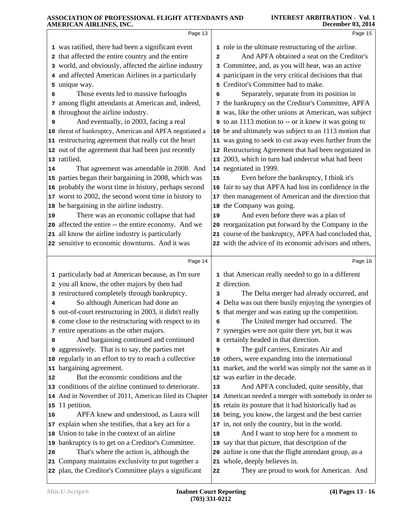|    | Page 13                                                 |              | Page 15                                                 |
|----|---------------------------------------------------------|--------------|---------------------------------------------------------|
|    | 1 was ratified, there had been a significant event      |              | 1 role in the ultimate restructuring of the airline.    |
|    | 2 that affected the entire country and the entire       | $\mathbf{2}$ | And APFA obtained a seat on the Creditor's              |
|    | 3 world, and obviously, affected the airline industry   | 3            | Committee, and, as you will hear, was an active         |
|    | 4 and affected American Airlines in a particularly      |              | 4 participant in the very critical decisions that that  |
|    | 5 unique way.                                           | 5.           | Creditor's Committee had to make.                       |
| 6  | Those events led to massive furloughs                   | 6            | Separately, separate from its position in               |
|    | 7 among flight attendants at American and, indeed,      |              | 7 the bankruptcy on the Creditor's Committee, APFA      |
|    | 8 throughout the airline industry.                      |              | 8 was, like the other unions at American, was subject   |
| 9  | And eventually, in 2003, facing a real                  |              | to an 1113 motion to -- or it knew it was going to      |
|    | 10 threat of bankruptcy, American and APFA negotiated a |              | 10 be and ultimately was subject to an 1113 motion that |
|    | 11 restructuring agreement that really cut the heart    |              | 11 was going to seek to cut away even further from the  |
|    | 12 out of the agreement that had been just recently     |              | 12 Restructuring Agreement that had been negotiated in  |
|    | 13 ratified.                                            |              | 13 2003, which in turn had undercut what had been       |
| 14 | That agreement was amendable in 2008. And               |              | 14 negotiated in 1999.                                  |
|    | 15 parties began their bargaining in 2008, which was    | 15           | Even before the bankruptcy, I think it's                |
|    | 16 probably the worst time in history, perhaps second   |              | 16 fair to say that APFA had lost its confidence in the |
|    | 17 worst to 2002, the second worst time in history to   |              | 17 then management of American and the direction that   |
|    | 18 be bargaining in the airline industry.               |              | 18 the Company was going.                               |
| 19 | There was an economic collapse that had                 | 19           | And even before there was a plan of                     |
|    | 20 affected the entire -- the entire economy. And we    |              | 20 reorganization put forward by the Company in the     |
|    | 21 all know the airline industry is particularly        |              | 21 course of the bankruptcy, APFA had concluded that,   |
|    | 22 sensitive to economic downturns. And it was          |              | 22 with the advice of its economic advisors and others, |
|    |                                                         |              |                                                         |
|    | Page 14                                                 |              | Page 16                                                 |
|    | 1 particularly bad at American because, as I'm sure     |              | 1 that American really needed to go in a different      |
|    | 2 you all know, the other majors by then had            |              | 2 direction.                                            |
|    | 3 restructured completely through bankruptcy.           | 3            | The Delta merger had already occurred, and              |
| 4  | So although American had done an                        |              | 4 Delta was out there busily enjoying the synergies of  |
|    | 5 out-of-court restructuring in 2003, it didn't really  |              | 5 that merger and was eating up the competition.        |
|    | 6 come close to the restructuring with respect to its   |              | The United merger had occurred. The                     |
|    | 7 entire operations as the other majors.                |              | 7 synergies were not quite there yet, but it was        |
| 8  | And bargaining continued and continued                  | 8            | certainly headed in that direction.                     |
| 9  | aggressively. That is to say, the parties met           | 9            | The gulf carriers, Emirates Air and                     |
|    | 10 regularly in an effort to try to reach a collective  |              | 10 others, were expanding into the international        |
|    | 11 bargaining agreement.                                |              | 11 market, and the world was simply not the same as it  |
| 12 | But the economic conditions and the                     |              | 12 was earlier in the decade.                           |
|    | 13 conditions of the airline continued to deteriorate.  | 13           | And APFA concluded, quite sensibly, that                |
|    | 14 And in November of 2011, American filed its Chapter  |              | 14 American needed a merger with somebody in order to   |
|    | 15 11 petition.                                         |              | 15 retain its posture that it had historically had as   |
| 16 | APFA knew and understood, as Laura will                 |              | 16 being, you know, the largest and the best carrier    |
|    | 17 explain when she testifies, that a key act for a     |              | 17 in, not only the country, but in the world.          |
|    | 18 Union to take in the context of an airline           | 18           | And I want to stop here for a moment to                 |
|    | 19 bankruptcy is to get on a Creditor's Committee.      |              | 19 say that that picture, that description of the       |
| 20 | That's where the action is, although the                | 20           | airline is one that the flight attendant group, as a    |
|    | 21 Company maintains exclusivity to put together a      |              | 21 whole, deeply believes in.                           |
|    | 22 plan, the Creditor's Committee plays a significant   | 22           | They are proud to work for American. And                |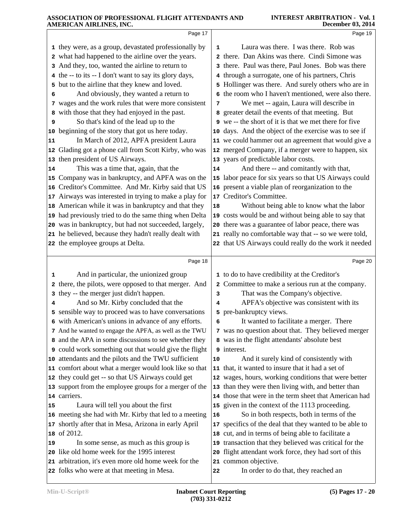#### **INTEREST ARBITRATION - Vol. 1 December 03, 2014**

|          | AMERICAN AIRLINES, INC.                                                                            |    |                                                                                                               |
|----------|----------------------------------------------------------------------------------------------------|----|---------------------------------------------------------------------------------------------------------------|
|          | Page 17                                                                                            |    | Page 19                                                                                                       |
|          | 1 they were, as a group, devastated professionally by                                              | 1  | Laura was there. I was there. Rob was                                                                         |
|          | 2 what had happened to the airline over the years.                                                 |    | 2 there. Dan Akins was there. Cindi Simone was                                                                |
|          | 3 And they, too, wanted the airline to return to                                                   |    | 3 there. Paul was there, Paul Jones. Bob was there                                                            |
|          | 4 the -- to its -- I don't want to say its glory days,                                             |    | 4 through a surrogate, one of his partners, Chris                                                             |
|          | 5 but to the airline that they knew and loved.                                                     |    | 5 Hollinger was there. And surely others who are in                                                           |
| 6        | And obviously, they wanted a return to                                                             |    | 6 the room who I haven't mentioned, were also there.                                                          |
|          | 7 wages and the work rules that were more consistent                                               | 7  | We met -- again, Laura will describe in                                                                       |
| 8        | with those that they had enjoyed in the past.                                                      |    | 8 greater detail the events of that meeting. But                                                              |
| 9        | So that's kind of the lead up to the                                                               |    | 9 we -- the short of it is that we met there for five                                                         |
| 10       | beginning of the story that got us here today.                                                     |    | 10 days. And the object of the exercise was to see if                                                         |
| 11       | In March of 2012, APFA president Laura                                                             |    | 11 we could hammer out an agreement that would give a                                                         |
| 12       | Glading got a phone call from Scott Kirby, who was                                                 |    | 12 merged Company, if a merger were to happen, six                                                            |
| 13       | then president of US Airways.                                                                      |    | 13 years of predictable labor costs.                                                                          |
|          | This was a time that, again, that the                                                              |    | And there -- and comitantly with that,                                                                        |
| 14       |                                                                                                    | 14 | 15 labor peace for six years so that US Airways could                                                         |
| 15       | Company was in bankruptcy, and APFA was on the<br>Creditor's Committee. And Mr. Kirby said that US |    | 16 present a viable plan of reorganization to the                                                             |
| 16       |                                                                                                    |    | 17 Creditor's Committee.                                                                                      |
| 17       | Airways was interested in trying to make a play for                                                |    |                                                                                                               |
| 18       | American while it was in bankruptcy and that they                                                  | 18 | Without being able to know what the labor                                                                     |
| 19       | had previously tried to do the same thing when Delta                                               |    | 19 costs would be and without being able to say that                                                          |
| 20       | was in bankruptcy, but had not succeeded, largely,                                                 |    | 20 there was a guarantee of labor peace, there was                                                            |
|          | 21 he believed, because they hadn't really dealt with                                              |    | 21 really no comfortable way that -- so we were told,                                                         |
|          | 22 the employee groups at Delta.                                                                   |    | 22 that US Airways could really do the work it needed                                                         |
|          | Page 18                                                                                            |    | Page 20                                                                                                       |
| 1        | And in particular, the unionized group                                                             |    | 1 to do to have credibility at the Creditor's                                                                 |
|          | 2 there, the pilots, were opposed to that merger. And                                              |    | 2 Committee to make a serious run at the company.                                                             |
|          | 3 they -- the merger just didn't happen.                                                           | 3  | That was the Company's objective.                                                                             |
| 4        |                                                                                                    |    |                                                                                                               |
|          | And so Mr. Kirby concluded that the                                                                | 4  | APFA's objective was consistent with its                                                                      |
|          | 5 sensible way to proceed was to have conversations                                                |    | 5 pre-bankruptcy views.                                                                                       |
|          | 6 with American's unions in advance of any efforts.                                                | 6  | It wanted to facilitate a merger. There                                                                       |
|          | 7 And he wanted to engage the APFA, as well as the TWU                                             |    | 7 was no question about that. They believed merger                                                            |
|          | 8 and the APA in some discussions to see whether they                                              |    | 8 was in the flight attendants' absolute best                                                                 |
|          | <b>9</b> could work something out that would give the flight                                       |    | 9 interest.                                                                                                   |
| 10       | attendants and the pilots and the TWU sufficient                                                   | 10 | And it surely kind of consistently with                                                                       |
| 11       | comfort about what a merger would look like so that                                                |    | 11 that, it wanted to insure that it had a set of                                                             |
| 12       | they could get -- so that US Airways could get                                                     |    | 12 wages, hours, working conditions that were better                                                          |
|          | 13 support from the employee groups for a merger of the                                            |    |                                                                                                               |
|          | 14 carriers.                                                                                       |    | 13 than they were then living with, and better than<br>14 those that were in the term sheet that American had |
| 15       |                                                                                                    |    |                                                                                                               |
| 16       | Laura will tell you about the first                                                                | 16 | 15 given in the context of the 1113 proceeding.                                                               |
|          | meeting she had with Mr. Kirby that led to a meeting                                               |    | So in both respects, both in terms of the                                                                     |
| 17<br>18 | shortly after that in Mesa, Arizona in early April                                                 | 17 | specifics of the deal that they wanted to be able to                                                          |
| 19       | of 2012.                                                                                           | 18 | cut, and in terms of being able to facilitate a                                                               |
| 20       | In some sense, as much as this group is                                                            | 19 | transaction that they believed was critical for the                                                           |
|          | like old home week for the 1995 interest                                                           | 20 | flight attendant work force, they had sort of this                                                            |
| 21       | arbitration, it's even more old home week for the<br>22 folks who were at that meeting in Mesa.    | 22 | 21 common objective.<br>In order to do that, they reached an                                                  |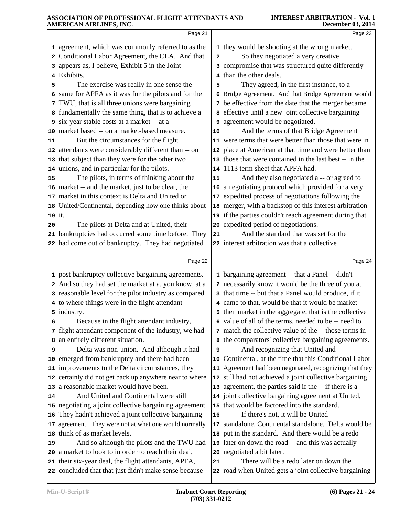|        | пинисан анкинде, пус.                                   |    |                                                                      |
|--------|---------------------------------------------------------|----|----------------------------------------------------------------------|
|        | Page 21                                                 |    | Page 23                                                              |
|        | 1 agreement, which was commonly referred to as the      |    | 1 they would be shooting at the wrong market.                        |
|        | 2 Conditional Labor Agreement, the CLA. And that        | 2  | So they negotiated a very creative                                   |
|        | 3 appears as, I believe, Exhibit 5 in the Joint         |    | 3 compromise that was structured quite differently                   |
|        | 4 Exhibits.                                             |    | 4 than the other deals.                                              |
| 5      | The exercise was really in one sense the                | 5  | They agreed, in the first instance, to a                             |
|        | 6 same for APFA as it was for the pilots and for the    |    | 6 Bridge Agreement. And that Bridge Agreement would                  |
|        | 7 TWU, that is all three unions were bargaining         |    | 7 be effective from the date that the merger became                  |
|        | 8 fundamentally the same thing, that is to achieve a    |    | a effective until a new joint collective bargaining                  |
|        | 9 six-year stable costs at a market -- at a             |    | <b>9</b> agreement would be negotiated.                              |
|        | 10 market based -- on a market-based measure.           | 10 | And the terms of that Bridge Agreement                               |
| 11     | But the circumstances for the flight                    |    | 11 were terms that were better than those that were in               |
|        | 12 attendants were considerably different than -- on    |    | 12 place at American at that time and were better than               |
|        | 13 that subject than they were for the other two        |    | 13 those that were contained in the last best -- in the              |
|        | 14 unions, and in particular for the pilots.            |    | 14 1113 term sheet that APFA had.                                    |
| 15     | The pilots, in terms of thinking about the              | 15 | And they also negotiated a -- or agreed to                           |
|        | 16 market -- and the market, just to be clear, the      |    | 16 a negotiating protocol which provided for a very                  |
|        | 17 market in this context is Delta and United or        |    | 17 expedited process of negotiations following the                   |
|        | 18 United/Continental, depending how one thinks about   |    | 18 merger, with a backstop of this interest arbitration              |
| 19 it. |                                                         |    | 19 if the parties couldn't reach agreement during that               |
| 20     | The pilots at Delta and at United, their                |    | 20 expedited period of negotiations.                                 |
|        | 21 bankruptcies had occurred some time before. They     | 21 | And the standard that was set for the                                |
|        | 22 had come out of bankruptcy. They had negotiated      |    | 22 interest arbitration was that a collective                        |
|        | Page 22                                                 |    | Page 24                                                              |
|        | 1 post bankruptcy collective bargaining agreements.     |    | 1 bargaining agreement -- that a Panel -- didn't                     |
|        | 2 And so they had set the market at a, you know, at a   |    | 2 necessarily know it would be the three of you at                   |
|        | 3 reasonable level for the pilot industry as compared   |    | 3 that time -- but that a Panel would produce, if it                 |
|        | 4 to where things were in the flight attendant          |    | 4 came to that, would be that it would be market --                  |
|        | 5 industry.                                             |    | 5 then market in the aggregate, that is the collective               |
| 6      | Because in the flight attendant industry,               |    | 6 value of all of the terms, needed to be -- need to                 |
|        | 7 flight attendant component of the industry, we had    |    | 7 match the collective value of the -- those terms in                |
|        | 8 an entirely different situation.                      |    | 8 the comparators' collective bargaining agreements.                 |
| 9      | Delta was non-union. And although it had                | 9  | And recognizing that United and                                      |
|        | 10 emerged from bankruptcy and there had been           |    | 10 Continental, at the time that this Conditional Labor              |
|        | 11 improvements to the Delta circumstances, they        |    | 11 Agreement had been negotiated, recognizing that they              |
|        | 12 certainly did not get back up anywhere near to where |    | 12 still had not achieved a joint collective bargaining              |
|        | 13 a reasonable market would have been.                 |    | 13 agreement, the parties said if the -- if there is a               |
| 14     | And United and Continental were still                   |    | 14 joint collective bargaining agreement at United,                  |
|        | 15 negotiating a joint collective bargaining agreement. |    | 15 that would be factored into the standard.                         |
|        | 16 They hadn't achieved a joint collective bargaining   | 16 | If there's not, it will be United                                    |
|        | 17 agreement. They were not at what one would normally  |    | 17 standalone, Continental standalone. Delta would be                |
|        | 18 think of as market levels.                           |    | 18 put in the standard. And there would be a redo                    |
| 19     | And so although the pilots and the TWU had              |    | 19 later on down the road -- and this was actually                   |
|        | 20 a market to look to in order to reach their deal,    |    | 20 negotiated a bit later.<br>There will be a redo later on down the |
|        | 21 their six-year deal, the flight attendants, APFA,    | 21 |                                                                      |
|        | 22 concluded that that just didn't make sense because   |    | 22 road when United gets a joint collective bargaining               |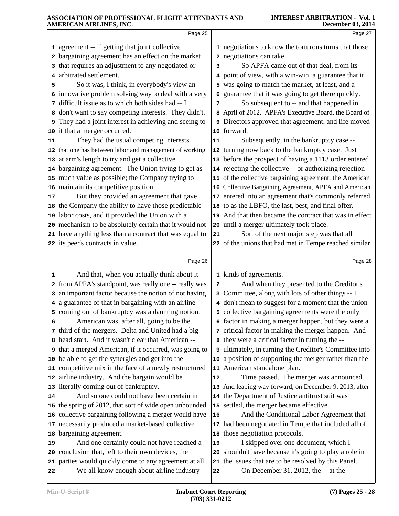|    | Page 25                                                                                             |          | Page 27                                                                                     |  |
|----|-----------------------------------------------------------------------------------------------------|----------|---------------------------------------------------------------------------------------------|--|
|    | 1 agreement -- if getting that joint collective                                                     |          | 1 negotiations to know the torturous turns that those                                       |  |
|    | 2 bargaining agreement has an effect on the market                                                  |          | 2 negotiations can take.                                                                    |  |
|    | 3 that requires an adjustment to any negotiated or                                                  | з        | So APFA came out of that deal, from its                                                     |  |
|    | 4 arbitrated settlement.                                                                            |          | 4 point of view, with a win-win, a guarantee that it                                        |  |
| 5  | So it was, I think, in everybody's view an                                                          |          | 5 was going to match the market, at least, and a                                            |  |
|    | 6 innovative problem solving way to deal with a very                                                | 6        | guarantee that it was going to get there quickly.                                           |  |
| 7  | difficult issue as to which both sides had -- I                                                     | 7        | So subsequent to -- and that happened in                                                    |  |
|    | 8 don't want to say competing interests. They didn't.                                               |          | 8 April of 2012. APFA's Executive Board, the Board of                                       |  |
|    | <b>9</b> They had a joint interest in achieving and seeing to                                       |          | 9 Directors approved that agreement, and life moved                                         |  |
|    | 10 it that a merger occurred.                                                                       |          | 10 forward.                                                                                 |  |
| 11 | They had the usual competing interests                                                              | 11       | Subsequently, in the bankruptcy case --                                                     |  |
|    | 12 that one has between labor and management of working                                             |          | 12 turning now back to the bankruptcy case. Just                                            |  |
|    | 13 at arm's length to try and get a collective                                                      |          | 13 before the prospect of having a 1113 order entered                                       |  |
|    | 14 bargaining agreement. The Union trying to get as                                                 |          | 14 rejecting the collective -- or authorizing rejection                                     |  |
|    | 15 much value as possible; the Company trying to                                                    |          | 15 of the collective bargaining agreement, the American                                     |  |
|    | 16 maintain its competitive position.                                                               |          | 16 Collective Bargaining Agreement, APFA and American                                       |  |
| 17 | But they provided an agreement that gave                                                            |          | 17 entered into an agreement that's commonly referred                                       |  |
|    | 18 the Company the ability to have those predictable                                                |          | 18 to as the LBFO, the last, best, and final offer.                                         |  |
|    | 19 labor costs, and it provided the Union with a                                                    |          | 19 And that then became the contract that was in effect                                     |  |
|    | 20 mechanism to be absolutely certain that it would not                                             |          | 20 until a merger ultimately took place.                                                    |  |
|    | 21 have anything less than a contract that was equal to                                             | 21       | Sort of the next major step was that all                                                    |  |
|    | 22 its peer's contracts in value.                                                                   |          | 22 of the unions that had met in Tempe reached similar                                      |  |
|    |                                                                                                     |          |                                                                                             |  |
|    |                                                                                                     |          |                                                                                             |  |
|    | Page 26                                                                                             |          | Page 28                                                                                     |  |
| 1  | And that, when you actually think about it                                                          |          | 1 kinds of agreements.                                                                      |  |
| 2  | from APFA's standpoint, was really one -- really was                                                | 2        | And when they presented to the Creditor's                                                   |  |
| 3  | an important factor because the notion of not having                                                |          | 3 Committee, along with lots of other things -- I                                           |  |
|    | 4 a guarantee of that in bargaining with an airline                                                 |          | 4 don't mean to suggest for a moment that the union                                         |  |
|    | 5 coming out of bankruptcy was a daunting notion.                                                   |          | 5 collective bargaining agreements were the only                                            |  |
|    | American was, after all, going to be the                                                            |          | 6 factor in making a merger happen, but they were a                                         |  |
|    | 7 third of the mergers. Delta and United had a big                                                  |          | 7 critical factor in making the merger happen. And                                          |  |
|    | 8 head start. And it wasn't clear that American --                                                  |          | 8 they were a critical factor in turning the --                                             |  |
|    | 9 that a merged American, if it occurred, was going to                                              |          | 9 ultimately, in turning the Creditor's Committee into                                      |  |
|    | 10 be able to get the synergies and get into the                                                    |          | 10 a position of supporting the merger rather than the                                      |  |
|    | 11 competitive mix in the face of a newly restructured                                              |          | 11 American standalone plan.                                                                |  |
|    | 12 airline industry. And the bargain would be                                                       | 12       | Time passed. The merger was announced.                                                      |  |
|    | 13 literally coming out of bankruptcy.                                                              |          | 13 And leaping way forward, on December 9, 2013, after                                      |  |
|    | And so one could not have been certain in                                                           |          | 14 the Department of Justice antitrust suit was                                             |  |
|    | 15 the spring of 2012, that sort of wide open unbounded                                             |          | 15 settled, the merger became effective.                                                    |  |
|    | 16 collective bargaining following a merger would have                                              | 16       | And the Conditional Labor Agreement that                                                    |  |
|    | 17 necessarily produced a market-based collective                                                   |          | 17 had been negotiated in Tempe that included all of                                        |  |
| 14 | 18 bargaining agreement.                                                                            |          | 18 those negotiation protocols.                                                             |  |
| 19 | And one certainly could not have reached a                                                          | 19       | I skipped over one document, which I                                                        |  |
|    | 20 conclusion that, left to their own devices, the                                                  | 20       | shouldn't have because it's going to play a role in                                         |  |
| 22 | 21 parties would quickly come to any agreement at all.<br>We all know enough about airline industry | 21<br>22 | the issues that are to be resolved by this Panel.<br>On December 31, 2012, the -- at the -- |  |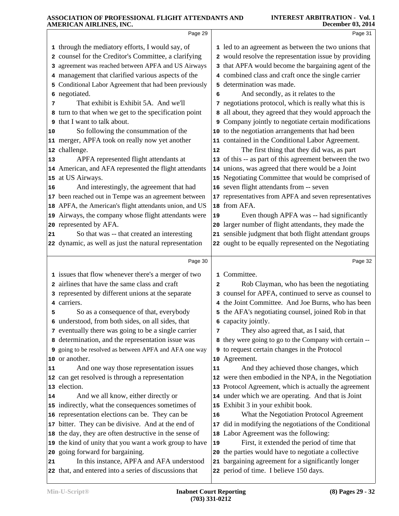|    | Page 29                                                                                                  |    | Page 31                                                                                          |  |
|----|----------------------------------------------------------------------------------------------------------|----|--------------------------------------------------------------------------------------------------|--|
|    | 1 through the mediatory efforts, I would say, of                                                         |    | 1 led to an agreement as between the two unions that                                             |  |
|    | 2 counsel for the Creditor's Committee, a clarifying                                                     |    | 2 would resolve the representation issue by providing                                            |  |
|    | 3 agreement was reached between APFA and US Airways                                                      |    | 3 that APFA would become the bargaining agent of the                                             |  |
|    | 4 management that clarified various aspects of the                                                       |    | 4 combined class and craft once the single carrier                                               |  |
|    | 5 Conditional Labor Agreement that had been previously                                                   |    | 5 determination was made.                                                                        |  |
|    | 6 negotiated.                                                                                            | 6  | And secondly, as it relates to the                                                               |  |
| 7  | That exhibit is Exhibit 5A. And we'll                                                                    |    | 7 negotiations protocol, which is really what this is                                            |  |
|    | 8 turn to that when we get to the specification point                                                    |    | 8 all about, they agreed that they would approach the                                            |  |
| 9  | that I want to talk about.                                                                               |    | <b>9</b> Company jointly to negotiate certain modifications                                      |  |
| 10 | So following the consummation of the                                                                     |    | 10 to the negotiation arrangements that had been                                                 |  |
|    | 11 merger, APFA took on really now yet another                                                           |    | 11 contained in the Conditional Labor Agreement.                                                 |  |
|    | 12 challenge.                                                                                            | 12 | The first thing that they did was, as part                                                       |  |
| 13 | APFA represented flight attendants at                                                                    |    | 13 of this -- as part of this agreement between the two                                          |  |
|    | 14 American, and AFA represented the flight attendants                                                   |    | 14 unions, was agreed that there would be a Joint                                                |  |
|    | 15 at US Airways.                                                                                        |    | 15 Negotiating Committee that would be comprised of                                              |  |
| 16 | And interestingly, the agreement that had                                                                |    | 16 seven flight attendants from -- seven                                                         |  |
|    | 17 been reached out in Tempe was an agreement between                                                    |    | 17 representatives from APFA and seven representatives                                           |  |
|    | 18 APFA, the American's flight attendants union, and US                                                  |    | 18 from AFA.                                                                                     |  |
|    | 19 Airways, the company whose flight attendants were                                                     | 19 | Even though APFA was -- had significantly                                                        |  |
|    | 20 represented by AFA.                                                                                   |    | 20 larger number of flight attendants, they made the                                             |  |
| 21 | So that was -- that created an interesting                                                               |    | 21 sensible judgment that both flight attendant groups                                           |  |
|    | 22 dynamic, as well as just the natural representation                                                   |    | 22 ought to be equally represented on the Negotiating                                            |  |
|    |                                                                                                          |    |                                                                                                  |  |
|    |                                                                                                          |    |                                                                                                  |  |
|    | Page 30                                                                                                  |    | Page 32                                                                                          |  |
|    | 1 issues that flow whenever there's a merger of two                                                      |    | 1 Committee.                                                                                     |  |
|    | 2 airlines that have the same class and craft                                                            | 2  | Rob Clayman, who has been the negotiating                                                        |  |
|    | 3 represented by different unions at the separate                                                        |    | 3 counsel for APFA, continued to serve as counsel to                                             |  |
|    | 4 carriers.                                                                                              |    | 4 the Joint Committee. And Joe Burns, who has been                                               |  |
| 5  | So as a consequence of that, everybody                                                                   |    | 5 the AFA's negotiating counsel, joined Rob in that                                              |  |
|    | understood, from both sides, on all sides, that                                                          | 7  | 6 capacity jointly.                                                                              |  |
|    | 7 eventually there was going to be a single carrier<br>a determination, and the representation issue was |    | They also agreed that, as I said, that<br>8 they were going to go to the Company with certain -- |  |
|    | 9 going to be resolved as between APFA and AFA one way                                                   |    | <b>9</b> to request certain changes in the Protocol                                              |  |
|    | 10 or another.                                                                                           |    | 10 Agreement.                                                                                    |  |
| 11 | And one way those representation issues                                                                  | 11 | And they achieved those changes, which                                                           |  |
|    | 12 can get resolved is through a representation                                                          |    | 12 were then embodied in the NPA, in the Negotiation                                             |  |
|    | 13 election.                                                                                             |    | 13 Protocol Agreement, which is actually the agreement                                           |  |
| 14 | And we all know, either directly or                                                                      |    | 14 under which we are operating. And that is Joint                                               |  |
|    | 15 indirectly, what the consequences sometimes of                                                        |    | 15 Exhibit 3 in your exhibit book.                                                               |  |
|    | 16 representation elections can be. They can be                                                          | 16 | What the Negotiation Protocol Agreement                                                          |  |
|    | 17 bitter. They can be divisive. And at the end of                                                       |    | 17 did in modifying the negotiations of the Conditional                                          |  |
|    | 18 the day, they are often destructive in the sense of                                                   |    | 18 Labor Agreement was the following:                                                            |  |
|    | 19 the kind of unity that you want a work group to have                                                  | 19 | First, it extended the period of time that                                                       |  |
|    | 20 going forward for bargaining.                                                                         |    | 20 the parties would have to negotiate a collective                                              |  |
| 21 | In this instance, APFA and AFA understood<br>22 that, and entered into a series of discussions that      |    | 21 bargaining agreement for a significantly longer<br>22 period of time. I believe 150 days.     |  |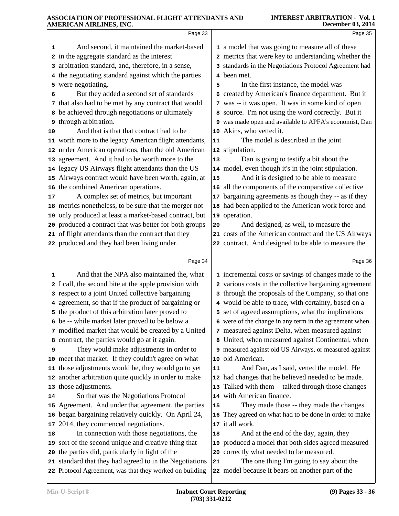|    | Page 33                                                 |    | Page 35                                                |
|----|---------------------------------------------------------|----|--------------------------------------------------------|
| 1  | And second, it maintained the market-based              |    | 1 a model that was going to measure all of these       |
|    | 2 in the aggregate standard as the interest             |    | 2 metrics that were key to understanding whether the   |
| 3  | arbitration standard, and, therefore, in a sense,       |    | 3 standards in the Negotiations Protocol Agreement had |
|    | 4 the negotiating standard against which the parties    |    | 4 been met.                                            |
| 5. | were negotiating.                                       | 5  | In the first instance, the model was                   |
| 6  | But they added a second set of standards                |    | 6 created by American's finance department. But it     |
|    | 7 that also had to be met by any contract that would    |    | 7 was -- it was open. It was in some kind of open      |
| 8  | be achieved through negotiations or ultimately          |    | 8 source. I'm not using the word correctly. But it     |
|    | <b>9</b> through arbitration.                           |    | 9 was made open and available to APFA's economist, Dan |
| 10 | And that is that that contract had to be                |    | 10 Akins, who vetted it.                               |
|    | 11 worth more to the legacy American flight attendants, | 11 | The model is described in the joint                    |
|    | 12 under American operations, than the old American     |    | 12 stipulation.                                        |
|    | 13 agreement. And it had to be worth more to the        | 13 | Dan is going to testify a bit about the                |
|    | 14 legacy US Airways flight attendants than the US      |    | 14 model, even though it's in the joint stipulation.   |
|    | 15 Airways contract would have been worth, again, at    | 15 | And it is designed to be able to measure               |
|    | 16 the combined American operations.                    |    | 16 all the components of the comparative collective    |
| 17 | A complex set of metrics, but important                 | 17 | bargaining agreements as though they -- as if they     |
|    | 18 metrics nonetheless, to be sure that the merger not  | 18 | had been applied to the American work force and        |
|    | 19 only produced at least a market-based contract, but  |    | 19 operation.                                          |
|    | 20 produced a contract that was better for both groups  | 20 | And designed, as well, to measure the                  |
|    | 21 of flight attendants than the contract that they     |    | 21 costs of the American contract and the US Airways   |
|    | 22 produced and they had been living under.             |    | 22 contract. And designed to be able to measure the    |
|    |                                                         |    |                                                        |
|    | Page 34                                                 |    | Page 36                                                |
| 1  | And that the NPA also maintained the, what              |    | 1 incremental costs or savings of changes made to the  |
| 2  | I call, the second bite at the apple provision with     |    | 2 various costs in the collective bargaining agreement |
|    | 3 respect to a joint United collective bargaining       |    | 3 through the proposals of the Company, so that one    |
|    | 4 agreement, so that if the product of bargaining or    |    | 4 would be able to trace, with certainty, based on a   |
|    | 5 the product of this arbitration later proved to       |    | 5 set of agreed assumptions, what the implications     |
|    | 6 be -- while market later proved to be below a         |    | 6 were of the change in any term in the agreement when |
|    | 7 modified market that would be created by a United     |    |                                                        |
|    |                                                         |    | 7 measured against Delta, when measured against        |
|    | 8 contract, the parties would go at it again.           |    | 8 United, when measured against Continental, when      |
| 9  | They would make adjustments in order to                 |    | 9 measured against old US Airways, or measured against |
|    | 10 meet that market. If they couldn't agree on what     |    | 10 old American.                                       |
|    | 11 those adjustments would be, they would go to yet     | 11 | And Dan, as I said, vetted the model. He               |
|    | 12 another arbitration quite quickly in order to make   |    | 12 had changes that he believed needed to be made.     |
|    | 13 those adjustments.                                   |    | 13 Talked with them -- talked through those changes    |
|    | So that was the Negotiations Protocol                   |    | 14 with American finance.                              |
|    | 15 Agreement. And under that agreement, the parties     | 15 | They made those -- they made the changes.              |
|    | 16 began bargaining relatively quickly. On April 24,    |    | 16 They agreed on what had to be done in order to make |
| 17 | 2014, they commenced negotiations.                      |    | 17 it all work.                                        |
| 14 | In connection with those negotiations, the              | 18 | And at the end of the day, again, they                 |
| 18 | 19 sort of the second unique and creative thing that    | 19 | produced a model that both sides agreed measured       |
|    | 20 the parties did, particularly in light of the        |    | 20 correctly what needed to be measured.               |
|    | 21 standard that they had agreed to in the Negotiations | 21 | The one thing I'm going to say about the               |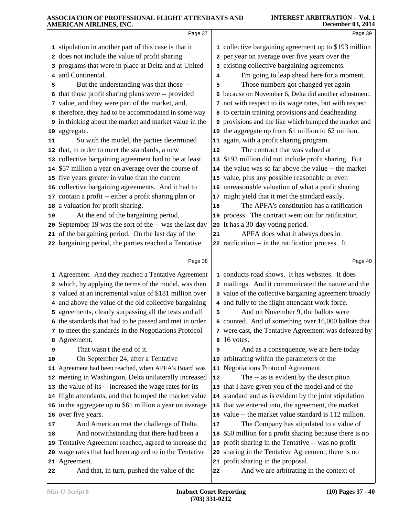|          | Page 37                                                                                         |    | Page 39                                                                                  |
|----------|-------------------------------------------------------------------------------------------------|----|------------------------------------------------------------------------------------------|
|          | 1 stipulation in another part of this case is that it                                           |    | 1 collective bargaining agreement up to \$193 million                                    |
|          | 2 does not include the value of profit sharing                                                  |    | 2 per year on average over five years over the                                           |
|          | 3 programs that were in place at Delta and at United                                            |    | 3 existing collective bargaining agreements.                                             |
|          | and Continental.                                                                                | 4  | I'm going to leap ahead here for a moment.                                               |
| 5        | But the understanding was that those --                                                         | 5  | Those numbers got changed yet again                                                      |
|          | 6 that those profit sharing plans were -- provided                                              |    | 6 because on November 6, Delta did another adjustment,                                   |
|          | 7 value, and they were part of the market, and,                                                 |    | 7 not with respect to its wage rates, but with respect                                   |
|          | 8 therefore, they had to be accommodated in some way                                            |    | 8 to certain training provisions and deadheading                                         |
|          | <b>9</b> in thinking about the market and market value in the                                   |    | 9 provisions and the like which bumped the market and                                    |
|          | 10 aggregate.                                                                                   |    | 10 the aggregate up from 61 million to 62 million,                                       |
| 11       | So with the model, the parties determined                                                       |    | 11 again, with a profit sharing program.                                                 |
|          | 12 that, in order to meet the standards, a new                                                  | 12 | The contract that was valued at                                                          |
|          | 13 collective bargaining agreement had to be at least                                           |    | 13 \$193 million did not include profit sharing. But                                     |
|          | 14 \$57 million a year on average over the course of                                            |    | 14 the value was so far above the value -- the market                                    |
|          | 15 five years greater in value than the current                                                 |    | 15 value, plus any possible reasonable or even                                           |
|          | 16 collective bargaining agreements. And it had to                                              |    | 16 unreasonable valuation of what a profit sharing                                       |
|          | 17 contain a profit -- either a profit sharing plan or                                          |    | 17 might yield that it met the standard easily.                                          |
|          | 18 a valuation for profit sharing.                                                              | 18 | The APFA's constitution has a ratification                                               |
| 19       | At the end of the bargaining period,<br>20 September 19 was the sort of the -- was the last day |    | 19 process. The contract went out for ratification.<br>20 It has a 30-day voting period. |
|          | 21 of the bargaining period. On the last day of the                                             | 21 | APFA does what it always does in                                                         |
|          | 22 bargaining period, the parties reached a Tentative                                           |    | 22 ratification -- in the ratification process. It                                       |
|          |                                                                                                 |    |                                                                                          |
|          | Page 38                                                                                         |    | Page 40                                                                                  |
|          | 1 Agreement. And they reached a Tentative Agreement                                             |    | 1 conducts road shows. It has websites. It does                                          |
|          |                                                                                                 |    |                                                                                          |
|          | 2 which, by applying the terms of the model, was then                                           |    | 2 mailings. And it communicated the nature and the                                       |
|          | 3 valued at an incremental value of \$181 million over                                          |    | 3 value of the collective bargaining agreement broadly                                   |
|          | 4 and above the value of the old collective bargaining                                          |    | 4 and fully to the flight attendant work force.                                          |
|          | 5 agreements, clearly surpassing all the tests and all                                          | 5  | And on November 9, the ballots were                                                      |
|          | 6 the standards that had to be passed and met in order                                          |    | 6 counted. And of something over 16,000 ballots that                                     |
|          | 7 to meet the standards in the Negotiations Protocol                                            |    | 7 were cast, the Tentative Agreement was defeated by                                     |
|          | 8 Agreement.                                                                                    | 8  | 16 votes.                                                                                |
| 9        | That wasn't the end of it.                                                                      | 9  | And as a consequence, we are here today                                                  |
| 10       | On September 24, after a Tentative                                                              |    | 10 arbitrating within the parameters of the                                              |
|          | 11 Agreement had been reached, when APFA's Board was                                            |    | 11 Negotiations Protocol Agreement.                                                      |
|          | 12 meeting in Washington, Delta unilaterally increased                                          | 12 | The -- as is evident by the description                                                  |
|          | 13 the value of its -- increased the wage rates for its                                         |    | 13 that I have given you of the model and of the                                         |
|          | 14 flight attendants, and that bumped the market value                                          |    | 14 standard and as is evident by the joint stipulation                                   |
|          | 15 in the aggregate up to \$61 million a year on average                                        |    | 15 that we entered into, the agreement, the market                                       |
|          | 16 over five years.                                                                             | 17 | 16 value -- the market value standard is 112 million.                                    |
| 17<br>18 | And American met the challenge of Delta.                                                        |    | The Company has stipulated to a value of                                                 |
|          | And notwithstanding that there had been a                                                       |    | 18 \$50 million for a profit sharing because there is no                                 |
| 20       | 19 Tentative Agreement reached, agreed to increase the                                          |    | 19 profit sharing in the Tentative -- was no profit                                      |
|          | wage rates that had been agreed to in the Tentative<br>21 Agreement.                            |    | 20 sharing in the Tentative Agreement, there is no<br>21 profit sharing in the proposal. |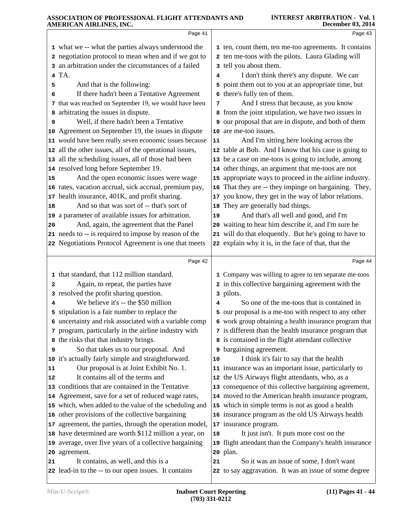|                               | Page 41                                                                                                                                                                                                                                                                                                                                                                                                                                                                                                                                                                                                                                                                                                                                                                                                                                                                                                                                                                                                                                                                                                  |                                                    | Page 43                                                                                                                                                                                                                                                                                                                                                                                                                                                                                                                                                                                                                                                                                                                                                                                                                                                                                                                                                                                                                                                                                      |
|-------------------------------|----------------------------------------------------------------------------------------------------------------------------------------------------------------------------------------------------------------------------------------------------------------------------------------------------------------------------------------------------------------------------------------------------------------------------------------------------------------------------------------------------------------------------------------------------------------------------------------------------------------------------------------------------------------------------------------------------------------------------------------------------------------------------------------------------------------------------------------------------------------------------------------------------------------------------------------------------------------------------------------------------------------------------------------------------------------------------------------------------------|----------------------------------------------------|----------------------------------------------------------------------------------------------------------------------------------------------------------------------------------------------------------------------------------------------------------------------------------------------------------------------------------------------------------------------------------------------------------------------------------------------------------------------------------------------------------------------------------------------------------------------------------------------------------------------------------------------------------------------------------------------------------------------------------------------------------------------------------------------------------------------------------------------------------------------------------------------------------------------------------------------------------------------------------------------------------------------------------------------------------------------------------------------|
| 5<br>6<br>9<br>15<br>18<br>20 | 1 what we -- what the parties always understood the<br>2 negotiation protocol to mean when and if we got to<br>3 an arbitration under the circumstances of a failed<br>4 TA.<br>And that is the following:<br>If there hadn't been a Tentative Agreement<br>7 that was reached on September 19, we would have been<br>8 arbitrating the issues in dispute.<br>Well, if there hadn't been a Tentative<br>10 Agreement on September 19, the issues in dispute<br>11 would have been really seven economic issues because<br>12 all the other issues, all of the operational issues,<br>13 all the scheduling issues, all of those had been<br>14 resolved long before September 19.<br>And the open economic issues were wage<br>16 rates, vacation accrual, sick accrual, premium pay,<br>17 health insurance, 401K, and profit sharing.<br>And so that was sort of -- that's sort of<br>19 a parameter of available issues for arbitration.<br>And, again, the agreement that the Panel<br>21 needs to -- is required to impose by reason of the<br>22 Negotiations Protocol Agreement is one that meets | 4<br>5<br>6<br>7<br>8<br>9<br>11<br>15<br>16<br>19 | 1 ten, count them, ten me-too agreements. It contains<br>2 ten me-toos with the pilots. Laura Glading will<br>3 tell you about them.<br>I don't think there's any dispute. We can<br>point them out to you at an appropriate time, but<br>there's fully ten of them.<br>And I stress that because, as you know<br>from the joint stipulation, we have two issues in<br>our proposal that are in dispute, and both of them<br>10 are me-too issues.<br>And I'm sitting here looking across the<br>12 table at Bob. And I know that his case is going to<br>13 be a case on me-toos is going to include, among<br>14 other things, an argument that me-toos are not<br>appropriate ways to proceed in the airline industry.<br>That they are -- they impinge on bargaining. They,<br>17 you know, they get in the way of labor relations.<br>18 They are generally bad things.<br>And that's all well and good, and I'm<br>20 waiting to hear him describe it, and I'm sure he<br>21 will do that eloquently. But he's going to have to<br>22 explain why it is, in the face of that, that the |
|                               | Page 42                                                                                                                                                                                                                                                                                                                                                                                                                                                                                                                                                                                                                                                                                                                                                                                                                                                                                                                                                                                                                                                                                                  |                                                    | Page 44                                                                                                                                                                                                                                                                                                                                                                                                                                                                                                                                                                                                                                                                                                                                                                                                                                                                                                                                                                                                                                                                                      |
|                               | 1 that standard, that 112 million standard.                                                                                                                                                                                                                                                                                                                                                                                                                                                                                                                                                                                                                                                                                                                                                                                                                                                                                                                                                                                                                                                              |                                                    | 1 Company was willing to agree to ten separate me-toos                                                                                                                                                                                                                                                                                                                                                                                                                                                                                                                                                                                                                                                                                                                                                                                                                                                                                                                                                                                                                                       |
| 2                             | Again, to repeat, the parties have                                                                                                                                                                                                                                                                                                                                                                                                                                                                                                                                                                                                                                                                                                                                                                                                                                                                                                                                                                                                                                                                       |                                                    | 2 in this collective bargaining agreement with the                                                                                                                                                                                                                                                                                                                                                                                                                                                                                                                                                                                                                                                                                                                                                                                                                                                                                                                                                                                                                                           |
|                               | 3 resolved the profit sharing question.                                                                                                                                                                                                                                                                                                                                                                                                                                                                                                                                                                                                                                                                                                                                                                                                                                                                                                                                                                                                                                                                  |                                                    | 3 pilots.                                                                                                                                                                                                                                                                                                                                                                                                                                                                                                                                                                                                                                                                                                                                                                                                                                                                                                                                                                                                                                                                                    |
|                               | We believe it's -- the \$50 million                                                                                                                                                                                                                                                                                                                                                                                                                                                                                                                                                                                                                                                                                                                                                                                                                                                                                                                                                                                                                                                                      |                                                    | So one of the me-toos that is contained in                                                                                                                                                                                                                                                                                                                                                                                                                                                                                                                                                                                                                                                                                                                                                                                                                                                                                                                                                                                                                                                   |
|                               | 5 stipulation is a fair number to replace the                                                                                                                                                                                                                                                                                                                                                                                                                                                                                                                                                                                                                                                                                                                                                                                                                                                                                                                                                                                                                                                            |                                                    | 5 our proposal is a me-too with respect to any other                                                                                                                                                                                                                                                                                                                                                                                                                                                                                                                                                                                                                                                                                                                                                                                                                                                                                                                                                                                                                                         |
|                               | 6 uncertainty and risk associated with a variable comp                                                                                                                                                                                                                                                                                                                                                                                                                                                                                                                                                                                                                                                                                                                                                                                                                                                                                                                                                                                                                                                   |                                                    | 6 work group obtaining a health insurance program that                                                                                                                                                                                                                                                                                                                                                                                                                                                                                                                                                                                                                                                                                                                                                                                                                                                                                                                                                                                                                                       |
|                               | 7 program, particularly in the airline industry with                                                                                                                                                                                                                                                                                                                                                                                                                                                                                                                                                                                                                                                                                                                                                                                                                                                                                                                                                                                                                                                     |                                                    | 7 is different than the health insurance program that                                                                                                                                                                                                                                                                                                                                                                                                                                                                                                                                                                                                                                                                                                                                                                                                                                                                                                                                                                                                                                        |
|                               | 8 the risks that that industry brings.                                                                                                                                                                                                                                                                                                                                                                                                                                                                                                                                                                                                                                                                                                                                                                                                                                                                                                                                                                                                                                                                   |                                                    | 8 is contained in the flight attendant collective                                                                                                                                                                                                                                                                                                                                                                                                                                                                                                                                                                                                                                                                                                                                                                                                                                                                                                                                                                                                                                            |
| 9                             | So that takes us to our proposal. And<br>10 it's actually fairly simple and straightforward.                                                                                                                                                                                                                                                                                                                                                                                                                                                                                                                                                                                                                                                                                                                                                                                                                                                                                                                                                                                                             |                                                    | <b>9</b> bargaining agreement.<br>I think it's fair to say that the health                                                                                                                                                                                                                                                                                                                                                                                                                                                                                                                                                                                                                                                                                                                                                                                                                                                                                                                                                                                                                   |
| 11                            | Our proposal is at Joint Exhibit No. 1.                                                                                                                                                                                                                                                                                                                                                                                                                                                                                                                                                                                                                                                                                                                                                                                                                                                                                                                                                                                                                                                                  | 10                                                 | 11 insurance was an important issue, particularly to                                                                                                                                                                                                                                                                                                                                                                                                                                                                                                                                                                                                                                                                                                                                                                                                                                                                                                                                                                                                                                         |
| 12                            | It contains all of the terms and                                                                                                                                                                                                                                                                                                                                                                                                                                                                                                                                                                                                                                                                                                                                                                                                                                                                                                                                                                                                                                                                         | 12                                                 | the US Airways flight attendants, who, as a                                                                                                                                                                                                                                                                                                                                                                                                                                                                                                                                                                                                                                                                                                                                                                                                                                                                                                                                                                                                                                                  |
|                               | 13 conditions that are contained in the Tentative                                                                                                                                                                                                                                                                                                                                                                                                                                                                                                                                                                                                                                                                                                                                                                                                                                                                                                                                                                                                                                                        |                                                    | 13 consequence of this collective bargaining agreement,                                                                                                                                                                                                                                                                                                                                                                                                                                                                                                                                                                                                                                                                                                                                                                                                                                                                                                                                                                                                                                      |
|                               | 14 Agreement, save for a set of reduced wage rates,                                                                                                                                                                                                                                                                                                                                                                                                                                                                                                                                                                                                                                                                                                                                                                                                                                                                                                                                                                                                                                                      |                                                    | 14 moved to the American health insurance program,                                                                                                                                                                                                                                                                                                                                                                                                                                                                                                                                                                                                                                                                                                                                                                                                                                                                                                                                                                                                                                           |
|                               | 15 which, when added to the value of the scheduling and                                                                                                                                                                                                                                                                                                                                                                                                                                                                                                                                                                                                                                                                                                                                                                                                                                                                                                                                                                                                                                                  | 15                                                 | which in simple terms is not as good a health                                                                                                                                                                                                                                                                                                                                                                                                                                                                                                                                                                                                                                                                                                                                                                                                                                                                                                                                                                                                                                                |
|                               | 16 other provisions of the collective bargaining                                                                                                                                                                                                                                                                                                                                                                                                                                                                                                                                                                                                                                                                                                                                                                                                                                                                                                                                                                                                                                                         |                                                    | 16 insurance program as the old US Airways health                                                                                                                                                                                                                                                                                                                                                                                                                                                                                                                                                                                                                                                                                                                                                                                                                                                                                                                                                                                                                                            |
|                               | 17 agreement, the parties, through the operation model,                                                                                                                                                                                                                                                                                                                                                                                                                                                                                                                                                                                                                                                                                                                                                                                                                                                                                                                                                                                                                                                  |                                                    | 17 insurance program.                                                                                                                                                                                                                                                                                                                                                                                                                                                                                                                                                                                                                                                                                                                                                                                                                                                                                                                                                                                                                                                                        |
|                               | 18 have determined are worth \$112 million a year, on                                                                                                                                                                                                                                                                                                                                                                                                                                                                                                                                                                                                                                                                                                                                                                                                                                                                                                                                                                                                                                                    | 18                                                 | It just isn't. It puts more cost on the                                                                                                                                                                                                                                                                                                                                                                                                                                                                                                                                                                                                                                                                                                                                                                                                                                                                                                                                                                                                                                                      |
|                               | 19 average, over five years of a collective bargaining                                                                                                                                                                                                                                                                                                                                                                                                                                                                                                                                                                                                                                                                                                                                                                                                                                                                                                                                                                                                                                                   | 19                                                 | flight attendant than the Company's health insurance                                                                                                                                                                                                                                                                                                                                                                                                                                                                                                                                                                                                                                                                                                                                                                                                                                                                                                                                                                                                                                         |
|                               | 20 agreement.                                                                                                                                                                                                                                                                                                                                                                                                                                                                                                                                                                                                                                                                                                                                                                                                                                                                                                                                                                                                                                                                                            |                                                    | 20 plan.                                                                                                                                                                                                                                                                                                                                                                                                                                                                                                                                                                                                                                                                                                                                                                                                                                                                                                                                                                                                                                                                                     |
| 21                            | It contains, as well, and this is a                                                                                                                                                                                                                                                                                                                                                                                                                                                                                                                                                                                                                                                                                                                                                                                                                                                                                                                                                                                                                                                                      | 21                                                 | So it was an issue of some, I don't want                                                                                                                                                                                                                                                                                                                                                                                                                                                                                                                                                                                                                                                                                                                                                                                                                                                                                                                                                                                                                                                     |
|                               | 22 lead-in to the -- to our open issues. It contains                                                                                                                                                                                                                                                                                                                                                                                                                                                                                                                                                                                                                                                                                                                                                                                                                                                                                                                                                                                                                                                     |                                                    | 22 to say aggravation. It was an issue of some degree                                                                                                                                                                                                                                                                                                                                                                                                                                                                                                                                                                                                                                                                                                                                                                                                                                                                                                                                                                                                                                        |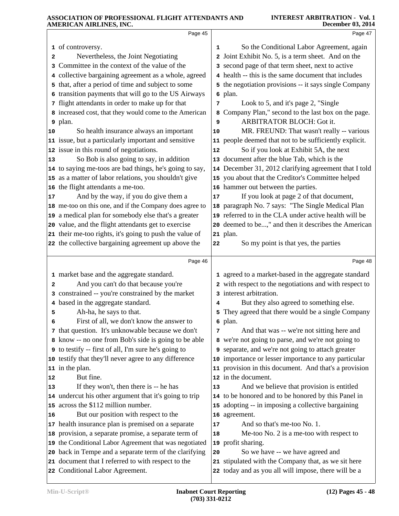|    | Page 45                                                                               |    | Page 47                                                                                                     |  |
|----|---------------------------------------------------------------------------------------|----|-------------------------------------------------------------------------------------------------------------|--|
|    | 1 of controversy.                                                                     | 1  | So the Conditional Labor Agreement, again                                                                   |  |
| 2  | Nevertheless, the Joint Negotiating                                                   |    | 2 Joint Exhibit No. 5, is a term sheet. And on the                                                          |  |
| 3  | Committee in the context of the value of the                                          |    | 3 second page of that term sheet, next to active                                                            |  |
|    | 4 collective bargaining agreement as a whole, agreed                                  |    | 4 health -- this is the same document that includes                                                         |  |
|    | 5 that, after a period of time and subject to some                                    |    | 5 the negotiation provisions -- it says single Company                                                      |  |
|    | transition payments that will go to the US Airways                                    |    | 6 plan.                                                                                                     |  |
|    | 7 flight attendants in order to make up for that                                      | 7  | Look to 5, and it's page 2, "Single"                                                                        |  |
|    | 8 increased cost, that they would come to the American                                |    | 8 Company Plan," second to the last box on the page.                                                        |  |
|    | 9 plan.                                                                               | 9  | ARBITRATOR BLOCH: Got it.                                                                                   |  |
| 10 | So health insurance always an important                                               | 10 | MR. FREUND: That wasn't really -- various                                                                   |  |
|    | 11 issue, but a particularly important and sensitive                                  |    | 11 people deemed that not to be sufficiently explicit.                                                      |  |
|    | 12 issue in this round of negotiations.                                               | 12 | So if you look at Exhibit 5A, the next                                                                      |  |
| 13 | So Bob is also going to say, in addition                                              |    | 13 document after the blue Tab, which is the                                                                |  |
|    | 14 to saying me-toos are bad things, he's going to say,                               |    | 14 December 31, 2012 clarifying agreement that I told                                                       |  |
|    | 15 as a matter of labor relations, you shouldn't give                                 |    | 15 you about that the Creditor's Committee helped                                                           |  |
|    | 16 the flight attendants a me-too.                                                    |    | 16 hammer out between the parties.                                                                          |  |
| 17 | And by the way, if you do give them a                                                 | 17 | If you look at page 2 of that document,                                                                     |  |
|    | 18 me-too on this one, and if the Company does agree to                               |    | 18 paragraph No. 7 says: "The Single Medical Plan                                                           |  |
|    | 19 a medical plan for somebody else that's a greater                                  |    | 19 referred to in the CLA under active health will be                                                       |  |
|    | 20 value, and the flight attendants get to exercise                                   |    | 20 deemed to be," and then it describes the American                                                        |  |
|    | 21 their me-too rights, it's going to push the value of                               |    | 21 plan.                                                                                                    |  |
|    | 22 the collective bargaining agreement up above the                                   | 22 | So my point is that yes, the parties                                                                        |  |
|    | Page 46                                                                               |    | Page 48                                                                                                     |  |
|    | 1 market base and the aggregate standard.                                             |    | 1 agreed to a market-based in the aggregate standard                                                        |  |
| 2  | And you can't do that because you're                                                  |    | 2 with respect to the negotiations and with respect to                                                      |  |
|    | 3 constrained -- you're constrained by the market                                     |    | 3 interest arbitration.                                                                                     |  |
|    | 4 based in the aggregate standard.                                                    | 4  | But they also agreed to something else.                                                                     |  |
| 5  | Ah-ha, he says to that.                                                               |    | 5 They agreed that there would be a single Company                                                          |  |
|    | First of all, we don't know the answer to                                             |    | 6 plan.                                                                                                     |  |
|    | 7 that question. It's unknowable because we don't                                     | 7  | And that was -- we're not sitting here and                                                                  |  |
|    | 8 know -- no one from Bob's side is going to be able                                  |    | 8 we're not going to parse, and we're not going to                                                          |  |
|    | <b>9</b> to testify -- first of all, I'm sure he's going to                           |    | 9 separate, and we're not going to attach greater                                                           |  |
|    | 10 testify that they'll never agree to any difference                                 |    | 10 importance or lesser importance to any particular                                                        |  |
|    | 11 in the plan.                                                                       |    | 11 provision in this document. And that's a provision                                                       |  |
| 12 | But fine.                                                                             |    | 12 in the document.                                                                                         |  |
| 13 | If they won't, then there is -- he has                                                | 13 | And we believe that provision is entitled                                                                   |  |
|    | 14 undercut his other argument that it's going to trip                                |    | 14 to be honored and to be honored by this Panel in                                                         |  |
|    | 15 across the \$112 million number.                                                   |    | 15 adopting -- in imposing a collective bargaining                                                          |  |
| 16 | But our position with respect to the                                                  |    | 16 agreement.                                                                                               |  |
|    | 17 health insurance plan is premised on a separate                                    | 17 | And so that's me-too No. 1.                                                                                 |  |
|    | 18 provision, a separate promise, a separate term of                                  | 18 | Me-too No. 2 is a me-too with respect to                                                                    |  |
|    | 19 the Conditional Labor Agreement that was negotiated                                |    | 19 profit sharing.                                                                                          |  |
|    | 20 back in Tempe and a separate term of the clarifying                                | 20 | So we have -- we have agreed and                                                                            |  |
|    |                                                                                       |    |                                                                                                             |  |
|    | 21 document that I referred to with respect to the<br>22 Conditional Labor Agreement. |    | 21 stipulated with the Company that, as we sit here<br>22 today and as you all will impose, there will be a |  |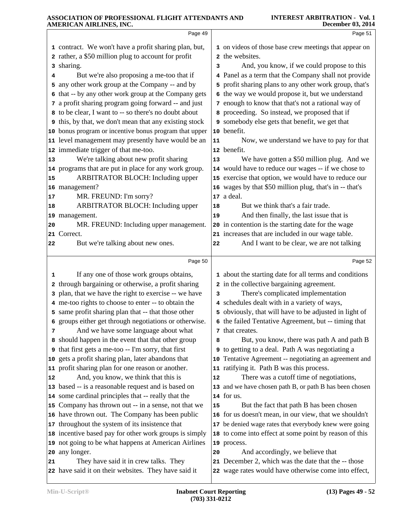|    | Page 49                                                                                       |    | Page 51                                                                                                     |
|----|-----------------------------------------------------------------------------------------------|----|-------------------------------------------------------------------------------------------------------------|
|    | 1 contract. We won't have a profit sharing plan, but,                                         |    | 1 on videos of those base crew meetings that appear on                                                      |
|    | 2 rather, a \$50 million plug to account for profit                                           |    | 2 the websites.                                                                                             |
|    | 3 sharing.                                                                                    | 3  | And, you know, if we could propose to this                                                                  |
| 4  | But we're also proposing a me-too that if                                                     |    | 4 Panel as a term that the Company shall not provide                                                        |
|    | 5 any other work group at the Company -- and by                                               |    | 5 profit sharing plans to any other work group, that's                                                      |
|    | 6 that -- by any other work group at the Company gets                                         |    | 6 the way we would propose it, but we understand                                                            |
|    | 7 a profit sharing program going forward -- and just                                          |    | 7 enough to know that that's not a rational way of                                                          |
|    | 8 to be clear, I want to -- so there's no doubt about                                         |    | 8 proceeding. So instead, we proposed that if                                                               |
|    | <b>9</b> this, by that, we don't mean that any existing stock                                 |    | 9 somebody else gets that benefit, we get that                                                              |
|    | 10 bonus program or incentive bonus program that upper                                        |    | 10 benefit.                                                                                                 |
|    | 11 level management may presently have would be an                                            | 11 | Now, we understand we have to pay for that                                                                  |
|    | 12 immediate trigger of that me-too.                                                          |    | 12 benefit.                                                                                                 |
| 13 | We're talking about new profit sharing                                                        | 13 | We have gotten a \$50 million plug. And we                                                                  |
|    | 14 programs that are put in place for any work group.                                         |    | 14 would have to reduce our wages -- if we chose to                                                         |
| 15 | <b>ARBITRATOR BLOCH: Including upper</b>                                                      |    | 15 exercise that option, we would have to reduce our                                                        |
|    | 16 management?                                                                                |    | 16 wages by that \$50 million plug, that's in -- that's                                                     |
| 17 | MR. FREUND: I'm sorry?                                                                        |    | 17 a deal.                                                                                                  |
| 18 | <b>ARBITRATOR BLOCH: Including upper</b>                                                      | 18 | But we think that's a fair trade.                                                                           |
|    | 19 management.                                                                                | 19 | And then finally, the last issue that is                                                                    |
| 20 | MR. FREUND: Including upper management.                                                       |    | 20 in contention is the starting date for the wage                                                          |
|    | 21 Correct.                                                                                   |    | 21 increases that are included in our wage table.                                                           |
| 22 | But we're talking about new ones.                                                             | 22 | And I want to be clear, we are not talking                                                                  |
|    | Page 50                                                                                       |    | Page 52                                                                                                     |
| 1  | If any one of those work groups obtains,                                                      |    | 1 about the starting date for all terms and conditions                                                      |
|    | 2 through bargaining or otherwise, a profit sharing                                           |    | 2 in the collective bargaining agreement.                                                                   |
|    | 3 plan, that we have the right to exercise -- we have                                         | 3  | There's complicated implementation                                                                          |
|    | 4 me-too rights to choose to enter -- to obtain the                                           |    | 4 schedules dealt with in a variety of ways,                                                                |
|    | 5 same profit sharing plan that -- that those other                                           |    | 5 obviously, that will have to be adjusted in light of                                                      |
|    | 6 groups either get through negotiations or otherwise.                                        |    | 6 the failed Tentative Agreement, but -- timing that                                                        |
| 7  | And we have some language about what                                                          |    | 7 that creates.                                                                                             |
|    | 8 should happen in the event that that other group                                            | 8  | But, you know, there was path A and path B                                                                  |
|    | <b>9</b> that first gets a me-too -- I'm sorry, that first                                    |    | <b>9</b> to getting to a deal. Path A was negotiating a                                                     |
|    | 10 gets a profit sharing plan, later abandons that                                            |    | 10 Tentative Agreement -- negotiating an agreement and                                                      |
|    | 11 profit sharing plan for one reason or another.                                             |    | 11 ratifying it. Path B was this process.                                                                   |
| 12 | And, you know, we think that this is                                                          | 12 | There was a cutoff time of negotiations,                                                                    |
|    | 13 based -- is a reasonable request and is based on                                           |    | 13 and we have chosen path B, or path B has been chosen                                                     |
|    | 14 some cardinal principles that -- really that the                                           |    | 14 for us.                                                                                                  |
|    |                                                                                               |    |                                                                                                             |
|    | 15 Company has thrown out -- in a sense, not that we                                          | 15 | But the fact that path B has been chosen                                                                    |
|    | 16 have thrown out. The Company has been public                                               |    | 16 for us doesn't mean, in our view, that we shouldn't                                                      |
|    | 17 throughout the system of its insistence that                                               |    | 17 be denied wage rates that everybody knew were going                                                      |
|    | 18 incentive based pay for other work groups is simply                                        |    | 18 to come into effect at some point by reason of this                                                      |
|    | 19 not going to be what happens at American Airlines                                          |    | 19 process.                                                                                                 |
|    | 20 any longer.                                                                                | 20 | And accordingly, we believe that                                                                            |
| 21 | They have said it in crew talks. They<br>22 have said it on their websites. They have said it |    | 21 December 2, which was the date that the -- those<br>22 wage rates would have otherwise come into effect, |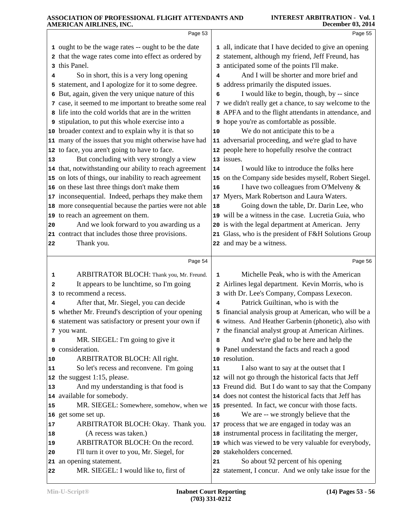| 1 all, indicate that I have decided to give an opening<br>1 ought to be the wage rates -- ought to be the date<br>2 statement, although my friend, Jeff Freund, has<br>2 that the wage rates come into effect as ordered by<br>3 this Panel.<br>3 anticipated some of the points I'll make.<br>And I will be shorter and more brief and<br>So in short, this is a very long opening<br>4<br>4<br>5 address primarily the disputed issues.<br>5 statement, and I apologize for it to some degree.<br>But, again, given the very unique nature of this<br>I would like to begin, though, by -- since<br>6<br>6<br>7 case, it seemed to me important to breathe some real<br>7 we didn't really get a chance, to say welcome to the<br>8 life into the cold worlds that are in the written<br>8 APFA and to the flight attendants in attendance, and<br>9 stipulation, to put this whole exercise into a<br><b>9</b> hope you're as comfortable as possible.<br>10 broader context and to explain why it is that so<br>We do not anticipate this to be a<br>10<br>11 adversarial proceeding, and we're glad to have<br>11 many of the issues that you might otherwise have had<br>12 people here to hopefully resolve the contract<br>12 to face, you aren't going to have to face.<br>But concluding with very strongly a view<br>13 issues.<br>13 |
|--------------------------------------------------------------------------------------------------------------------------------------------------------------------------------------------------------------------------------------------------------------------------------------------------------------------------------------------------------------------------------------------------------------------------------------------------------------------------------------------------------------------------------------------------------------------------------------------------------------------------------------------------------------------------------------------------------------------------------------------------------------------------------------------------------------------------------------------------------------------------------------------------------------------------------------------------------------------------------------------------------------------------------------------------------------------------------------------------------------------------------------------------------------------------------------------------------------------------------------------------------------------------------------------------------------------------------------------------|
|                                                                                                                                                                                                                                                                                                                                                                                                                                                                                                                                                                                                                                                                                                                                                                                                                                                                                                                                                                                                                                                                                                                                                                                                                                                                                                                                                  |
|                                                                                                                                                                                                                                                                                                                                                                                                                                                                                                                                                                                                                                                                                                                                                                                                                                                                                                                                                                                                                                                                                                                                                                                                                                                                                                                                                  |
|                                                                                                                                                                                                                                                                                                                                                                                                                                                                                                                                                                                                                                                                                                                                                                                                                                                                                                                                                                                                                                                                                                                                                                                                                                                                                                                                                  |
|                                                                                                                                                                                                                                                                                                                                                                                                                                                                                                                                                                                                                                                                                                                                                                                                                                                                                                                                                                                                                                                                                                                                                                                                                                                                                                                                                  |
|                                                                                                                                                                                                                                                                                                                                                                                                                                                                                                                                                                                                                                                                                                                                                                                                                                                                                                                                                                                                                                                                                                                                                                                                                                                                                                                                                  |
|                                                                                                                                                                                                                                                                                                                                                                                                                                                                                                                                                                                                                                                                                                                                                                                                                                                                                                                                                                                                                                                                                                                                                                                                                                                                                                                                                  |
|                                                                                                                                                                                                                                                                                                                                                                                                                                                                                                                                                                                                                                                                                                                                                                                                                                                                                                                                                                                                                                                                                                                                                                                                                                                                                                                                                  |
|                                                                                                                                                                                                                                                                                                                                                                                                                                                                                                                                                                                                                                                                                                                                                                                                                                                                                                                                                                                                                                                                                                                                                                                                                                                                                                                                                  |
|                                                                                                                                                                                                                                                                                                                                                                                                                                                                                                                                                                                                                                                                                                                                                                                                                                                                                                                                                                                                                                                                                                                                                                                                                                                                                                                                                  |
|                                                                                                                                                                                                                                                                                                                                                                                                                                                                                                                                                                                                                                                                                                                                                                                                                                                                                                                                                                                                                                                                                                                                                                                                                                                                                                                                                  |
|                                                                                                                                                                                                                                                                                                                                                                                                                                                                                                                                                                                                                                                                                                                                                                                                                                                                                                                                                                                                                                                                                                                                                                                                                                                                                                                                                  |
|                                                                                                                                                                                                                                                                                                                                                                                                                                                                                                                                                                                                                                                                                                                                                                                                                                                                                                                                                                                                                                                                                                                                                                                                                                                                                                                                                  |
|                                                                                                                                                                                                                                                                                                                                                                                                                                                                                                                                                                                                                                                                                                                                                                                                                                                                                                                                                                                                                                                                                                                                                                                                                                                                                                                                                  |
| 14 that, notwithstanding our ability to reach agreement<br>I would like to introduce the folks here<br>14                                                                                                                                                                                                                                                                                                                                                                                                                                                                                                                                                                                                                                                                                                                                                                                                                                                                                                                                                                                                                                                                                                                                                                                                                                        |
| 15 on lots of things, our inability to reach agreement<br>15 on the Company side besides myself, Robert Siegel.                                                                                                                                                                                                                                                                                                                                                                                                                                                                                                                                                                                                                                                                                                                                                                                                                                                                                                                                                                                                                                                                                                                                                                                                                                  |
| 16 on these last three things don't make them<br>I have two colleagues from O'Melveny &<br>16                                                                                                                                                                                                                                                                                                                                                                                                                                                                                                                                                                                                                                                                                                                                                                                                                                                                                                                                                                                                                                                                                                                                                                                                                                                    |
| 17 inconsequential. Indeed, perhaps they make them<br>17 Myers, Mark Robertson and Laura Waters.                                                                                                                                                                                                                                                                                                                                                                                                                                                                                                                                                                                                                                                                                                                                                                                                                                                                                                                                                                                                                                                                                                                                                                                                                                                 |
| Going down the table, Dr. Darin Lee, who<br>18 more consequential because the parties were not able<br>18                                                                                                                                                                                                                                                                                                                                                                                                                                                                                                                                                                                                                                                                                                                                                                                                                                                                                                                                                                                                                                                                                                                                                                                                                                        |
| 19 will be a witness in the case. Lucretia Guia, who<br>19 to reach an agreement on them.                                                                                                                                                                                                                                                                                                                                                                                                                                                                                                                                                                                                                                                                                                                                                                                                                                                                                                                                                                                                                                                                                                                                                                                                                                                        |
| And we look forward to you awarding us a<br>20 is with the legal department at American. Jerry<br>20                                                                                                                                                                                                                                                                                                                                                                                                                                                                                                                                                                                                                                                                                                                                                                                                                                                                                                                                                                                                                                                                                                                                                                                                                                             |
| 21 contract that includes those three provisions.<br>21 Glass, who is the president of F&H Solutions Group                                                                                                                                                                                                                                                                                                                                                                                                                                                                                                                                                                                                                                                                                                                                                                                                                                                                                                                                                                                                                                                                                                                                                                                                                                       |
| Thank you.<br>22 and may be a witness.<br>22                                                                                                                                                                                                                                                                                                                                                                                                                                                                                                                                                                                                                                                                                                                                                                                                                                                                                                                                                                                                                                                                                                                                                                                                                                                                                                     |
| Page 54<br>Page 56                                                                                                                                                                                                                                                                                                                                                                                                                                                                                                                                                                                                                                                                                                                                                                                                                                                                                                                                                                                                                                                                                                                                                                                                                                                                                                                               |
|                                                                                                                                                                                                                                                                                                                                                                                                                                                                                                                                                                                                                                                                                                                                                                                                                                                                                                                                                                                                                                                                                                                                                                                                                                                                                                                                                  |
| ARBITRATOR BLOCH: Thank you, Mr. Freund.<br>Michelle Peak, who is with the American<br>1<br>1                                                                                                                                                                                                                                                                                                                                                                                                                                                                                                                                                                                                                                                                                                                                                                                                                                                                                                                                                                                                                                                                                                                                                                                                                                                    |
| It appears to be lunchtime, so I'm going<br>2 Airlines legal department. Kevin Morris, who is<br>2                                                                                                                                                                                                                                                                                                                                                                                                                                                                                                                                                                                                                                                                                                                                                                                                                                                                                                                                                                                                                                                                                                                                                                                                                                               |
| 3 with Dr. Lee's Company, Compass Lexecon.<br>to recommend a recess.<br>3                                                                                                                                                                                                                                                                                                                                                                                                                                                                                                                                                                                                                                                                                                                                                                                                                                                                                                                                                                                                                                                                                                                                                                                                                                                                        |
| Patrick Guiltinan, who is with the<br>After that, Mr. Siegel, you can decide<br>4<br>4                                                                                                                                                                                                                                                                                                                                                                                                                                                                                                                                                                                                                                                                                                                                                                                                                                                                                                                                                                                                                                                                                                                                                                                                                                                           |
| 5 whether Mr. Freund's description of your opening<br>5 financial analysis group at American, who will be a                                                                                                                                                                                                                                                                                                                                                                                                                                                                                                                                                                                                                                                                                                                                                                                                                                                                                                                                                                                                                                                                                                                                                                                                                                      |
| 6 statement was satisfactory or present your own if<br>6 witness. And Heather Garbenin (phonetic), also with                                                                                                                                                                                                                                                                                                                                                                                                                                                                                                                                                                                                                                                                                                                                                                                                                                                                                                                                                                                                                                                                                                                                                                                                                                     |
| 7 the financial analyst group at American Airlines.<br>7 you want.                                                                                                                                                                                                                                                                                                                                                                                                                                                                                                                                                                                                                                                                                                                                                                                                                                                                                                                                                                                                                                                                                                                                                                                                                                                                               |
| And we're glad to be here and help the<br>MR. SIEGEL: I'm going to give it<br>8<br>8<br>9 consideration.                                                                                                                                                                                                                                                                                                                                                                                                                                                                                                                                                                                                                                                                                                                                                                                                                                                                                                                                                                                                                                                                                                                                                                                                                                         |
| 9 Panel understand the facts and reach a good<br>ARBITRATOR BLOCH: All right.<br>10 resolution.                                                                                                                                                                                                                                                                                                                                                                                                                                                                                                                                                                                                                                                                                                                                                                                                                                                                                                                                                                                                                                                                                                                                                                                                                                                  |
| 10<br>So let's recess and reconvene. I'm going<br>I also want to say at the outset that I<br>11<br>11                                                                                                                                                                                                                                                                                                                                                                                                                                                                                                                                                                                                                                                                                                                                                                                                                                                                                                                                                                                                                                                                                                                                                                                                                                            |
| 12 the suggest 1:15, please.<br>12 will not go through the historical facts that Jeff                                                                                                                                                                                                                                                                                                                                                                                                                                                                                                                                                                                                                                                                                                                                                                                                                                                                                                                                                                                                                                                                                                                                                                                                                                                            |
| 13 Freund did. But I do want to say that the Company<br>And my understanding is that food is<br>13                                                                                                                                                                                                                                                                                                                                                                                                                                                                                                                                                                                                                                                                                                                                                                                                                                                                                                                                                                                                                                                                                                                                                                                                                                               |
| 14 available for somebody.<br>14 does not contest the historical facts that Jeff has                                                                                                                                                                                                                                                                                                                                                                                                                                                                                                                                                                                                                                                                                                                                                                                                                                                                                                                                                                                                                                                                                                                                                                                                                                                             |
| MR. SIEGEL: Somewhere, somehow, when we<br>15 presented. In fact, we concur with those facts.<br>15                                                                                                                                                                                                                                                                                                                                                                                                                                                                                                                                                                                                                                                                                                                                                                                                                                                                                                                                                                                                                                                                                                                                                                                                                                              |
| We are -- we strongly believe that the<br>16<br>16 get some set up.                                                                                                                                                                                                                                                                                                                                                                                                                                                                                                                                                                                                                                                                                                                                                                                                                                                                                                                                                                                                                                                                                                                                                                                                                                                                              |
| 17 process that we are engaged in today was an<br>ARBITRATOR BLOCH: Okay. Thank you.<br>17                                                                                                                                                                                                                                                                                                                                                                                                                                                                                                                                                                                                                                                                                                                                                                                                                                                                                                                                                                                                                                                                                                                                                                                                                                                       |
| 18 instrumental process in facilitating the merger,<br>(A recess was taken.)<br>18                                                                                                                                                                                                                                                                                                                                                                                                                                                                                                                                                                                                                                                                                                                                                                                                                                                                                                                                                                                                                                                                                                                                                                                                                                                               |
| ARBITRATOR BLOCH: On the record.<br>19 which was viewed to be very valuable for everybody,<br>19                                                                                                                                                                                                                                                                                                                                                                                                                                                                                                                                                                                                                                                                                                                                                                                                                                                                                                                                                                                                                                                                                                                                                                                                                                                 |
| 20 stakeholders concerned.<br>I'll turn it over to you, Mr. Siegel, for<br>20                                                                                                                                                                                                                                                                                                                                                                                                                                                                                                                                                                                                                                                                                                                                                                                                                                                                                                                                                                                                                                                                                                                                                                                                                                                                    |
| So about 92 percent of his opening<br>an opening statement.<br>21<br>21                                                                                                                                                                                                                                                                                                                                                                                                                                                                                                                                                                                                                                                                                                                                                                                                                                                                                                                                                                                                                                                                                                                                                                                                                                                                          |
|                                                                                                                                                                                                                                                                                                                                                                                                                                                                                                                                                                                                                                                                                                                                                                                                                                                                                                                                                                                                                                                                                                                                                                                                                                                                                                                                                  |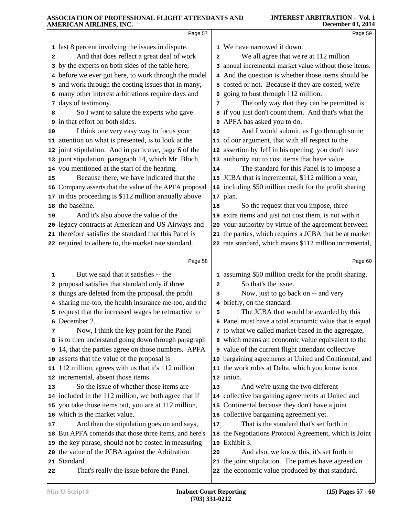|    | Page 57                                                   |                         | Page 59                                                                                                  |
|----|-----------------------------------------------------------|-------------------------|----------------------------------------------------------------------------------------------------------|
|    | 1 last 8 percent involving the issues in dispute.         |                         | 1 We have narrowed it down.                                                                              |
| 2  | And that does reflect a great deal of work                | $\overline{\mathbf{2}}$ | We all agree that we're at 112 million                                                                   |
|    | 3 by the experts on both sides of the table here,         |                         | 3 annual incremental market value without those items.                                                   |
|    | 4 before we ever got here, to work through the model      |                         | 4 And the question is whether those items should be                                                      |
|    | 5 and work through the costing issues that in many,       |                         | 5 costed or not. Because if they are costed, we're                                                       |
| 6  | many other interest arbitrations require days and         |                         | 6 going to bust through 112 million.                                                                     |
| 7  | days of testimony.                                        | 7                       | The only way that they can be permitted is                                                               |
| 8  | So I want to salute the experts who gave                  |                         | 8 if you just don't count them. And that's what the                                                      |
|    | 9 in that effort on both sides.                           |                         | 9 APFA has asked you to do.                                                                              |
| 10 | I think one very easy way to focus your                   | 10                      | And I would submit, as I go through some                                                                 |
|    | 11 attention on what is presented, is to look at the      |                         | 11 of our argument, that with all respect to the                                                         |
|    | 12 joint stipulation. And in particular, page 6 of the    |                         | 12 assertion by Jeff in his opening, you don't have                                                      |
|    | 13 joint stipulation, paragraph 14, which Mr. Bloch,      |                         | 13 authority not to cost items that have value.                                                          |
|    | 14 you mentioned at the start of the hearing.             | 14                      | The standard for this Panel is to impose a                                                               |
| 15 | Because there, we have indicated that the                 |                         | 15 JCBA that is incremental, \$112 million a year,                                                       |
|    | 16 Company asserts that the value of the APFA proposal    |                         | 16 including \$50 million credit for the profit sharing                                                  |
|    | 17 in this proceeding is \$112 million annually above     |                         | 17 plan.                                                                                                 |
|    | 18 the baseline.                                          | 18                      | So the request that you impose, three                                                                    |
| 19 | And it's also above the value of the                      |                         | 19 extra items and just not cost them, is not within                                                     |
| 20 | legacy contracts at American and US Airways and           |                         | 20 your authority by virtue of the agreement between                                                     |
|    | 21 therefore satisfies the standard that this Panel is    |                         | 21 the parties, which requires a JCBA that be at market                                                  |
|    | 22 required to adhere to, the market rate standard.       |                         | 22 rate standard, which means \$112 million incremental,                                                 |
|    |                                                           |                         |                                                                                                          |
|    | Page 58                                                   |                         | Page 60                                                                                                  |
| 1  | But we said that it satisfies -- the                      |                         | 1 assuming \$50 million credit for the profit sharing.                                                   |
| 2  | proposal satisfies that standard only if three            | $\mathbf{2}$            | So that's the issue.                                                                                     |
|    | 3 things are deleted from the proposal, the profit        | 3                       | Now, just to go back on -- and very                                                                      |
|    | 4 sharing me-too, the health insurance me-too, and the    |                         | 4 briefly, on the standard.                                                                              |
|    | 5 request that the increased wages be retroactive to      | 5                       | The JCBA that would be awarded by this                                                                   |
|    | 6 December 2.                                             |                         | 6 Panel must have a total economic value that is equal                                                   |
| 7  | Now, I think the key point for the Panel                  |                         | 7 to what we called market-based in the aggregate,                                                       |
|    | 8 is to then understand going down through paragraph      |                         | 8 which means an economic value equivalent to the                                                        |
|    | 9 14, that the parties agree on those numbers. APFA       |                         | 9 value of the current flight attendant collective                                                       |
|    | 10 asserts that the value of the proposal is              |                         | 10 bargaining agreements at United and Continental, and                                                  |
|    | 11 112 million, agrees with us that it's 112 million      |                         | 11 the work rules at Delta, which you know is not                                                        |
|    | 12 incremental, absent those items.                       |                         | 12 union.                                                                                                |
| 13 | So the issue of whether those items are                   | 13                      | And we're using the two different                                                                        |
|    | 14 included in the 112 million, we both agree that if     |                         | 14 collective bargaining agreements at United and                                                        |
|    | 15 you take those items out, you are at 112 million,      |                         | 15 Continental because they don't have a joint                                                           |
|    | 16 which is the market value.                             |                         | 16 collective bargaining agreement yet.                                                                  |
| 17 | And then the stipulation goes on and says,                | 17                      | That is the standard that's set forth in                                                                 |
|    | 18 But APFA contends that those three items, and here's   |                         | 18 the Negotiations Protocol Agreement, which is Joint                                                   |
|    | 19 the key phrase, should not be costed in measuring      |                         | 19 Exhibit 3.                                                                                            |
|    | 20 the value of the JCBA against the Arbitration          | 20                      | And also, we know this, it's set forth in                                                                |
|    | 21 Standard.<br>That's really the issue before the Panel. |                         | 21 the joint stipulation. The parties have agreed on<br>22 the economic value produced by that standard. |
|    |                                                           |                         |                                                                                                          |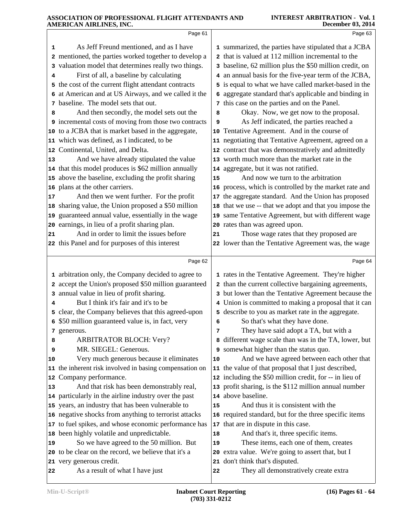|    | Page 61                                                     |    | Page 63                                                                  |
|----|-------------------------------------------------------------|----|--------------------------------------------------------------------------|
| 1  | As Jeff Freund mentioned, and as I have                     |    | 1 summarized, the parties have stipulated that a JCBA                    |
|    | 2 mentioned, the parties worked together to develop a       |    | 2 that is valued at 112 million incremental to the                       |
|    | 3 valuation model that determines really two things.        |    | 3 baseline, 62 million plus the \$50 million credit, on                  |
| 4  | First of all, a baseline by calculating                     |    | 4 an annual basis for the five-year term of the JCBA,                    |
|    | 5 the cost of the current flight attendant contracts        |    | 5 is equal to what we have called market-based in the                    |
|    | 6 at American and at US Airways, and we called it the       | 6  | aggregate standard that's applicable and binding in                      |
|    | 7 baseline. The model sets that out.                        | 7  | this case on the parties and on the Panel.                               |
| 8  | And then secondly, the model sets out the                   | 8  | Okay. Now, we get now to the proposal.                                   |
|    | 9 incremental costs of moving from those two contracts      | 9  | As Jeff indicated, the parties reached a                                 |
|    | 10 to a JCBA that is market based in the aggregate,         |    | 10 Tentative Agreement. And in the course of                             |
|    | 11 which was defined, as I indicated, to be                 |    | 11 negotiating that Tentative Agreement, agreed on a                     |
|    | 12 Continental, United, and Delta.                          |    | 12 contract that was demonstratively and admittedly                      |
| 13 | And we have already stipulated the value                    |    | 13 worth much more than the market rate in the                           |
|    | 14 that this model produces is \$62 million annually        |    | 14 aggregate, but it was not ratified.                                   |
|    | 15 above the baseline, excluding the profit sharing         | 15 | And now we turn to the arbitration                                       |
|    | 16 plans at the other carriers.                             |    | 16 process, which is controlled by the market rate and                   |
| 17 | And then we went further. For the profit                    |    | 17 the aggregate standard. And the Union has proposed                    |
|    | 18 sharing value, the Union proposed a \$50 million         |    | 18 that we use -- that we adopt and that you impose the                  |
|    | 19 guaranteed annual value, essentially in the wage         |    | 19 same Tentative Agreement, but with different wage                     |
|    | 20 earnings, in lieu of a profit sharing plan.              |    | 20 rates than was agreed upon.                                           |
| 21 | And in order to limit the issues before                     | 21 | Those wage rates that they proposed are                                  |
|    | 22 this Panel and for purposes of this interest             |    | 22 lower than the Tentative Agreement was, the wage                      |
|    | Page 62                                                     |    | Page 64                                                                  |
|    | 1 arbitration only, the Company decided to agree to         |    | 1 rates in the Tentative Agreement. They're higher                       |
|    | 2 accept the Union's proposed \$50 million guaranteed       |    | 2 than the current collective bargaining agreements,                     |
|    | 3 annual value in lieu of profit sharing.                   |    | 3 but lower than the Tentative Agreement because the                     |
| 4  | But I think it's fair and it's to be                        |    | 4 Union is committed to making a proposal that it can                    |
|    | 5 clear, the Company believes that this agreed-upon         |    | 5 describe to you as market rate in the aggregate.                       |
| 6  | \$50 million guaranteed value is, in fact, very             |    | So that's what they have done.                                           |
|    | 7 generous.                                                 | 7  | They have said adopt a TA, but with a                                    |
| 8  | <b>ARBITRATOR BLOCH: Very?</b>                              | 8  | different wage scale than was in the TA, lower, but                      |
| 9  | MR. SIEGEL: Generous.                                       |    | 9 somewhat higher than the status quo.                                   |
| 10 | Very much generous because it eliminates                    | 10 | And we have agreed between each other that                               |
|    | 11 the inherent risk involved in basing compensation on     |    | 11 the value of that proposal that I just described,                     |
|    | 12 Company performance.                                     |    | 12 including the \$50 million credit, for -- in lieu of                  |
| 13 | And that risk has been demonstrably real,                   |    | 13 profit sharing, is the \$112 million annual number                    |
|    | 14 particularly in the airline industry over the past       |    | 14 above baseline.                                                       |
|    | 15 years, an industry that has been vulnerable to           | 15 | And thus it is consistent with the                                       |
|    | 16 negative shocks from anything to terrorist attacks       |    | 16 required standard, but for the three specific items                   |
|    | 17 to fuel spikes, and whose economic performance has       |    | 17 that are in dispute in this case.                                     |
|    |                                                             |    | And that's it, three specific items.                                     |
|    | 18 been highly volatile and unpredictable.                  | 18 |                                                                          |
| 19 | So we have agreed to the 50 million. But                    | 19 | These items, each one of them, creates                                   |
|    | 20 to be clear on the record, we believe that it's a        |    | 20 extra value. We're going to assert that, but I                        |
| 22 | 21 very generous credit.<br>As a result of what I have just | 22 | 21 don't think that's disputed.<br>They all demonstratively create extra |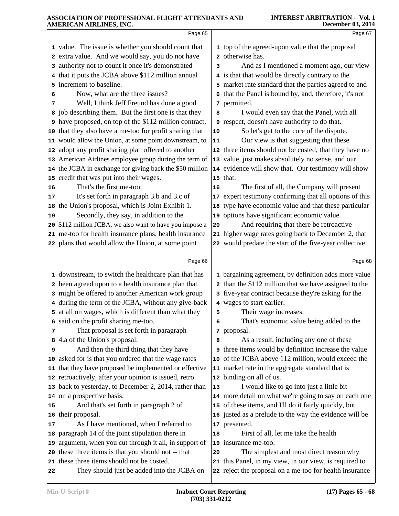|    | Page 65                                                                                                    |    | Page 67                                                                                                      |
|----|------------------------------------------------------------------------------------------------------------|----|--------------------------------------------------------------------------------------------------------------|
|    | 1 value. The issue is whether you should count that                                                        |    | 1 top of the agreed-upon value that the proposal                                                             |
|    | 2 extra value. And we would say, you do not have                                                           |    | 2 otherwise has.                                                                                             |
|    | 3 authority not to count it once it's demonstrated                                                         | 3  | And as I mentioned a moment ago, our view                                                                    |
|    | 4 that it puts the JCBA above \$112 million annual                                                         |    | 4 is that that would be directly contrary to the                                                             |
|    | 5 increment to baseline.                                                                                   |    | 5 market rate standard that the parties agreed to and                                                        |
| 6  | Now, what are the three issues?                                                                            | 6  | that the Panel is bound by, and, therefore, it's not                                                         |
| 7  | Well, I think Jeff Freund has done a good                                                                  |    | 7 permitted.                                                                                                 |
|    | 8 job describing them. But the first one is that they                                                      | 8  | I would even say that the Panel, with all                                                                    |
|    | <b>9</b> have proposed, on top of the \$112 million contract,                                              |    | 9 respect, doesn't have authority to do that.                                                                |
|    | 10 that they also have a me-too for profit sharing that                                                    | 10 | So let's get to the core of the dispute.                                                                     |
|    | 11 would allow the Union, at some point downstream, to                                                     | 11 | Our view is that suggesting that these                                                                       |
|    | 12 adopt any profit sharing plan offered to another                                                        |    | 12 three items should not be costed, that they have no                                                       |
|    | 13 American Airlines employee group during the term of                                                     |    | 13 value, just makes absolutely no sense, and our                                                            |
|    | 14 the JCBA in exchange for giving back the \$50 million                                                   |    | 14 evidence will show that. Our testimony will show                                                          |
|    | 15 credit that was put into their wages.                                                                   |    | 15 that.                                                                                                     |
| 16 | That's the first me-too.                                                                                   | 16 | The first of all, the Company will present                                                                   |
| 17 | It's set forth in paragraph 3.b and 3.c of                                                                 |    | 17 expert testimony confirming that all options of this                                                      |
|    | 18 the Union's proposal, which is Joint Exhibit 1.                                                         |    | 18 type have economic value and that these particular                                                        |
| 19 | Secondly, they say, in addition to the                                                                     |    | 19 options have significant economic value.                                                                  |
|    | 20 \$112 million JCBA, we also want to have you impose a                                                   | 20 | And requiring that there be retroactive                                                                      |
|    | 21 me-too for health insurance plans, health insurance                                                     |    | 21 higher wage rates going back to December 2, that                                                          |
|    | 22 plans that would allow the Union, at some point                                                         |    | 22 would predate the start of the five-year collective                                                       |
|    | Page 66                                                                                                    |    | Page 68                                                                                                      |
|    |                                                                                                            |    |                                                                                                              |
|    | 1 downstream, to switch the healthcare plan that has<br>2 been agreed upon to a health insurance plan that |    | 1 bargaining agreement, by definition adds more value<br>than the \$112 million that we have assigned to the |
|    | 3 might be offered to another American work group                                                          | 2  | five-year contract because they're asking for the                                                            |
|    | 4 during the term of the JCBA, without any give-back                                                       |    | 4 wages to start earlier.                                                                                    |
|    | 5 at all on wages, which is different than what they                                                       | 5  | Their wage increases.                                                                                        |
|    | 6 said on the profit sharing me-too.                                                                       | 6  | That's economic value being added to the                                                                     |
| 7  | That proposal is set forth in paragraph                                                                    | 7  | proposal.                                                                                                    |
|    | 8 4.a of the Union's proposal.                                                                             | 8  | As a result, including any one of these                                                                      |
| 9  | And then the third thing that they have                                                                    |    | <b>9</b> three items would by definition increase the value                                                  |
|    | 10 asked for is that you ordered that the wage rates                                                       |    | 10 of the JCBA above 112 million, would exceed the                                                           |
|    | 11 that they have proposed be implemented or effective                                                     |    | 11 market rate in the aggregate standard that is                                                             |
|    | 12 retroactively, after your opinion is issued, retro                                                      |    | 12 binding on all of us.                                                                                     |
|    | 13 back to yesterday, to December 2, 2014, rather than                                                     | 13 | I would like to go into just a little bit                                                                    |
|    | 14 on a prospective basis.                                                                                 |    | 14 more detail on what we're going to say on each one                                                        |
| 15 | And that's set forth in paragraph 2 of                                                                     |    | 15 of these items, and I'll do it fairly quickly, but                                                        |
|    | 16 their proposal.                                                                                         |    | 16 justed as a prelude to the way the evidence will be                                                       |
| 17 | As I have mentioned, when I referred to                                                                    |    | 17 presented.                                                                                                |
| 18 | paragraph 14 of the joint stipulation there in                                                             | 18 | First of all, let me take the health                                                                         |
| 19 | argument, when you cut through it all, in support of                                                       |    | 19 insurance me-too.                                                                                         |
|    | 20 these three items is that you should not -- that                                                        | 20 | The simplest and most direct reason why                                                                      |
|    | 21 these three items should not be costed.                                                                 |    | 21 this Panel, in my view, in our view, is required to                                                       |
| 22 | They should just be added into the JCBA on                                                                 |    | 22 reject the proposal on a me-too for health insurance                                                      |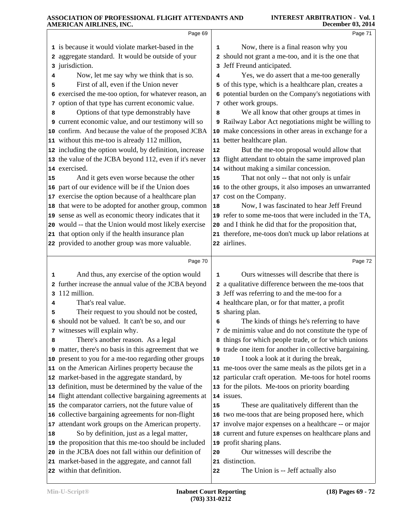|                        | Page 69                                                                                                                                                                                                                                                                                                                                                                                                                                                                                                                                                                                                                                                                                                                                                                                                                                                                                                                                                                                                                                                                                                                 |                                    | Page 71                                                                                                                                                                                                                                                                                                                                                                                                                                                                                                                                                                                                                                                                                                                                                                                                                                                                                                                                                                                                                            |
|------------------------|-------------------------------------------------------------------------------------------------------------------------------------------------------------------------------------------------------------------------------------------------------------------------------------------------------------------------------------------------------------------------------------------------------------------------------------------------------------------------------------------------------------------------------------------------------------------------------------------------------------------------------------------------------------------------------------------------------------------------------------------------------------------------------------------------------------------------------------------------------------------------------------------------------------------------------------------------------------------------------------------------------------------------------------------------------------------------------------------------------------------------|------------------------------------|------------------------------------------------------------------------------------------------------------------------------------------------------------------------------------------------------------------------------------------------------------------------------------------------------------------------------------------------------------------------------------------------------------------------------------------------------------------------------------------------------------------------------------------------------------------------------------------------------------------------------------------------------------------------------------------------------------------------------------------------------------------------------------------------------------------------------------------------------------------------------------------------------------------------------------------------------------------------------------------------------------------------------------|
| 4<br>5<br>6<br>8<br>15 | 1 is because it would violate market-based in the<br>2 aggregate standard. It would be outside of your<br>3 jurisdiction.<br>Now, let me say why we think that is so.<br>First of all, even if the Union never<br>exercised the me-too option, for whatever reason, an<br>7 option of that type has current economic value.<br>Options of that type demonstrably have<br>9 current economic value, and our testimony will so<br>10 confirm. And because the value of the proposed JCBA<br>11 without this me-too is already 112 million,<br>12 including the option would, by definition, increase<br>13 the value of the JCBA beyond 112, even if it's never<br>14 exercised.<br>And it gets even worse because the other<br>16 part of our evidence will be if the Union does<br>17 exercise the option because of a healthcare plan<br>18 that were to be adopted for another group, common<br>19 sense as well as economic theory indicates that it<br>20 would -- that the Union would most likely exercise<br>21 that option only if the health insurance plan<br>22 provided to another group was more valuable. | 1<br>3<br>4<br>8<br>12<br>15<br>18 | Now, there is a final reason why you<br>2 should not grant a me-too, and it is the one that<br>Jeff Freund anticipated.<br>Yes, we do assert that a me-too generally<br>5 of this type, which is a healthcare plan, creates a<br>6 potential burden on the Company's negotiations with<br>7 other work groups.<br>We all know that other groups at times in<br>9 Railway Labor Act negotiations might be willing to<br>10 make concessions in other areas in exchange for a<br>11 better healthcare plan.<br>But the me-too proposal would allow that<br>13 flight attendant to obtain the same improved plan<br>14 without making a similar concession.<br>That not only -- that not only is unfair<br>16 to the other groups, it also imposes an unwarranted<br>17 cost on the Company.<br>Now, I was fascinated to hear Jeff Freund<br>19 refer to some me-toos that were included in the TA,<br>20 and I think he did that for the proposition that,<br>21 therefore, me-toos don't muck up labor relations at<br>22 airlines. |
|                        | Page 70                                                                                                                                                                                                                                                                                                                                                                                                                                                                                                                                                                                                                                                                                                                                                                                                                                                                                                                                                                                                                                                                                                                 |                                    | Page 72                                                                                                                                                                                                                                                                                                                                                                                                                                                                                                                                                                                                                                                                                                                                                                                                                                                                                                                                                                                                                            |
| 1                      | And thus, any exercise of the option would                                                                                                                                                                                                                                                                                                                                                                                                                                                                                                                                                                                                                                                                                                                                                                                                                                                                                                                                                                                                                                                                              | 1                                  | Ours witnesses will describe that there is                                                                                                                                                                                                                                                                                                                                                                                                                                                                                                                                                                                                                                                                                                                                                                                                                                                                                                                                                                                         |
| 2                      | further increase the annual value of the JCBA beyond                                                                                                                                                                                                                                                                                                                                                                                                                                                                                                                                                                                                                                                                                                                                                                                                                                                                                                                                                                                                                                                                    |                                    | 2 a qualitative difference between the me-toos that                                                                                                                                                                                                                                                                                                                                                                                                                                                                                                                                                                                                                                                                                                                                                                                                                                                                                                                                                                                |
| 3                      | 112 million.                                                                                                                                                                                                                                                                                                                                                                                                                                                                                                                                                                                                                                                                                                                                                                                                                                                                                                                                                                                                                                                                                                            |                                    | 3 Jeff was referring to and the me-too for a                                                                                                                                                                                                                                                                                                                                                                                                                                                                                                                                                                                                                                                                                                                                                                                                                                                                                                                                                                                       |
| 4                      | That's real value.                                                                                                                                                                                                                                                                                                                                                                                                                                                                                                                                                                                                                                                                                                                                                                                                                                                                                                                                                                                                                                                                                                      |                                    | 4 healthcare plan, or for that matter, a profit                                                                                                                                                                                                                                                                                                                                                                                                                                                                                                                                                                                                                                                                                                                                                                                                                                                                                                                                                                                    |
| 5                      | Their request to you should not be costed,                                                                                                                                                                                                                                                                                                                                                                                                                                                                                                                                                                                                                                                                                                                                                                                                                                                                                                                                                                                                                                                                              |                                    |                                                                                                                                                                                                                                                                                                                                                                                                                                                                                                                                                                                                                                                                                                                                                                                                                                                                                                                                                                                                                                    |
|                        |                                                                                                                                                                                                                                                                                                                                                                                                                                                                                                                                                                                                                                                                                                                                                                                                                                                                                                                                                                                                                                                                                                                         |                                    | 5 sharing plan.                                                                                                                                                                                                                                                                                                                                                                                                                                                                                                                                                                                                                                                                                                                                                                                                                                                                                                                                                                                                                    |
|                        | 6 should not be valued. It can't be so, and our                                                                                                                                                                                                                                                                                                                                                                                                                                                                                                                                                                                                                                                                                                                                                                                                                                                                                                                                                                                                                                                                         | 6                                  | The kinds of things he's referring to have                                                                                                                                                                                                                                                                                                                                                                                                                                                                                                                                                                                                                                                                                                                                                                                                                                                                                                                                                                                         |
|                        | 7 witnesses will explain why.                                                                                                                                                                                                                                                                                                                                                                                                                                                                                                                                                                                                                                                                                                                                                                                                                                                                                                                                                                                                                                                                                           |                                    | 7 de minimis value and do not constitute the type of                                                                                                                                                                                                                                                                                                                                                                                                                                                                                                                                                                                                                                                                                                                                                                                                                                                                                                                                                                               |
| 8                      | There's another reason. As a legal                                                                                                                                                                                                                                                                                                                                                                                                                                                                                                                                                                                                                                                                                                                                                                                                                                                                                                                                                                                                                                                                                      |                                    | 8 things for which people trade, or for which unions                                                                                                                                                                                                                                                                                                                                                                                                                                                                                                                                                                                                                                                                                                                                                                                                                                                                                                                                                                               |
|                        | <b>9</b> matter, there's no basis in this agreement that we                                                                                                                                                                                                                                                                                                                                                                                                                                                                                                                                                                                                                                                                                                                                                                                                                                                                                                                                                                                                                                                             | 10                                 | <b>9</b> trade one item for another in collective bargaining.                                                                                                                                                                                                                                                                                                                                                                                                                                                                                                                                                                                                                                                                                                                                                                                                                                                                                                                                                                      |
|                        | 10 present to you for a me-too regarding other groups<br>11 on the American Airlines property because the                                                                                                                                                                                                                                                                                                                                                                                                                                                                                                                                                                                                                                                                                                                                                                                                                                                                                                                                                                                                               |                                    | I took a look at it during the break,<br>11 me-toos over the same meals as the pilots get in a                                                                                                                                                                                                                                                                                                                                                                                                                                                                                                                                                                                                                                                                                                                                                                                                                                                                                                                                     |
|                        | 12 market-based in the aggregate standard, by                                                                                                                                                                                                                                                                                                                                                                                                                                                                                                                                                                                                                                                                                                                                                                                                                                                                                                                                                                                                                                                                           |                                    | 12 particular craft operation. Me-toos for hotel rooms                                                                                                                                                                                                                                                                                                                                                                                                                                                                                                                                                                                                                                                                                                                                                                                                                                                                                                                                                                             |
|                        | 13 definition, must be determined by the value of the                                                                                                                                                                                                                                                                                                                                                                                                                                                                                                                                                                                                                                                                                                                                                                                                                                                                                                                                                                                                                                                                   |                                    | 13 for the pilots. Me-toos on priority boarding                                                                                                                                                                                                                                                                                                                                                                                                                                                                                                                                                                                                                                                                                                                                                                                                                                                                                                                                                                                    |
|                        | 14 flight attendant collective bargaining agreements at                                                                                                                                                                                                                                                                                                                                                                                                                                                                                                                                                                                                                                                                                                                                                                                                                                                                                                                                                                                                                                                                 |                                    | 14 issues.                                                                                                                                                                                                                                                                                                                                                                                                                                                                                                                                                                                                                                                                                                                                                                                                                                                                                                                                                                                                                         |
|                        | 15 the comparator carriers, not the future value of                                                                                                                                                                                                                                                                                                                                                                                                                                                                                                                                                                                                                                                                                                                                                                                                                                                                                                                                                                                                                                                                     | 15                                 | These are qualitatively different than the                                                                                                                                                                                                                                                                                                                                                                                                                                                                                                                                                                                                                                                                                                                                                                                                                                                                                                                                                                                         |
|                        | 16 collective bargaining agreements for non-flight                                                                                                                                                                                                                                                                                                                                                                                                                                                                                                                                                                                                                                                                                                                                                                                                                                                                                                                                                                                                                                                                      |                                    | 16 two me-toos that are being proposed here, which                                                                                                                                                                                                                                                                                                                                                                                                                                                                                                                                                                                                                                                                                                                                                                                                                                                                                                                                                                                 |
|                        | 17 attendant work groups on the American property.                                                                                                                                                                                                                                                                                                                                                                                                                                                                                                                                                                                                                                                                                                                                                                                                                                                                                                                                                                                                                                                                      |                                    | 17 involve major expenses on a healthcare -- or major                                                                                                                                                                                                                                                                                                                                                                                                                                                                                                                                                                                                                                                                                                                                                                                                                                                                                                                                                                              |
| 18                     | So by definition, just as a legal matter,                                                                                                                                                                                                                                                                                                                                                                                                                                                                                                                                                                                                                                                                                                                                                                                                                                                                                                                                                                                                                                                                               |                                    | 18 current and future expenses on healthcare plans and                                                                                                                                                                                                                                                                                                                                                                                                                                                                                                                                                                                                                                                                                                                                                                                                                                                                                                                                                                             |
|                        | 19 the proposition that this me-too should be included                                                                                                                                                                                                                                                                                                                                                                                                                                                                                                                                                                                                                                                                                                                                                                                                                                                                                                                                                                                                                                                                  |                                    | 19 profit sharing plans.                                                                                                                                                                                                                                                                                                                                                                                                                                                                                                                                                                                                                                                                                                                                                                                                                                                                                                                                                                                                           |
|                        | 20 in the JCBA does not fall within our definition of                                                                                                                                                                                                                                                                                                                                                                                                                                                                                                                                                                                                                                                                                                                                                                                                                                                                                                                                                                                                                                                                   | 20                                 | Our witnesses will describe the                                                                                                                                                                                                                                                                                                                                                                                                                                                                                                                                                                                                                                                                                                                                                                                                                                                                                                                                                                                                    |
|                        | 21 market-based in the aggregate, and cannot fall<br>22 within that definition.                                                                                                                                                                                                                                                                                                                                                                                                                                                                                                                                                                                                                                                                                                                                                                                                                                                                                                                                                                                                                                         | 22                                 | 21 distinction.<br>The Union is -- Jeff actually also                                                                                                                                                                                                                                                                                                                                                                                                                                                                                                                                                                                                                                                                                                                                                                                                                                                                                                                                                                              |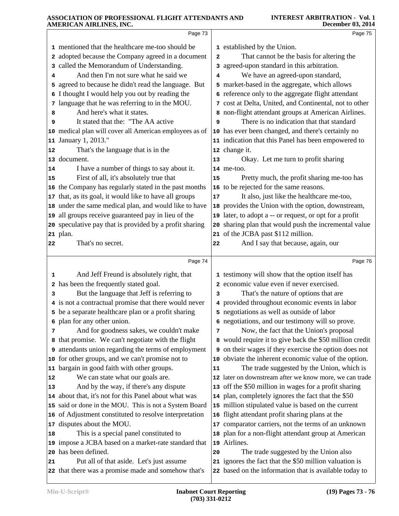|    | Page 73                                                 |    | Page 75                                                      |
|----|---------------------------------------------------------|----|--------------------------------------------------------------|
|    | 1 mentioned that the healthcare me-too should be        |    | 1 established by the Union.                                  |
|    | 2 adopted because the Company agreed in a document      | 2  | That cannot be the basis for altering the                    |
|    | 3 called the Memorandum of Understanding.               |    | 3 agreed-upon standard in this arbitration.                  |
|    | And then I'm not sure what he said we                   | 4  | We have an agreed-upon standard,                             |
|    | 5 agreed to because he didn't read the language. But    |    | 5 market-based in the aggregate, which allows                |
| 6  | I thought I would help you out by reading the           |    | 6 reference only to the aggregate flight attendant           |
|    | 7 language that he was referring to in the MOU.         |    | 7 cost at Delta, United, and Continental, not to other       |
| 8  | And here's what it states.                              |    | 8 non-flight attendant groups at American Airlines.          |
| 9  | It stated that the: "The AA active                      | 9  | There is no indication that that standard                    |
|    | 10 medical plan will cover all American employees as of |    | 10 has ever been changed, and there's certainly no           |
|    | 11 January 1, 2013."                                    |    | 11 indication that this Panel has been empowered to          |
| 12 | That's the language that is in the                      |    | 12 change it.                                                |
|    | 13 document.                                            | 13 | Okay. Let me turn to profit sharing                          |
| 14 | I have a number of things to say about it.              |    | 14 me-too.                                                   |
| 15 | First of all, it's absolutely true that                 | 15 | Pretty much, the profit sharing me-too has                   |
|    | 16 the Company has regularly stated in the past months  |    | 16 to be rejected for the same reasons.                      |
|    | 17 that, as its goal, it would like to have all groups  | 17 | It also, just like the healthcare me-too,                    |
|    | 18 under the same medical plan, and would like to have  |    | 18 provides the Union with the option, downstream,           |
|    | 19 all groups receive guaranteed pay in lieu of the     |    | 19 later, to adopt a -- or request, or opt for a profit      |
|    | 20 speculative pay that is provided by a profit sharing | 20 | sharing plan that would push the incremental value           |
|    | 21 plan.                                                |    | 21 of the JCBA past \$112 million.                           |
| 22 | That's no secret.                                       | 22 | And I say that because, again, our                           |
|    | Page 74                                                 |    | Page 76                                                      |
| 1  | And Jeff Freund is absolutely right, that               |    | 1 testimony will show that the option itself has             |
|    | 2 has been the frequently stated goal.                  |    | 2 economic value even if never exercised.                    |
| 3  | But the language that Jeff is referring to              | з  | That's the nature of options that are                        |
|    | 4 is not a contractual promise that there would never   |    | 4 provided throughout economic events in labor               |
|    | 5 be a separate healthcare plan or a profit sharing     |    | 5 negotiations as well as outside of labor                   |
|    | 6 plan for any other union.                             |    | 6 negotiations, and our testimony will so prove.             |
| 7  | And for goodness sakes, we couldn't make                | 7  | Now, the fact that the Union's proposal                      |
| 8  | that promise. We can't negotiate with the flight        |    | 8 would require it to give back the \$50 million credit      |
| 9  | attendants union regarding the terms of employment      |    | <b>9</b> on their wages if they exercise the option does not |
|    | 10 for other groups, and we can't promise not to        |    | 10 obviate the inherent economic value of the option.        |
|    | 11 bargain in good faith with other groups.             | 11 | The trade suggested by the Union, which is                   |
| 12 | We can state what our goals are.                        |    | 12 later on downstream after we know more, we can trade      |
| 13 | And by the way, if there's any dispute                  |    | 13 off the \$50 million in wages for a profit sharing        |
|    | 14 about that, it's not for this Panel about what was   |    | 14 plan, completely ignores the fact that the \$50           |
|    | 15 said or done in the MOU. This is not a System Board  |    | 15 million stipulated value is based on the current          |
|    | 16 of Adjustment constituted to resolve interpretation  |    | 16 flight attendant profit sharing plans at the              |
| 17 | disputes about the MOU.                                 |    | 17 comparator carriers, not the terms of an unknown          |
| 18 | This is a special panel constituted to                  |    | 18 plan for a non-flight attendant group at American         |
|    | 19 impose a JCBA based on a market-rate standard that   |    | 19 Airlines.                                                 |
|    | 20 has been defined.                                    | 20 | The trade suggested by the Union also                        |
| 21 | Put all of that aside. Let's just assume                |    | 21 ignores the fact that the \$50 million valuation is       |
|    | 22 that there was a promise made and somehow that's     |    | 22 based on the information that is available today to       |
|    |                                                         |    |                                                              |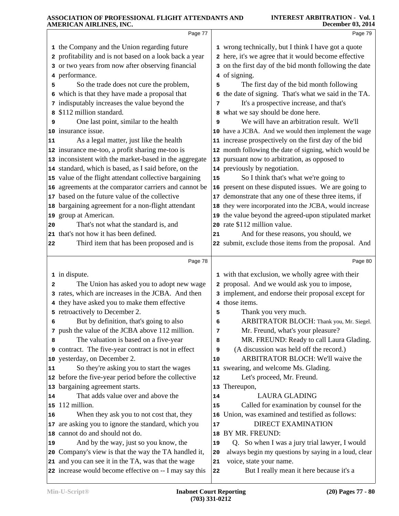|    | ARIENICAN AINEINED, INC.                                                                                      |          | Decenidel voi 2017                                                  |
|----|---------------------------------------------------------------------------------------------------------------|----------|---------------------------------------------------------------------|
|    | Page 77                                                                                                       |          | Page 79                                                             |
|    | 1 the Company and the Union regarding future                                                                  |          | 1 wrong technically, but I think I have got a quote                 |
|    | 2 profitability and is not based on a look back a year                                                        |          | 2 here, it's we agree that it would become effective                |
|    | 3 or two years from now after observing financial                                                             |          | 3 on the first day of the bid month following the date              |
|    | 4 performance.                                                                                                |          | 4 of signing.                                                       |
| 5  | So the trade does not cure the problem,                                                                       | 5        | The first day of the bid month following                            |
|    | 6 which is that they have made a proposal that                                                                |          | 6 the date of signing. That's what we said in the TA.               |
|    | 7 indisputably increases the value beyond the                                                                 | 7        | It's a prospective increase, and that's                             |
|    | 8 \$112 million standard.                                                                                     |          | 8 what we say should be done here.                                  |
| 9  | One last point, similar to the health                                                                         | 9        | We will have an arbitration result. We'll                           |
|    | 10 insurance issue.                                                                                           |          | 10 have a JCBA. And we would then implement the wage                |
| 11 | As a legal matter, just like the health                                                                       |          | 11 increase prospectively on the first day of the bid               |
|    | 12 insurance me-too, a profit sharing me-too is                                                               |          | 12 month following the date of signing, which would be              |
|    | 13 inconsistent with the market-based in the aggregate                                                        |          | 13 pursuant now to arbitration, as opposed to                       |
|    | 14 standard, which is based, as I said before, on the                                                         |          | 14 previously by negotiation.                                       |
|    | 15 value of the flight attendant collective bargaining                                                        | 15       | So I think that's what we're going to                               |
|    | 16 agreements at the comparator carriers and cannot be                                                        |          | 16 present on these disputed issues. We are going to                |
| 17 | based on the future value of the collective                                                                   |          | 17 demonstrate that any one of these three items, if                |
| 18 | bargaining agreement for a non-flight attendant                                                               | 18       | they were incorporated into the JCBA, would increase                |
| 19 | group at American.                                                                                            | 19       | the value beyond the agreed-upon stipulated market                  |
| 20 | That's not what the standard is, and                                                                          |          | 20 rate \$112 million value.                                        |
|    | 21 that's not how it has been defined.                                                                        | 21       | And for these reasons, you should, we                               |
| 22 | Third item that has been proposed and is                                                                      |          | 22 submit, exclude those items from the proposal. And               |
|    | Page 78                                                                                                       |          | Page 80                                                             |
|    | 1 in dispute.                                                                                                 |          | 1 with that exclusion, we wholly agree with their                   |
| 2  | The Union has asked you to adopt new wage                                                                     |          | 2 proposal. And we would ask you to impose,                         |
|    | 3 rates, which are increases in the JCBA. And then                                                            |          | 3 implement, and endorse their proposal except for                  |
|    | 4 they have asked you to make them effective                                                                  |          | 4 those items.                                                      |
|    | 5 retroactively to December 2.                                                                                | 5        | Thank you very much.                                                |
| 6  | But by definition, that's going to also                                                                       | 6        | ARBITRATOR BLOCH: Thank you, Mr. Siegel.                            |
|    | 7 push the value of the JCBA above 112 million.                                                               | 7        | Mr. Freund, what's your pleasure?                                   |
| 8  | The valuation is based on a five-year                                                                         | 8        | MR. FREUND: Ready to call Laura Glading.                            |
|    | 9 contract. The five-year contract is not in effect                                                           | 9        | (A discussion was held off the record.)                             |
|    | 10 yesterday, on December 2.                                                                                  | 10       | ARBITRATOR BLOCH: We'll waive the                                   |
| 11 | So they're asking you to start the wages                                                                      | 11       | swearing, and welcome Ms. Glading.                                  |
| 12 | before the five-year period before the collective                                                             | 12       | Let's proceed, Mr. Freund.                                          |
| 13 | bargaining agreement starts.                                                                                  | 13       | Thereupon,                                                          |
| 14 | That adds value over and above the                                                                            | 14       | <b>LAURA GLADING</b>                                                |
| 15 | 112 million.                                                                                                  | 15       | Called for examination by counsel for the                           |
| 16 | When they ask you to not cost that, they                                                                      | 16       | Union, was examined and testified as follows:                       |
| 17 | are asking you to ignore the standard, which you                                                              | 17       | <b>DIRECT EXAMINATION</b>                                           |
| 18 | cannot do and should not do.                                                                                  | 18       | BY MR. FREUND:                                                      |
| 19 | And by the way, just so you know, the                                                                         | 19       | Q. So when I was a jury trial lawyer, I would                       |
|    |                                                                                                               |          |                                                                     |
| 20 | Company's view is that the way the TA handled it,                                                             | 20       | always begin my questions by saying in a loud, clear                |
|    | 21 and you can see it in the TA, was that the wage<br>22 increase would become effective on -- I may say this | 21<br>22 | voice, state your name.<br>But I really mean it here because it's a |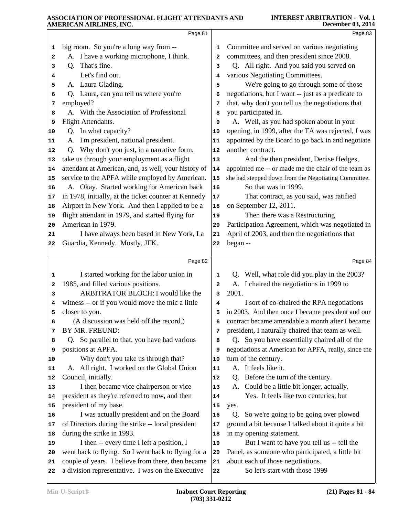|            | Page 81                                                                                                 |                         | Page 83                                                             |
|------------|---------------------------------------------------------------------------------------------------------|-------------------------|---------------------------------------------------------------------|
| 1          | big room. So you're a long way from --                                                                  | 1                       | Committee and served on various negotiating                         |
| 2          | A. I have a working microphone, I think.                                                                | $\overline{\mathbf{2}}$ | committees, and then president since 2008.                          |
| 3          | Q. That's fine.                                                                                         | 3                       | Q. All right. And you said you served on                            |
| 4          | Let's find out.                                                                                         | 4                       | various Negotiating Committees.                                     |
| 5          | A. Laura Glading.                                                                                       | 5                       | We're going to go through some of those                             |
| 6          | Q. Laura, can you tell us where you're                                                                  | 6                       | negotiations, but I want -- just as a predicate to                  |
| 7          | employed?                                                                                               | 7                       | that, why don't you tell us the negotiations that                   |
| 8          | A. With the Association of Professional                                                                 | 8                       | you participated in.                                                |
| 9          | Flight Attendants.                                                                                      | 9                       | A. Well, as you had spoken about in your                            |
| 10         | Q. In what capacity?                                                                                    | 10                      | opening, in 1999, after the TA was rejected, I was                  |
| 11         | A. I'm president, national president.                                                                   | 11                      | appointed by the Board to go back in and negotiate                  |
| 12         | Q. Why don't you just, in a narrative form,                                                             | 12                      | another contract.                                                   |
| 13         | take us through your employment as a flight                                                             | 13                      | And the then president, Denise Hedges,                              |
| 14         | attendant at American, and, as well, your history of                                                    | 14                      | appointed me -- or made me the chair of the team as                 |
| 15         | service to the APFA while employed by American.                                                         | 15                      | she had stepped down from the Negotiating Committee.                |
| ${\bf 16}$ | A. Okay. Started working for American back                                                              | 16                      | So that was in 1999.                                                |
| 17         | in 1978, initially, at the ticket counter at Kennedy                                                    | 17                      | That contract, as you said, was ratified                            |
| 18         | Airport in New York. And then I applied to be a                                                         | 18                      | on September 12, 2011.                                              |
| 19         | flight attendant in 1979, and started flying for                                                        | 19                      | Then there was a Restructuring                                      |
| 20         | American in 1979.                                                                                       | 20                      | Participation Agreement, which was negotiated in                    |
| 21         | I have always been based in New York, La                                                                | 21                      | April of 2003, and then the negotiations that                       |
| 22         | Guardia, Kennedy. Mostly, JFK.                                                                          | 22                      | began --                                                            |
|            |                                                                                                         |                         |                                                                     |
|            |                                                                                                         |                         |                                                                     |
|            | Page 82                                                                                                 |                         | Page 84                                                             |
| 1          | I started working for the labor union in                                                                | 1                       | Q. Well, what role did you play in the 2003?                        |
| 2          | 1985, and filled various positions.                                                                     | $\mathbf{2}$            | A. I chaired the negotiations in 1999 to                            |
| 3          | ARBITRATOR BLOCH: I would like the                                                                      | 3                       | 2001.                                                               |
| 4          | witness -- or if you would move the mic a little                                                        | 4                       | I sort of co-chaired the RPA negotiations                           |
| 5          | closer to you.                                                                                          | 5                       | in 2003. And then once I became president and our                   |
| 6          | (A discussion was held off the record.)                                                                 | 6                       | contract became amendable a month after I became                    |
| 7          | BY MR. FREUND:                                                                                          | 7                       | president, I naturally chaired that team as well.                   |
| 8          | Q. So parallel to that, you have had various                                                            | 8                       | Q. So you have essentially chaired all of the                       |
| 9          | positions at APFA.                                                                                      | 9                       | negotiations at American for APFA, really, since the                |
| 10         | Why don't you take us through that?                                                                     | 10                      | turn of the century.                                                |
| 11         | A. All right. I worked on the Global Union                                                              | 11                      | A. It feels like it.                                                |
| 12         | Council, initially.                                                                                     | 12                      | Before the turn of the century.<br>Q.                               |
| 13         | I then became vice chairperson or vice                                                                  | 13                      | A. Could be a little bit longer, actually.                          |
| 14         | president as they're referred to now, and then                                                          | 14                      | Yes. It feels like two centuries, but                               |
| 15         | president of my base.                                                                                   | 15                      | yes.                                                                |
| 16         | I was actually president and on the Board                                                               | 16                      | So we're going to be going over plowed<br>Q.                        |
| 17         | of Directors during the strike -- local president                                                       | 17                      | ground a bit because I talked about it quite a bit                  |
| 18         | during the strike in 1993.                                                                              | 18                      | in my opening statement.                                            |
| 19         | I then -- every time I left a position, I                                                               | 19                      | But I want to have you tell us -- tell the                          |
| 20         | went back to flying. So I went back to flying for a                                                     | 20                      | Panel, as someone who participated, a little bit                    |
| 21         | couple of years. I believe from there, then became<br>a division representative. I was on the Executive | ${\bf 21}$              | about each of those negotiations.<br>So let's start with those 1999 |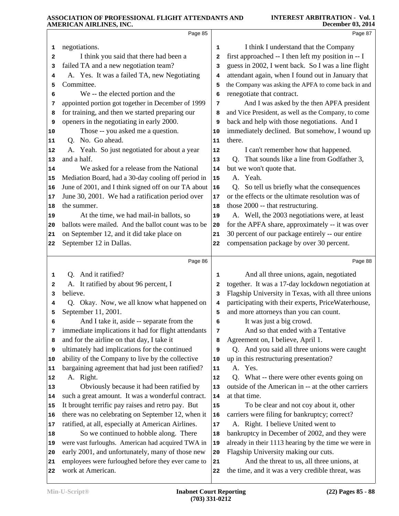#### **INTEREST ARBITRATION - Vol. 1 December 03, 2014**

|    | AMENICAN AINEINED, INC.                              |    | DUUUMUU VY, 2017                                     |
|----|------------------------------------------------------|----|------------------------------------------------------|
|    | Page 85                                              |    | Page 87                                              |
| 1  | negotiations.                                        | 1  | I think I understand that the Company                |
| 2  | I think you said that there had been a               | 2  | first approached -- I then left my position in -- I  |
| з  | failed TA and a new negotiation team?                | 3  | guess in 2002, I went back. So I was a line flight   |
| 4  | A. Yes. It was a failed TA, new Negotiating          | 4  | attendant again, when I found out in January that    |
| 5  | Committee.                                           | 5  | the Company was asking the APFA to come back in and  |
| 6  | We -- the elected portion and the                    | 6  | renegotiate that contract.                           |
| 7  | appointed portion got together in December of 1999   | 7  | And I was asked by the then APFA president           |
| 8  | for training, and then we started preparing our      | 8  | and Vice President, as well as the Company, to come  |
| 9  | openers in the negotiating in early 2000.            | 9  | back and help with those negotiations. And I         |
| 10 | Those -- you asked me a question.                    | 10 | immediately declined. But somehow, I wound up        |
| 11 | Q. No. Go ahead.                                     | 11 | there.                                               |
| 12 | A. Yeah. So just negotiated for about a year         | 12 | I can't remember how that happened.                  |
| 13 | and a half.                                          | 13 | Q. That sounds like a line from Godfather 3,         |
| 14 | We asked for a release from the National             | 14 | but we won't quote that.                             |
| 15 | Mediation Board, had a 30-day cooling off period in  | 15 | A. Yeah.                                             |
| 16 | June of 2001, and I think signed off on our TA about | 16 | Q. So tell us briefly what the consequences          |
| 17 | June 30, 2001. We had a ratification period over     | 17 | or the effects or the ultimate resolution was of     |
| 18 | the summer.                                          | 18 | those 2000 -- that restructuring.                    |
| 19 | At the time, we had mail-in ballots, so              | 19 | A. Well, the 2003 negotiations were, at least        |
| 20 | ballots were mailed. And the ballot count was to be  | 20 | for the APFA share, approximately -- it was over     |
| 21 | on September 12, and it did take place on            | 21 | 30 percent of our package entirely -- our entire     |
| 22 | September 12 in Dallas.                              | 22 | compensation package by over 30 percent.             |
|    | Page 86                                              |    | Page 88                                              |
| 1  | Q. And it ratified?                                  | 1  | And all three unions, again, negotiated              |
| 2  | A. It ratified by about 96 percent, I                | 2  | together. It was a 17-day lockdown negotiation at    |
| 3  | believe.                                             | 3  | Flagship University in Texas, with all three unions  |
| 4  | Q. Okay. Now, we all know what happened on           | 4  | participating with their experts, PriceWaterhouse,   |
| 5  | September 11, 2001.                                  | 5  | and more attorneys than you can count.               |
| 6  | And I take it, aside -- separate from the            | 6  | It was just a big crowd.                             |
| 7  | immediate implications it had for flight attendants  | 7  | And so that ended with a Tentative                   |
| 8  | and for the airline on that day, I take it           | 8  | Agreement on, I believe, April 1.                    |
| 9  | ultimately had implications for the continued        | 9  | Q. And you said all three unions were caught         |
| 10 | ability of the Company to live by the collective     | 10 | up in this restructuring presentation?               |
| 11 | bargaining agreement that had just been ratified?    | 11 | A. Yes.                                              |
| 12 | A. Right.                                            | 12 | Q. What -- there were other events going on          |
| 13 | Obviously because it had been ratified by            | 13 | outside of the American in -- at the other carriers  |
| 14 | such a great amount. It was a wonderful contract.    | 14 | at that time.                                        |
| 15 | It brought terrific pay raises and retro pay. But    | 15 | To be clear and not coy about it, other              |
| 16 | there was no celebrating on September 12, when it    | 16 | carriers were filing for bankruptcy; correct?        |
| 17 | ratified, at all, especially at American Airlines.   | 17 | A. Right. I believe United went to                   |
| 18 | So we continued to hobble along. There               | 18 | bankruptcy in December of 2002, and they were        |
| 19 | were vast furloughs. American had acquired TWA in    | 19 | already in their 1113 hearing by the time we were in |
| 20 | early 2001, and unfortunately, many of those new     | 20 | Flagship University making our cuts.                 |
| 21 | employees were furloughed before they ever came to   | 21 | And the threat to us, all three unions, at           |
| 22 | work at American.                                    | 22 | the time, and it was a very credible threat, was     |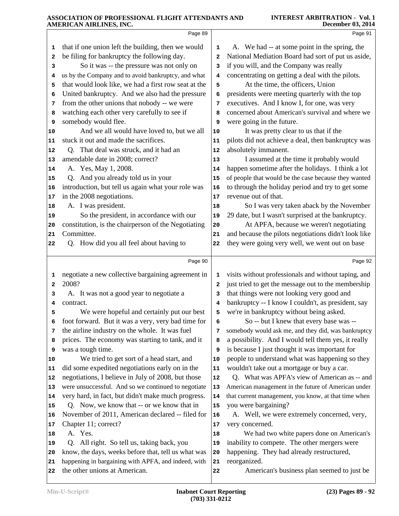#### **INTEREST ARBITRATION - Vol. 1 December 03, 2014**

|    | линимент ликиптир, пте.                                                              |                         |                                                            |
|----|--------------------------------------------------------------------------------------|-------------------------|------------------------------------------------------------|
|    | Page 89                                                                              |                         | Page 91                                                    |
| 1  | that if one union left the building, then we would                                   | 1                       | A. We had -- at some point in the spring, the              |
| 2  | be filing for bankruptcy the following day.                                          | $\mathbf{2}$            | National Mediation Board had sort of put us aside,         |
| 3  | So it was -- the pressure was not only on                                            | 3                       | if you will, and the Company was really                    |
| 4  | us by the Company and to avoid bankruptcy, and what                                  | 4                       | concentrating on getting a deal with the pilots.           |
| 5  | that would look like, we had a first row seat at the                                 | 5                       | At the time, the officers, Union                           |
| 6  | United bankruptcy. And we also had the pressure                                      | 6                       | presidents were meeting quarterly with the top             |
| 7  | from the other unions that nobody -- we were                                         | 7                       | executives. And I know I, for one, was very                |
| 8  | watching each other very carefully to see if                                         | 8                       | concerned about American's survival and where we           |
| 9  | somebody would flee.                                                                 | 9                       | were going in the future.                                  |
| 10 | And we all would have loved to, but we all                                           | 10                      | It was pretty clear to us that if the                      |
| 11 | stuck it out and made the sacrifices.                                                | 11                      | pilots did not achieve a deal, then bankruptcy was         |
| 12 | Q. That deal was struck, and it had an                                               | 12                      | absolutely immanent.                                       |
| 13 | amendable date in 2008; correct?                                                     | 13                      | I assumed at the time it probably would                    |
| 14 | A. Yes, May 1, 2008.                                                                 | 14                      | happen sometime after the holidays. I think a lot          |
| 15 | Q. And you already told us in your                                                   | 15                      | of people that would be the case because they wanted       |
| 16 | introduction, but tell us again what your role was                                   | 16                      | to through the holiday period and try to get some          |
| 17 | in the 2008 negotiations.                                                            | 17                      | revenue out of that.                                       |
| 18 | A. I was president.                                                                  | 18                      | So I was very taken aback by the November                  |
| 19 | So the president, in accordance with our                                             | 19                      | 29 date, but I wasn't surprised at the bankruptcy.         |
| 20 | constitution, is the chairperson of the Negotiating                                  | 20                      | At APFA, because we weren't negotiating                    |
| 21 | Committee.                                                                           | 21                      | and because the pilots negotiations didn't look like       |
| 22 | Q. How did you all feel about having to                                              | 22                      | they were going very well, we went out on base             |
|    | Page 90                                                                              |                         | Page 92                                                    |
| 1  | negotiate a new collective bargaining agreement in                                   | 1                       | visits without professionals and without taping, and       |
| 2  | 2008?                                                                                | $\overline{\mathbf{2}}$ | just tried to get the message out to the membership        |
| 3  | A. It was not a good year to negotiate a                                             | 3                       | that things were not looking very good and                 |
| 4  | contract.                                                                            | 4                       | bankruptcy -- I know I couldn't, as president, say         |
| 5  | We were hopeful and certainly put our best                                           | 5                       | we're in bankruptcy without being asked.                   |
| 6  | foot forward. But it was a very, very bad time for                                   | 6                       | So -- but I knew that every base was --                    |
| 7  | the airline industry on the whole. It was fuel                                       | 7                       | somebody would ask me, and they did, was bankruptcy        |
| 8  | prices. The economy was starting to tank, and it                                     | 8                       | a possibility. And I would tell them yes, it really        |
| 9  | was a tough time.                                                                    | 9                       | is because I just thought it was important for             |
| 10 | We tried to get sort of a head start, and                                            | 10                      | people to understand what was happening so they            |
| 11 | did some expedited negotiations early on in the                                      | 11                      | wouldn't take out a mortgage or buy a car.                 |
| 12 | negotiations, I believe in July of 2008, but those                                   | ${\bf 12}$              | Q. What was APFA's view of American as -- and              |
| 13 | were unsuccessful. And so we continued to negotiate                                  | 13                      | American management in the future of American under        |
| 14 | very hard, in fact, but didn't make much progress.                                   | 14                      | that current management, you know, at that time when       |
| 15 | Q. Now, we know that -- or we know that in                                           | 15                      | you were bargaining?                                       |
| 16 | November of 2011, American declared -- filed for                                     | 16                      | A. Well, we were extremely concerned, very,                |
|    |                                                                                      |                         |                                                            |
| 17 | Chapter 11; correct?                                                                 | 17                      | very concerned.                                            |
| 18 | A. Yes.                                                                              | 18                      | We had two white papers done on American's                 |
| 19 | Q. All right. So tell us, taking back, you                                           | 19                      | inability to compete. The other mergers were               |
| 20 | know, the days, weeks before that, tell us what was                                  | 20                      | happening. They had already restructured,                  |
| 21 | happening in bargaining with APFA, and indeed, with<br>the other unions at American. | 21<br>${\bf 22}$        | reorganized.<br>American's business plan seemed to just be |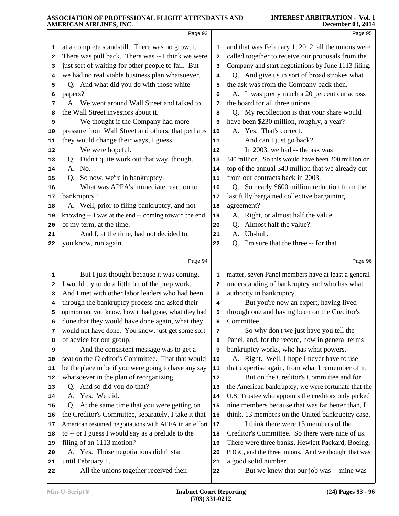|    | AMERICAN AIRLINES, INC.                              |              | December 05, 2014                                   |
|----|------------------------------------------------------|--------------|-----------------------------------------------------|
|    | Page 93                                              |              | Page 95                                             |
| 1  | at a complete standstill. There was no growth.       | 1            | and that was February 1, 2012, all the unions were  |
| 2  | There was pull back. There was -- I think we were    | $\mathbf{2}$ | called together to receive our proposals from the   |
| 3  | just sort of waiting for other people to fail. But   | 3            | Company and start negotiations by June 1113 filing. |
| 4  | we had no real viable business plan whatsoever.      | 4            | Q. And give us in sort of broad strokes what        |
| 5  | Q. And what did you do with those white              | 5            | the ask was from the Company back then.             |
| 6  | papers?                                              | 6            | A. It was pretty much a 20 percent cut across       |
| 7  | A. We went around Wall Street and talked to          | 7            | the board for all three unions.                     |
| 8  | the Wall Street investors about it.                  | 8            | Q. My recollection is that your share would         |
| 9  | We thought if the Company had more                   | 9            | have been \$230 million, roughly, a year?           |
| 10 | pressure from Wall Street and others, that perhaps   | 10           | A. Yes. That's correct.                             |
| 11 | they would change their ways, I guess.               | ${\bf 11}$   | And can I just go back?                             |
| 12 | We were hopeful.                                     | 12           | In 2003, we had -- the ask was                      |
| 13 | Q. Didn't quite work out that way, though.           | 13           | 340 million. So this would have been 200 million on |
| 14 | A. No.                                               | 14           | top of the annual 340 million that we already cut   |
| 15 | So now, we're in bankruptcy.<br>O.                   | 15           | from our contracts back in 2003.                    |
| 16 | What was APFA's immediate reaction to                | 16           | Q. So nearly \$600 million reduction from the       |
| 17 | bankruptcy?                                          | 17           | last fully bargained collective bargaining          |
| 18 | A. Well, prior to filing bankruptcy, and not         | 18           | agreement?                                          |
| 19 | knowing -- I was at the end -- coming toward the end | 19           | A. Right, or almost half the value.                 |
| 20 | of my term, at the time.                             | 20           | Q. Almost half the value?                           |
| 21 | And I, at the time, had not decided to,              | 21           | A. Uh-huh.                                          |
| 22 | you know, run again.                                 | 22           | Q. I'm sure that the three -- for that              |
|    | Page 94                                              |              | Page 96                                             |
| 1  | But I just thought because it was coming,            | 1            | matter, seven Panel members have at least a general |
| 2  | I would try to do a little bit of the prep work.     | 2            | understanding of bankruptcy and who has what        |
| 3  | And I met with other labor leaders who had been      | 3            | authority in bankruptcy.                            |
| 4  | through the bankruptcy process and asked their       | 4            | But you're now an expert, having lived              |
| 5  | opinion on, you know, how it had gone, what they had | 5            | through one and having been on the Creditor's       |
| 6  | done that they would have done again, what they      | 6            | Committee.                                          |
| 7  | would not have done. You know, just get some sort    | 7            | So why don't we just have you tell the              |
| 8  | of advice for our group.                             | 8            | Panel, and, for the record, how in general terms    |
| 9  | And the consistent message was to get a              | 9            | bankruptcy works, who has what powers.              |
| 10 | seat on the Creditor's Committee. That that would    | 10           | A. Right. Well, I hope I never have to use          |
| 11 | be the place to be if you were going to have any say | 11           | that expertise again, from what I remember of it.   |
| 12 | whatsoever in the plan of reorganizing.              | 12           | But on the Creditor's Committee and for             |
| 13 | Q. And so did you do that?                           | 13           | the American bankruptcy, we were fortunate that the |
| 14 | A. Yes. We did.                                      | 14           | U.S. Trustee who appoints the creditors only picked |
| 15 | At the same time that you were getting on<br>Q.      | 15           | nine members because that was far better than, I    |
| 16 | the Creditor's Committee, separately, I take it that | 16           | think, 13 members on the United bankruptcy case.    |
| 17 | American resumed negotiations with APFA in an effort | 17           | I think there were 13 members of the                |
| 18 | to -- or I guess I would say as a prelude to the     | 18           | Creditor's Committee. So there were nine of us.     |
| 19 | filing of an 1113 motion?                            | 19           | There were three banks, Hewlett Packard, Boeing,    |
| 20 | A. Yes. Those negotiations didn't start              | 20           | PBGC, and the three unions. And we thought that was |
| 21 | until February 1.                                    | 21           | a good solid number.                                |
|    | All the unions together received their --            | ${\bf 22}$   | But we knew that our job was -- mine was            |
| 22 |                                                      |              |                                                     |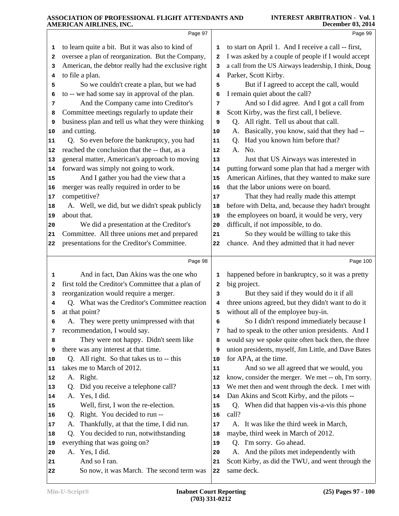|          | Page 97                                                                       |          | Page 99                                                                                              |
|----------|-------------------------------------------------------------------------------|----------|------------------------------------------------------------------------------------------------------|
| 1        | to learn quite a bit. But it was also to kind of                              | 1        | to start on April 1. And I receive a call -- first,                                                  |
| 2        | oversee a plan of reorganization. But the Company,                            | 2        | I was asked by a couple of people if I would accept                                                  |
| 3        | American, the debtor really had the exclusive right                           | 3        | a call from the US Airways leadership, I think, Doug                                                 |
| 4        | to file a plan.                                                               | 4        | Parker, Scott Kirby.                                                                                 |
| 5        | So we couldn't create a plan, but we had                                      | 5        | But if I agreed to accept the call, would                                                            |
| 6        | to -- we had some say in approval of the plan.                                | 6        | I remain quiet about the call?                                                                       |
| 7        | And the Company came into Creditor's                                          | 7        | And so I did agree. And I got a call from                                                            |
| 8        | Committee meetings regularly to update their                                  | 8        | Scott Kirby, was the first call, I believe.                                                          |
| 9        | business plan and tell us what they were thinking                             | 9        | Q. All right. Tell us about that call.                                                               |
| 10       | and cutting.                                                                  | 10       | A. Basically, you know, said that they had --                                                        |
| 11       | Q. So even before the bankruptcy, you had                                     | 11       | Q. Had you known him before that?                                                                    |
| 12       | reached the conclusion that the -- that, as a                                 | 12       | A. No.                                                                                               |
| 13       | general matter, American's approach to moving                                 | 13       | Just that US Airways was interested in                                                               |
| 14       | forward was simply not going to work.<br>And I gather you had the view that a | 14       | putting forward some plan that had a merger with<br>American Airlines, that they wanted to make sure |
| 15<br>16 | merger was really required in order to be                                     | 15<br>16 | that the labor unions were on board.                                                                 |
| 17       | competitive?                                                                  | 17       | That they had really made this attempt                                                               |
| 18       | A. Well, we did, but we didn't speak publicly                                 | 18       | before with Delta, and, because they hadn't brought                                                  |
| 19       | about that.                                                                   | 19       | the employees on board, it would be very, very                                                       |
| 20       | We did a presentation at the Creditor's                                       | 20       | difficult, if not impossible, to do.                                                                 |
| 21       | Committee. All three unions met and prepared                                  | 21       | So they would be willing to take this                                                                |
| 22       | presentations for the Creditor's Committee.                                   | 22       | chance. And they admitted that it had never                                                          |
|          |                                                                               |          |                                                                                                      |
|          | Page 98                                                                       |          | Page 100                                                                                             |
| 1        | And in fact, Dan Akins was the one who                                        | 1        | happened before in bankruptcy, so it was a pretty                                                    |
| 2        | first told the Creditor's Committee that a plan of                            | 2        | big project.                                                                                         |
| 3        | reorganization would require a merger.                                        | з        | But they said if they would do it if all                                                             |
| 4        | Q. What was the Creditor's Committee reaction                                 | 4        | three unions agreed, but they didn't want to do it                                                   |
| 5        | at that point?                                                                | 5        | without all of the employee buy-in.                                                                  |
| 6        | A. They were pretty unimpressed with that                                     | 6        | So I didn't respond immediately because I                                                            |
| 7        | recommendation, I would say.                                                  | 7        | had to speak to the other union presidents. And I                                                    |
| 8        | They were not happy. Didn't seem like                                         | 8        | would say we spoke quite often back then, the three                                                  |
| 9        | there was any interest at that time.                                          | 9        | union presidents, myself, Jim Little, and Dave Bates                                                 |
| 10       | Q. All right. So that takes us to -- this                                     | 10       | for APA, at the time.                                                                                |
| 11       | takes me to March of 2012.                                                    | 11       | And so we all agreed that we would, you                                                              |
| 12       | A. Right.                                                                     | 12       | know, consider the merger. We met -- oh, I'm sorry.                                                  |
| 13       | Did you receive a telephone call?<br>O.                                       | 13       | We met then and went through the deck. I met with<br>Dan Akins and Scott Kirby, and the pilots --    |
| 14       | A. Yes, I did.                                                                | 14       |                                                                                                      |
| 15       | Well, first, I won the re-election.                                           | 15       | Q. When did that happen vis-a-vis this phone<br>call?                                                |
| 16       | Q. Right. You decided to run --                                               | 16       |                                                                                                      |
| 17       | Thankfully, at that the time, I did run.<br>A.                                | 17       | A. It was like the third week in March,                                                              |
| 18       | Q. You decided to run, notwithstanding<br>everything that was going on?       | 18       | maybe, third week in March of 2012.                                                                  |
| 19       | A. Yes, I did.                                                                | 19       | Q. I'm sorry. Go ahead.<br>A. And the pilots met independently with                                  |
| 20       | And so I ran.                                                                 | 20<br>21 | Scott Kirby, as did the TWU, and went through the                                                    |
| 21       | So now, it was March. The second term was                                     |          | same deck.                                                                                           |
| 22       |                                                                               | 22       |                                                                                                      |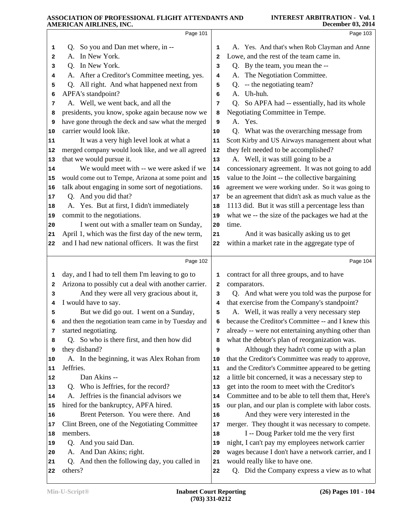|                      | Page 101                                                   |              | Page 103                                                                       |  |
|----------------------|------------------------------------------------------------|--------------|--------------------------------------------------------------------------------|--|
| 1                    | So you and Dan met where, in --<br>Q.                      | 1            | A. Yes. And that's when Rob Clayman and Anne                                   |  |
| 2                    | A. In New York.                                            | $\mathbf{2}$ | Lowe, and the rest of the team came in.                                        |  |
| з                    | Q. In New York.                                            | 3            | Q. By the team, you mean the --                                                |  |
| 4                    | A. After a Creditor's Committee meeting, yes.              | 4            | A. The Negotiation Committee.                                                  |  |
| 5                    | Q. All right. And what happened next from                  | 5            | Q. -- the negotiating team?                                                    |  |
| 6                    | APFA's standpoint?                                         | 6            | A. Uh-huh.                                                                     |  |
| 7                    | A. Well, we went back, and all the                         | 7            | Q. So APFA had -- essentially, had its whole                                   |  |
| 8                    | presidents, you know, spoke again because now we           | 8            | Negotiating Committee in Tempe.                                                |  |
| 9                    | have gone through the deck and saw what the merged         | 9            | A. Yes.                                                                        |  |
| 10                   | carrier would look like.                                   | 10           | Q. What was the overarching message from                                       |  |
| 11                   | It was a very high level look at what a                    | 11           | Scott Kirby and US Airways management about what                               |  |
| 12                   | merged company would look like, and we all agreed          | 12           | they felt needed to be accomplished?                                           |  |
| 13                   | that we would pursue it.                                   | 13           | A. Well, it was still going to be a                                            |  |
| 14                   | We would meet with -- we were asked if we                  | 14           | concessionary agreement. It was not going to add                               |  |
| 15                   | would come out to Tempe, Arizona at some point and         | 15           | value to the Joint -- the collective bargaining                                |  |
| 16                   | talk about engaging in some sort of negotiations.          | 16           | agreement we were working under. So it was going to                            |  |
| 17                   | Q. And you did that?                                       | 17           | be an agreement that didn't ask as much value as the                           |  |
| 18                   | A. Yes. But at first, I didn't immediately                 | 18           | 1113 did. But it was still a percentage less than                              |  |
| 19                   | commit to the negotiations.                                | 19           | what we -- the size of the packages we had at the                              |  |
| 20                   | I went out with a smaller team on Sunday,                  | 20           | time.                                                                          |  |
| 21                   | April 1, which was the first day of the new term,          | 21           | And it was basically asking us to get                                          |  |
| 22                   | and I had new national officers. It was the first          | 22           | within a market rate in the aggregate type of                                  |  |
|                      |                                                            |              |                                                                                |  |
|                      | Page 102                                                   |              | Page 104                                                                       |  |
| 1                    | day, and I had to tell them I'm leaving to go to           | 1            | contract for all three groups, and to have                                     |  |
| 2                    | Arizona to possibly cut a deal with another carrier.       | 2            | comparators.                                                                   |  |
| 3                    | And they were all very gracious about it,                  | 3            | Q. And what were you told was the purpose for                                  |  |
| 4                    | I would have to say.                                       | 4            | that exercise from the Company's standpoint?                                   |  |
| 5                    | But we did go out. I went on a Sunday,                     | 5            | A. Well, it was really a very necessary step                                   |  |
|                      | and then the negotiation team came in by Tuesday and       |              | 6 because the Creditor's Committee -- and I knew this                          |  |
| 7                    | started negotiating.                                       | 7            | already -- were not entertaining anything other than                           |  |
| 8                    | Q. So who is there first, and then how did                 | 8            | what the debtor's plan of reorganization was.                                  |  |
| 9                    | they disband?                                              | 9            | Although they hadn't come up with a plan                                       |  |
| 10                   | A. In the beginning, it was Alex Rohan from                | 10           | that the Creditor's Committee was ready to approve,                            |  |
| 11                   | Jeffries.                                                  | 11           | and the Creditor's Committee appeared to be getting                            |  |
| 12                   | Dan Akins --                                               | 12           | a little bit concerned, it was a necessary step to                             |  |
| 13                   | Q. Who is Jeffries, for the record?                        | 13           | get into the room to meet with the Creditor's                                  |  |
|                      | A. Jeffries is the financial advisors we                   | 14           | Committee and to be able to tell them that, Here's                             |  |
|                      | hired for the bankruptcy, APFA hired.                      | 15           | our plan, and our plan is complete with labor costs.                           |  |
|                      | Brent Peterson. You were there. And                        | 16           | And they were very interested in the                                           |  |
| 17                   | Clint Breen, one of the Negotiating Committee              | 17           | merger. They thought it was necessary to compete.                              |  |
| 14<br>15<br>16<br>18 | members.                                                   | 18           | I -- Doug Parker told me the very first                                        |  |
| 19                   | Q. And you said Dan.                                       | 19           | night, I can't pay my employees network carrier                                |  |
| 20                   | And Dan Akins; right.                                      | 20           | wages because I don't have a network carrier, and I                            |  |
| 21<br>22             | And then the following day, you called in<br>O.<br>others? | 21<br>22     | would really like to have one.<br>Q. Did the Company express a view as to what |  |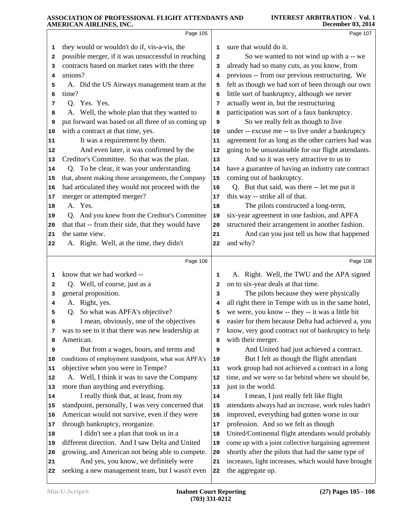|          | Page 105                                                                 |                         | Page 107                                                                                    |
|----------|--------------------------------------------------------------------------|-------------------------|---------------------------------------------------------------------------------------------|
| 1        | they would or wouldn't do if, vis-a-vis, the                             | $\mathbf{1}$            | sure that would do it.                                                                      |
| 2        | possible merger, if it was unsuccessful in reaching                      | 2                       | So we wanted to not wind up with a -- we                                                    |
| 3        | contracts based on market rates with the three                           | 3                       | already had so many cuts, as you know, from                                                 |
| 4        | unions?                                                                  | 4                       | previous -- from our previous restructuring. We                                             |
| 5        | A. Did the US Airways management team at the                             | 5                       | felt as though we had sort of been through our own                                          |
| 6        | time?                                                                    | 6                       | little sort of bankruptcy, although we never                                                |
| 7        | Q. Yes. Yes.                                                             | 7                       | actually went in, but the restructuring                                                     |
| 8        | A. Well, the whole plan that they wanted to                              | 8                       | participation was sort of a faux bankruptcy.                                                |
| 9        | put forward was based on all three of us coming up                       | 9                       | So we really felt as though to live                                                         |
| 10       | with a contract at that time, yes.                                       | 10                      | under -- excuse me -- to live under a bankruptcy                                            |
| 11       | It was a requirement by them.                                            | 11                      | agreement for as long as the other carriers had was                                         |
| 12       | And even later, it was confirmed by the                                  | 12                      | going to be unsustainable for our flight attendants.                                        |
| 13       | Creditor's Committee. So that was the plan.                              | 13                      | And so it was very attractive to us to                                                      |
| 14       | Q. To be clear, it was your understanding                                | 14                      | have a guarantee of having an industry rate contract                                        |
| 15       | that, absent making those arrangements, the Company                      | 15                      | coming out of bankruptcy.                                                                   |
| 16       | had articulated they would not proceed with the                          | 16                      | Q. But that said, was there -- let me put it                                                |
| 17       | merger or attempted merger?                                              | 17                      | this way -- strike all of that.                                                             |
| 18       | A. Yes.                                                                  | 18                      | The pilots constructed a long-term,                                                         |
| 19       | Q. And you knew from the Creditor's Committee                            | 19                      | six-year agreement in one fashion, and APFA                                                 |
| 20       | that that -- from their side, that they would have                       | 20                      | structured their arrangement in another fashion.                                            |
| 21       | the same view.                                                           | 21                      | And can you just tell us how that happened                                                  |
| 22       | A. Right. Well, at the time, they didn't                                 | 22                      | and why?                                                                                    |
|          | Page 106                                                                 |                         | Page 108                                                                                    |
| 1        | know that we had worked --                                               | 1                       | A. Right. Well, the TWU and the APA signed                                                  |
| 2        | Q. Well, of course, just as a                                            | $\overline{\mathbf{2}}$ | on to six-year deals at that time.                                                          |
| з        | general proposition.                                                     | 3                       | The pilots because they were physically                                                     |
| 4        | A. Right, yes.                                                           | 4                       | all right there in Tempe with us in the same hotel,                                         |
| 5        | Q. So what was APFA's objective?                                         | 5                       | we were, you know -- they -- it was a little bit                                            |
| 6        | I mean, obviously, one of the objectives                                 | 6                       | easier for them because Delta had achieved a, you                                           |
| 7        | was to see to it that there was new leadership at                        | 7                       | know, very good contract out of bankruptcy to help                                          |
| 8        | American.                                                                | 8                       | with their merger.                                                                          |
| 9        | But from a wages, hours, and terms and                                   | 9                       | And United had just achieved a contract.                                                    |
| 10       | conditions of employment standpoint, what was APFA's                     | 10                      | But I felt as though the flight attendant                                                   |
| 11       | objective when you were in Tempe?                                        | 11                      | work group had not achieved a contract in a long                                            |
| 12       | A. Well, I think it was to save the Company                              | 12                      | time, and we were so far behind where we should be,                                         |
| 13       | more than anything and everything.                                       | 13                      | just in the world.                                                                          |
| 14       | I really think that, at least, from my                                   | 14                      | I mean, I just really felt like flight                                                      |
| 15       | standpoint, personally, I was very concerned that                        | 15                      | attendants always had an increase, work rules hadn't                                        |
| 16       | American would not survive, even if they were                            | 16                      | improved, everything had gotten worse in our                                                |
| 17       | through bankruptcy, reorganize.<br>I didn't see a plan that took us in a | 17<br>18                | profession. And so we felt as though<br>United/Continental flight attendants would probably |
| 18       | different direction. And I saw Delta and United                          |                         | come up with a joint collective bargaining agreement                                        |
| 19<br>20 | growing, and American not being able to compete.                         | 19<br>20                | shortly after the pilots that had the same type of                                          |
| 21       | And yes, you know, we definitely were                                    | 21                      | increases, light increases, which would have brought                                        |
| 22       | seeking a new management team, but I wasn't even                         | ${\bf 22}$              | the aggregate up.                                                                           |
|          |                                                                          |                         |                                                                                             |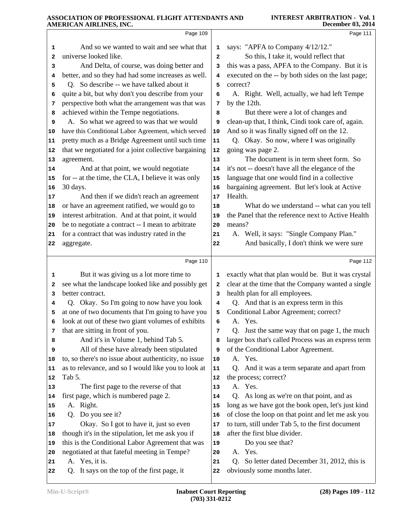|    | Page 109                                             |                | Page 111                                             |
|----|------------------------------------------------------|----------------|------------------------------------------------------|
| 1  | And so we wanted to wait and see what that           | 1              | says: "APFA to Company 4/12/12."                     |
| 2  | universe looked like.                                | $\overline{a}$ | So this, I take it, would reflect that               |
| з  | And Delta, of course, was doing better and           | 3              | this was a pass, APFA to the Company. But it is      |
| 4  | better, and so they had had some increases as well.  | 4              | executed on the -- by both sides on the last page;   |
| 5  | Q. So describe -- we have talked about it            | 5              | correct?                                             |
| 6  | quite a bit, but why don't you describe from your    | 6              | A. Right. Well, actually, we had left Tempe          |
| 7  | perspective both what the arrangement was that was   | 7              | by the 12th.                                         |
| 8  | achieved within the Tempe negotiations.              | 8              | But there were a lot of changes and                  |
| 9  | A. So what we agreed to was that we would            | 9              | clean-up that, I think, Cindi took care of, again.   |
| 10 | have this Conditional Labor Agreement, which served  | ${\bf 10}$     | And so it was finally signed off on the 12.          |
| 11 | pretty much as a Bridge Agreement until such time    | 11             | Q. Okay. So now, where I was originally              |
| 12 | that we negotiated for a joint collective bargaining | ${\bf 12}$     | going was page 2.                                    |
| 13 | agreement.                                           | 13             | The document is in term sheet form. So               |
| 14 | And at that point, we would negotiate                | 14             | it's not -- doesn't have all the elegance of the     |
| 15 | for -- at the time, the CLA, I believe it was only   | 15             | language that one would find in a collective         |
| 16 | 30 days.                                             | 16             | bargaining agreement. But let's look at Active       |
| 17 | And then if we didn't reach an agreement             | 17             | Health.                                              |
| 18 | or have an agreement ratified, we would go to        | 18             | What do we understand -- what can you tell           |
| 19 | interest arbitration. And at that point, it would    | 19             | the Panel that the reference next to Active Health   |
| 20 | be to negotiate a contract -- I mean to arbitrate    | 20             | means?                                               |
| 21 | for a contract that was industry rated in the        | 21             | A. Well, it says: "Single Company Plan."             |
| 22 | aggregate.                                           | 22             | And basically, I don't think we were sure            |
|    |                                                      |                |                                                      |
|    | Page 110                                             |                | Page 112                                             |
| 1  | But it was giving us a lot more time to              | 1              | exactly what that plan would be. But it was crystal  |
| 2  | see what the landscape looked like and possibly get  | 2              | clear at the time that the Company wanted a single   |
| з  | better contract.                                     | 3              | health plan for all employees.                       |
| 4  | Q. Okay. So I'm going to now have you look           | 4              | Q. And that is an express term in this               |
| 5  | at one of two documents that I'm going to have you   | 5              | Conditional Labor Agreement; correct?                |
| 6  | look at out of these two giant volumes of exhibits   | 6              | A. Yes.                                              |
| 7  | that are sitting in front of you.                    | 7              | Q. Just the same way that on page 1, the much        |
| 8  | And it's in Volume 1, behind Tab 5.                  | 8              | larger box that's called Process was an express term |
| 9  | All of these have already been stipulated            | 9              | of the Conditional Labor Agreement.                  |
| 10 | to, so there's no issue about authenticity, no issue | 10             | A. Yes.                                              |
| 11 | as to relevance, and so I would like you to look at  | 11             | Q. And it was a term separate and apart from         |
| 12 | Tab 5.                                               | 12             | the process; correct?                                |
| 13 | The first page to the reverse of that                | 13             | A. Yes.                                              |
| 14 | first page, which is numbered page 2.                | 14             | Q. As long as we're on that point, and as            |
| 15 | A. Right.                                            | 15             | long as we have got the book open, let's just kind   |
| 16 | Q. Do you see it?                                    | 16             | of close the loop on that point and let me ask you   |
| 17 | Okay. So I got to have it, just so even              | 17             | to turn, still under Tab 5, to the first document    |
| 18 | though it's in the stipulation, let me ask you if    | 18             | after the first blue divider.                        |
| 19 | this is the Conditional Labor Agreement that was     | 19             | Do you see that?                                     |
| 20 |                                                      | 20             | A. Yes.                                              |
|    | negotiated at that fateful meeting in Tempe?         |                |                                                      |
| 21 | A. Yes, it is.                                       | 21             | So letter dated December 31, 2012, this is<br>Q.     |
| 22 | It says on the top of the first page, it<br>Q.       | 22             | obviously some months later.                         |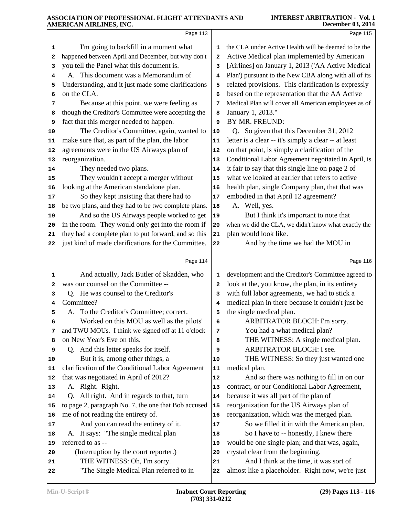#### **INTEREST ARBITRATION - Vol. 1 December 03, 2014**

|    | AMERICAN AIRLINES, INC.                              |                         | December 03, 2014                                    |
|----|------------------------------------------------------|-------------------------|------------------------------------------------------|
|    | Page 113                                             |                         | Page 115                                             |
| 1  | I'm going to backfill in a moment what               | 1                       | the CLA under Active Health will be deemed to be the |
| 2  | happened between April and December, but why don't   | $\mathbf{2}$            | Active Medical plan implemented by American          |
| з  | you tell the Panel what this document is.            | 3                       | [Airlines] on January 1, 2013 ('AA Active Medical    |
| 4  | A. This document was a Memorandum of                 | 4                       | Plan') pursuant to the New CBA along with all of its |
| 5  | Understanding, and it just made some clarifications  | 5                       | related provisions. This clarification is expressly  |
| 6  | on the CLA.                                          | 6                       | based on the representation that the AA Active       |
| 7  | Because at this point, we were feeling as            | 7                       | Medical Plan will cover all American employees as of |
| 8  | though the Creditor's Committee were accepting the   | 8                       | January 1, 2013."                                    |
| 9  | fact that this merger needed to happen.              | 9                       | BY MR. FREUND:                                       |
| 10 | The Creditor's Committee, again, wanted to           | 10                      | Q. So given that this December 31, 2012              |
| 11 | make sure that, as part of the plan, the labor       | 11                      | letter is a clear -- it's simply a clear -- at least |
| 12 | agreements were in the US Airways plan of            | 12                      | on that point, is simply a clarification of the      |
| 13 | reorganization.                                      | 13                      | Conditional Labor Agreement negotiated in April, is  |
| 14 | They needed two plans.                               | 14                      | it fair to say that this single line on page 2 of    |
| 15 | They wouldn't accept a merger without                | 15                      | what we looked at earlier that refers to active      |
| 16 | looking at the American standalone plan.             | 16                      | health plan, single Company plan, that that was      |
| 17 | So they kept insisting that there had to             | 17                      | embodied in that April 12 agreement?                 |
| 18 | be two plans, and they had to be two complete plans. | 18                      | A. Well, yes.                                        |
| 19 | And so the US Airways people worked to get           | 19                      | But I think it's important to note that              |
| 20 | in the room. They would only get into the room if    | 20                      | when we did the CLA, we didn't know what exactly the |
| 21 | they had a complete plan to put forward, and so this | 21                      | plan would look like.                                |
| 22 | just kind of made clarifications for the Committee.  | 22                      | And by the time we had the MOU in                    |
|    |                                                      |                         |                                                      |
|    | Page 114                                             |                         | Page 116                                             |
| 1  | And actually, Jack Butler of Skadden, who            | 1                       | development and the Creditor's Committee agreed to   |
| 2  | was our counsel on the Committee --                  | $\overline{\mathbf{2}}$ | look at the, you know, the plan, in its entirety     |
| 3  | Q. He was counsel to the Creditor's                  | 3                       | with full labor agreements, we had to stick a        |
| 4  | Committee?                                           | 4                       | medical plan in there because it couldn't just be    |
| 5  | A. To the Creditor's Committee; correct.             | 5                       | the single medical plan.                             |
| 6  | Worked on this MOU as well as the pilots'            | 6                       | ARBITRATOR BLOCH: I'm sorry.                         |
| 7  | and TWU MOUs. I think we signed off at 11 o'clock    | 7                       | You had a what medical plan?                         |
| 8  | on New Year's Eve on this.                           | 8                       | THE WITNESS: A single medical plan.                  |
| 9  | Q. And this letter speaks for itself.                | 9                       | ARBITRATOR BLOCH: I see.                             |
| 10 | But it is, among other things, a                     | 10                      | THE WITNESS: So they just wanted one                 |
| 11 | clarification of the Conditional Labor Agreement     | 11                      | medical plan.                                        |
| 12 | that was negotiated in April of 2012?                | 12                      | And so there was nothing to fill in on our           |
| 13 | A. Right. Right.                                     | 13                      | contract, or our Conditional Labor Agreement,        |
| 14 | Q. All right. And in regards to that, turn           | 14                      | because it was all part of the plan of               |
| 15 | to page 2, paragraph No. 7, the one that Bob accused | 15                      | reorganization for the US Airways plan of            |
| 16 | me of not reading the entirety of.                   | 16                      | reorganization, which was the merged plan.           |
| 17 | And you can read the entirety of it.                 | 17                      | So we filled it in with the American plan.           |
| 18 | A. It says: "The single medical plan                 | 18                      | So I have to -- honestly, I knew there               |
| 19 | referred to as --                                    | 19                      | would be one single plan; and that was, again,       |
| 20 | (Interruption by the court reporter.)                | 20                      | crystal clear from the beginning.                    |
| 21 | THE WITNESS: Oh, I'm sorry.                          | 21                      | And I think at the time, it was sort of              |
| 22 | "The Single Medical Plan referred to in              | 22                      | almost like a placeholder. Right now, we're just     |
|    |                                                      |                         |                                                      |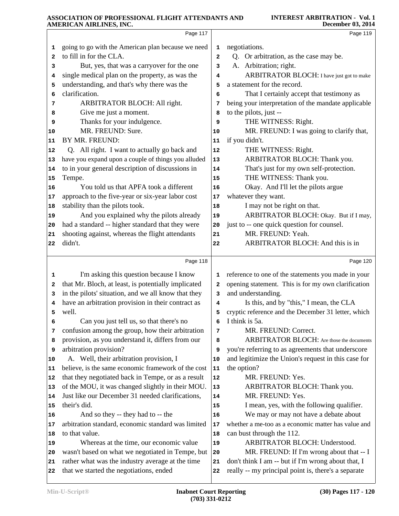|    | Page 117                                            |              | Page 119                                            |
|----|-----------------------------------------------------|--------------|-----------------------------------------------------|
| 1  | going to go with the American plan because we need  | 1            | negotiations.                                       |
| 2  | to fill in for the CLA.                             | $\mathbf{2}$ | Q. Or arbitration, as the case may be.              |
| 3  | But, yes, that was a carryover for the one          | 3            | A. Arbitration; right.                              |
| 4  | single medical plan on the property, as was the     | 4            | ARBITRATOR BLOCH: I have just got to make           |
| 5  | understanding, and that's why there was the         | 5            | a statement for the record.                         |
| 6  | clarification.                                      | 6            | That I certainly accept that testimony as           |
| 7  | ARBITRATOR BLOCH: All right.                        | 7            | being your interpretation of the mandate applicable |
| 8  | Give me just a moment.                              | 8            | to the pilots, just --                              |
| 9  | Thanks for your indulgence.                         | 9            | THE WITNESS: Right.                                 |
| 10 | MR. FREUND: Sure.                                   | 10           | MR. FREUND: I was going to clarify that,            |
| 11 | BY MR. FREUND:                                      | 11           | if you didn't.                                      |
| 12 | Q. All right. I want to actually go back and        | 12           | THE WITNESS: Right.                                 |
| 13 | have you expand upon a couple of things you alluded | 13           | ARBITRATOR BLOCH: Thank you.                        |
| 14 | to in your general description of discussions in    | 14           | That's just for my own self-protection.             |
| 15 | Tempe.                                              | 15           | THE WITNESS: Thank you.                             |
| 16 | You told us that APFA took a different              | 16           | Okay. And I'll let the pilots argue                 |
| 17 | approach to the five-year or six-year labor cost    | 17           | whatever they want.                                 |
| 18 | stability than the pilots took.                     | 18           | I may not be right on that.                         |
| 19 | And you explained why the pilots already            | 19           | ARBITRATOR BLOCH: Okay. But if I may,               |
| 20 | had a standard -- higher standard that they were    | 20           | just to -- one quick question for counsel.          |
| 21 | shooting against, whereas the flight attendants     | 21           | MR. FREUND: Yeah.                                   |
| 22 | didn't.                                             | 22           | ARBITRATOR BLOCH: And this is in                    |
|    | Page 118                                            |              | Page 120                                            |
| 1  | I'm asking this question because I know             | 1            | reference to one of the statements you made in your |
| 2  | that Mr. Bloch, at least, is potentially implicated | 2            | opening statement. This is for my own clarification |
| 3  | in the pilots' situation, and we all know that they | 3            | and understanding.                                  |
| 4  | have an arbitration provision in their contract as  | 4            | Is this, and by "this," I mean, the CLA             |
| 5  | well.                                               | 5            | cryptic reference and the December 31 letter, which |
| 6  | Can you just tell us, so that there's no            | 6            | I think is 5a.                                      |
| 7  | confusion among the group, how their arbitration    | 7            | MR. FREUND: Correct.                                |
| 8  | provision, as you understand it, differs from our   | 8            | <b>ARBITRATOR BLOCH:</b> Are those the documents    |
| 9  | arbitration provision?                              | 9            | you're referring to as agreements that underscore   |
| 10 | A. Well, their arbitration provision, I             | 10           | and legitimize the Union's request in this case for |
| 11 | believe, is the same economic framework of the cost | 11           | the option?                                         |
| 12 | that they negotiated back in Tempe, or as a result  | 12           | MR. FREUND: Yes.                                    |
| 13 | of the MOU, it was changed slightly in their MOU.   | 13           | ARBITRATOR BLOCH: Thank you.                        |
| 14 | Just like our December 31 needed clarifications,    | 14           | MR. FREUND: Yes.                                    |
| 15 | their's did.                                        | 15           | I mean, yes, with the following qualifier.          |
| 16 | And so they -- they had to -- the                   | 16           | We may or may not have a debate about               |
| 17 | arbitration standard, economic standard was limited | 17           | whether a me-too as a economic matter has value and |
| 18 | to that value.                                      | 18           | can bust through the 112.                           |
| 19 | Whereas at the time, our economic value             | 19           | ARBITRATOR BLOCH: Understood.                       |
| 20 | wasn't based on what we negotiated in Tempe, but    | 20           | MR. FREUND: If I'm wrong about that -- I            |
| 21 | rather what was the industry average at the time    | 21           | don't think I am -- but if I'm wrong about that, I  |
| 22 | that we started the negotiations, ended             | 22           | really -- my principal point is, there's a separate |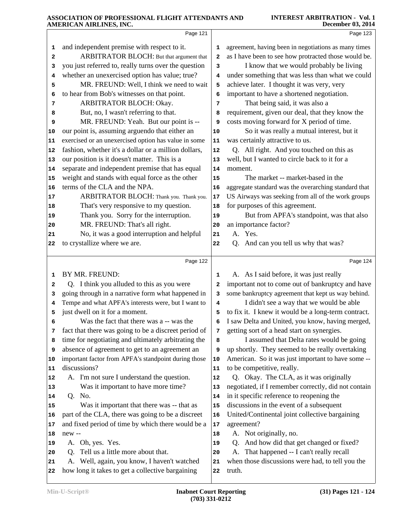|          | Page 121                                             |                         | Page 123                                                                                       |
|----------|------------------------------------------------------|-------------------------|------------------------------------------------------------------------------------------------|
| 1        | and independent premise with respect to it.          | 1                       | agreement, having been in negotiations as many times                                           |
| 2        | ARBITRATOR BLOCH: But that argument that             | 2                       | as I have been to see how protracted those would be.                                           |
| 3        | you just referred to, really turns over the question | 3                       | I know that we would probably be living                                                        |
| 4        | whether an unexercised option has value; true?       | 4                       | under something that was less than what we could                                               |
| 5        | MR. FREUND: Well, I think we need to wait            | 5                       | achieve later. I thought it was very, very                                                     |
| 6        | to hear from Bob's witnesses on that point.          | 6                       | important to have a shortened negotiation.                                                     |
| 7        | ARBITRATOR BLOCH: Okay.                              | 7                       | That being said, it was also a                                                                 |
| 8        | But, no, I wasn't referring to that.                 | 8                       | requirement, given our deal, that they know the                                                |
| 9        | MR. FREUND: Yeah. But our point is --                | 9                       | costs moving forward for X period of time.                                                     |
| 10       | our point is, assuming arguendo that either an       | 10                      | So it was really a mutual interest, but it                                                     |
| 11       | exercised or an unexercised option has value in some | 11                      | was certainly attractive to us.                                                                |
| 12       | fashion, whether it's a dollar or a million dollars, | $12\,$                  | Q. All right. And you touched on this as                                                       |
| 13       | our position is it doesn't matter. This is a         | 13                      | well, but I wanted to circle back to it for a                                                  |
| 14       | separate and independent premise that has equal      | 14                      | moment.                                                                                        |
| 15       | weight and stands with equal force as the other      | 15                      | The market -- market-based in the                                                              |
| 16       | terms of the CLA and the NPA.                        | 16                      | aggregate standard was the overarching standard that                                           |
| 17       | ARBITRATOR BLOCH: Thank you. Thank you.              | 17                      | US Airways was seeking from all of the work groups                                             |
| 18       | That's very responsive to my question.               | 18                      | for purposes of this agreement.                                                                |
| 19       | Thank you. Sorry for the interruption.               | 19                      | But from APFA's standpoint, was that also                                                      |
| 20       | MR. FREUND: That's all right.                        | 20                      | an importance factor?<br>A. Yes.                                                               |
| 21       | No, it was a good interruption and helpful           | 21                      |                                                                                                |
| 22       | to crystallize where we are.                         | 22                      | Q. And can you tell us why that was?                                                           |
|          | Page 122                                             |                         | Page 124                                                                                       |
| 1        | BY MR. FREUND:                                       | 1                       | A. As I said before, it was just really                                                        |
| 2        | Q. I think you alluded to this as you were           | $\overline{\mathbf{2}}$ | important not to come out of bankruptcy and have                                               |
| 3        | going through in a narrative form what happened in   | 3                       | some bankruptcy agreement that kept us way behind.                                             |
| 4        | Tempe and what APFA's interests were, but I want to  | 4                       | I didn't see a way that we would be able                                                       |
| 5        | just dwell on it for a moment.                       | 5                       | to fix it. I knew it would be a long-term contract.                                            |
| 6        | Was the fact that there was a -- was the             | 6                       | I saw Delta and United, you know, having merged,                                               |
| 7        | fact that there was going to be a discreet period of | 7                       | getting sort of a head start on synergies.                                                     |
| 8        | time for negotiating and ultimately arbitrating the  | 8                       | I assumed that Delta rates would be going                                                      |
| 9        | absence of agreement to get to an agreement an       | 9                       | up shortly. They seemed to be really overtaking                                                |
| 10       | important factor from APFA's standpoint during those | 10                      | American. So it was just important to have some --                                             |
| 11       | discussions?                                         | 11                      | to be competitive, really.                                                                     |
| 12       | A. I'm not sure I understand the question.           | 12                      | Q. Okay. The CLA, as it was originally<br>negotiated, if I remember correctly, did not contain |
| 13       | Was it important to have more time?<br>Q. No.        | 13<br>14                | in it specific reference to reopening the                                                      |
| 14       | Was it important that there was -- that as           | 15                      | discussions in the event of a subsequent                                                       |
| 15       | part of the CLA, there was going to be a discreet    | 16                      | United/Continental joint collective bargaining                                                 |
| 16       | and fixed period of time by which there would be a   | 17                      | agreement?                                                                                     |
| 17<br>18 | new--                                                | 18                      | A. Not originally, no.                                                                         |
| 19       | A. Oh, yes. Yes.                                     | 19                      | And how did that get changed or fixed?<br>Q.                                                   |
| 20       | Tell us a little more about that.<br>Q.              | 20                      | A. That happened -- I can't really recall                                                      |
| 21       | Well, again, you know, I haven't watched<br>А.       | 21                      | when those discussions were had, to tell you the                                               |
| 22       | how long it takes to get a collective bargaining     | ${\bf 22}$              | truth.                                                                                         |
|          |                                                      |                         |                                                                                                |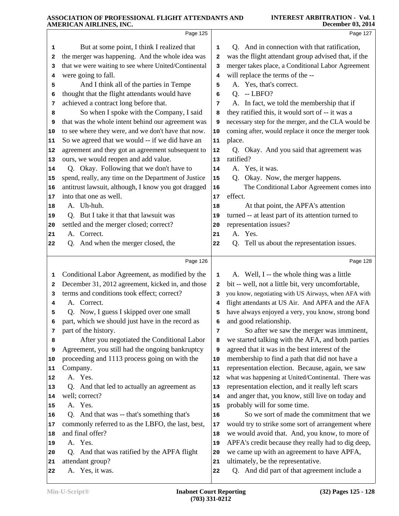|                            | Page 125                                                                                                                                                                                                                                                                  |                            | Page 127                                                                                                                                                                                                                                                                                     |  |
|----------------------------|---------------------------------------------------------------------------------------------------------------------------------------------------------------------------------------------------------------------------------------------------------------------------|----------------------------|----------------------------------------------------------------------------------------------------------------------------------------------------------------------------------------------------------------------------------------------------------------------------------------------|--|
| 1<br>2<br>3<br>4<br>5<br>6 | But at some point, I think I realized that<br>the merger was happening. And the whole idea was<br>that we were waiting to see where United/Continental<br>were going to fall.<br>And I think all of the parties in Tempe<br>thought that the flight attendants would have | 1<br>2<br>3<br>4<br>5<br>6 | Q. And in connection with that ratification,<br>was the flight attendant group advised that, if the<br>merger takes place, a Conditional Labor Agreement<br>will replace the terms of the --<br>A. Yes, that's correct.<br>$Q. -LBFO?$                                                       |  |
| 7                          | achieved a contract long before that.                                                                                                                                                                                                                                     | 7                          | A. In fact, we told the membership that if                                                                                                                                                                                                                                                   |  |
| 8                          | So when I spoke with the Company, I said                                                                                                                                                                                                                                  | 8                          | they ratified this, it would sort of -- it was a                                                                                                                                                                                                                                             |  |
| 9<br>10                    | that was the whole intent behind our agreement was<br>to see where they were, and we don't have that now.                                                                                                                                                                 | 9<br>${\bf 10}$            | necessary step for the merger, and the CLA would be<br>coming after, would replace it once the merger took                                                                                                                                                                                   |  |
| 11                         | So we agreed that we would -- if we did have an                                                                                                                                                                                                                           | 11                         | place.                                                                                                                                                                                                                                                                                       |  |
| 12                         | agreement and they got an agreement subsequent to                                                                                                                                                                                                                         | 12                         | Q. Okay. And you said that agreement was                                                                                                                                                                                                                                                     |  |
| 13                         | ours, we would reopen and add value.                                                                                                                                                                                                                                      | 13                         | ratified?                                                                                                                                                                                                                                                                                    |  |
| 14                         | Q. Okay. Following that we don't have to                                                                                                                                                                                                                                  | 14                         | A. Yes, it was.                                                                                                                                                                                                                                                                              |  |
| 15                         | spend, really, any time on the Department of Justice                                                                                                                                                                                                                      | 15                         | Q. Okay. Now, the merger happens.                                                                                                                                                                                                                                                            |  |
| 16                         | antitrust lawsuit, although, I know you got dragged                                                                                                                                                                                                                       | 16                         | The Conditional Labor Agreement comes into                                                                                                                                                                                                                                                   |  |
| 17                         | into that one as well.                                                                                                                                                                                                                                                    | 17                         | effect.                                                                                                                                                                                                                                                                                      |  |
| 18                         | A. Uh-huh.                                                                                                                                                                                                                                                                | 18                         | At that point, the APFA's attention                                                                                                                                                                                                                                                          |  |
| 19<br>20                   | Q. But I take it that that lawsuit was<br>settled and the merger closed; correct?                                                                                                                                                                                         | 19<br>20                   | turned -- at least part of its attention turned to<br>representation issues?                                                                                                                                                                                                                 |  |
| 21                         | A. Correct.                                                                                                                                                                                                                                                               | 21                         | A. Yes.                                                                                                                                                                                                                                                                                      |  |
| 22                         | Q. And when the merger closed, the                                                                                                                                                                                                                                        | 22                         | Q. Tell us about the representation issues.                                                                                                                                                                                                                                                  |  |
|                            |                                                                                                                                                                                                                                                                           |                            |                                                                                                                                                                                                                                                                                              |  |
|                            |                                                                                                                                                                                                                                                                           |                            |                                                                                                                                                                                                                                                                                              |  |
|                            | Page 126                                                                                                                                                                                                                                                                  |                            | Page 128                                                                                                                                                                                                                                                                                     |  |
| 1<br>2<br>3<br>4<br>5<br>6 | Conditional Labor Agreement, as modified by the<br>December 31, 2012 agreement, kicked in, and those<br>terms and conditions took effect; correct?<br>A. Correct.<br>Q. Now, I guess I skipped over one small<br>part, which we should just have in the record as         | 1<br>2<br>3<br>4<br>5<br>6 | A. Well, I -- the whole thing was a little<br>bit -- well, not a little bit, very uncomfortable,<br>you know, negotiating with US Airways, when AFA with<br>flight attendants at US Air. And APFA and the AFA<br>have always enjoyed a very, you know, strong bond<br>and good relationship. |  |
| 7                          | part of the history.                                                                                                                                                                                                                                                      | 7                          | So after we saw the merger was imminent,                                                                                                                                                                                                                                                     |  |
| 8                          | After you negotiated the Conditional Labor                                                                                                                                                                                                                                | 8                          | we started talking with the AFA, and both parties                                                                                                                                                                                                                                            |  |
| 9                          | Agreement, you still had the ongoing bankruptcy                                                                                                                                                                                                                           | 9                          | agreed that it was in the best interest of the                                                                                                                                                                                                                                               |  |
| 10                         | proceeding and 1113 process going on with the                                                                                                                                                                                                                             | 10                         | membership to find a path that did not have a                                                                                                                                                                                                                                                |  |
| 11                         | Company.                                                                                                                                                                                                                                                                  | 11                         | representation election. Because, again, we saw                                                                                                                                                                                                                                              |  |
| 12                         | A. Yes.                                                                                                                                                                                                                                                                   | 12                         | what was happening at United/Continental. There was                                                                                                                                                                                                                                          |  |
| 13<br>14                   | Q. And that led to actually an agreement as<br>well; correct?                                                                                                                                                                                                             | 13<br>14                   | representation election, and it really left scars                                                                                                                                                                                                                                            |  |
| 15                         | A. Yes.                                                                                                                                                                                                                                                                   | 15                         | and anger that, you know, still live on today and<br>probably will for some time.                                                                                                                                                                                                            |  |
| 16                         | Q. And that was -- that's something that's                                                                                                                                                                                                                                | 16                         | So we sort of made the commitment that we                                                                                                                                                                                                                                                    |  |
| 17                         | commonly referred to as the LBFO, the last, best,                                                                                                                                                                                                                         | 17                         | would try to strike some sort of arrangement where                                                                                                                                                                                                                                           |  |
| 18                         | and final offer?                                                                                                                                                                                                                                                          | 18                         | we would avoid that. And, you know, to more of                                                                                                                                                                                                                                               |  |
| 19                         | A. Yes.                                                                                                                                                                                                                                                                   | 19                         | APFA's credit because they really had to dig deep,                                                                                                                                                                                                                                           |  |
| 20                         | Q. And that was ratified by the APFA flight                                                                                                                                                                                                                               | 20                         | we came up with an agreement to have APFA,                                                                                                                                                                                                                                                   |  |
| 21<br>22                   | attendant group?<br>A. Yes, it was.                                                                                                                                                                                                                                       | 21<br>22                   | ultimately, be the representative.<br>Q. And did part of that agreement include a                                                                                                                                                                                                            |  |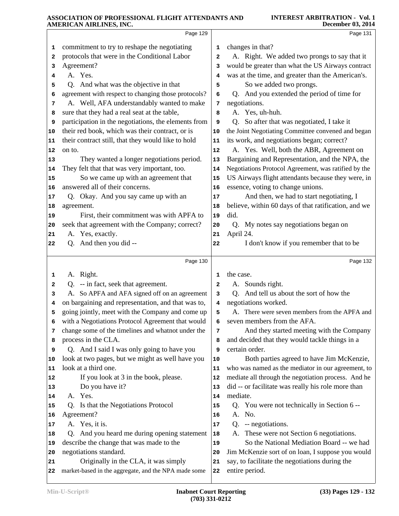|    | AMEKICAN AIKLINES, INC.                              |              | December 05, 2014                                    |
|----|------------------------------------------------------|--------------|------------------------------------------------------|
|    | Page 129                                             |              | Page 131                                             |
| 1  | commitment to try to reshape the negotiating         | 1            | changes in that?                                     |
| 2  | protocols that were in the Conditional Labor         | $\mathbf{2}$ | A. Right. We added two prongs to say that it         |
| 3  | Agreement?                                           | з            | would be greater than what the US Airways contract   |
| 4  | A. Yes.                                              | 4            | was at the time, and greater than the American's.    |
| 5  | Q. And what was the objective in that                | 5            | So we added two prongs.                              |
| 6  | agreement with respect to changing those protocols?  | 6            | Q. And you extended the period of time for           |
| 7  | A. Well, AFA understandably wanted to make           | 7            | negotiations.                                        |
| 8  | sure that they had a real seat at the table,         | 8            | A. Yes, uh-huh.                                      |
| 9  | participation in the negotiations, the elements from | 9            | Q. So after that was negotiated, I take it           |
| 10 | their red book, which was their contract, or is      | 10           | the Joint Negotiating Committee convened and began   |
| 11 | their contract still, that they would like to hold   | 11           | its work, and negotiations began; correct?           |
| 12 | on to.                                               | 12           | A. Yes. Well, both the ABR, Agreement on             |
| 13 | They wanted a longer negotiations period.            | 13           | Bargaining and Representation, and the NPA, the      |
| 14 | They felt that that was very important, too.         | 14           | Negotiations Protocol Agreement, was ratified by the |
| 15 | So we came up with an agreement that                 | 15           | US Airways flight attendants because they were, in   |
| 16 | answered all of their concerns.                      | 16           | essence, voting to change unions.                    |
| 17 | Q. Okay. And you say came up with an                 | 17           | And then, we had to start negotiating, I             |
| 18 | agreement.                                           | 18           | believe, within 60 days of that ratification, and we |
| 19 | First, their commitment was with APFA to             | 19           | did.                                                 |
| 20 | seek that agreement with the Company; correct?       | 20           | Q. My notes say negotiations began on                |
| 21 | A. Yes, exactly.                                     | 21           | April 24.                                            |
| 22 | Q. And then you did --                               | 22           | I don't know if you remember that to be              |
|    |                                                      |              |                                                      |
|    | Page 130                                             |              | Page 132                                             |
| 1  | A. Right.                                            | 1            | the case.                                            |
| 2  | -- in fact, seek that agreement.<br>Q.               | 2            | A. Sounds right.                                     |
| 3  | A. So APFA and AFA signed off on an agreement        | 3            | Q. And tell us about the sort of how the             |
| 4  | on bargaining and representation, and that was to,   | 4            | negotiations worked.                                 |
| 5  | going jointly, meet with the Company and come up     | 5            | A. There were seven members from the APFA and        |
| 6  | with a Negotiations Protocol Agreement that would    | 6            | seven members from the AFA.                          |
| 7  | change some of the timelines and whatnot under the   | 7            | And they started meeting with the Company            |
| 8  | process in the CLA.                                  | 8            | and decided that they would tackle things in a       |
| 9  | Q. And I said I was only going to have you           | 9            | certain order.                                       |
| 10 | look at two pages, but we might as well have you     | 10           | Both parties agreed to have Jim McKenzie,            |
| 11 | look at a third one.                                 | 11           | who was named as the mediator in our agreement, to   |
| 12 | If you look at 3 in the book, please.                | 12           | mediate all through the negotiation process. And he  |
| 13 | Do you have it?                                      | 13           | did -- or facilitate was really his role more than   |
| 14 | A. Yes.                                              | 14           | mediate.                                             |
| 15 | Q. Is that the Negotiations Protocol                 | 15           | You were not technically in Section 6 --<br>Q.       |
| 16 | Agreement?                                           | 16           | A. No.                                               |
| 17 | A. Yes, it is.                                       | 17           | -- negotiations.<br>Q.                               |
| 18 | Q. And you heard me during opening statement         | 18           | A. These were not Section 6 negotiations.            |
| 19 | describe the change that was made to the             | 19           | So the National Mediation Board -- we had            |
| 20 | negotiations standard.                               | 20           | Jim McKenzie sort of on loan, I suppose you would    |
| 21 | Originally in the CLA, it was simply                 | 21           | say, to facilitate the negotiations during the       |
| 22 | market-based in the aggregate, and the NPA made some | 22           | entire period.                                       |
|    |                                                      |              |                                                      |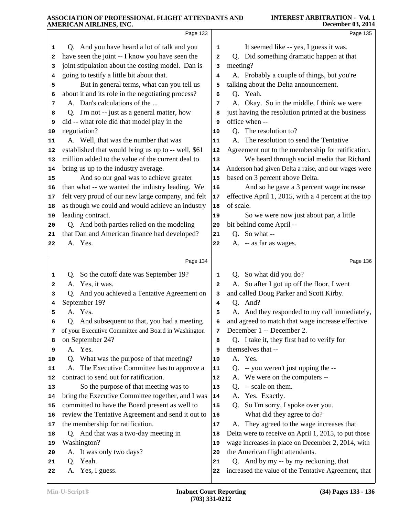|          | Page 133                                                      |              | Page 135                                                                                          |  |
|----------|---------------------------------------------------------------|--------------|---------------------------------------------------------------------------------------------------|--|
| 1        | Q. And you have heard a lot of talk and you                   | 1            | It seemed like -- yes, I guess it was.                                                            |  |
| 2        | have seen the joint -- I know you have seen the               | 2            | Q. Did something dramatic happen at that                                                          |  |
| з        | joint stipulation about the costing model. Dan is             | з            | meeting?                                                                                          |  |
| 4        | going to testify a little bit about that.                     | 4            | A. Probably a couple of things, but you're                                                        |  |
| 5        | But in general terms, what can you tell us                    | 5            | talking about the Delta announcement.                                                             |  |
| 6        | about it and its role in the negotiating process?             | 6            | Q. Yeah.                                                                                          |  |
| 7        | A. Dan's calculations of the                                  | 7            | A. Okay. So in the middle, I think we were                                                        |  |
| 8        | Q. I'm not -- just as a general matter, how                   | 8            | just having the resolution printed at the business                                                |  |
| 9        | did -- what role did that model play in the                   | 9            | office when --                                                                                    |  |
| 10       | negotiation?                                                  | 10           | Q. The resolution to?                                                                             |  |
| 11       | A. Well, that was the number that was                         | 11           | The resolution to send the Tentative<br>А.                                                        |  |
| 12       | established that would bring us up to -- well, \$61           | 12           | Agreement out to the membership for ratification.                                                 |  |
| 13       | million added to the value of the current deal to             | 13           | We heard through social media that Richard                                                        |  |
| 14       | bring us up to the industry average.                          | 14           | Anderson had given Delta a raise, and our wages were                                              |  |
| 15       | And so our goal was to achieve greater                        | 15           | based on 3 percent above Delta.                                                                   |  |
| 16       | than what -- we wanted the industry leading. We               | 16           | And so he gave a 3 percent wage increase                                                          |  |
| 17       | felt very proud of our new large company, and felt            | 17           | effective April 1, 2015, with a 4 percent at the top                                              |  |
| 18       | as though we could and would achieve an industry              | 18           | of scale.                                                                                         |  |
| 19       | leading contract.                                             | 19           | So we were now just about par, a little                                                           |  |
| 20       | Q. And both parties relied on the modeling                    | 20           | bit behind come April --                                                                          |  |
| 21       | that Dan and American finance had developed?                  | 21           | Q. So what --                                                                                     |  |
| 22       | A. Yes.                                                       | 22           | A. -- as far as wages.                                                                            |  |
|          | Page 134                                                      |              | Page 136                                                                                          |  |
|          |                                                               |              |                                                                                                   |  |
| 1        | So the cutoff date was September 19?<br>Q.                    | 1            | Q. So what did you do?                                                                            |  |
| 2        | A. Yes, it was.                                               | $\mathbf{2}$ | A. So after I got up off the floor, I went                                                        |  |
| 3        | Q. And you achieved a Tentative Agreement on<br>September 19? | 3            | and called Doug Parker and Scott Kirby.<br>Q. And?                                                |  |
| 4        | A. Yes.                                                       | 4            | A. And they responded to my call immediately,                                                     |  |
| 5        | Q. And subsequent to that, you had a meeting                  | 5            | and agreed to match that wage increase effective                                                  |  |
|          | of your Executive Committee and Board in Washington           | 6<br>7       | December 1 -- December 2.                                                                         |  |
| 7<br>8   | on September 24?                                              | 8            | Q. I take it, they first had to verify for                                                        |  |
| 9        | A. Yes.                                                       | 9            | themselves that --                                                                                |  |
| 10       | Q. What was the purpose of that meeting?                      | 10           | A. Yes.                                                                                           |  |
| 11       | A. The Executive Committee has to approve a                   | 11           | Q. -- you weren't just upping the --                                                              |  |
| 12       |                                                               |              |                                                                                                   |  |
|          |                                                               |              |                                                                                                   |  |
|          | contract to send out for ratification.                        | 12           | A. We were on the computers --                                                                    |  |
| 13       | So the purpose of that meeting was to                         | $13$         | -- scale on them.<br>Q.                                                                           |  |
| 14       | bring the Executive Committee together, and I was             | 14           | A. Yes. Exactly.                                                                                  |  |
| 15<br>16 | committed to have the Board present as well to                | 15<br>16     | So I'm sorry, I spoke over you.<br>Q.                                                             |  |
| 17       | review the Tentative Agreement and send it out to             | 17           | What did they agree to do?                                                                        |  |
| 18       | the membership for ratification.                              | 18           | A. They agreed to the wage increases that<br>Delta were to receive on April 1, 2015, to put those |  |
| 19       | Q. And that was a two-day meeting in<br>Washington?           | 19           | wage increases in place on December 2, 2014, with                                                 |  |
| 20       | A. It was only two days?                                      | 20           | the American flight attendants.                                                                   |  |
| 21       | Q. Yeah.                                                      | 21           | Q. And by my -- by my reckoning, that                                                             |  |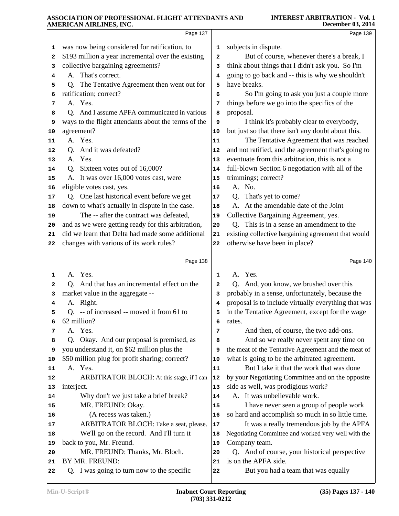|    | ARIENICAR AINERVES, IRC.                                  |    |                                                                                                   |
|----|-----------------------------------------------------------|----|---------------------------------------------------------------------------------------------------|
|    | Page 137                                                  |    | Page 139                                                                                          |
| 1  | was now being considered for ratification, to             | 1  | subjects in dispute.                                                                              |
| 2  | \$193 million a year incremental over the existing        | 2  | But of course, whenever there's a break, I                                                        |
| з  | collective bargaining agreements?                         | 3  | think about things that I didn't ask you. So I'm                                                  |
| 4  | A. That's correct.                                        | 4  | going to go back and -- this is why we shouldn't                                                  |
| 5  | Q. The Tentative Agreement then went out for              | 5  | have breaks.                                                                                      |
| 6  | ratification; correct?                                    | 6  | So I'm going to ask you just a couple more                                                        |
| 7  | A. Yes.                                                   | 7  | things before we go into the specifics of the                                                     |
| 8  | Q. And I assume APFA communicated in various              | 8  | proposal.                                                                                         |
| 9  | ways to the flight attendants about the terms of the      | 9  | I think it's probably clear to everybody,                                                         |
| 10 | agreement?                                                | 10 | but just so that there isn't any doubt about this.                                                |
| 11 | A. Yes.                                                   | 11 | The Tentative Agreement that was reached                                                          |
| 12 | Q. And it was defeated?                                   | 12 | and not ratified, and the agreement that's going to                                               |
| 13 | A. Yes.                                                   | 13 | eventuate from this arbitration, this is not a                                                    |
| 14 | Q. Sixteen votes out of 16,000?                           | 14 | full-blown Section 6 negotiation with all of the                                                  |
| 15 | A. It was over 16,000 votes cast, were                    | 15 | trimmings; correct?                                                                               |
| 16 | eligible votes cast, yes.                                 | 16 | A. No.                                                                                            |
| 17 | Q. One last historical event before we get                | 17 | Q. That's yet to come?                                                                            |
| 18 | down to what's actually in dispute in the case.           | 18 | A. At the amendable date of the Joint                                                             |
| 19 | The -- after the contract was defeated,                   | 19 | Collective Bargaining Agreement, yes.                                                             |
| 20 | and as we were getting ready for this arbitration,        | 20 | Q. This is in a sense an amendment to the                                                         |
| 21 | did we learn that Delta had made some additional          | 21 | existing collective bargaining agreement that would                                               |
| 22 | changes with various of its work rules?                   | 22 | otherwise have been in place?                                                                     |
|    | Page 138                                                  |    | Page 140                                                                                          |
| 1  | A. Yes.                                                   | 1  | A. Yes.                                                                                           |
| 2  | Q. And that has an incremental effect on the              | 2  | Q. And, you know, we brushed over this                                                            |
| 3  | market value in the aggregate --                          | 3  | probably in a sense, unfortunately, because the                                                   |
|    | A. Right.                                                 |    |                                                                                                   |
| 4  |                                                           | 4  |                                                                                                   |
| 5  |                                                           | 5  | proposal is to include virtually everything that was                                              |
| 6  | $Q. -$ of increased -- moved it from 61 to<br>62 million? | 6  | in the Tentative Agreement, except for the wage<br>rates.                                         |
| 7  | A. Yes.                                                   | 7  | And then, of course, the two add-ons.                                                             |
| 8  | Okay. And our proposal is premised, as<br>Q.              | 8  | And so we really never spent any time on                                                          |
| 9  | you understand it, on \$62 million plus the               | 9  | the meat of the Tentative Agreement and the meat of                                               |
| 10 | \$50 million plug for profit sharing; correct?            | 10 | what is going to be the arbitrated agreement.                                                     |
| 11 | A. Yes.                                                   | 11 | But I take it that the work that was done                                                         |
| 12 | ARBITRATOR BLOCH: At this stage, if I can                 | 12 | by your Negotiating Committee and on the opposite                                                 |
| 13 | interject.                                                | 13 | side as well, was prodigious work?                                                                |
| 14 | Why don't we just take a brief break?                     | 14 | A. It was unbelievable work.                                                                      |
| 15 | MR. FREUND: Okay.                                         | 15 | I have never seen a group of people work                                                          |
| 16 | (A recess was taken.)                                     | 16 | so hard and accomplish so much in so little time.                                                 |
| 17 | ARBITRATOR BLOCH: Take a seat, please.                    | 17 |                                                                                                   |
| 18 | We'll go on the record. And I'll turn it                  | 18 | It was a really tremendous job by the APFA<br>Negotiating Committee and worked very well with the |
| 19 | back to you, Mr. Freund.                                  | 19 | Company team.                                                                                     |
| 20 | MR. FREUND: Thanks, Mr. Bloch.                            | 20 | Q. And of course, your historical perspective                                                     |
| 21 | BY MR. FREUND:                                            | 21 | is on the APFA side.                                                                              |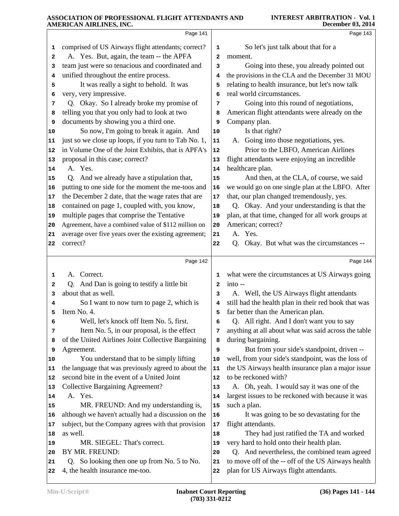|    | AMEKICAN AIKLINES, INC.                              |              | December 05, 2014                                    |
|----|------------------------------------------------------|--------------|------------------------------------------------------|
|    | Page 141                                             |              | Page 143                                             |
| 1  | comprised of US Airways flight attendants; correct?  | 1            | So let's just talk about that for a                  |
| 2  | A. Yes. But, again, the team -- the APFA             | $\mathbf{2}$ | moment.                                              |
| 3  | team just were so tenacious and coordinated and      | 3            | Going into these, you already pointed out            |
| 4  | unified throughout the entire process.               | 4            | the provisions in the CLA and the December 31 MOU    |
| 5  | It was really a sight to behold. It was              | 5            | relating to health insurance, but let's now talk     |
| 6  | very, very impressive.                               | 6            | real world circumstances.                            |
| 7  | Q. Okay. So I already broke my promise of            | 7            | Going into this round of negotiations,               |
| 8  | telling you that you only had to look at two         | 8            | American flight attendants were already on the       |
| 9  | documents by showing you a third one.                | 9            | Company plan.                                        |
| 10 | So now, I'm going to break it again. And             | 10           | Is that right?                                       |
| 11 | just so we close up loops, if you turn to Tab No. 1, | 11           | A. Going into those negotiations, yes.               |
| 12 | in Volume One of the Joint Exhibits, that is APFA's  | 12           | Prior to the LBFO, American Airlines                 |
| 13 | proposal in this case; correct?                      | 13           | flight attendants were enjoying an incredible        |
| 14 | A. Yes.                                              | 14           | healthcare plan.                                     |
| 15 | Q. And we already have a stipulation that,           | 15           | And then, at the CLA, of course, we said             |
| 16 | putting to one side for the moment the me-toos and   | 16           | we would go on one single plan at the LBFO. After    |
| 17 | the December 2 date, that the wage rates that are    | 17           | that, our plan changed tremendously, yes.            |
| 18 | contained on page 1, coupled with, you know,         | 18           | Q. Okay. And your understanding is that the          |
| 19 | multiple pages that comprise the Tentative           | 19           | plan, at that time, changed for all work groups at   |
| 20 | Agreement, have a combined value of \$112 million on | 20           | American; correct?                                   |
| 21 | average over five years over the existing agreement; | 21           | A. Yes.                                              |
| 22 | correct?                                             | 22           | Okay. But what was the circumstances --<br>Q.        |
|    |                                                      |              |                                                      |
|    | Page 142                                             |              | Page 144                                             |
| 1  | A. Correct.                                          | 1            | what were the circumstances at US Airways going      |
| 2  | Q. And Dan is going to testify a little bit          | 2            | $into -$                                             |
| з  | about that as well.                                  | 3            | A. Well, the US Airways flight attendants            |
| 4  | So I want to now turn to page 2, which is            | 4            | still had the health plan in their red book that was |
| 5  | Item No. 4.                                          | 5            | far better than the American plan.                   |
| 6  | Well, let's knock off Item No. 5, first.             | 6            | Q. All right. And I don't want you to say            |
| 7  | Item No. 5, in our proposal, is the effect           | 7            | anything at all about what was said across the table |
| 8  | of the United Airlines Joint Collective Bargaining   | 8            | during bargaining.                                   |
| 9  | Agreement.                                           | 9            | But from your side's standpoint, driven --           |
| 10 | You understand that to be simply lifting             | 10           | well, from your side's standpoint, was the loss of   |
| 11 | the language that was previously agreed to about the | 11           | the US Airways health insurance plan a major issue   |
| 12 | second bite in the event of a United Joint           | 12           | to be reckoned with?                                 |
| 13 | <b>Collective Bargaining Agreement?</b>              | 13           | A. Oh, yeah. I would say it was one of the           |
| 14 | A. Yes.                                              | 14           | largest issues to be reckoned with because it was    |
| 15 | MR. FREUND: And my understanding is,                 | 15           | such a plan.                                         |
| 16 | although we haven't actually had a discussion on the | 16           | It was going to be so devastating for the            |
| 17 | subject, but the Company agrees with that provision  | $17$         | flight attendants.                                   |
| 18 | as well.                                             | 18           | They had just ratified the TA and worked             |
| 19 | MR. SIEGEL: That's correct.                          | 19           | very hard to hold onto their health plan.            |
| 20 | BY MR. FREUND:                                       | 20           | Q. And nevertheless, the combined team agreed        |
|    |                                                      |              |                                                      |
| 21 | Q. So looking then one up from No. 5 to No.          | 21           | to move off of the -- off of the US Airways health   |
| 22 | 4, the health insurance me-too.                      | 22           | plan for US Airways flight attendants.               |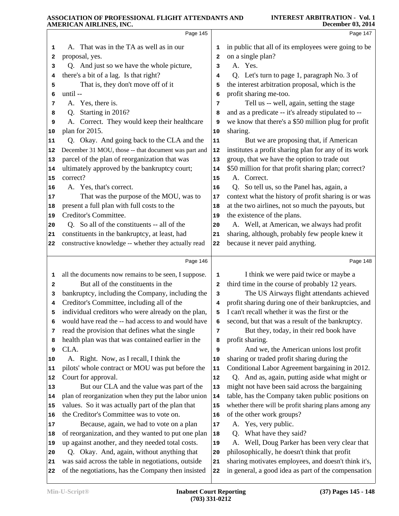|          | Page 145                                                                                                 |                         | Page 147                                                                                                    |  |
|----------|----------------------------------------------------------------------------------------------------------|-------------------------|-------------------------------------------------------------------------------------------------------------|--|
|          | A. That was in the TA as well as in our                                                                  | 1                       | in public that all of its employees were going to be                                                        |  |
| 1<br>2   | proposal, yes.                                                                                           | $\overline{\mathbf{2}}$ | on a single plan?                                                                                           |  |
| з        | Q. And just so we have the whole picture,                                                                | 3                       | A. Yes.                                                                                                     |  |
| 4        | there's a bit of a lag. Is that right?                                                                   | 4                       | Q. Let's turn to page 1, paragraph No. 3 of                                                                 |  |
| 5        | That is, they don't move off of it                                                                       | 5                       | the interest arbitration proposal, which is the                                                             |  |
| 6        | until-                                                                                                   | 6                       | profit sharing me-too.                                                                                      |  |
| 7        | A. Yes, there is.                                                                                        | 7                       | Tell us -- well, again, setting the stage                                                                   |  |
| 8        | Starting in 2016?<br>Q.                                                                                  | 8                       | and as a predicate -- it's already stipulated to --                                                         |  |
| 9        | A. Correct. They would keep their healthcare                                                             | 9                       | we know that there's a \$50 million plug for profit                                                         |  |
| 10       | plan for 2015.                                                                                           | 10                      | sharing.                                                                                                    |  |
| 11       | Q. Okay. And going back to the CLA and the                                                               | 11                      | But we are proposing that, if American                                                                      |  |
| 12       | December 31 MOU, those -- that document was part and                                                     | 12                      | institutes a profit sharing plan for any of its work                                                        |  |
| 13       | parcel of the plan of reorganization that was                                                            | 13                      | group, that we have the option to trade out                                                                 |  |
| 14       | ultimately approved by the bankruptcy court;                                                             | 14                      | \$50 million for that profit sharing plan; correct?                                                         |  |
| 15       | correct?                                                                                                 | 15                      | A. Correct.                                                                                                 |  |
| 16       | A. Yes, that's correct.                                                                                  | 16                      | Q. So tell us, so the Panel has, again, a                                                                   |  |
| 17       | That was the purpose of the MOU, was to                                                                  | 17                      | context what the history of profit sharing is or was                                                        |  |
| 18       | present a full plan with full costs to the                                                               | 18                      | at the two airlines, not so much the payouts, but                                                           |  |
| 19       | Creditor's Committee.                                                                                    | 19                      | the existence of the plans.                                                                                 |  |
| 20       | Q. So all of the constituents -- all of the                                                              | 20                      | A. Well, at American, we always had profit                                                                  |  |
| 21       | constituents in the bankruptcy, at least, had                                                            | 21                      | sharing, although, probably few people knew it                                                              |  |
| 22       | constructive knowledge -- whether they actually read                                                     | 22                      | because it never paid anything.                                                                             |  |
|          |                                                                                                          |                         |                                                                                                             |  |
|          | Page 146                                                                                                 |                         | Page 148                                                                                                    |  |
| 1        | all the documents now remains to be seen, I suppose.                                                     | 1                       | I think we were paid twice or maybe a                                                                       |  |
| 2        | But all of the constituents in the                                                                       | 2                       | third time in the course of probably 12 years.                                                              |  |
| з        | bankruptcy, including the Company, including the                                                         | 3                       | The US Airways flight attendants achieved                                                                   |  |
| 4        | Creditor's Committee, including all of the                                                               | 4                       | profit sharing during one of their bankruptcies, and                                                        |  |
| 5        | individual creditors who were already on the plan,                                                       | 5                       | I can't recall whether it was the first or the                                                              |  |
| 6        | would have read the -- had access to and would have                                                      | 6                       | second, but that was a result of the bankruptcy.                                                            |  |
| 7        | read the provision that defines what the single                                                          | 7                       | But they, today, in their red book have                                                                     |  |
| 8        | health plan was that was contained earlier in the                                                        | 8                       | profit sharing.                                                                                             |  |
| 9        | CLA.                                                                                                     | 9                       | And we, the American unions lost profit                                                                     |  |
| 10       | A. Right. Now, as I recall, I think the                                                                  | 10                      | sharing or traded profit sharing during the                                                                 |  |
| 11       | pilots' whole contract or MOU was put before the                                                         | 11                      | Conditional Labor Agreement bargaining in 2012.                                                             |  |
| 12       | Court for approval.                                                                                      | 12                      | Q. And as, again, putting aside what might or                                                               |  |
| 13       | But our CLA and the value was part of the                                                                | 13                      | might not have been said across the bargaining                                                              |  |
| 14       | plan of reorganization when they put the labor union                                                     | 14                      | table, has the Company taken public positions on                                                            |  |
| 15       | values. So it was actually part of the plan that                                                         | 15                      | whether there will be profit sharing plans among any                                                        |  |
| 16       | the Creditor's Committee was to vote on.                                                                 | 16                      | of the other work groups?                                                                                   |  |
| 17       | Because, again, we had to vote on a plan                                                                 | 17                      | A. Yes, very public.                                                                                        |  |
| 18       | of reorganization, and they wanted to put one plan                                                       | 18                      | What have they said?<br>Q.                                                                                  |  |
| 19       | up against another, and they needed total costs.                                                         | 19                      | A. Well, Doug Parker has been very clear that                                                               |  |
|          |                                                                                                          |                         | philosophically, he doesn't think that profit                                                               |  |
| 20       | Q. Okay. And, again, without anything that                                                               | 20                      |                                                                                                             |  |
| 21<br>22 | was said across the table in negotiations, outside<br>of the negotiations, has the Company then insisted | 21<br>22                | sharing motivates employees, and doesn't think it's,<br>in general, a good idea as part of the compensation |  |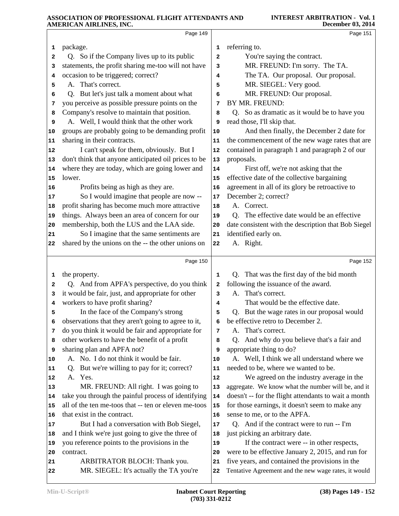|    | Page 149                                                                |                         | Page 151                                                                                                |  |
|----|-------------------------------------------------------------------------|-------------------------|---------------------------------------------------------------------------------------------------------|--|
| ı  | package.                                                                | 1                       | referring to.                                                                                           |  |
| 2  | Q. So if the Company lives up to its public                             | $\overline{\mathbf{2}}$ | You're saying the contract.                                                                             |  |
| 3  | statements, the profit sharing me-too will not have                     | з                       | MR. FREUND: I'm sorry. The TA.                                                                          |  |
| 4  | occasion to be triggered; correct?                                      | 4                       | The TA. Our proposal. Our proposal.                                                                     |  |
| 5  | A. That's correct.                                                      | 5                       | MR. SIEGEL: Very good.                                                                                  |  |
| 6  | Q. But let's just talk a moment about what                              | 6                       | MR. FREUND: Our proposal.                                                                               |  |
| 7  | you perceive as possible pressure points on the                         | 7                       | BY MR. FREUND:                                                                                          |  |
| 8  | Company's resolve to maintain that position.                            | 8                       | Q. So as dramatic as it would be to have you                                                            |  |
| 9  | A. Well, I would think that the other work                              | 9                       | read those, I'll skip that.                                                                             |  |
| 10 | groups are probably going to be demanding profit                        | 10                      | And then finally, the December 2 date for                                                               |  |
| 11 | sharing in their contracts.                                             | 11                      | the commencement of the new wage rates that are                                                         |  |
| 12 | I can't speak for them, obviously. But I                                | 12                      | contained in paragraph 1 and paragraph 2 of our                                                         |  |
| 13 | don't think that anyone anticipated oil prices to be                    | 13                      | proposals.                                                                                              |  |
| 14 | where they are today, which are going lower and                         | 14                      | First off, we're not asking that the                                                                    |  |
| 15 | lower.                                                                  | 15                      | effective date of the collective bargaining                                                             |  |
| 16 | Profits being as high as they are.                                      | 16                      | agreement in all of its glory be retroactive to                                                         |  |
| 17 | So I would imagine that people are now --                               | 17                      | December 2; correct?                                                                                    |  |
| 18 | profit sharing has become much more attractive                          | 18                      | A. Correct.                                                                                             |  |
| 19 | things. Always been an area of concern for our                          | 19                      | Q. The effective date would be an effective                                                             |  |
| 20 | membership, both the LUS and the LAA side.                              | 20                      | date consistent with the description that Bob Siegel                                                    |  |
| 21 | So I imagine that the same sentiments are                               | 21                      | identified early on.                                                                                    |  |
| 22 | shared by the unions on the -- the other unions on                      | 22                      | A. Right.                                                                                               |  |
|    |                                                                         |                         |                                                                                                         |  |
|    | Page 150                                                                |                         | Page 152                                                                                                |  |
| ı  | the property.                                                           | 1                       | Q. That was the first day of the bid month                                                              |  |
| 2  | Q. And from APFA's perspective, do you think                            | 2                       | following the issuance of the award.                                                                    |  |
| 3  | it would be fair, just, and appropriate for other                       | 3                       | A. That's correct.                                                                                      |  |
| 4  | workers to have profit sharing?                                         | 4                       | That would be the effective date.                                                                       |  |
| 5  | In the face of the Company's strong                                     | 5                       | Q. But the wage rates in our proposal would                                                             |  |
|    | observations that they aren't going to agree to it,                     | 6 <sup>1</sup>          | be effective retro to December 2.                                                                       |  |
| 7  | do you think it would be fair and appropriate for                       | 7                       | A. That's correct.                                                                                      |  |
| 8  | other workers to have the benefit of a profit                           | 8                       | And why do you believe that's a fair and<br>Q.                                                          |  |
| 9  | sharing plan and APFA not?                                              | 9                       | appropriate thing to do?                                                                                |  |
| 10 | A. No. I do not think it would be fair.                                 | 10                      | A. Well, I think we all understand where we                                                             |  |
| 11 | But we're willing to pay for it; correct?<br>Q.                         | 11                      | needed to be, where we wanted to be.                                                                    |  |
| 12 | A. Yes.                                                                 | 12                      | We agreed on the industry average in the                                                                |  |
| 13 |                                                                         |                         |                                                                                                         |  |
| 14 | MR. FREUND: All right. I was going to                                   | 13                      | aggregate. We know what the number will be, and it                                                      |  |
|    | take you through the painful process of identifying                     | 14                      | doesn't -- for the flight attendants to wait a month                                                    |  |
| 15 | all of the ten me-toos that -- ten or eleven me-toos                    | 15                      | for those earnings, it doesn't seem to make any                                                         |  |
| 16 | that exist in the contract.                                             | 16                      | sense to me, or to the APFA.                                                                            |  |
| 17 | But I had a conversation with Bob Siegel,                               | 17                      | Q. And if the contract were to run -- I'm                                                               |  |
| 18 | and I think we're just going to give the three of                       | 18                      | just picking an arbitrary date.                                                                         |  |
| 19 | you reference points to the provisions in the                           | 19                      | If the contract were -- in other respects,                                                              |  |
| 20 | contract.                                                               | 20                      | were to be effective January 2, 2015, and run for                                                       |  |
| 21 | ARBITRATOR BLOCH: Thank you.<br>MR. SIEGEL: It's actually the TA you're | 21                      | five years, and contained the provisions in the<br>Tentative Agreement and the new wage rates, it would |  |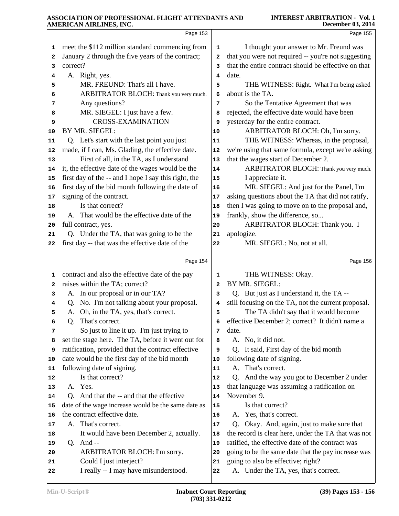|                         | <i><b>INDREAD CALL AND HOSTING</b></i>                           |              |                                                      |
|-------------------------|------------------------------------------------------------------|--------------|------------------------------------------------------|
|                         | Page 153                                                         |              | Page 155                                             |
| 1                       | meet the \$112 million standard commencing from                  | 1            | I thought your answer to Mr. Freund was              |
| $\overline{\mathbf{2}}$ | January 2 through the five years of the contract;                | 2            | that you were not required -- you're not suggesting  |
| 3                       | correct?                                                         | 3            | that the entire contract should be effective on that |
| 4                       | A. Right, yes.                                                   | 4            | date.                                                |
| 5                       | MR. FREUND: That's all I have.                                   | 5            | THE WITNESS: Right. What I'm being asked             |
| 6                       | ARBITRATOR BLOCH: Thank you very much.                           | 6            | about is the TA.                                     |
| 7                       | Any questions?                                                   | 7            | So the Tentative Agreement that was                  |
| 8                       | MR. SIEGEL: I just have a few.                                   | 8            | rejected, the effective date would have been         |
| 9                       | <b>CROSS-EXAMINATION</b>                                         | 9            | yesterday for the entire contract.                   |
| 10                      | BY MR. SIEGEL:                                                   | 10           | ARBITRATOR BLOCH: Oh, I'm sorry.                     |
| 11                      | Q. Let's start with the last point you just                      | 11           | THE WITNESS: Whereas, in the proposal,               |
| 12                      | made, if I can, Ms. Glading, the effective date.                 | 12           | we're using that same formula, except we're asking   |
| 13                      | First of all, in the TA, as I understand                         | 13           | that the wages start of December 2.                  |
| 14                      | it, the effective date of the wages would be the                 | 14           | ARBITRATOR BLOCH: Thank you very much.               |
| 15                      | first day of the -- and I hope I say this right, the             | 15           | I appreciate it.                                     |
| 16                      | first day of the bid month following the date of                 | 16           | MR. SIEGEL: And just for the Panel, I'm              |
| 17                      | signing of the contract.                                         | 17           | asking questions about the TA that did not ratify,   |
| 18                      | Is that correct?                                                 | 18           | then I was going to move on to the proposal and,     |
| 19                      | A. That would be the effective date of the                       | 19           | frankly, show the difference, so                     |
| 20                      | full contract, yes.                                              | 20           | ARBITRATOR BLOCH: Thank you. I                       |
| 21                      | Q. Under the TA, that was going to be the                        | 21           | apologize.                                           |
| 22                      | first day -- that was the effective date of the                  | 22           | MR. SIEGEL: No, not at all.                          |
|                         | Page 154                                                         |              | Page 156                                             |
| 1                       | contract and also the effective date of the pay                  | 1            | THE WITNESS: Okay.                                   |
| $\overline{\mathbf{2}}$ | raises within the TA; correct?                                   | $\mathbf{2}$ | BY MR. SIEGEL:                                       |
| 3                       | A. In our proposal or in our TA?                                 | 3            | Q. But just as I understand it, the TA --            |
| 4                       | Q. No. I'm not talking about your proposal.                      |              | still focusing on the TA, not the current proposal.  |
|                         |                                                                  | 4            |                                                      |
| 5                       | A. Oh, in the TA, yes, that's correct.                           | 5            | The TA didn't say that it would become               |
| 6                       | That's correct.<br>Q.                                            | 6            | effective December 2; correct? It didn't name a      |
| 7                       | So just to line it up. I'm just trying to                        | 7            | date.                                                |
| 8                       | set the stage here. The TA, before it went out for               | 8            | A. No, it did not.                                   |
| 9                       | ratification, provided that the contract effective               | 9            | Q. It said, First day of the bid month               |
| 10                      | date would be the first day of the bid month                     | 10           | following date of signing.                           |
| 11                      | following date of signing.                                       | 11           | A. That's correct.                                   |
| 12                      | Is that correct?                                                 | 12           | Q. And the way you got to December 2 under           |
| 13                      | A. Yes.                                                          | 13           | that language was assuming a ratification on         |
| 14                      | Q. And that the -- and that the effective                        | 14           | November 9.                                          |
| 15                      | date of the wage increase would be the same date as              | 15           | Is that correct?                                     |
| 16                      | the contract effective date.                                     | 16           | A. Yes, that's correct.                              |
| 17                      | A. That's correct.                                               | 17           | Q. Okay. And, again, just to make sure that          |
| 18                      | It would have been December 2, actually.                         | 18           | the record is clear here, under the TA that was not  |
| 19                      | Q. And $-$                                                       | 19           | ratified, the effective date of the contract was     |
| 20                      | ARBITRATOR BLOCH: I'm sorry.                                     | 20           | going to be the same date that the pay increase was  |
| 21                      | Could I just interject?<br>I really -- I may have misunderstood. | 21           | going to also be effective; right?                   |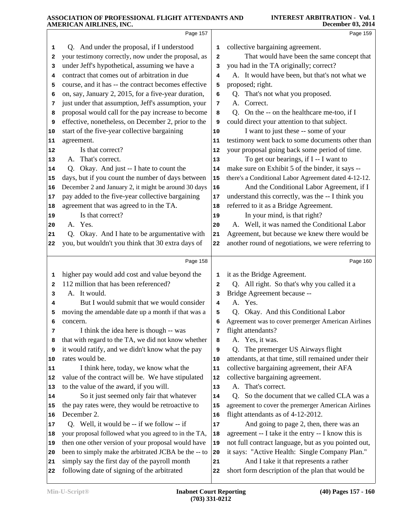|    | Page 157                                             |                         | Page 159                                             |
|----|------------------------------------------------------|-------------------------|------------------------------------------------------|
| 1  | Q. And under the proposal, if I understood           | 1                       | collective bargaining agreement.                     |
| 2  | your testimony correctly, now under the proposal, as | $\mathbf{2}$            | That would have been the same concept that           |
| з  | under Jeff's hypothetical, assuming we have a        | 3                       | you had in the TA originally; correct?               |
| 4  | contract that comes out of arbitration in due        | 4                       | A. It would have been, but that's not what we        |
| 5  | course, and it has -- the contract becomes effective | 5                       | proposed; right.                                     |
| 6  | on, say, January 2, 2015, for a five-year duration,  | 6                       | That's not what you proposed.<br>Q.                  |
| 7  | just under that assumption, Jeff's assumption, your  | 7                       | Correct.<br>A.                                       |
| 8  | proposal would call for the pay increase to become   | 8                       | Q. On the -- on the healthcare me-too, if I          |
| 9  | effective, nonetheless, on December 2, prior to the  | 9                       | could direct your attention to that subject.         |
| 10 | start of the five-year collective bargaining         | 10                      | I want to just these -- some of your                 |
| 11 | agreement.                                           | 11                      | testimony went back to some documents other than     |
| 12 | Is that correct?                                     | 12                      | your proposal going back some period of time.        |
| 13 | A. That's correct.                                   | 13                      | To get our bearings, if I -- I want to               |
| 14 | Q. Okay. And just -- I hate to count the             | 14                      | make sure on Exhibit 5 of the binder, it says --     |
| 15 | days, but if you count the number of days between    | 15                      | there's a Conditional Labor Agreement dated 4-12-12. |
| 16 | December 2 and January 2, it might be around 30 days | 16                      | And the Conditional Labor Agreement, if I            |
| 17 | pay added to the five-year collective bargaining     | 17                      | understand this correctly, was the -- I think you    |
| 18 | agreement that was agreed to in the TA.              | 18                      | referred to it as a Bridge Agreement.                |
| 19 | Is that correct?                                     | 19                      | In your mind, is that right?                         |
| 20 | A. Yes.                                              | 20                      | A. Well, it was named the Conditional Labor          |
| 21 | Q. Okay. And I hate to be argumentative with         | 21                      | Agreement, but because we knew there would be        |
| 22 | you, but wouldn't you think that 30 extra days of    | 22                      | another round of negotiations, we were referring to  |
|    | Page 158                                             |                         | Page 160                                             |
| 1  | higher pay would add cost and value beyond the       | 1                       | it as the Bridge Agreement.                          |
| 2  | 112 million that has been referenced?                | $\mathbf{2}$            | Q. All right. So that's why you called it a          |
| з  | A. It would.                                         | 3                       | Bridge Agreement because --                          |
| 4  | But I would submit that we would consider            | $\overline{\mathbf{4}}$ | A. Yes.                                              |
| 5  | moving the amendable date up a month if that was a   | 5                       | Q. Okay. And this Conditional Labor                  |
| 6  | concern.                                             | 6                       | Agreement was to cover premerger American Airlines   |
| 7  | I think the idea here is though -- was               | 7                       | flight attendants?                                   |
| 8  | that with regard to the TA, we did not know whether  | 8                       | A. Yes, it was.                                      |
| 9  | it would ratify, and we didn't know what the pay     | 9                       | The premerger US Airways flight<br>Q.                |
| 10 | rates would be.                                      | 10                      | attendants, at that time, still remained under their |
| 11 | I think here, today, we know what the                | 11                      | collective bargaining agreement, their AFA           |
| 12 | value of the contract will be. We have stipulated    | 12                      | collective bargaining agreement.                     |
| 13 | to the value of the award, if you will.              | 13                      | That's correct.<br>А.                                |
| 14 | So it just seemed only fair that whatever            | 14                      | So the document that we called CLA was a<br>Q.       |
| 15 | the pay rates were, they would be retroactive to     | 15                      | agreement to cover the premerger American Airlines   |
| 16 | December 2.                                          | 16                      | flight attendants as of 4-12-2012.                   |
| 17 | Q. Well, it would be -- if we follow -- if           | 17                      | And going to page 2, then, there was an              |
| 18 | your proposal followed what you agreed to in the TA, | 18                      | agreement -- I take it the entry -- I know this is   |
| 19 | then one other version of your proposal would have   | 19                      | not full contract language, but as you pointed out,  |
| 20 | been to simply make the arbitrated JCBA be the -- to | 20                      | it says: "Active Health: Single Company Plan."       |
| 21 | simply say the first day of the payroll month        | 21                      | And I take it that represents a rather               |
| 22 | following date of signing of the arbitrated          | 22                      | short form description of the plan that would be     |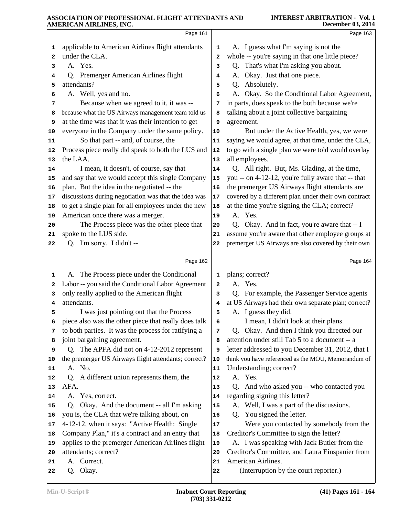|          | Page 161                                                                                      |                  | Page 163                                                                                           |
|----------|-----------------------------------------------------------------------------------------------|------------------|----------------------------------------------------------------------------------------------------|
| 1        | applicable to American Airlines flight attendants                                             | 1                | A. I guess what I'm saying is not the                                                              |
| 2        | under the CLA.                                                                                | 2                | whole -- you're saying in that one little piece?                                                   |
| 3        | A. Yes.                                                                                       | 3                | Q. That's what I'm asking you about.                                                               |
| 4        | Q. Premerger American Airlines flight                                                         | 4                | A. Okay. Just that one piece.                                                                      |
| 5        | attendants?                                                                                   | 5                | Q. Absolutely.                                                                                     |
| 6        | A. Well, yes and no.                                                                          | 6                | A. Okay. So the Conditional Labor Agreement,                                                       |
| 7        | Because when we agreed to it, it was --                                                       | 7                | in parts, does speak to the both because we're                                                     |
| 8        | because what the US Airways management team told us                                           | 8                | talking about a joint collective bargaining                                                        |
| 9        | at the time was that it was their intention to get                                            | 9                | agreement.                                                                                         |
| 10       | everyone in the Company under the same policy.                                                | 10               | But under the Active Health, yes, we were                                                          |
| 11       | So that part -- and, of course, the                                                           | 11               | saying we would agree, at that time, under the CLA,                                                |
| 12       | Process piece really did speak to both the LUS and                                            | 12               | to go with a single plan we were told would overlay                                                |
| 13       | the LAA.                                                                                      | 13               | all employees.                                                                                     |
| 14       | I mean, it doesn't, of course, say that<br>and say that we would accept this single Company   | 14               | Q. All right. But, Ms. Glading, at the time,<br>you -- on 4-12-12, you're fully aware that -- that |
| 15<br>16 | plan. But the idea in the negotiated -- the                                                   | 15<br>${\bf 16}$ | the premerger US Airways flight attendants are                                                     |
| 17       | discussions during negotiation was that the idea was                                          | 17               | covered by a different plan under their own contract                                               |
| 18       | to get a single plan for all employees under the new                                          | 18               | at the time you're signing the CLA; correct?                                                       |
| 19       | American once there was a merger.                                                             | 19               | A. Yes.                                                                                            |
| 20       | The Process piece was the other piece that                                                    | 20               | Q. Okay. And in fact, you're aware that -- I                                                       |
| 21       | spoke to the LUS side.                                                                        | 21               | assume you're aware that other employee groups at                                                  |
| 22       | Q. I'm sorry. I didn't --                                                                     | 22               | premerger US Airways are also covered by their own                                                 |
|          |                                                                                               |                  |                                                                                                    |
|          | Page 162                                                                                      |                  | Page 164                                                                                           |
| 1        | A. The Process piece under the Conditional                                                    | 1                | plans; correct?                                                                                    |
| 2        | Labor -- you said the Conditional Labor Agreement                                             | $\mathbf{2}$     | A. Yes.                                                                                            |
| 3        | only really applied to the American flight                                                    | 3                | Q. For example, the Passenger Service agents                                                       |
| 4        | attendants.                                                                                   | 4                | at US Airways had their own separate plan; correct?                                                |
| 5        | I was just pointing out that the Process                                                      | 5                | A. I guess they did.                                                                               |
| 6        | piece also was the other piece that really does talk                                          |                  |                                                                                                    |
|          |                                                                                               | 6                | I mean, I didn't look at their plans.                                                              |
| 7        | to both parties. It was the process for ratifying a                                           | 7                | Q. Okay. And then I think you directed our                                                         |
| 8        | joint bargaining agreement.                                                                   | 8                | attention under still Tab 5 to a document -- a                                                     |
| 9        | Q. The APFA did not on 4-12-2012 represent                                                    | 9                | letter addressed to you December 31, 2012, that I                                                  |
| 10       | the premerger US Airways flight attendants; correct?                                          | 10               | think you have referenced as the MOU, Memorandum of                                                |
| 11       | A. No.                                                                                        | 11               | Understanding; correct?                                                                            |
| 12       | Q. A different union represents them, the                                                     | 12               | A. Yes.                                                                                            |
| 13<br>14 | AFA.                                                                                          | 13<br>14         | Q. And who asked you -- who contacted you                                                          |
| 15       | A. Yes, correct.                                                                              | 15               | regarding signing this letter?                                                                     |
| 16       | Q. Okay. And the document -- all I'm asking                                                   | 16               | A. Well, I was a part of the discussions.<br>Q. You signed the letter.                             |
| 17       | you is, the CLA that we're talking about, on<br>4-12-12, when it says: "Active Health: Single | ${\bf 17}$       | Were you contacted by somebody from the                                                            |
| 18       | Company Plan," it's a contract and an entry that                                              | 18               | Creditor's Committee to sign the letter?                                                           |
| 19       | applies to the premerger American Airlines flight                                             | 19               | A. I was speaking with Jack Butler from the                                                        |
| 20       | attendants; correct?                                                                          | 20               | Creditor's Committee, and Laura Einspanier from                                                    |
| 21       | A. Correct.                                                                                   | 21               | American Airlines.                                                                                 |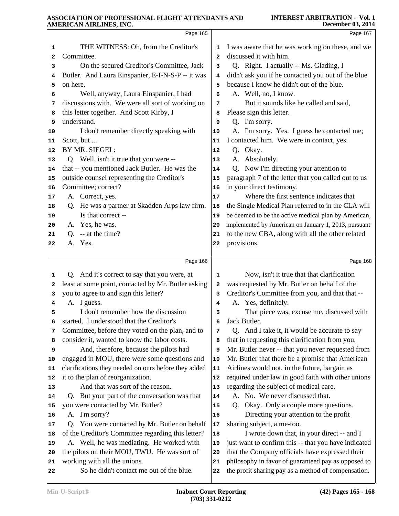|    | Page 165                                                                 |              | Page 167                                                                                                   |
|----|--------------------------------------------------------------------------|--------------|------------------------------------------------------------------------------------------------------------|
| 1  | THE WITNESS: Oh, from the Creditor's                                     | 1            | I was aware that he was working on these, and we                                                           |
| 2  | Committee.                                                               | $\mathbf{z}$ | discussed it with him.                                                                                     |
| 3  | On the secured Creditor's Committee, Jack                                | 3            | Q. Right. I actually -- Ms. Glading, I                                                                     |
| 4  | Butler. And Laura Einspanier, E-I-N-S-P -- it was                        | 4            | didn't ask you if he contacted you out of the blue                                                         |
| 5  | on here.                                                                 | 5            | because I know he didn't out of the blue.                                                                  |
| 6  | Well, anyway, Laura Einspanier, I had                                    | 6            | A. Well, no, I know.                                                                                       |
| 7  | discussions with. We were all sort of working on                         | 7            | But it sounds like he called and said,                                                                     |
| 8  | this letter together. And Scott Kirby, I                                 | 8            | Please sign this letter.                                                                                   |
| 9  | understand.                                                              | 9            | Q. I'm sorry.                                                                                              |
| 10 | I don't remember directly speaking with                                  | 10           | A. I'm sorry. Yes. I guess he contacted me;                                                                |
| 11 | Scott, but                                                               | 11           | I contacted him. We were in contact, yes.                                                                  |
| 12 | BY MR. SIEGEL:                                                           | 12           | Q. Okay.                                                                                                   |
| 13 | Q. Well, isn't it true that you were --                                  | 13           | A. Absolutely.                                                                                             |
| 14 | that -- you mentioned Jack Butler. He was the                            | 14           | Q. Now I'm directing your attention to                                                                     |
| 15 | outside counsel representing the Creditor's                              | 15           | paragraph 7 of the letter that you called out to us                                                        |
| 16 | Committee; correct?                                                      | 16           | in your direct testimony.                                                                                  |
| 17 | A. Correct, yes.                                                         | 17           | Where the first sentence indicates that                                                                    |
| 18 | Q. He was a partner at Skadden Arps law firm.                            | 18           | the Single Medical Plan referred to in the CLA will                                                        |
| 19 | Is that correct --                                                       | 19           | be deemed to be the active medical plan by American,                                                       |
| 20 | A. Yes, he was.                                                          | 20           | implemented by American on January 1, 2013, pursuant                                                       |
| 21 | $Q. -at$ the time?                                                       | 21           | to the new CBA, along with all the other related                                                           |
| 22 | A. Yes.                                                                  | 22           | provisions.                                                                                                |
|    | Page 166                                                                 |              | Page 168                                                                                                   |
| 1  | Q. And it's correct to say that you were, at                             | 1            | Now, isn't it true that that clarification                                                                 |
| 2  | least at some point, contacted by Mr. Butler asking                      | 2            | was requested by Mr. Butler on behalf of the                                                               |
| 3  | you to agree to and sign this letter?                                    | 3            | Creditor's Committee from you, and that that --                                                            |
| 4  | A. I guess.                                                              | 4            | A. Yes, definitely.                                                                                        |
| 5  | I don't remember how the discussion                                      | 5            | That piece was, excuse me, discussed with                                                                  |
| 6  | started. I understood that the Creditor's                                | 6            | Jack Butler.                                                                                               |
| 7  | Committee, before they voted on the plan, and to                         | 7            | Q. And I take it, it would be accurate to say                                                              |
| 8  | consider it, wanted to know the labor costs.                             | 8            | that in requesting this clarification from you,                                                            |
| 9  | And, therefore, because the pilots had                                   | 9            | Mr. Butler never -- that you never requested from                                                          |
| 10 | engaged in MOU, there were some questions and                            | 10           | Mr. Butler that there be a promise that American                                                           |
| 11 | clarifications they needed on ours before they added                     | ${\bf 11}$   | Airlines would not, in the future, bargain as                                                              |
| 12 | it to the plan of reorganization.                                        | 12           | required under law in good faith with other unions                                                         |
| 13 | And that was sort of the reason.                                         | 13           | regarding the subject of medical care.                                                                     |
| 14 | Q. But your part of the conversation was that                            | 14           | A. No. We never discussed that.                                                                            |
| 15 | you were contacted by Mr. Butler?                                        | 15           | Okay. Only a couple more questions.<br>Q.                                                                  |
| 16 | A. I'm sorry?                                                            | 16           | Directing your attention to the profit                                                                     |
| 17 | You were contacted by Mr. Butler on behalf<br>Q.                         | 17           | sharing subject, a me-too.                                                                                 |
| 18 | of the Creditor's Committee regarding this letter?                       | 18           | I wrote down that, in your direct -- and I                                                                 |
| 19 | A. Well, he was mediating. He worked with                                | 19           | just want to confirm this -- that you have indicated                                                       |
| 20 | the pilots on their MOU, TWU. He was sort of                             | 20           | that the Company officials have expressed their                                                            |
|    |                                                                          |              |                                                                                                            |
| 21 |                                                                          | 21           |                                                                                                            |
| 22 | working with all the unions.<br>So he didn't contact me out of the blue. | 22           | philosophy in favor of guaranteed pay as opposed to<br>the profit sharing pay as a method of compensation. |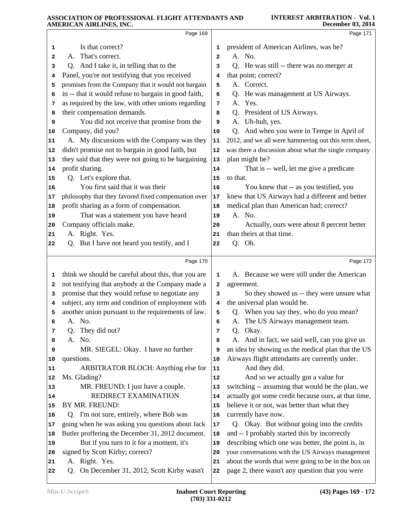|          | Page 169                                                         |              | Page 171                                                                                               |  |
|----------|------------------------------------------------------------------|--------------|--------------------------------------------------------------------------------------------------------|--|
| 1        | Is that correct?                                                 | 1            | president of American Airlines, was he?                                                                |  |
| 2        | A. That's correct.                                               | $\mathbf{z}$ | A. No.                                                                                                 |  |
| 3        | Q. And I take it, in telling that to the                         | 3            | Q. He was still -- there was no merger at                                                              |  |
| 4        | Panel, you're not testifying that you received                   | 4            | that point; correct?                                                                                   |  |
| 5        | promises from the Company that it would not bargain              | 5            | A. Correct.                                                                                            |  |
| 6        | in -- that it would refuse to bargain in good faith,             | 6            | Q. He was management at US Airways.                                                                    |  |
| 7        | as required by the law, with other unions regarding              | 7            | A. Yes.                                                                                                |  |
| 8        | their compensation demands.                                      | 8            | Q. President of US Airways.                                                                            |  |
| 9        | You did not receive that promise from the                        | 9            | Uh-huh, yes.<br>А.                                                                                     |  |
| 10       | Company, did you?                                                | 10           | Q. And when you were in Tempe in April of                                                              |  |
| 11       | A. My discussions with the Company was they                      | 11           | 2012, and we all were hammering out this term sheet,                                                   |  |
| 12       | didn't promise not to bargain in good faith, but                 | 12           | was there a discussion about what the single company                                                   |  |
| 13       | they said that they were not going to be bargaining              | 13           | plan might be?                                                                                         |  |
| 14       | profit sharing.                                                  | 14           | That is -- well, let me give a predicate                                                               |  |
| 15       | Q. Let's explore that.                                           | 15           | to that.                                                                                               |  |
| 16       | You first said that it was their                                 | 16           | You knew that -- as you testified, you                                                                 |  |
| 17       | philosophy that they favored fixed compensation over             | 17           | knew that US Airways had a different and better                                                        |  |
| 18       | profit sharing as a form of compensation.                        | 18           | medical plan than American had; correct?                                                               |  |
| 19       | That was a statement you have heard                              | 19           | A. No.                                                                                                 |  |
| 20       | Company officials make.                                          | 20           | Actually, ours were about 8 percent better                                                             |  |
| 21       | A. Right. Yes.                                                   | 21           | than theirs at that time.                                                                              |  |
| 22       | Q. But I have not heard you testify, and I                       | 22           | Q. Oh.                                                                                                 |  |
|          |                                                                  |              |                                                                                                        |  |
|          | Page 170                                                         |              | Page 172                                                                                               |  |
| 1        | think we should be careful about this, that you are              | 1            | A. Because we were still under the American                                                            |  |
| 2        | not testifying that anybody at the Company made a                | 2            | agreement.                                                                                             |  |
| з        | promise that they would refuse to negotiate any                  | 3            | So they showed us -- they were unsure what                                                             |  |
| 4        | subject, any term and condition of employment with               | 4            | the universal plan would be.                                                                           |  |
| 5        | another union pursuant to the requirements of law.               | 5            |                                                                                                        |  |
| 6        |                                                                  |              | Q. When you say they, who do you mean?                                                                 |  |
|          | A. No.                                                           | 6            | A. The US Airways management team.                                                                     |  |
| 7        | They did not?<br>Q.                                              | 7            | Okay.<br>Q.                                                                                            |  |
| 8        | A. No.                                                           | 8            | A. And in fact, we said well, can you give us                                                          |  |
| 9        | MR. SIEGEL: Okay. I have no further                              | 9            | an idea by showing us the medical plan that the US                                                     |  |
| 10       | questions.                                                       | 10           | Airways flight attendants are currently under.                                                         |  |
| 11       | ARBITRATOR BLOCH: Anything else for                              | 11           | And they did.                                                                                          |  |
|          | Ms. Glading?                                                     | 12           | And so we actually got a value for                                                                     |  |
| 12<br>13 | MR. FREUND: I just have a couple.                                | 13           | switching -- assuming that would be the plan, we                                                       |  |
| 14       | REDIRECT EXAMINATION                                             | 14           | actually got some credit because ours, at that time,                                                   |  |
| 15       | BY MR. FREUND:                                                   | 15           | believe it or not, was better than what they                                                           |  |
| 16       | Q. I'm not sure, entirely, where Bob was                         | 16           | currently have now.                                                                                    |  |
|          | going when he was asking you questions about Jack                | 17           | Q. Okay. But without going into the credits                                                            |  |
| 17<br>18 | Butler proffering the December 31, 2012 document.                | 18           | and -- I probably started this by incorrectly                                                          |  |
|          | But if you turn to it for a moment, it's                         | 19           | describing which one was better, the point is, in                                                      |  |
| 19<br>20 | signed by Scott Kirby; correct?                                  | 20           | your conversations with the US Airways management                                                      |  |
| 21<br>22 | A. Right. Yes.<br>On December 31, 2012, Scott Kirby wasn't<br>Q. | 21<br>22     | about the words that were going to be in the box on<br>page 2, there wasn't any question that you were |  |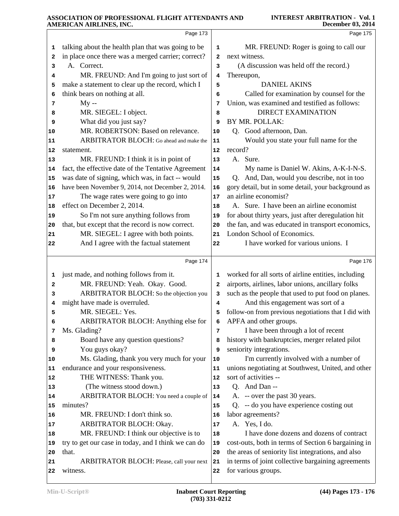|          | Page 173                                                                                       |                         | Page 175                                                                                                 |
|----------|------------------------------------------------------------------------------------------------|-------------------------|----------------------------------------------------------------------------------------------------------|
| 1        | talking about the health plan that was going to be                                             | 1                       | MR. FREUND: Roger is going to call our                                                                   |
| 2        | in place once there was a merged carrier; correct?                                             | $\overline{\mathbf{2}}$ | next witness.                                                                                            |
| 3        | A. Correct.                                                                                    | 3                       | (A discussion was held off the record.)                                                                  |
| 4        | MR. FREUND: And I'm going to just sort of                                                      | 4                       | Thereupon,                                                                                               |
| 5        | make a statement to clear up the record, which I                                               | 5                       | <b>DANIEL AKINS</b>                                                                                      |
| 6        | think bears on nothing at all.                                                                 | 6                       | Called for examination by counsel for the                                                                |
| 7        | $My -$                                                                                         | 7                       | Union, was examined and testified as follows:                                                            |
| 8        | MR. SIEGEL: I object.                                                                          | 8                       | <b>DIRECT EXAMINATION</b>                                                                                |
| 9        | What did you just say?                                                                         | 9                       | BY MR. POLLAK:                                                                                           |
| 10       | MR. ROBERTSON: Based on relevance.                                                             | 10                      | Q. Good afternoon, Dan.                                                                                  |
| 11       | ARBITRATOR BLOCH: Go ahead and make the                                                        | 11                      | Would you state your full name for the                                                                   |
| 12       | statement.                                                                                     | 12                      | record?                                                                                                  |
| 13       | MR. FREUND: I think it is in point of                                                          | 13                      | A. Sure.                                                                                                 |
| 14       | fact, the effective date of the Tentative Agreement                                            | 14                      | My name is Daniel W. Akins, A-K-I-N-S.                                                                   |
| 15       | was date of signing, which was, in fact -- would                                               | 15                      | Q. And, Dan, would you describe, not in too                                                              |
| 16       | have been November 9, 2014, not December 2, 2014.                                              | 16                      | gory detail, but in some detail, your background as                                                      |
| 17       | The wage rates were going to go into                                                           | 17                      | an airline economist?                                                                                    |
| 18       | effect on December 2, 2014.                                                                    | 18                      | A. Sure. I have been an airline economist                                                                |
| 19       | So I'm not sure anything follows from<br>that, but except that the record is now correct.      | 19<br>20                | for about thirty years, just after deregulation hit<br>the fan, and was educated in transport economics, |
| 20<br>21 | MR. SIEGEL: I agree with both points.                                                          | 21                      | London School of Economics.                                                                              |
| 22       | And I agree with the factual statement                                                         | 22                      | I have worked for various unions. I                                                                      |
|          |                                                                                                |                         |                                                                                                          |
|          | Page 174                                                                                       |                         | Page 176                                                                                                 |
| 1        | just made, and nothing follows from it.                                                        | 1                       | worked for all sorts of airline entities, including                                                      |
| 2        | MR. FREUND: Yeah. Okay. Good.                                                                  | 2                       | airports, airlines, labor unions, ancillary folks                                                        |
| з        | ARBITRATOR BLOCH: So the objection you                                                         | 3                       | such as the people that used to put food on planes.                                                      |
| 4        | might have made is overruled.                                                                  | 4                       | And this engagement was sort of a                                                                        |
| 5        | MR. SIEGEL: Yes.                                                                               | 5                       | follow-on from previous negotiations that I did with                                                     |
| 6        | ARBITRATOR BLOCH: Anything else for                                                            | 6                       | APFA and other groups.                                                                                   |
| 7        | Ms. Glading?                                                                                   | 7                       | I have been through a lot of recent                                                                      |
| 8        | Board have any question questions?                                                             | 8                       | history with bankruptcies, merger related pilot                                                          |
|          |                                                                                                |                         |                                                                                                          |
| 9        | You guys okay?                                                                                 | 9                       | seniority integrations.                                                                                  |
| 10       | Ms. Glading, thank you very much for your                                                      | 10                      | I'm currently involved with a number of                                                                  |
| 11       | endurance and your responsiveness.                                                             | 11                      | unions negotiating at Southwest, United, and other                                                       |
| 12       | THE WITNESS: Thank you.                                                                        | 12                      | sort of activities --                                                                                    |
| 13       | (The witness stood down.)                                                                      | 13                      | Q. And Dan --                                                                                            |
| 14       | ARBITRATOR BLOCH: You need a couple of                                                         | 14                      | A. -- over the past 30 years.                                                                            |
| 15       | minutes?                                                                                       | 15                      | Q. -- do you have experience costing out                                                                 |
| 16<br>17 | MR. FREUND: I don't think so.                                                                  | 16<br>17                | labor agreements?                                                                                        |
| 18       | ARBITRATOR BLOCH: Okay.                                                                        | 18                      | A. Yes, I do.<br>I have done dozens and dozens of contract                                               |
| 19       | MR. FREUND: I think our objective is to<br>try to get our case in today, and I think we can do | 19                      | cost-outs, both in terms of Section 6 bargaining in                                                      |
| 20       | that.                                                                                          | 20                      | the areas of seniority list integrations, and also                                                       |
| 21       | ARBITRATOR BLOCH: Please, call your next                                                       | 21                      | in terms of joint collective bargaining agreements                                                       |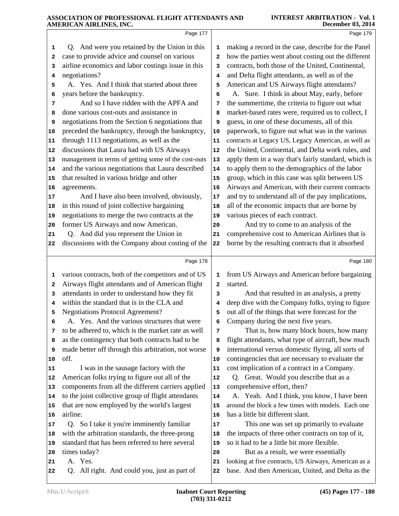|              | AMENICAN AINLINES, INC.                              |                         | December 05, 2014                                    |
|--------------|------------------------------------------------------|-------------------------|------------------------------------------------------|
|              | Page 177                                             |                         | Page 179                                             |
| 1            | Q. And were you retained by the Union in this        | 1                       | making a record in the case, describe for the Panel  |
| $\mathbf{2}$ | case to provide advice and counsel on various        | $\overline{\mathbf{2}}$ | how the parties went about costing out the different |
| 3            | airline economics and labor costings issue in this   | 3                       | contracts, both those of the United, Continental,    |
| 4            | negotiations?                                        | 4                       | and Delta flight attendants, as well as of the       |
| 5            | A. Yes. And I think that started about three         | 5                       | American and US Airways flight attendants?           |
| 6            | years before the bankruptcy.                         | 6                       | A. Sure. I think in about May, early, before         |
| 7            | And so I have ridden with the APFA and               | 7                       | the summertime, the criteria to figure out what      |
| 8            | done various cost-outs and assistance in             | 8                       | market-based rates were, required us to collect, I   |
| 9            | negotiations from the Section 6 negotiations that    | 9                       | guess, in one of these documents, all of this        |
| 10           | preceded the bankruptcy, through the bankruptcy,     | 10                      | paperwork, to figure out what was in the various     |
| 11           | through 1113 negotiations, as well as the            | 11                      | contracts at Legacy US, Legacy American, as well as  |
| 12           | discussions that Laura had with US Airways           | 12                      | the United, Continental, and Delta work rules, and   |
| 13           | management in terms of getting some of the cost-outs | 13                      | apply them in a way that's fairly standard, which is |
| 14           | and the various negotiations that Laura described    | 14                      | to apply them to the demographics of the labor       |
| 15           | that resulted in various bridge and other            | 15                      | group, which in this case was split between US       |
| 16           | agreements.                                          | 16                      | Airways and American, with their current contracts   |
| 17           | And I have also been involved, obviously,            | 17                      | and try to understand all of the pay implications,   |
| 18           | in this round of joint collective bargaining         | 18                      | all of the economic impacts that are borne by        |
| 19           | negotiations to merge the two contracts at the       | 19                      | various pieces of each contract.                     |
| 20           | former US Airways and now American.                  | 20                      | And try to come to an analysis of the                |
| 21           | Q. And did you represent the Union in                | 21                      | comprehensive cost to American Airlines that is      |
| 22           | discussions with the Company about costing of the    | 22                      | borne by the resulting contracts that it absorbed    |
|              |                                                      |                         |                                                      |
|              | Page 178                                             |                         | Page 180                                             |
| 1            | various contracts, both of the competitors and of US | 1                       | from US Airways and American before bargaining       |
| $\mathbf{2}$ | Airways flight attendants and of American flight     | $\overline{\mathbf{2}}$ | started.                                             |
| 3            | attendants in order to understand how they fit       | 3                       | And that resulted in an analysis, a pretty           |
| 4            | within the standard that is in the CLA and           | 4                       | deep dive with the Company folks, trying to figure   |
| 5            | <b>Negotiations Protocol Agreement?</b>              | 5                       | out all of the things that were forecast for the     |
| 6            | A. Yes. And the various structures that were         | 6                       | Company during the next five years.                  |
| 7            | to be adhered to, which is the market rate as well   | 7                       | That is, how many block hours, how many              |
| 8            | as the contingency that both contracts had to be     | 8                       | flight attendants, what type of aircraft, how much   |
| 9            | made better off through this arbitration, not worse  | 9                       | international versus domestic flying, all sorts of   |
| 10           | off.                                                 | 10                      | contingencies that are necessary to evaluate the     |
| 11           | I was in the sausage factory with the                | 11                      | cost implication of a contract in a Company.         |
| 12           | American folks trying to figure out all of the       | 12                      | Q. Great. Would you describe that as a               |
| 13           | components from all the different carriers applied   | 13                      | comprehensive effort, then?                          |
| 14           | to the joint collective group of flight attendants   | 14                      | A. Yeah. And I think, you know, I have been          |
| 15           | that are now employed by the world's largest         | 15                      | around the block a few times with models. Each one   |
| 16           | airline.                                             | 16                      | has a little bit different slant.                    |
| 17           | Q. So I take it you're imminently familiar           | 17                      | This one was set up primarily to evaluate            |
| 18           | with the arbitration standards, the three-prong      | 18                      | the impacts of three other contracts on top of it,   |
| 19           | standard that has been referred to here several      | 19                      | so it had to be a little bit more flexible.          |
| 20           | times today?                                         | 20                      | But as a result, we were essentially                 |
| 21           | A. Yes.                                              | 21                      | looking at five contracts, US Airways, American as a |
|              | Q. All right. And could you, just as part of         | 22                      | base. And then American, United, and Delta as the    |
| 22           |                                                      |                         |                                                      |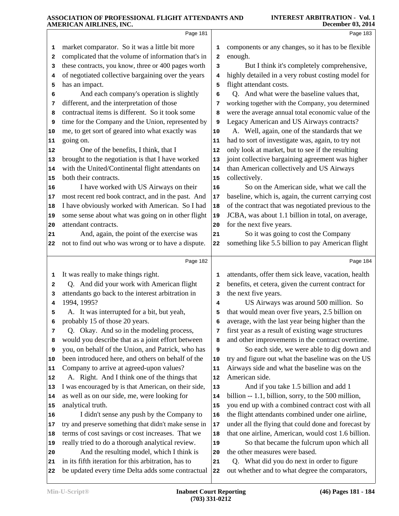|                                        |                                                                                                                                                                                                                                                                                                                                                                                                                                                                                                                                                                                                                                                          |                                        | Page 183                                                                                                                                                                                                                                                                                                                                                                                                                                                                                                                                                                                                                                           |  |
|----------------------------------------|----------------------------------------------------------------------------------------------------------------------------------------------------------------------------------------------------------------------------------------------------------------------------------------------------------------------------------------------------------------------------------------------------------------------------------------------------------------------------------------------------------------------------------------------------------------------------------------------------------------------------------------------------------|----------------------------------------|----------------------------------------------------------------------------------------------------------------------------------------------------------------------------------------------------------------------------------------------------------------------------------------------------------------------------------------------------------------------------------------------------------------------------------------------------------------------------------------------------------------------------------------------------------------------------------------------------------------------------------------------------|--|
| 1                                      | market comparator. So it was a little bit more                                                                                                                                                                                                                                                                                                                                                                                                                                                                                                                                                                                                           | 1                                      | components or any changes, so it has to be flexible                                                                                                                                                                                                                                                                                                                                                                                                                                                                                                                                                                                                |  |
| 2                                      | complicated that the volume of information that's in                                                                                                                                                                                                                                                                                                                                                                                                                                                                                                                                                                                                     | $\mathbf{2}$                           | enough.                                                                                                                                                                                                                                                                                                                                                                                                                                                                                                                                                                                                                                            |  |
| 3                                      | these contracts, you know, three or 400 pages worth                                                                                                                                                                                                                                                                                                                                                                                                                                                                                                                                                                                                      | 3                                      | But I think it's completely comprehensive,                                                                                                                                                                                                                                                                                                                                                                                                                                                                                                                                                                                                         |  |
| 4                                      | of negotiated collective bargaining over the years                                                                                                                                                                                                                                                                                                                                                                                                                                                                                                                                                                                                       | 4                                      | highly detailed in a very robust costing model for                                                                                                                                                                                                                                                                                                                                                                                                                                                                                                                                                                                                 |  |
| 5                                      | has an impact.                                                                                                                                                                                                                                                                                                                                                                                                                                                                                                                                                                                                                                           | 5                                      | flight attendant costs.                                                                                                                                                                                                                                                                                                                                                                                                                                                                                                                                                                                                                            |  |
| 6                                      | And each company's operation is slightly                                                                                                                                                                                                                                                                                                                                                                                                                                                                                                                                                                                                                 | 6                                      | Q. And what were the baseline values that,                                                                                                                                                                                                                                                                                                                                                                                                                                                                                                                                                                                                         |  |
| 7                                      | different, and the interpretation of those                                                                                                                                                                                                                                                                                                                                                                                                                                                                                                                                                                                                               | 7                                      | working together with the Company, you determined                                                                                                                                                                                                                                                                                                                                                                                                                                                                                                                                                                                                  |  |
| 8                                      | contractual items is different. So it took some                                                                                                                                                                                                                                                                                                                                                                                                                                                                                                                                                                                                          | 8                                      | were the average annual total economic value of the                                                                                                                                                                                                                                                                                                                                                                                                                                                                                                                                                                                                |  |
| 9                                      | time for the Company and the Union, represented by                                                                                                                                                                                                                                                                                                                                                                                                                                                                                                                                                                                                       | 9                                      | Legacy American and US Airways contracts?                                                                                                                                                                                                                                                                                                                                                                                                                                                                                                                                                                                                          |  |
| 10                                     | me, to get sort of geared into what exactly was                                                                                                                                                                                                                                                                                                                                                                                                                                                                                                                                                                                                          | 10                                     | A. Well, again, one of the standards that we                                                                                                                                                                                                                                                                                                                                                                                                                                                                                                                                                                                                       |  |
| 11                                     | going on.                                                                                                                                                                                                                                                                                                                                                                                                                                                                                                                                                                                                                                                | 11                                     | had to sort of investigate was, again, to try not                                                                                                                                                                                                                                                                                                                                                                                                                                                                                                                                                                                                  |  |
| 12                                     | One of the benefits, I think, that I                                                                                                                                                                                                                                                                                                                                                                                                                                                                                                                                                                                                                     | 12                                     | only look at market, but to see if the resulting                                                                                                                                                                                                                                                                                                                                                                                                                                                                                                                                                                                                   |  |
| 13                                     | brought to the negotiation is that I have worked                                                                                                                                                                                                                                                                                                                                                                                                                                                                                                                                                                                                         | 13                                     | joint collective bargaining agreement was higher                                                                                                                                                                                                                                                                                                                                                                                                                                                                                                                                                                                                   |  |
| 14                                     | with the United/Continental flight attendants on                                                                                                                                                                                                                                                                                                                                                                                                                                                                                                                                                                                                         | 14                                     | than American collectively and US Airways                                                                                                                                                                                                                                                                                                                                                                                                                                                                                                                                                                                                          |  |
| 15                                     | both their contracts.                                                                                                                                                                                                                                                                                                                                                                                                                                                                                                                                                                                                                                    | 15                                     | collectively.                                                                                                                                                                                                                                                                                                                                                                                                                                                                                                                                                                                                                                      |  |
| 16                                     | I have worked with US Airways on their                                                                                                                                                                                                                                                                                                                                                                                                                                                                                                                                                                                                                   | 16                                     | So on the American side, what we call the                                                                                                                                                                                                                                                                                                                                                                                                                                                                                                                                                                                                          |  |
| 17                                     | most recent red book contract, and in the past. And                                                                                                                                                                                                                                                                                                                                                                                                                                                                                                                                                                                                      | $17$                                   | baseline, which is, again, the current carrying cost                                                                                                                                                                                                                                                                                                                                                                                                                                                                                                                                                                                               |  |
| 18                                     | I have obviously worked with American. So I had                                                                                                                                                                                                                                                                                                                                                                                                                                                                                                                                                                                                          | 18                                     | of the contract that was negotiated previous to the                                                                                                                                                                                                                                                                                                                                                                                                                                                                                                                                                                                                |  |
| 19                                     | some sense about what was going on in other flight                                                                                                                                                                                                                                                                                                                                                                                                                                                                                                                                                                                                       | 19                                     | JCBA, was about 1.1 billion in total, on average,                                                                                                                                                                                                                                                                                                                                                                                                                                                                                                                                                                                                  |  |
| 20                                     | attendant contracts.                                                                                                                                                                                                                                                                                                                                                                                                                                                                                                                                                                                                                                     | 20                                     | for the next five years.                                                                                                                                                                                                                                                                                                                                                                                                                                                                                                                                                                                                                           |  |
| 21                                     | And, again, the point of the exercise was                                                                                                                                                                                                                                                                                                                                                                                                                                                                                                                                                                                                                | 21                                     | So it was going to cost the Company                                                                                                                                                                                                                                                                                                                                                                                                                                                                                                                                                                                                                |  |
| 22                                     |                                                                                                                                                                                                                                                                                                                                                                                                                                                                                                                                                                                                                                                          | 22                                     |                                                                                                                                                                                                                                                                                                                                                                                                                                                                                                                                                                                                                                                    |  |
|                                        | Page 182                                                                                                                                                                                                                                                                                                                                                                                                                                                                                                                                                                                                                                                 |                                        | Page 184                                                                                                                                                                                                                                                                                                                                                                                                                                                                                                                                                                                                                                           |  |
| 1                                      | It was really to make things right.                                                                                                                                                                                                                                                                                                                                                                                                                                                                                                                                                                                                                      | 1                                      | attendants, offer them sick leave, vacation, health                                                                                                                                                                                                                                                                                                                                                                                                                                                                                                                                                                                                |  |
| 2                                      | Q. And did your work with American flight                                                                                                                                                                                                                                                                                                                                                                                                                                                                                                                                                                                                                | 2                                      | benefits, et cetera, given the current contract for                                                                                                                                                                                                                                                                                                                                                                                                                                                                                                                                                                                                |  |
| 3                                      | attendants go back to the interest arbitration in                                                                                                                                                                                                                                                                                                                                                                                                                                                                                                                                                                                                        | 3                                      | the next five years.                                                                                                                                                                                                                                                                                                                                                                                                                                                                                                                                                                                                                               |  |
| 4                                      | 1994, 1995?                                                                                                                                                                                                                                                                                                                                                                                                                                                                                                                                                                                                                                              | 4                                      | US Airways was around 500 million. So                                                                                                                                                                                                                                                                                                                                                                                                                                                                                                                                                                                                              |  |
| 5                                      | A. It was interrupted for a bit, but yeah,                                                                                                                                                                                                                                                                                                                                                                                                                                                                                                                                                                                                               | 5                                      | that would mean over five years, 2.5 billion on                                                                                                                                                                                                                                                                                                                                                                                                                                                                                                                                                                                                    |  |
| 6                                      | probably 15 of those 20 years.                                                                                                                                                                                                                                                                                                                                                                                                                                                                                                                                                                                                                           | 6                                      | average, with the last year being higher than the                                                                                                                                                                                                                                                                                                                                                                                                                                                                                                                                                                                                  |  |
| 7                                      | Q. Okay. And so in the modeling process,                                                                                                                                                                                                                                                                                                                                                                                                                                                                                                                                                                                                                 | 7                                      | first year as a result of existing wage structures                                                                                                                                                                                                                                                                                                                                                                                                                                                                                                                                                                                                 |  |
| 8                                      |                                                                                                                                                                                                                                                                                                                                                                                                                                                                                                                                                                                                                                                          | 8                                      |                                                                                                                                                                                                                                                                                                                                                                                                                                                                                                                                                                                                                                                    |  |
| 9                                      |                                                                                                                                                                                                                                                                                                                                                                                                                                                                                                                                                                                                                                                          | 9                                      |                                                                                                                                                                                                                                                                                                                                                                                                                                                                                                                                                                                                                                                    |  |
| 10                                     |                                                                                                                                                                                                                                                                                                                                                                                                                                                                                                                                                                                                                                                          | 10                                     |                                                                                                                                                                                                                                                                                                                                                                                                                                                                                                                                                                                                                                                    |  |
| 11                                     |                                                                                                                                                                                                                                                                                                                                                                                                                                                                                                                                                                                                                                                          | 11                                     |                                                                                                                                                                                                                                                                                                                                                                                                                                                                                                                                                                                                                                                    |  |
|                                        |                                                                                                                                                                                                                                                                                                                                                                                                                                                                                                                                                                                                                                                          |                                        |                                                                                                                                                                                                                                                                                                                                                                                                                                                                                                                                                                                                                                                    |  |
| 13                                     |                                                                                                                                                                                                                                                                                                                                                                                                                                                                                                                                                                                                                                                          | 13                                     |                                                                                                                                                                                                                                                                                                                                                                                                                                                                                                                                                                                                                                                    |  |
|                                        |                                                                                                                                                                                                                                                                                                                                                                                                                                                                                                                                                                                                                                                          |                                        |                                                                                                                                                                                                                                                                                                                                                                                                                                                                                                                                                                                                                                                    |  |
|                                        |                                                                                                                                                                                                                                                                                                                                                                                                                                                                                                                                                                                                                                                          |                                        |                                                                                                                                                                                                                                                                                                                                                                                                                                                                                                                                                                                                                                                    |  |
|                                        |                                                                                                                                                                                                                                                                                                                                                                                                                                                                                                                                                                                                                                                          |                                        |                                                                                                                                                                                                                                                                                                                                                                                                                                                                                                                                                                                                                                                    |  |
|                                        |                                                                                                                                                                                                                                                                                                                                                                                                                                                                                                                                                                                                                                                          |                                        |                                                                                                                                                                                                                                                                                                                                                                                                                                                                                                                                                                                                                                                    |  |
|                                        |                                                                                                                                                                                                                                                                                                                                                                                                                                                                                                                                                                                                                                                          |                                        |                                                                                                                                                                                                                                                                                                                                                                                                                                                                                                                                                                                                                                                    |  |
|                                        | And the resulting model, which I think is                                                                                                                                                                                                                                                                                                                                                                                                                                                                                                                                                                                                                | 20                                     | the other measures were based.                                                                                                                                                                                                                                                                                                                                                                                                                                                                                                                                                                                                                     |  |
|                                        |                                                                                                                                                                                                                                                                                                                                                                                                                                                                                                                                                                                                                                                          |                                        |                                                                                                                                                                                                                                                                                                                                                                                                                                                                                                                                                                                                                                                    |  |
| 20<br>21                               | in its fifth iteration for this arbitration, has to                                                                                                                                                                                                                                                                                                                                                                                                                                                                                                                                                                                                      | 21                                     | Q. What did you do next in order to figure                                                                                                                                                                                                                                                                                                                                                                                                                                                                                                                                                                                                         |  |
| 12<br>14<br>15<br>16<br>17<br>18<br>19 | not to find out who was wrong or to have a dispute.<br>would you describe that as a joint effort between<br>you, on behalf of the Union, and Patrick, who has<br>been introduced here, and others on behalf of the<br>Company to arrive at agreed-upon values?<br>A. Right. And I think one of the things that<br>I was encouraged by is that American, on their side,<br>as well as on our side, me, were looking for<br>analytical truth.<br>I didn't sense any push by the Company to<br>try and preserve something that didn't make sense in<br>terms of cost savings or cost increases. That we<br>really tried to do a thorough analytical review. | 12<br>14<br>15<br>16<br>17<br>18<br>19 | something like 5.5 billion to pay American flight<br>and other improvements in the contract overtime.<br>So each side, we were able to dig down and<br>try and figure out what the baseline was on the US<br>Airways side and what the baseline was on the<br>American side.<br>And if you take 1.5 billion and add 1<br>billion -- 1.1, billion, sorry, to the 500 million,<br>you end up with a combined contract cost with all<br>the flight attendants combined under one airline,<br>under all the flying that could done and forecast by<br>that one airline, American, would cost 1.6 billion.<br>So that became the fulcrum upon which all |  |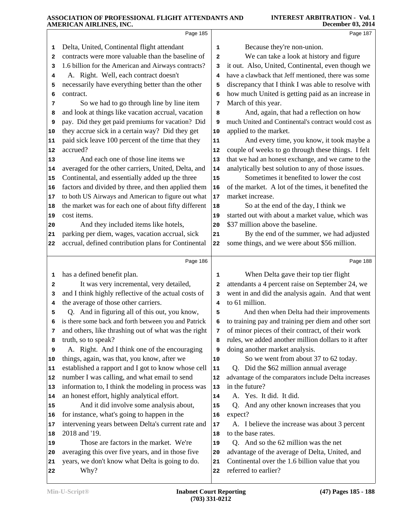**INTEREST ARBITRATION - Vol. 1 December 03, 2014**

|              | Page 185                                             |    | Page 187                                                                |
|--------------|------------------------------------------------------|----|-------------------------------------------------------------------------|
| 1            | Delta, United, Continental flight attendant          | 1  | Because they're non-union.                                              |
| 2            | contracts were more valuable than the baseline of    | 2  | We can take a look at history and figure                                |
| 3            | 1.6 billion for the American and Airways contracts?  | 3  | it out. Also, United, Continental, even though we                       |
| 4            | A. Right. Well, each contract doesn't                | 4  | have a clawback that Jeff mentioned, there was some                     |
| 5            | necessarily have everything better than the other    | 5  | discrepancy that I think I was able to resolve with                     |
| 6            | contract.                                            | 6  | how much United is getting paid as an increase in                       |
| 7            | So we had to go through line by line item            | 7  | March of this year.                                                     |
| 8            | and look at things like vacation accrual, vacation   | 8  | And, again, that had a reflection on how                                |
| 9            | pay. Did they get paid premiums for vacation? Did    | 9  | much United and Continental's contract would cost as                    |
| 10           | they accrue sick in a certain way? Did they get      | 10 | applied to the market.                                                  |
| 11           | paid sick leave 100 percent of the time that they    | 11 | And every time, you know, it took maybe a                               |
| 12           | accrued?                                             | 12 | couple of weeks to go through these things. I felt                      |
| 13           | And each one of those line items we                  | 13 | that we had an honest exchange, and we came to the                      |
| 14           | averaged for the other carriers, United, Delta, and  | 14 | analytically best solution to any of those issues.                      |
| 15           | Continental, and essentially added up the three      | 15 | Sometimes it benefited to lower the cost                                |
| 16           | factors and divided by three, and then applied them  | 16 | of the market. A lot of the times, it benefited the                     |
| 17           | to both US Airways and American to figure out what   | 17 | market increase.                                                        |
| 18           | the market was for each one of about fifty different | 18 | So at the end of the day, I think we                                    |
| 19           | cost items.                                          | 19 | started out with about a market value, which was                        |
| 20           | And they included items like hotels,                 | 20 | \$37 million above the baseline.                                        |
| 21           | parking per diem, wages, vacation accrual, sick      | 21 | By the end of the summer, we had adjusted                               |
| 22           | accrual, defined contribution plans for Continental  | 22 | some things, and we were about \$56 million.                            |
|              |                                                      |    |                                                                         |
|              |                                                      |    |                                                                         |
|              | Page 186                                             |    | Page 188                                                                |
| 1            | has a defined benefit plan.                          | 1  | When Delta gave their top tier flight                                   |
| $\mathbf{2}$ | It was very incremental, very detailed,              | 2  | attendants a 4 percent raise on September 24, we                        |
| 3            | and I think highly reflective of the actual costs of | 3  | went in and did the analysis again. And that went                       |
| 4            | the average of those other carriers.                 | 4  | to 61 million.                                                          |
| 5            | Q. And in figuring all of this out, you know,        | 5  | And then when Delta had their improvements                              |
|              | is there some back and forth between you and Patrick |    | 6 to training pay and training per diem and other sort                  |
| 7            | and others, like thrashing out of what was the right | 7  | of minor pieces of their contract, of their work                        |
| 8            | truth, so to speak?                                  | 8  | rules, we added another million dollars to it after                     |
| 9            | A. Right. And I think one of the encouraging         | 9  | doing another market analysis.                                          |
| 10           | things, again, was that, you know, after we          | 10 | So we went from about 37 to 62 today.                                   |
| 11           | established a rapport and I got to know whose cell   | 11 | Q. Did the \$62 million annual average                                  |
| 12           | number I was calling, and what email to send         | 12 | advantage of the comparators include Delta increases                    |
| 13           | information to, I think the modeling in process was  | 13 | in the future?                                                          |
| 14           | an honest effort, highly analytical effort.          | 14 | A. Yes. It did. It did.                                                 |
| 15           | And it did involve some analysis about,              | 15 | Q. And any other known increases that you                               |
| 16           | for instance, what's going to happen in the          | 16 | expect?                                                                 |
| 17           | intervening years between Delta's current rate and   | 17 | A. I believe the increase was about 3 percent                           |
| 18           | 2018 and '19.                                        | 18 | to the base rates.                                                      |
| 19           | Those are factors in the market. We're               | 19 | Q. And so the 62 million was the net                                    |
| 20           | averaging this over five years, and in those five    | 20 | advantage of the average of Delta, United, and                          |
| 21           | years, we don't know what Delta is going to do.      | 21 | Continental over the 1.6 billion value that you<br>referred to earlier? |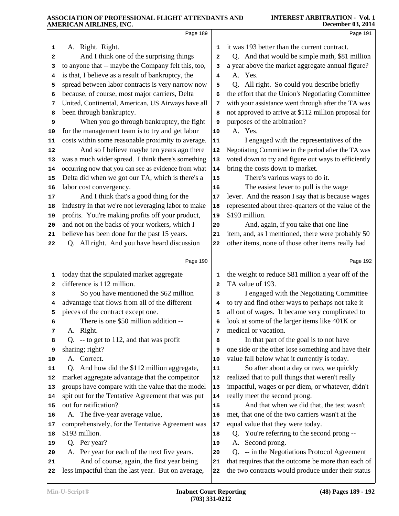|          | Page 189                                                                                               |                         | Page 191                                                                                                  |
|----------|--------------------------------------------------------------------------------------------------------|-------------------------|-----------------------------------------------------------------------------------------------------------|
| 1        | A. Right. Right.                                                                                       | 1                       | it was 193 better than the current contract.                                                              |
| 2        | And I think one of the surprising things                                                               | $\overline{\mathbf{2}}$ | Q. And that would be simple math, \$81 million                                                            |
| 3        | to anyone that -- maybe the Company felt this, too,                                                    | 3                       | a year above the market aggregate annual figure?                                                          |
| 4        | is that, I believe as a result of bankruptcy, the                                                      | $\overline{\mathbf{4}}$ | A. Yes.                                                                                                   |
| 5        | spread between labor contracts is very narrow now                                                      | 5                       | Q. All right. So could you describe briefly                                                               |
| 6        | because, of course, most major carriers, Delta                                                         | 6                       | the effort that the Union's Negotiating Committee                                                         |
| 7        | United, Continental, American, US Airways have all                                                     | 7                       | with your assistance went through after the TA was                                                        |
| 8        | been through bankruptcy.                                                                               | 8                       | not approved to arrive at \$112 million proposal for                                                      |
| 9        | When you go through bankruptcy, the fight                                                              | 9                       | purposes of the arbitration?                                                                              |
| 10       | for the management team is to try and get labor                                                        | 10                      | A. Yes.                                                                                                   |
| 11       | costs within some reasonable proximity to average.                                                     | 11                      | I engaged with the representatives of the                                                                 |
| 12       | And so I believe maybe ten years ago there                                                             | 12                      | Negotiating Committee in the period after the TA was                                                      |
| 13       | was a much wider spread. I think there's something                                                     | 13                      | voted down to try and figure out ways to efficiently                                                      |
| 14       | occurring now that you can see as evidence from what                                                   | 14                      | bring the costs down to market.                                                                           |
| 15       | Delta did when we got our TA, which is there's a                                                       | 15                      | There's various ways to do it.                                                                            |
| 16       | labor cost convergency.                                                                                | 16                      | The easiest lever to pull is the wage                                                                     |
| 17       | And I think that's a good thing for the                                                                | 17                      | lever. And the reason I say that is because wages                                                         |
| 18       | industry in that we're not leveraging labor to make                                                    | 18                      | represented about three-quarters of the value of the                                                      |
| 19       | profits. You're making profits off your product,                                                       | 19                      | \$193 million.                                                                                            |
| 20       | and not on the backs of your workers, which I                                                          | 20                      | And, again, if you take that one line                                                                     |
| 21       | believe has been done for the past 15 years.                                                           | 21                      | item, and, as I mentioned, there were probably 50                                                         |
| 22       | Q. All right. And you have heard discussion                                                            | 22                      | other items, none of those other items really had                                                         |
|          | Page 190                                                                                               |                         | Page 192                                                                                                  |
| 1        | today that the stipulated market aggregate                                                             | 1                       | the weight to reduce \$81 million a year off of the                                                       |
| 2        | difference is 112 million.                                                                             | $\overline{\mathbf{2}}$ | TA value of 193.                                                                                          |
| з        | So you have mentioned the \$62 million                                                                 | 3                       | I engaged with the Negotiating Committee                                                                  |
| 4        | advantage that flows from all of the different                                                         | 4                       | to try and find other ways to perhaps not take it                                                         |
| 5        | pieces of the contract except one.                                                                     | 5                       | all out of wages. It became very complicated to                                                           |
| 6        | There is one \$50 million addition --                                                                  | 6                       | look at some of the larger items like 401K or                                                             |
| 7        | A. Right.                                                                                              | 7                       | medical or vacation.                                                                                      |
| 8        | Q. -- to get to 112, and that was profit                                                               | 8                       | In that part of the goal is to not have                                                                   |
| 9        | sharing; right?                                                                                        | 9                       | one side or the other lose something and have their                                                       |
| 10       | A. Correct.                                                                                            | 10                      | value fall below what it currently is today.                                                              |
| 11       | And how did the \$112 million aggregate,<br>Q.                                                         | 11                      | So after about a day or two, we quickly                                                                   |
| 12       | market aggregate advantage that the competitor                                                         | 12                      | realized that to pull things that weren't really                                                          |
| 13       | groups have compare with the value that the model<br>spit out for the Tentative Agreement that was put | 13                      | impactful, wages or per diem, or whatever, didn't<br>really meet the second prong.                        |
| 14       | out for ratification?                                                                                  | 14<br>15                | And that when we did that, the test wasn't                                                                |
| 15<br>16 | A. The five-year average value,                                                                        | 16                      | met, that one of the two carriers wasn't at the                                                           |
| 17       | comprehensively, for the Tentative Agreement was                                                       | 17                      | equal value that they were today.                                                                         |
| 18       | \$193 million.                                                                                         | 18                      | Q. You're referring to the second prong --                                                                |
|          | Q. Per year?                                                                                           | 19                      | A. Second prong.                                                                                          |
|          |                                                                                                        |                         |                                                                                                           |
| 19       |                                                                                                        |                         |                                                                                                           |
| 20       | A. Per year for each of the next five years.                                                           | 20                      | Q. -- in the Negotiations Protocol Agreement                                                              |
| 21<br>22 | And of course, again, the first year being<br>less impactful than the last year. But on average,       | 21<br>22                | that requires that the outcome be more than each of<br>the two contracts would produce under their status |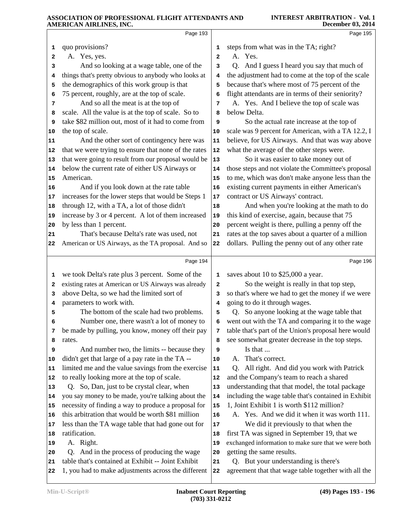|    | Page 193                                             |                | Page 195                                             |
|----|------------------------------------------------------|----------------|------------------------------------------------------|
| 1  | quo provisions?                                      | 1              | steps from what was in the TA; right?                |
| 2  | A. Yes, yes.                                         | $\overline{a}$ | A. Yes.                                              |
| 3  | And so looking at a wage table, one of the           | 3              | Q. And I guess I heard you say that much of          |
| 4  | things that's pretty obvious to anybody who looks at | 4              | the adjustment had to come at the top of the scale   |
| 5  | the demographics of this work group is that          | 5              | because that's where most of 75 percent of the       |
| 6  | 75 percent, roughly, are at the top of scale.        | 6              | flight attendants are in terms of their seniority?   |
| 7  | And so all the meat is at the top of                 | 7              | A. Yes. And I believe the top of scale was           |
| 8  | scale. All the value is at the top of scale. So to   | 8              | below Delta.                                         |
| 9  | take \$82 million out, most of it had to come from   | 9              | So the actual rate increase at the top of            |
| 10 | the top of scale.                                    | 10             | scale was 9 percent for American, with a TA 12.2, I  |
| 11 | And the other sort of contingency here was           | 11             | believe, for US Airways. And that was way above      |
| 12 | that we were trying to ensure that none of the rates | 12             | what the average of the other steps were.            |
| 13 | that were going to result from our proposal would be | 13             | So it was easier to take money out of                |
| 14 | below the current rate of either US Airways or       | 14             | those steps and not violate the Committee's proposal |
| 15 | American.                                            | 15             | to me, which was don't make anyone less than the     |
| 16 | And if you look down at the rate table               | 16             | existing current payments in either American's       |
| 17 | increases for the lower steps that would be Steps 1  | 17             | contract or US Airways' contract.                    |
| 18 | through 12, with a TA, a lot of those didn't         | 18             | And when you're looking at the math to do            |
| 19 | increase by 3 or 4 percent. A lot of them increased  | 19             | this kind of exercise, again, because that 75        |
| 20 | by less than 1 percent.                              | 20             | percent weight is there, pulling a penny off the     |
| 21 | That's because Delta's rate was used, not            | 21             | rates at the top saves about a quarter of a million  |
| 22 | American or US Airways, as the TA proposal. And so   | 22             | dollars. Pulling the penny out of any other rate     |
|    |                                                      |                |                                                      |
|    | Page 194                                             |                | Page 196                                             |
| 1  | we took Delta's rate plus 3 percent. Some of the     | 1              | saves about 10 to \$25,000 a year.                   |
| 2  | existing rates at American or US Airways was already | 2              | So the weight is really in that top step,            |
| з  | above Delta, so we had the limited sort of           | 3              | so that's where we had to get the money if we were   |
| 4  | parameters to work with.                             | 4              | going to do it through wages.                        |
| 5  | The bottom of the scale had two problems.            | 5              | Q. So anyone looking at the wage table that          |
| 6  | Number one, there wasn't a lot of money to           | 6              | went out with the TA and comparing it to the wage    |
| 7  | be made by pulling, you know, money off their pay    | 7              | table that's part of the Union's proposal here would |
| 8  | rates.                                               | 8              | see somewhat greater decrease in the top steps.      |
| 9  | And number two, the limits -- because they           | 9              | Is that                                              |
| 10 | didn't get that large of a pay rate in the TA --     | 10             | That's correct.<br>A.                                |
| 11 | limited me and the value savings from the exercise   | ${\bf 11}$     | All right. And did you work with Patrick<br>Q.       |
| 12 | to really looking more at the top of scale.          | 12             | and the Company's team to reach a shared             |
| 13 | Q. So, Dan, just to be crystal clear, when           | 13             | understanding that that model, the total package     |
| 14 | you say money to be made, you're talking about the   | 14             | including the wage table that's contained in Exhibit |
| 15 | necessity of finding a way to produce a proposal for | 15             | 1, Joint Exhibit 1 is worth \$112 million?           |
| 16 | this arbitration that would be worth \$81 million    | 16             | A. Yes. And we did it when it was worth 111.         |
| 17 | less than the TA wage table that had gone out for    | 17             | We did it previously to that when the                |
| 18 | ratification.                                        | 18             | first TA was signed in September 19, that we         |
| 19 | A. Right.                                            | 19             | exchanged information to make sure that we were both |
| 20 | Q. And in the process of producing the wage          | 20             | getting the same results.                            |
| 21 | table that's contained at Exhibit -- Joint Exhibit   | 21             | Q. But your understanding is there's                 |
|    |                                                      |                |                                                      |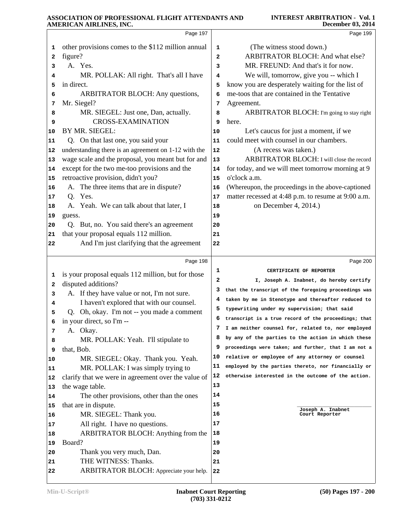# **ASSOCIATION OF PROFESSIONAL FLIGHT ATTENDANTS AND**

# **INTEREST ARBITRATION - Vol. 1**

|                   | AMERICAN AIRLINES, INC.                                                  |              | December 03, 2014                                    |
|-------------------|--------------------------------------------------------------------------|--------------|------------------------------------------------------|
|                   | Page 197                                                                 |              | Page 199                                             |
| 1                 | other provisions comes to the \$112 million annual                       | 1            | (The witness stood down.)                            |
| 2                 | figure?                                                                  | $\mathbf{2}$ | <b>ARBITRATOR BLOCH: And what else?</b>              |
| 3                 | A. Yes.                                                                  | 3            | MR. FREUND: And that's it for now.                   |
| 4                 | MR. POLLAK: All right. That's all I have                                 | 4            | We will, tomorrow, give you -- which I               |
| 5                 | in direct.                                                               | 5            | know you are desperately waiting for the list of     |
| 6                 | ARBITRATOR BLOCH: Any questions,                                         | 6            | me-toos that are contained in the Tentative          |
| 7                 | Mr. Siegel?                                                              | 7            | Agreement.                                           |
| 8                 | MR. SIEGEL: Just one, Dan, actually.                                     | 8            | ARBITRATOR BLOCH: I'm going to stay right            |
| 9                 | <b>CROSS-EXAMINATION</b>                                                 | 9            | here.                                                |
| 10                | BY MR. SIEGEL:                                                           | 10           | Let's caucus for just a moment, if we                |
| 11                | Q. On that last one, you said your                                       | 11           | could meet with counsel in our chambers.             |
| 12                | understanding there is an agreement on 1-12 with the                     | 12           | (A recess was taken.)                                |
| 13                | wage scale and the proposal, you meant but for and                       | 13           | ARBITRATOR BLOCH: I will close the record            |
| 14                | except for the two me-too provisions and the                             | 14           | for today, and we will meet tomorrow morning at 9    |
| 15                | retroactive provision, didn't you?                                       | 15           | o'clock a.m.                                         |
| 16                | A. The three items that are in dispute?                                  | 16           | (Whereupon, the proceedings in the above-captioned   |
| 17                | Q. Yes.                                                                  | 17           | matter recessed at 4:48 p.m. to resume at 9:00 a.m.  |
| 18                | A. Yeah. We can talk about that later, I                                 | 18           | on December 4, 2014.)                                |
| 19                | guess.                                                                   | 19           |                                                      |
| 20                | Q. But, no. You said there's an agreement                                | 20           |                                                      |
| 21                | that your proposal equals 112 million.                                   | 21           |                                                      |
| 22                | And I'm just clarifying that the agreement                               | 22           |                                                      |
|                   | Page 198                                                                 |              | Page 200                                             |
|                   | is your proposal equals 112 million, but for those                       | 1            | CERTIFICATE OF REPORTER                              |
| 1<br>$\mathbf{2}$ | disputed additions?                                                      | 2            | I, Joseph A. Inabnet, do hereby certify              |
| 3                 | A. If they have value or not, I'm not sure.                              | 3            | that the transcript of the foregoing proceedings was |
| 4                 | I haven't explored that with our counsel.                                | 4            | taken by me in Stenotype and thereafter reduced to   |
| 5                 |                                                                          |              |                                                      |
|                   |                                                                          | 5            | typewriting under my supervision; that said          |
|                   | Q. Oh, okay. I'm not -- you made a comment                               | 6            | transcript is a true record of the proceedings; that |
| 6                 | in your direct, so I'm --                                                | 7            | I am neither counsel for, related to, nor employed   |
| 7<br>8            | A. Okay.                                                                 | 8            | by any of the parties to the action in which these   |
| 9                 | MR. POLLAK: Yeah. I'll stipulate to                                      | 9            | proceedings were taken; and further, that I am not a |
| 10                | that, Bob.                                                               | 10           | relative or employee of any attorney or counsel      |
| 11                | MR. SIEGEL: Okay. Thank you. Yeah.<br>MR. POLLAK: I was simply trying to | 11           | employed by the parties thereto, nor financially or  |
| 12                | clarify that we were in agreement over the value of                      | 12           | otherwise interested in the outcome of the action.   |
| 13                | the wage table.                                                          | 13           |                                                      |
| 14                | The other provisions, other than the ones                                | 14           |                                                      |
| 15                | that are in dispute.                                                     | 15           |                                                      |
| 16                | MR. SIEGEL: Thank you.                                                   | 16           | Joseph A. Inabnet<br>Court Reporter                  |
| 17                | All right. I have no questions.                                          | 17           |                                                      |
| 18                | ARBITRATOR BLOCH: Anything from the                                      | 18           |                                                      |
| 19                | Board?                                                                   | 19           |                                                      |
| 20                | Thank you very much, Dan.                                                | 20           |                                                      |
| 21                | THE WITNESS: Thanks.                                                     | 21           |                                                      |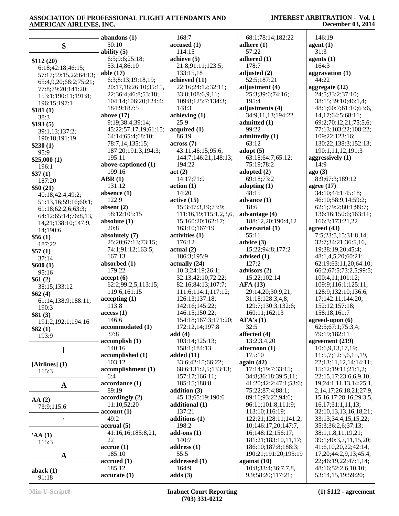|                                | abandons $(1)$             | 168:7                             | 68:1;78:14;182:22       | 146:19                                        |
|--------------------------------|----------------------------|-----------------------------------|-------------------------|-----------------------------------------------|
| \$                             | 50:10                      | accused (1)                       | adhere $(1)$            | agent(1)                                      |
|                                | ability $(5)$              | 114:15                            | 57:22                   | 31:3                                          |
|                                | 6:5;9:6;25:18;             | achieve (5)                       | adhered $(1)$           | agents $(1)$                                  |
| \$112(20)<br>6:18;42:18;46:15; | 53:14;86:10                | 21:8;91:11;123:5;                 | 178:7                   | 164:3                                         |
| 57:17;59:15,22;64:13;          | able $(17)$                | 133:15,18                         | adjusted (2)            | aggravation (1)                               |
| 65:4,9,20;68:2;75:21;          | 6:3;8:13;19:18,19;         | achieved (11)                     | 52:5;187:21             | 44:22                                         |
| 77:8;79:20;141:20;             | 20:17,18;26:10;35:15,      | 22:16;24:12;32:11;                | adjustment (4)          | aggregate (32)                                |
| 153:1;190:11;191:8;            | 22;36:4;46:8;53:18;        | 33:8;108:6,9,11;                  | 25:3;39:6;74:16;        | 24:5;33:2;37:10;                              |
| 196:15;197:1                   | 104:14;106:20;124:4;       | 109:8;125:7;134:3;                | 195:4                   | 38:15;39:10;46:1,4;                           |
| \$181(1)                       | 184:9;187:5                | 148:3                             | adjustments (4)         | 48:1;60:7;61:10;63:6,                         |
| 38:3                           | above $(17)$               | achieving (1)                     | 34:9,11,13;194:22       | 14,17;64:5;68:11;                             |
| \$193(5)                       | 9:19:38:4:39:14:           | 25:9                              | admitted (1)            | 69:2;70:12,21;75:5,6;                         |
| 39:1,13;137:2;                 | 45:22;57:17,19;61:15;      | acquired(1)                       | 99:22                   | 77:13;103:22;108:22;                          |
| 190:18;191:19                  | 64:14;65:4;68:10;          | 86:19                             | admittedly (1)          | 109:22;123:16;                                |
| \$230(1)                       | 78:7,14;135:15;            | across(7)                         | 63:12                   | 130:22;138:3;152:13;                          |
| 95:9                           | 187:20;191:3;194:3;        | 43:11;46:15;95:6;                 | $\text{adopt}(5)$       | 190:1,11,12;191:3                             |
| \$25,000(1)                    | 195:11                     | 144:7;146:21;148:13;              | 63:18;64:7;65:12;       | aggressively (1)                              |
| 196:1                          | above-captioned (1)        | 194:22                            | 75:19;78:2              | 14:9                                          |
| \$37(1)                        | 199:16                     | act(2)                            | adopted (2)             | ago(3)                                        |
| 187:20                         | ABR(1)                     | 14:17:71:9                        | 69:18:73:2              | 8:9;67:3;189:12                               |
| \$50(21)                       | 131:12                     | action(1)                         | adopting $(1)$          | agree $(17)$                                  |
| 40:18;42:4;49:2;               | absence $(1)$              | 14:20                             | 48:15                   | 34:10;44:1;45:18;                             |
| 51:13,16;59:16;60:1;           | 122:9<br>absent $(2)$      | active(15)<br>15:3;47:3,19;73:9;  | advance(1)<br>18:6      | 46:10;58:9,14;59:2;<br>62:1;79:2;80:1;99:7;   |
| 61:18;62:2,6;63:3;             | 58:12;105:15               | 111:16,19;115:1,2,3,6,            | advantage $(4)$         | 136:16;150:6;163:11;                          |
| 64:12;65:14;76:8,13,           | absolute $(1)$             | 15;160:20;162:17;                 | 188:12,20;190:4,12      | 166:3;173:21,22                               |
| 14,21;138:10;147:9,            | 20:8                       | 163:10;167:19                     | adversarial (1)         | agreed $(43)$                                 |
| 14;190:6                       | absolutely (7)             | activities (1)                    | 55:11                   | 7:5;23:5,15;31:8,14;                          |
| \$56(1)                        | 25:20;67:13;73:15;         | 176:12                            | advice $(3)$            | 32:7;34:21;36:5,16,                           |
| 187:22                         | 74:1;91:12;163:5;          | actual(2)                         | 15:22;94:8;177:2        | 19;38:19,20;45:4;                             |
| \$57(1)                        | 167:13                     | 186:3;195:9                       | advised $(1)$           | 48:1,4,5,20;60:21;                            |
| 37:14<br>\$600(1)              | absorbed (1)               | actually (24)                     | 127:2                   | 62:19;63:11,20;64:10;                         |
| 95:16                          | 179:22                     | 10:3;24:19;26:1;                  | advisors (2)            | 66:2;67:5;73:2,5;99:5;                        |
| \$61(2)                        | accept(6)                  | 32:13;42:10;72:22;                | 15:22;102:14            | 100:4,11;101:12;                              |
| 38:15;133:12                   | 62:2;99:2,5;113:15;        | 82:16;84:13;107:7;                | <b>AFA (13)</b>         | 109:9;116:1;125:11;                           |
| \$62(4)                        | 119:6;161:15               | 111:6;114:1;117:12;               | 29:14,20;30:9,21;       | 128:9;132:10;136:6,                           |
| 61:14;138:9;188:11;            | accepting(1)               | 126:13;137:18;                    | 31:18;128:3,4,8;        | 17;142:11;144:20;                             |
| 190:3                          | 113:8                      | 142:16;145:22;                    | 129:7;130:3;132:6;      | 152:12;157:18;                                |
| \$81(3)                        | access(1)                  | 146:15;150:22;                    | 160:11;162:13           | 158:18;161:7                                  |
| 191:2;192:1;194:16             | 146:6                      | 154:18;167:3;171:20;              | AFA's(1)                | agreed-upon (6)                               |
| \$82(1)                        | accommodated (1)           | 172:12,14;197:8                   | 32:5                    | 62:5;67:1;75:3,4;                             |
| 193:9                          | 37:8                       | add(4)                            | affected $(4)$          | 79:19;182:11                                  |
|                                | accomplish(1)              | 103:14;125:13;                    | 13:2,3,4,20             | agreement (219)                               |
| L                              | 140:16                     | 158:1;184:13                      | afternoon (1)<br>175:10 | 10:6,9,13,17,19;                              |
|                                | accomplished (1)<br>103:12 | added $(11)$<br>33:6;42:15;66:22; | again $(42)$            | 11:5,7;12:5,6,15,19,<br>22;13:11,12,14;14:11; |
| [Airlines] (1)                 | accomplishment (1)         | 68:6;131:2,5;133:13;              | 17:14;19:7;33:15;       | 15:12;19:11;21:1,2;                           |
| 115:3                          | 6:4                        | 157:17;166:11;                    | 34:8;36:18;39:5,11;     | 22:15,17;23:6,6,9,10,                         |
|                                | accordance (1)             | 185:15;188:8                      | 41:20;42:2;47:1;53:6;   | 19;24:1,11,13,14;25:1,                        |
| A                              | 89:19                      | addition (3)                      | 75:22;87:4;88:1;        | 2, 14, 17; 26: 18, 21; 27: 9,                 |
|                                | accordingly(2)             | 45:13;65:19;190:6                 | 89:16;93:22;94:6;       | 15, 16, 17; 28: 16; 29: 3, 5,                 |
| AA(2)<br>73:9;115:6            | 11:10;52:20                | additional (1)                    | 96:11;101:8;111:9;      | 16, 17; 31: 1, 11, 13;                        |
|                                | account(1)                 | 137:21                            | 113:10;116:19;          | 32:10,13,13,16,18,21;                         |
| $\pmb{\mathsf{v}}$             | 49:2                       | additions (1)                     | 122:21;128:11;141:2,    | 33:13;34:4,15,15,22;                          |
|                                | accrual(5)                 | 198:2                             | 10;146:17,20;147:7,     | 35:3;36:2,6;37:13;                            |
| 'AA $(1)$                      | 41:16,16;185:8,21,         | $add-ons(1)$                      | 16;148:12;156:17;       | 38:1,1,8,11,19,21;                            |
| 115:3                          | 22                         | 140:7                             | 181:21;183:10,11,17;    | 39:1;40:3,7,11,15,20;                         |
|                                | accrue(1)                  | address(1)                        | 186:10;187:8;188:3;     | 41:6,10,20,22;42:14,                          |
| $\mathbf A$                    | 185:10                     | 55:5                              | 190:21;191:20;195:19    | 17, 20; 44: 2, 9, 13; 45: 4,                  |
|                                | accrued(1)                 | addressed (1)                     | against $(10)$          | 22;46:19,22;47:1,14;                          |
| aback $(1)$                    | 185:12                     | 164:9                             | 10:8;33:4;36:7,7,8,     | 48:16;52:2,6,10,10;                           |
| 91:18                          | accurate(1)                | adds $(3)$                        | 9,9;58:20;117:21;       | 53:14,15,19;59:20;                            |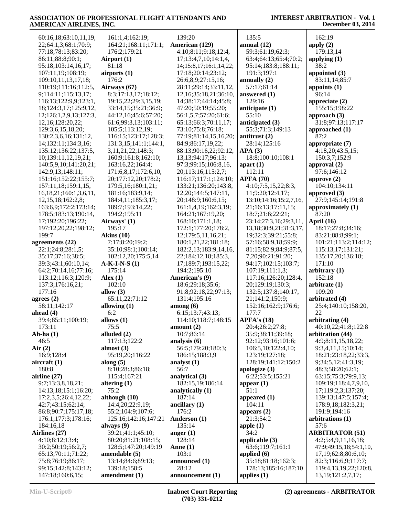| 60:16,18;63:10,11,19,         | 161:1,4;162:19;        | 139:20                                  | 135:5                  | 162:19                    |
|-------------------------------|------------------------|-----------------------------------------|------------------------|---------------------------|
| 22;64:1,3;68:1;70:9;          | 164:21;168:11;171:1;   | American (129)                          | annual $(12)$          | apply $(2)$               |
| 77:18;78:13;83:20;            | 176:2;179:21           | 4:10;8:11;9:18;12:4,                    | 59:3;61:19;62:3;       | 179:13,14                 |
| 86:11;88:8;90:1;              | Airport (1)            | 17;13:4,7,10;14:1,4,                    | 63:4;64:13;65:4;70:2;  | applying $(1)$            |
| 95:18;103:14,16,17;           | 81:18                  | 14;15:8,17;16:1,14,22;                  | 95:14;183:8;188:11;    | 38:2                      |
| 107:11,19;108:19;             | airports (1)           | 17:18;20:14;23:12;                      | 191:3;197:1            | appointed $(3)$           |
| 109:10,11,13,17,18;           | 176:2                  | 26:6,8,9;27:15,16;                      | annually $(2)$         | 83:11,14;85:7             |
| 110:19;111:16;112:5,          | Airways (67)           | 28:11;29:14;33:11,12,                   | 57:17;61:14            | appoints $(1)$            |
| 9;114:11;115:13,17;           | 8:3;17:13,17;18:12;    | 12, 16; 35: 18, 21; 36: 10,             | answered $(1)$         | 96:14                     |
| 116:13;122:9,9;123:1,         | 19:15,22;29:3,15,19;   | 14;38:17;44:14;45:8;                    | 129:16                 |                           |
|                               |                        |                                         |                        | appreciate $(2)$          |
| 18;124:3,17;125:9,12,         | 33:14,15;35:21;36:9;   | 47:20;50:19;55:20;                      | anticipate (1)         | 155:15;198:22             |
| 12;126:1,2,9,13;127:3,        | 44:12,16;45:6;57:20;   | 56:1,5,7;57:20;61:6;                    | 55:10                  | approach $(3)$            |
| 12,16;128:20,22;              | 61:6;99:3,13;103:11;   | 65:13;66:3;70:11,17;                    | anticipated (3)        | 31:8;97:13;117:17         |
| 129:3,6,15,18,20;             | 105:5;113:12,19;       | 73:10;75:8;76:18;                       | 55:3;71:3;149:13       | approached (1)            |
| 130:2,3,6,16;131:12,          | 116:15;123:17;128:3;   | 77:19;81:14,15,16,20;                   | antitrust $(2)$        | 87:2                      |
| 14;132:11;134:3,16;           | 131:3,15;141:1;144:1,  | 84:9;86:17,19,22;                       | 28:14;125:16           | appropriate (7)           |
| 135:12;136:22;137:5,          | 3, 11, 21, 22; 148: 3; | 88:13;90:16,22;92:12,                   | APA(3)                 | 4:18,20;43:5,15;          |
| 10;139:11,12,19,21;           | 160:9;161:8;162:10;    | 13, 13; 94: 17; 96: 13;                 | 18:8;100:10;108:1      | 150:3,7;152:9             |
| 140:5,9,10;141:20,21;         | 163:16,22;164:4;       | 97:3;99:15;106:8,16,                    | apart $(1)$            | approval $(2)$            |
| 142:9,13;148:11;              | 171:6,8,17;172:6,10,   | 20;113:16;115:2,7;                      | 112:11                 | 97:6;146:12               |
| 151:16;152:22;155:7;          | 20;177:12,20;178:2;    | 116:17:117:1:124:10:                    | <b>APFA (70)</b>       | approve $(2)$             |
| 157:11,18;159:1,15,           | 179:5,16;180:1,21;     | 133:21;136:20;143:8,                    | 4:10;7:5,15,22;8:3,    | 104:10;134:11             |
| 16, 18, 21; 160: 1, 3, 6, 11, | 181:16;183:9,14;       | 12, 20; 144: 5; 147: 11,                | 11;9:20;12:4,17;       | approved $(3)$            |
| 12, 15, 18; 162: 2, 8;        | 184:4,11;185:3,17;     | 20;148:9;160:6,15;                      | 13:10;14:16;15:2,7,16, | 27:9;145:14;191:8         |
| 163:6,9;172:2;173:14;         | 189:7;193:14,22;       | 161:1,4,19;162:3,19;                    | 21;16:13;17:11,15;     | approximately (1)         |
| 178:5;183:13;190:14,          | 194:2;195:11           | 164:21;167:19,20;                       | 18:7;21:6;22:21;       | 87:20                     |
|                               | Airways' (1)           |                                         |                        | April (16)                |
| 17;192:20;196:22;             |                        | 168:10;171:1,18;                        | 23:14;27:3,16;29:3,11, |                           |
| 197:12,20,22;198:12;          | 195:17                 | 172:1;177:20;178:2,                     | 13,18;30:9,21;31:3,17, | 18:17;27:8;34:16;         |
| 199:7                         | Akins $(10)$           | 12;179:5,11,16,21;                      | 19;32:3;39:21;55:8;    | 83:21;88:8;99:1;          |
| agreements (22)               | 7:17;8:20;19:2;        | 180:1,21,22;181:18;                     | 57:16;58:9,18;59:9;    | 101:21;113:2;114:12;      |
| 22:1;24:8;28:1,5;             | 35:10;98:1;100:14;     | 182:2,13;183:9,14,16,                   | 81:15;82:9;84:9;87:5,  | 115:13,17;131:21;         |
| 35:17;37:16;38:5;             | 102:12,20;175:5,14     | 22;184:12,18;185:3,                     | 7,20;90:21;91:20;      | 135:17,20;136:18;         |
| 39:3;43:1;60:10,14;           | $A-K-I-N-S(1)$         | 17;189:7;193:15,22;                     | 94:17;102:15;103:7;    | 171:10                    |
| 64:2;70:14,16;77:16;          | 175:14                 | 194:2;195:10                            | 107:19;111:1,3;        | arbitrary (1)             |
| 113:12;116:3;120:9;           | Alex $(1)$             | American's (9)                          | 117:16;126:20;128:4,   | 152:18                    |
| 137:3;176:16,21;              | 102:10                 | 18:6;29:18;35:6;                        | 20;129:19;130:3;       | arbitrate (1)             |
| 177:16                        | allow $(3)$            | 91:8;92:18,22;97:13;                    | 132:5;137:8;140:17,    | 109:20                    |
| agrees $(2)$                  | 65:11,22;71:12         | 131:4;195:16                            | 21;141:2;150:9;        | arbitrated (4)            |
| 58:11;142:17                  | allowing $(1)$         | $\mathbf{among}\left(\mathbf{6}\right)$ | 152:16;162:9;176:6;    | 25:4;140:10;158:20,       |
| ahead $(4)$                   | 6:2                    | 6:15;13:7;43:13;                        | 177:7                  | 22                        |
| 39:4;85:11;100:19;            | allows $(1)$           | 114:10;118:7;148:15                     | <b>APFA's (18)</b>     | arbitrating (4)           |
| 173:11                        | 75:5                   | amount $(2)$                            | 20:4;26:2;27:8;        | 40:10,22;41:8;122:8       |
| Ah-ha $(1)$                   | alluded (2)            | 10:7;86:14                              | 35:9;38:11;39:18;      | arbitration (44)          |
|                               |                        |                                         |                        |                           |
| 46:5                          | 117:13;122:2           | analysis (6)                            | 92:12;93:16;101:6;     | 4:9;8:11,15,18,22;        |
| Air(2)                        | almost $(3)$           | 56:5;179:20;180:3;                      | 106:5, 10; 122:4, 10;  | 9:3,4,11,15;10:14;        |
| 16:9;128:4                    | 95:19,20;116:22        | 186:15;188:3,9                          | 123:19;127:18;         | 18:21;23:18,22;33:3,      |
| aircraft(1)                   | along $(5)$            | analyst $(1)$                           | 128:19;141:12;150:2    | 9;34:5,12;41:3,19;        |
| 180:8                         | 8:10;28:3;86:18;       | 56:7                                    | apologize $(3)$        | 48:3;58:20;62:1;          |
| airline $(27)$                | 115:4;167:21           | analytical (3)                          | 6:22;53:5;155:21       | 63:15;75:3;79:9,13;       |
| 9:7;13:3,8,18,21;             | altering $(1)$         | 182:15,19;186:14                        | appear $(1)$           | 109:19;118:4,7,9,10,      |
| 14:13,18;15:1;16:20;          | 75:2                   | analytically (1)                        | 51:1                   | 17;119:2,3;137:20;        |
| 17:2,3,5;26:4,12,22;          | although $(10)$        | 187:14                                  | appeared $(1)$         | 139:13;147:5;157:4;       |
| 42:7;43:15;62:14;             | 14:4,20;22:9,19;       | ancillary (1)                           | 104:11                 | 178:9,18;182:3,21;        |
| 86:8;90:7;175:17,18;          | 55:2;104:9;107:6;      | 176:2                                   | appears $(2)$          | 191:9;194:16              |
| 176:1;177:3;178:16;           | 125:16;142:16;147:21   | Anderson (1)                            | 21:3;54:2              | arbitrations (1)          |
| 184:16,18                     | always $(9)$           | 135:14                                  | apple $(1)$            | 57:6                      |
| Airlines (27)                 | 39:21;41:1;45:10;      | anger $(1)$                             | 34:2                   | <b>ARBITRATOR (51)</b>    |
| 4:10;8:12;13:4;               | 80:20;81:21;108:15;    | 128:14                                  | applicable $(3)$       | 4:2;5:4,9,11,16,18;       |
|                               | 128:5;147:20;149:19    | Anne $(1)$                              | 63:6;119:7;161:1       |                           |
| 30:2;50:19;56:2,7;            |                        |                                         |                        | 47:9;49:15,18;54:1,10,    |
| 65:13;70:11;71:22;            | amendable (5)          | 103:1                                   | applied $(6)$          | 17,19;62:8;80:6,10;       |
| 75:8;76:19;86:17;             | 13:14;84:6;89:13;      | announced (1)                           | 35:18;81:18;162:3;     | 82:3;116:6,9;117:7;       |
| 99:15;142:8;143:12;           | 139:18;158:5           | 28:12                                   | 178:13;185:16;187:10   | 119:4, 13, 19, 22; 120:8, |
| 147:18;160:6,15;              | amendment (1)          | announcement (1)                        | applies $(1)$          | 13, 19; 121: 2, 7, 17;    |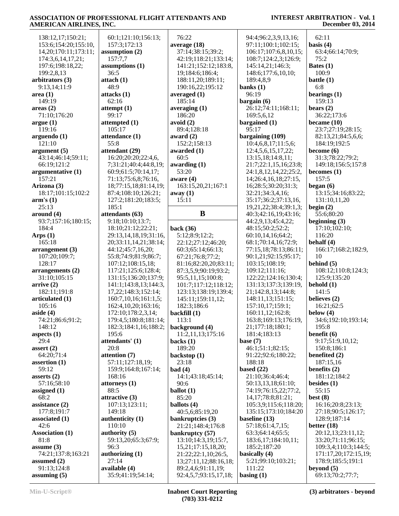| 138:12,17;150:21;         | 60:1;121:10;156:13;      | 76:22                 | 94:4;96:2,3,9,13,16;   | 62:11                |
|---------------------------|--------------------------|-----------------------|------------------------|----------------------|
| 153:6;154:20;155:10,      | 157:3;172:13             | average (18)          | 97:11;100:1;102:15;    | basis $(4)$          |
| 14, 20; 170: 11; 173: 11; | assumption (2)           | 37:14;38:15;39:2;     | 106:17;107:6,8,10,15;  | 63:4;66:14;70:9;     |
| 174:3,6,14,17,21;         | 157:7,7                  | 42:19;118:21;133:14;  | 108:7;124:2,3;126:9;   | 75:2                 |
| 197:6;198:18,22;          | assumptions $(1)$        | 141:21;152:12;183:8,  | 145:14,21;146:3;       | Bates $(1)$          |
| 199:2,8,13                | 36:5                     | 19;184:6;186:4;       | 148:6;177:6,10,10;     | 100:9                |
| arbitrators (3)           | attach (1)               | 188:11,20;189:11;     | 189:4,8,9              | battle $(1)$         |
| 9:13,14;11:9              | 48:9                     | 190:16,22;195:12      | banks $(1)$            | 6:8                  |
|                           |                          | averaged (1)          | 96:19                  | bearings $(1)$       |
| area (1)                  | attacks(1)               | 185:14                |                        |                      |
| 149:19                    | 62:16                    |                       | bargain $(6)$          | 159:13               |
| areas(2)                  | attentionpt(1)           | averaging $(1)$       | 26:12;74:11;168:11;    | bears $(2)$          |
| 71:10;176:20              | 99:17                    | 186:20                | 169:5,6,12             | 36:22;173:6          |
| argue (1)                 | attempted (1)            | avoid (2)             | bargained (1)          | became $(10)$        |
| 119:16                    | 105:17                   | 89:4;128:18           | 95:17                  | 23:7;27:19;28:15;    |
| arguendo (1)              | attendance (1)           | award $(2)$           | bargaining (109)       | 82:13,21;84:5,6,6;   |
| 121:10                    | 55:8                     | 152:2;158:13          | 10:4,6,8,17;11:5,6;    | 184:19;192:5         |
| argument (5)              | attendant (29)           | awarded (1)           | 12:4,5,6,15,17,22;     | become (6)           |
| 43:14;46:14;59:11;        | 16:20;20:20;22:4,6,      | 60:5                  | 13:15,18;14:8,11;      | 31:3;78:22;79:2;     |
| 66:19;121:2               | 7;31:21;40:4;44:8,19;    | awarding $(1)$        | 21:7;22:1,15,16;23:8;  | 149:18;156:5;157:8   |
| argumentative (1)         | 60:9;61:5;70:14,17;      | 53:20                 | 24:1,8,12,14,22;25:2,  | becomes $(1)$        |
| 157:21                    | 71:13;75:6,8;76:16,      | aware $(4)$           | 14;26:4,16,18;27:15,   | 157:5                |
| Arizona (3)               | 18;77:15,18;81:14,19;    | 163:15,20,21;167:1    | 16;28:5;30:20;31:3;    | began $(6)$          |
| 18:17;101:15;102:2        | 87:4;108:10;126:21;      | away (1)              | 32:21;34:3,4,16;       | 13:15;34:16;83:22;   |
| arm's(1)                  | 127:2;181:20;183:5;      | 15:11                 | 35:17;36:2;37:13,16,   | 131:10,11,20         |
| 25:13                     | 185:1                    |                       | 19,21,22;38:4;39:1,3;  | begin $(2)$          |
| around (4)                | attendants (63)          | $\bf{B}$              | 40:3;42:16,19;43:16;   | 55:6;80:20           |
| 93:7;157:16;180:15;       | 9:18;10:10;13:7;         |                       | 44:2,9,13;45:4,22;     | beginning $(3)$      |
| 184:4                     | 18:10;21:12;22:21;       | back $(36)$           | 48:15;50:2;52:2;       | 17:10;102:10;        |
| Arps $(1)$                | 29:13,14,18,19;31:16,    | 5:12;8:9;12:2;        | 60:10,14,16;64:2;      | 116:20               |
| 165:18                    | 20;33:11,14,21;38:14;    | 22:12;27:12;46:20;    | 68:1;70:14,16;72:9;    | behalf (4)           |
| arrangement (3)           | 44:12;45:7,16,20;        | 60:3;65:14;66:13;     | 77:15,18;78:13;86:11;  | 166:17;168:2;182:9,  |
| 107:20;109:7;             | 55:8;74:9;81:9;86:7;     | 67:21;76:8;77:2;      | 90:1,21;92:15;95:17;   | 10                   |
| 128:17                    | 107:12;108:15,18;        | 81:16;82:20,20;83:11; | 103:15;108:19;         | behind $(5)$         |
| arrangements (2)          | 117:21;125:6;128:4;      | 87:3,5,9;90:19;93:2;  | 109:12;111:16;         | 108:12;110:8;124:3;  |
| 31:10;105:15              | 131:15;136:20;137:9;     | 95:5,11,15;100:8;     | 122:22;124:16;130:4;   | 125:9;135:20         |
| arrive (2)                | 141:1;143:8,13;144:3,    | 101:7;117:12;118:12;  | 131:13;137:3;139:19,   | behold $(1)$         |
| 182:11;191:8              | 17,22;148:3;152:14;      | 123:13;138:19;139:4;  | 21;142:8,13;144:8;     | 141:5                |
| articulated (1)           | 160:7, 10, 16; 161:1, 5; | 145:11;159:11,12;     | 148:11,13;151:15;      | believes (2)         |
| 105:16                    | 162:4, 10, 20; 163: 16;  | 182:3;186:6           | 157:10,17;159:1;       | 16:21;62:5           |
| aside (4)                 | 172:10;178:2,3,14;       |                       | 160:11,12;162:8;       | below $(4)$          |
|                           |                          | backfill (1)          |                        |                      |
| 74:21;86:6;91:2;          | 179:4,5;180:8;181:14;    | 113:1                 | 163:8;169:13;176:19,   | 34:6;192:10;193:14;  |
| 148:12                    | 182:3;184:1,16;188:2;    | background (4)        | 21;177:18;180:1;       | 195:8                |
| aspects (1)               | 195:6                    | 11:2,11,13;175:16     | 181:4;183:13           | benefit $(6)$        |
| 29:4                      | attendants' (1)          | backs $(1)$           | base $(7)$             | 9:17;51:9,10,12;     |
| assert(2)                 | 20:8                     | 189:20                | 46:1;51:1;82:15;       | 150:8;186:1          |
| 64:20;71:4                | attention (7)            | backstop (1)          | 91:22;92:6;180:22;     | benefited (2)        |
| assertion (1)             | 57:11;127:18,19;         | 23:18                 | 188:18                 | 187:15,16            |
| 59:12                     | 159:9;164:8;167:14;      | bad(4)                | based $(22)$           | benefits $(2)$       |
| asserts $(2)$             | 168:16                   | 14:1;43:18;45:14;     | 21:10;36:4;46:4;       | 181:12;184:2         |
| 57:16;58:10               | attorneys (1)            | 90:6                  | 50:13,13,18;61:10;     | besides $(1)$        |
| assigned (1)              | 88:5                     | ballot $(1)$          | 74:19;76:15,22;77:2,   | 55:15                |
| 68:2                      | attractive (3)           | 85:20                 | 14, 17; 78: 8; 81: 21; | best $(8)$           |
| assistance (2)            | 107:13;123:11;           | ballots (4)           | 105:3,9;115:6;118:20;  | 16:16;20:8;23:13;    |
| 177:8;191:7               | 149:18                   | 40:5,6;85:19,20       | 135:15;173:10;184:20   | 27:18;90:5;126:17;   |
| associated (1)            | authenticity (1)         | bankruptcies (3)      | baseline (13)          | 128:9;187:14         |
| 42:6                      | 110:10                   | 21:21;148:4;176:8     | 57:18;61:4,7,15;       | better $(18)$        |
| <b>Association (1)</b>    | authority $(5)$          | bankruptcy (57)       | 63:3;64:14;65:5;       | 20:12,13;23:11,12;   |
| 81:8                      | 59:13,20;65:3;67:9;      | 13:10;14:3,19;15:7,   | 183:6,17;184:10,11;    | 33:20;71:11;96:15;   |
| assume (3)                | 96:3                     | 15,21;17:15,18,20;    | 185:2;187:20           | 109:3,4;110:3;144:5; |
| 74:21;137:8;163:21        | authorizing $(1)$        | 21:22;22:1,10;26:5,   | basically (4)          | 171:17,20;172:15,19; |
| assumed (2)               | 27:14                    | 13;27:11,12;88:16,18; | 5:21;99:10;103:21;     | 178:9;185:5;191:1    |
| 91:13;124:8               | available (4)            | 89:2,4,6;91:11,19;    | 111:22                 | beyond $(5)$         |
| assuming (5)              | 35:9;41:19;54:14;        | 92:4,5,7;93:15,17,18; | basing $(1)$           | 69:13;70:2;77:7;     |
|                           |                          |                       |                        |                      |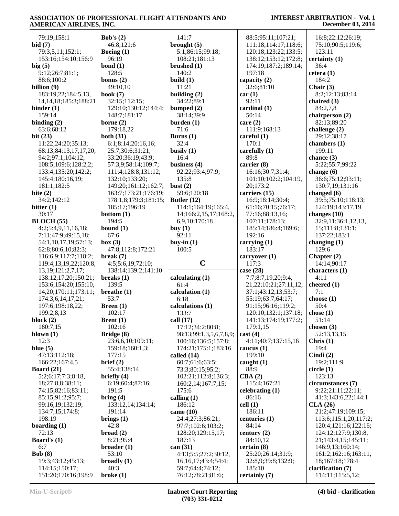| 79:19;158:1                           | Bob's $(2)$            | 141:7                                 | 88:5;95:11;107:21;          | 16:8;22:12;26:19;                     |
|---------------------------------------|------------------------|---------------------------------------|-----------------------------|---------------------------------------|
| <b>bid</b> (7)                        | 46:8;121:6             | brought $(5)$                         | 111:18;114:17;118:6;        | 75:10;90:5;119:6;                     |
| 79:3,5,11;152:1;                      | Boeing $(1)$           | 5:1;86:15;99:18;                      | 120:18;123:22;133:5;        | 123:11                                |
| 153:16;154:10;156:9                   | 96:19                  | 108:21;181:13                         | 138:12;153:12;172:8;        | certainty $(1)$                       |
| big(5)                                | bond $(1)$             | brushed $(1)$                         | 174:19;187:2;189:14;        | 36:4                                  |
| 9:12;26:7;81:1;                       | 128:5                  | 140:2                                 | 197:18                      | cetera(1)                             |
| 88:6;100:2                            | bonus $(2)$            | build $(1)$                           | capacity (2)                | 184:2                                 |
| billion (9)                           | 49:10,10               | 11:21                                 | 32:6;81:10                  | Chair $(3)$                           |
| 183:19,22;184:5,13,                   | book $(7)$             | building $(2)$                        | car(1)                      | 8:2;12:13;83:14                       |
|                                       | 32:15;112:15;          | 34:22;89:1                            | 92:11                       | chaired $(3)$                         |
| 14, 14, 18; 185: 3; 188: 21           |                        |                                       |                             |                                       |
| binder (1)<br>159:14                  | 129:10;130:12;144:4;   | bumped $(2)$                          | cardinal (1)                | 84:2,7,8                              |
|                                       | 148:7;181:17           | 38:14;39:9                            | 50:14                       | chairperson (2)                       |
| binding $(2)$                         | borne $(2)$            | burden $(1)$                          | care $(2)$                  | 82:13;89:20                           |
| 63:6;68:12                            | 179:18,22              | 71:6                                  | 111:9;168:13                | challenge $(2)$                       |
| bit $(23)$                            | both $(31)$            | Burns $(1)$                           | careful $(1)$               | 29:12;38:17                           |
| 11:22;24:20;35:13;                    | 6:1;8:14;20:16,16;     | 32:4                                  | 170:1                       | chambers (1)                          |
| 68:13;84:13,17,17,20;                 | 25:7;30:6;31:21;       | busily $(1)$                          | carefully $(1)$             | 199:11                                |
| 94:2;97:1;104:12;                     | 33:20;36:19;43:9;      | 16:4                                  | 89:8                        | chance $(3)$                          |
| 108:5;109:6;128:2,2;                  | 57:3,9;58:14;109:7;    | business $(4)$                        | carrier (8)                 | 5:22;55:7;99:22                       |
| 133:4;135:20;142:2;                   | 111:4;128:8;131:12;    | 92:22;93:4;97:9;                      | 16:16:30:7:31:4:            | change $(6)$                          |
| 145:4;180:16,19;                      | 132:10;133:20;         | 135:8                                 | 101:10;102:2;104:19,        | 36:6;75:12;93:11;                     |
| 181:1;182:5                           | 149:20;161:12;162:7;   | bust $(2)$                            | 20;173:2                    | 130:7,19;131:16                       |
| bite $(2)$                            | 163:7;173:21;176:19;   | 59:6;120:18                           | carriers (15)               | changed $(6)$                         |
| 34:2;142:12                           | 178:1,8;179:3;181:15;  | Butler $(12)$                         | 16:9;18:14;30:4;            | 39:5;75:10;118:13;                    |
| bitter (1)                            | 185:17;196:19          | 114:1;164:19;165:4,                   | 61:16;70:15;76:17;          | 124:19;143:17,19                      |
| 30:17                                 | bottom $(1)$           | 14;166:2,15,17;168:2,                 | 77:16;88:13,16;             | changes $(10)$                        |
| <b>BLOCH</b> (55)                     | 194:5                  | 6,9,10;170:18                         | 107:11;178:13;              | 32:9,11;36:1,12,13,                   |
| 4:2;5:4,9,11,16,18;                   | bound $(1)$            | buy $(1)$                             | 185:14;186:4;189:6;         | 15;111:8;131:1;                       |
| 7:11;47:9;49:15,18;                   | 67:6                   | 92:11                                 | 192:16                      | 137:22;183:1                          |
| 54:1,10,17,19;57:13;                  | box (3)                | buy-in $(1)$                          | carrying $(1)$              | changing $(1)$                        |
| 62:8;80:6,10;82:3;                    | 47:8;112:8;172:21      | 100:5                                 | 183:17                      | 129:6                                 |
|                                       |                        |                                       |                             |                                       |
|                                       |                        |                                       |                             |                                       |
| 116:6,9;117:7;118:2;                  | break $(7)$            |                                       | carryover (1)               | Chapter $(2)$                         |
| 119:4, 13, 19, 22; 120:8,             | 4:5;5:6,19;72:10;      | $\mathbf C$                           | 117:3                       | 14:14;90:17                           |
| 13, 19; 121: 2, 7, 17;                | 138:14;139:2;141:10    |                                       | case $(28)$                 | characters (1)                        |
| 138:12,17,20;150:21;                  | breaks $(1)$           | calculating $(1)$                     | 7:7;8:7,19,20;9:4,          | 4:11                                  |
| 153:6;154:20;155:10,                  | 139:5                  | 61:4                                  | 21, 22; 10: 21; 27: 11, 12; | cheered (1)                           |
| 14, 20; 170: 11; 173: 11;             | breathe $(1)$          | calculation (1)                       | 37:1;43:12,13;53:7;         | 7:1                                   |
| 174:3,6,14,17,21;                     | 53:7                   | 6:18                                  | 55:19;63:7;64:17;           | choose $(1)$                          |
| 197:6;198:18,22;                      | <b>Breen</b> $(1)$     | calculations (1)                      | 91:15;96:16;119:2;          | 50:4                                  |
| 199:2,8,13                            | 102:17                 | 133:7                                 | 120:10;132:1;137:18;        | chose $(1)$                           |
| block (2)                             | Brent (1)              | call $(17)$                           | 141:13;174:19;177:2;        | 51:14                                 |
| 180:7,15                              | 102:16                 | 17:12;34:2;80:8;                      | 179:1,15                    | chosen $(3)$                          |
| blown $(1)$                           | Bridge (8)             | 98:13;99:1,3,5,6,7,8,9;               | cast(4)                     | 52:13,13,15                           |
| 12:3                                  | 23:6,6,10;109:11;      | 100:16;136:5;157:8;                   | 4:11;40:7;137:15,16         | Chris $(1)$                           |
| blue $(5)$                            | 159:18;160:1,3;        | 174:21;175:1;183:16                   | caucus $(1)$                | 19:4                                  |
| 47:13;112:18;                         | 177:15                 | called $(14)$                         | 199:10                      | Cindi(2)                              |
| 166:22;167:4,5                        | brief (2)              | 60:7;61:6;63:5;                       | caught $(1)$                | 19:2;111:9                            |
| <b>Board</b> (21)                     | 55:4;138:14            | 73:3;80:15;95:2;                      | 88:9                        | circle $(1)$                          |
| 5:2;6:17;7:3;8:18,                    | briefly $(4)$          | 102:21;112:8;136:3;                   | CBA(2)                      | 123:13                                |
| 18;27:8,8;38:11;                      | 6:19;60:4;87:16;       | 160:2,14;167:7,15;                    | 115:4;167:21                | circumstances (7)                     |
| 74:15;82:16;83:11;                    | 191:5                  | 175:6                                 | celebrating (1)             | 9:22;21:11;22:11;                     |
| 85:15;91:2;95:7;                      | bring $(4)$            | calling $(1)$                         | 86:16                       | 41:3;143:6,22;144:1                   |
| 99:16,19;132:19;                      | 133:12,14;134:14;      | 186:12                                | cell(1)                     | CLA(26)                               |
| 134:7,15;174:8;                       | 191:14                 | came $(10)$                           | 186:11                      | 21:2;47:19;109:15;                    |
| 198:19                                | brings $(1)$           | 24:4;27:3;86:21;                      | centuries (1)               | 113:6;115:1,20;117:2;                 |
| boarding (1)                          | 42:8                   | 97:7;102:6;103:2;                     | 84:14                       | 120:4;121:16;122:16;                  |
| 72:13                                 | broad(2)               | 128:20;129:15,17;                     | century $(2)$               | 124:12;127:9;130:8,                   |
| Board's (1)                           | 8:21;95:4              | 187:13                                | 84:10,12                    | 21;143:4,15;145:11;                   |
| 6:7                                   | $broadcast (1)$        | can $(31)$                            | certain (8)                 | 146:9,13;160:14;                      |
| <b>Bob</b> (8)                        | 53:10                  | 4:13;5:5;27:2;30:12,                  | 25:20;26:14;31:9;           | 161:2;162:16;163:11,                  |
| 19:3;43:12;45:13;                     | broadly $(1)$          | 16, 16, 17; 43: 4; 54: 4;             | 32:8,9;39:8;132:9;          | 18;167:18;178:4                       |
| 114:15;150:17;<br>151:20;170:16;198:9 | 40:3<br>$b$ roke $(1)$ | 59:7;64:4;74:12;<br>76:12;78:21;81:6; | 185:10<br>certainly (7)     | clarification (7)<br>114:11;115:5,12; |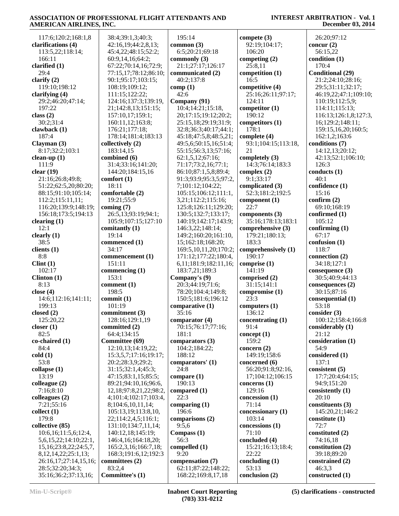#### 117:6;120:2;168:1,8 **clarifications (4)** 113:5,22;118:14; 166:11 **clarified (1)** 29:4 **clarify (2)** 119:10;198:12 **clarifying (4)** 29:2;46:20;47:14; 197:22 **class (2)** 30:2;31:4 **clawback (1)** 187:4 **Clayman (3)** 8:17;32:2;103:1 **clean-up (1)** 111:9 **clear (19)** 21:16;26:8;49:8; 51:22;62:5,20;80:20; 88:15;91:10;105:14; 112:2;115:11,11; 116:20;139:9;148:19; 156:18;173:5;194:13 **clearing (1)** 12:1 **clearly (1)** 38:5 **clients (1)** 8:8 **Clint (1)** 102:17 **Clinton (1)** 8:13 **close (4)** 14:6;112:16;141:11; 199:13 **closed (2)** 125:20,22 **closer (1)** 82:5 **co-chaired (1)** 84:4 **cold (1)** 53:8 **collapse (1)** 13:19 **colleague (2)** 7:16;8:10 **colleagues (2)** 7:21;55:16 **collect (1)** 179:8 **collective (85)** 10:6,16;11:5,6;12:4, 5,6,15,22;14:10;22:1, 15,16;23:8,22;24:5,7, 8,12,14,22;25:1,13; 26:16,17;27:14,15,16; 28:5;32:20;34:3; 38:4;39:1,3;40:3; 42:16,19;44:2,8,13; 45:4,22;48:15;52:2; 60:9,14,16;64:2; 67:22;70:14,16;72:9; 77:15,17;78:12;86:10; 90:1;95:17;103:15; 108:19;109:12; 111:15;122:22; 124:16;137:3;139:19, 21;142:8,13;151:15; 157:10,17;159:1; 160:11,12;163:8; 176:21;177:18; 178:14;181:4;183:13 **collectively (2)** 183:14,15 **combined (6)** 31:4;33:16;141:20; 144:20;184:15,16 **comfort (1)** 18:11 **comfortable (2)** 19:21;55:9 **coming (7)** 26:5,13;93:19;94:1; 105:9;107:15;127:10 **comitantly (1)** 19:14 **commenced (1)** 34:17 **commencement (1)** 151:11 **commencing (1)** 153:1 **comment (1)** 198:5 **commit (1)** 101:19 **commitment (3)** 128:16;129:1,19 **committed (2)** 64:4;134:15 **Committee (69)** 12:10,13;14:19,22; 15:3,5,7;17:16;19:17; 20:2;28:3,9;29:2; 31:15;32:1,4;45:3; 47:15;83:1,15;85:5; 89:21;94:10,16;96:6, 12,18;97:8,21,22;98:2, 4;101:4;102:17;103:4, 8;104:6,10,11,14; 105:13,19;113:8,10, 22;114:2,4,5;116:1; 131:10;134:7,11,14; 140:12,18;145:19; 146:4,16;164:18,20; 165:2,3,16;166:7,18; 168:3;191:6,12;192:3 **committees (2)** 83:2,4 195:14 **common (3)** 6:5;20:21;69:18 **commonly (3)** 21:1;27:17;126:17 **communicated (2)** 40:2;137:8 **comp (1)** 42:6 **Company (91)** 10:4;14:21;15:18, 20;17:15;19:12;20:2; 25:15,18;29:19;31:9; 32:8;36:3;40:17;44:1; 45:18;47:5,8;48:5,21; 49:5,6;50:15,16;51:4; 55:15;56:3,13;57:16; 62:1,5,12;67:16; 71:17;73:2,16;77:1; 86:10;87:1,5,8;89:4; 91:3;93:9;95:3,5;97:2, 7;101:12;104:22; 105:15;106:12;111:1, 3,21;112:2;115:16; 125:8;126:11;129:20; 130:5;132:7;133:17; 140:19;142:17;143:9; 146:3,22;148:14; 149:2;160:20;161:10, 15;162:18;168:20; 169:5,10,11,20;170:2; 171:12;177:22;180:4, 6,11;181:9;182:11,16; 183:7,21;189:3 **Company's (9)** 20:3;44:19;71:6; 78:20;104:4;149:8; 150:5;181:6;196:12 **comparative (1)** 35:16 **comparator (4)** 70:15;76:17;77:16; 181:1 **comparators (3)** 104:2;184:22; 188:12 **comparators' (1)** 24:8 **compare (1)** 190:13 **compared (1)** 22:3 **comparing (1)** 196:6 **comparisons (2)** 9:5,6 **Compass (1)** 56:3 **compelled (1)** 9:20 **compensation (7)** 62:11;87:22;148:22; **compete (3)** 92:19;104:17; 106:20 **competing (2)** 25:8,11 **competition (1)** 16:5 **competitive (4)** 25:16;26:11;97:17; 124:11 **competitor (1)** 190:12 **competitors (1)** 178:1 **complete (4)** 93:1;104:15;113:18, 21 **completely (3)** 14:3;76:14;183:3 **complex (2)** 9:1;33:17 **complicated (3)** 52:3;181:2;192:5 **component (1)** 22:7 **components (3)** 35:16;178:13;183:1 **comprehensive (3)** 179:21;180:13; 183:3 **comprehensively (1)** 190:17 **comprise (1)** 141:19 **comprised (2)** 31:15;141:1 **compromise (1)** 23:3 **computers (1)** 136:12 **concentrating (1)** 91:4 **concept (1)** 159:2 **concern (2)** 149:19;158:6 **concerned (6)** 56:20;91:8;92:16, 17;104:12;106:15 **concerns (1)** 129:16 **concession (1)** 71:14 **concessionary (1)** 103:14 **concessions (1)** 71:10 **concluded (4)** 15:21;16:13;18:4; 22:22 **concluding (1)** 53:13 **conclusion (2)**

#### **INTEREST ARBITRATION - Vol. 1 December 03, 2014**

 26:20;97:12 **concur (2)** 56:15,22 **condition (1)** 170:4 **Conditional (29)** 21:2;24:10;28:16; 29:5;31:11;32:17; 46:19,22;47:1;109:10; 110:19;112:5,9; 114:11;115:13; 116:13;126:1,8;127:3, 16;129:2;148:11; 159:15,16,20;160:5; 162:1,2;163:6 **conditions (7)** 14:12,13;20:12; 42:13;52:1;106:10; 126:3 **conducts (1)** 40:1 **confidence (1)** 15:16 **confirm (2)** 69:10;168:19 **confirmed (1)** 105:12 **confirming (1)** 67:17 **confusion (1)** 118:7 **connection (2)** 34:18;127:1 **consequence (3)** 30:5;40:9;44:13 **consequences (2)** 30:15;87:16 **consequential (1)** 53:18 **consider (3)** 100:12;158:4;166:8 **considerably (1)** 21:12 **consideration (1)** 54:9 **considered (1)** 137:1 **consistent (5)** 17:7;20:4;64:15; 94:9;151:20 **consistently (1)** 20:10 **constituents (3)** 145:20,21;146:2 **constitute (1)** 72:7 **constituted (2)** 74:16,18 **constitution (2)** 39:18;89:20 **constrained (2)** 46:3,3 **constructed (1)**

35:16;36:2;37:13,16;

**Committee's (1)**

**Min-U-Script® Inabnet Court Reporting (703) 331-0212**

168:22;169:8,17,18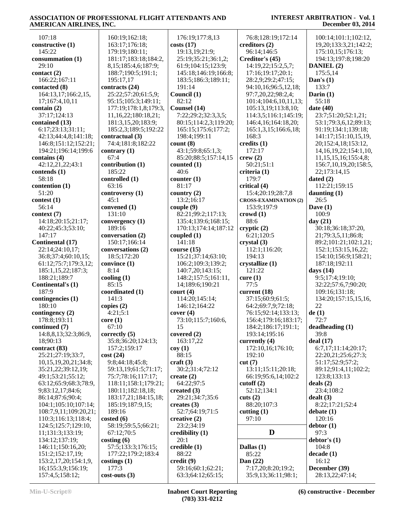| 107:18                   | 160:19;162:18;            | 176:19;177:8,13       | 76:8;128:19;172:14           | 100:14;101:1;102:12,        |
|--------------------------|---------------------------|-----------------------|------------------------------|-----------------------------|
| constructive (1)         | 163:17;176:18;            | costs(17)             | creditors $(2)$              | 19, 20; 133: 3, 21; 142: 2; |
| 145:22                   | 179:19;180:11;            | 19:13,19;21:9;        | 96:14;146:5                  | 175:10,15;176:13;           |
| consummation (1)         | 181:17;183:18;184:2,      | 25:19;35:21;36:1,2;   | Creditor's (45)              | 194:13;197:8;198:20         |
| 29:10                    | 8, 15; 185: 4, 6; 187: 9; | 61:9;104:15;123:9;    | 14:19,22;15:2,5,7;           | DANIEL (2)                  |
| contact (2)              | 188:7;190:5;191:1;        | 145:18;146:19;166:8;  | 17:16;19:17;20:1;            | 175:5,14                    |
| 166:22;167:11            | 195:17,17                 | 183:5;186:3;189:11;   | 28:2,9;29:2;47:15;           | Dan's $(1)$                 |
| contacted (8)            | contracts (24)            | 191:14                | 94:10,16;96:5,12,18;         | 133:7                       |
| 164:13,17;166:2,15,      | 25:22;57:20;61:5,9;       | Council (1)           | 97:7,20,22;98:2,4;           | Darin $(1)$                 |
| 17;167:4,10,11           | 95:15;105:3;149:11;       | 82:12                 | 101:4;104:6,10,11,13;        | 55:18                       |
| contain (2)              | 177:19;178:1,8;179:3,     | Counsel (14)          | 105:13,19;113:8,10;          | date $(40)$                 |
| 37:17;124:13             | 11,16,22;180:18,21;       | 7:22;29:2;32:3,3,5;   | 114:3,5;116:1;145:19;        | 23:7;51:20;52:1,21;         |
| contained (13)           | 181:3,15,20;183:9;        | 80:15;114:2,3;119:20; | 146:4,16;164:18,20;          | 53:1;79:3,6,12;89:13;       |
| 6:17;23:13;31:11;        | 185:2,3;189:5;192:22      | 165:15;175:6;177:2;   | 165:1,3,15;166:6,18;         | 91:19;134:1;139:18;         |
| 42:13;44:4,8;141:18;     | contractual (3)           | 198:4;199:11          | 168:3                        | 141:17;151:10,15,19,        |
| 146:8;151:12;152:21;     | 74:4;181:8;182:22         | count(8)              | credits (1)                  | 20;152:4,18;153:12,         |
| 194:21;196:14;199:6      | contrary $(1)$            | 43:1;59:8;65:1,3;     | 172:17                       | 14, 16, 19, 22; 154: 1, 10, |
| contains (4)             | 67:4                      | 85:20;88:5;157:14,15  | crew(2)                      | 11, 15, 15, 16; 155: 4, 8;  |
| 42:12,21,22;43:1         | contribution (1)          | counted $(1)$         | 50:21;51:1                   | 156:7, 10, 19, 20; 158:5,   |
| contends (1)             | 185:22                    | 40:6                  | criteria (1)                 | 22;173:14,15                |
| 58:18                    | controlled (1)            | counter $(1)$         | 179:7                        | dated $(2)$                 |
| contention (1)           | 63:16                     | 81:17                 | critical (4)                 | 112:21;159:15               |
| 51:20                    | controversy (1)           | country $(2)$         | 15:4;20:19;28:7,8            | daunting $(1)$              |
| contest (1)              | 45:1                      | 13:2;16:17            | <b>CROSS-EXAMINATION (2)</b> | 26:5                        |
| 56:14                    | convened (1)              | couple(9)             | 153:9;197:9                  | Dave $(1)$                  |
| context (7)              | 131:10                    | 82:21;99:2;117:13;    | crowd(1)                     | 100:9                       |
| 14:18;20:15;21:17;       | convergency (1)           | 135:4;139:6;168:15;   | 88:6                         | day $(21)$                  |
| 40:22;45:3;53:10;        | 189:16                    | 170:13;174:14;187:12  | cryptic $(2)$                | 30:18;36:18;37:20,          |
| 147:17                   | conversation (2)          | coupled $(1)$         | 6:21;120:5                   | 21;79:3,5,11;86:8;          |
| Continental (17)         | 150:17;166:14             | 141:18                | crystal(3)                   | 89:2;101:21;102:1,21;       |
| 22:14;24:10,17;          | conversations (2)         | course $(15)$         | 112:1;116:20;                | 152:1;153:15,16,22;         |
| 36:8;37:4;60:10,15;      | 18:5;172:20               | 15:21;37:14;63:10;    | 194:13                       | 154:10;156:9;158:21;        |
| 61:12;75:7;179:3,12;     | convince (1)              | 106:2;109:3;139:2;    | crystallize (1)              | 187:18;192:11               |
| 185:1,15,22;187:3;       | 8:14                      | 140:7,20;143:15;      | 121:22                       | days $(14)$                 |
| 188:21;189:7             | cooling $(1)$             | 148:2;157:5;161:11,   | curve(1)                     | 9:5;17:4;19:10;             |
| Continental's (1)        | 85:15                     | 14;189:6;190:21       | 77:5                         | 32:22;57:6,7;90:20;         |
| 187:9                    | coordinated (1)           | court(4)              | current (18)                 | 109:16;131:18;              |
| contingencies (1)        | 141:3                     | 114:20;145:14;        | 37:15;60:9;61:5;             | 134:20;157:15,15,16,        |
| 180:10                   | copies $(2)$              | 146:12;164:22         | 64:2;69:7,9;72:18;           | 22                          |
| contingency (2)          | 4:21;5:1                  | cover(4)              | 76:15;92:14;133:13;          | de(1)                       |
| 178:8;193:11             | core(1)                   | 73:10;115:7;160:6,    | 156:4;179:16;183:17;         | 72:7                        |
| continued (7)            | 67:10                     | 15                    | 184:2;186:17;191:1;          | deadheading (1)             |
| 14:8,8,13;32:3;86:9,     | correctly $(5)$           | covered $(2)$         | 193:14;195:16                | 39:8                        |
| 18;90:13                 | 35:8;36:20;124:13;        | 163:17,22             | currently $(4)$              | deal(17)                    |
| contract (83)            | 157:2;159:17              | $\cos(1)$             | 172:10,16;176:10;            | 6:7,17;11:14;20:17;         |
| 25:21;27:19;33:7,        | cost(24)                  | 88:15                 | 192:10                       | 22:20,21;25:6;27:3;         |
| 10,15,19,20,21;34:8;     | 9:8;44:18;45:8;           | craft $(3)$           | cut(7)                       | 51:17;52:9;57:2;            |
| 35:21,22;39:12,19;       | 59:13,19;61:5;71:17;      | 30:2;31:4;72:12       | 13:11;15:11;20:18;           | 89:12;91:4,11;102:2;        |
| 49:1;53:21;55:12;        | 75:7;78:16;117:17;        | create $(2)$          | 66:19;95:6,14;102:2          | 123:8;133:13                |
| 63:12;65:9;68:3;78:9,    | 118:11;158:1;179:21;      | 64:22:97:5            | cutoff $(2)$                 | deals $(2)$                 |
| 9;83:12,17;84:6;         | 180:11;182:18,18;         | created $(3)$         | 52:12;134:1                  | 23:4;108:2                  |
| 86:14;87:6;90:4;         | 183:17,21;184:15,18;      | 29:21;34:7;35:6       | cuts (2)                     | dealt(3)                    |
| 104:1;105:10;107:14;     | 185:19;187:9,15;          | creates $(3)$         | 88:20;107:3                  | 8:22;17:21;52:4             |
| 108:7,9,11;109:20,21;    | 189:16                    | 52:7;64:19;71:5       | cutting $(1)$                | debate(1)                   |
| 110:3;116:13;118:4;      | $\cos$ ted $(6)$          | creative $(2)$        | 97:10                        | 120:16                      |
| 124:5;125:7;129:10,      | 58:19;59:5,5;66:21;       | 23:2;34:19            |                              | debtor(1)                   |
| 11;131:3;133:19;         | 67:12;70:5                | credibility $(1)$     | D                            | 97:3                        |
| 134:12;137:19;           | costing(6)                | 20:1                  |                              | debtor's(1)                 |
| 146:11;150:16,20;        | 57:5;133:3;176:15;        | credible (1)          | Dallas (1)                   | 104:8                       |
| 151:2;152:17,19;         | 177:22;179:2;183:4        | 88:22                 | 85:22                        | decade(1)                   |
| 153:2, 17, 20; 154:1, 9, | costings(1)               | credit (9)            | Dan (22)                     | 16:12                       |
| 16;155:3,9;156:19;       | 177:3                     | 59:16;60:1;62:21;     | 7:17,20;8:20;19:2;           | December (39)               |
| 157:4,5;158:12;          | $cost$ -outs $(3)$        | 63:3;64:12;65:15;     | 35:9,13;36:11;98:1;          | 28:13,22;47:14;             |
|                          |                           |                       |                              |                             |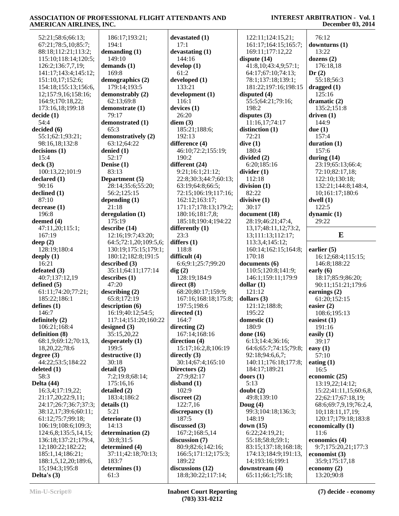52:21;58:6;66:13; 67:21;78:5,10;85:7; 88:18;112:21;113:2; 115:10;118:14;120:5; 126:2;136:7,7,19; 141:17;143:4;145:12; 151:10,17;152:6; 154:18;155:13;156:6, 12;157:9,16;158:16; 164:9;170:18,22; 173:16,18;199:18 **decide (1)** 54:4 **decided (6)** 55:1;62:1;93:21; 98:16,18;132:8 **decisions (1)** 15:4 **deck (3)** 100:13,22;101:9 **declared (1)** 90:16 **declined (1)** 87:10 **decrease (1)** 196:8 **deemed (4)** 47:11,20;115:1; 167:19 **deep (2)** 128:19;180:4 **deeply (1)** 16:21 **defeated (3)** 40:7;137:12,19 **defined (5)** 61:11;74:20;77:21; 185:22;186:1 **defines (1)** 146:7 **definitely (2)** 106:21;168:4 **definition (8)** 68:1,9;69:12;70:13, 18,20,22;78:6 **degree (3)** 44:22;53:5;184:22 **deleted (1)** 58:3 **Delta (44)** 16:3,4;17:19,22; 21:17,20;22:9,11; 24:17;26:7;36:7;37:3; 38:12,17;39:6;60:11; 61:12;75:7;99:18; 106:19;108:6;109:3; 124:6,8;135:5,14,15; 136:18;137:21;179:4, 12;180:22;182:22; 185:1,14;186:21; 188:1,5,12,20;189:6, 15;194:3;195:8 **Delta's (3)**

 186:17;193:21; 194:1 **demanding (1)** 149:10 **demands (1)** 169:8 **demographics (2)** 179:14;193:5 **demonstrably (2)** 62:13;69:8 **demonstrate (1)** 79:17 **demonstrated (1)** 65:3 **demonstratively (2)** 63:12;64:22 **denied (1)** 52:17 **Denise (1)** 83:13 **Department (5)** 28:14;35:6;55:20; 56:2;125:15 **depending (1)** 21:18 **deregulation (1)** 175:19 **describe (14)** 12:16;19:7;43:20; 64:5;72:1,20;109:5,6; 130:19;175:15;179:1; 180:12;182:8;191:5 **described (3)** 35:11;64:11;177:14 **describes (1)** 47:20 **describing (2)** 65:8;172:19 **description (6)** 16:19;40:12;54:5; 117:14;151:20;160:22 **designed (3)** 35:15,20,22 **desperately (1)** 199:5 **destructive (1)** 30:18 **detail (5)** 7:2;19:8;68:14; 175:16,16 **detailed (2)** 183:4;186:2 **details (1)** 5:21 **deteriorate (1)** 14:13 **determination (2)** 30:8;31:5 **determined (4)** 37:11;42:18;70:13; 183:7 **determines (1)** 61:3

**devastated (1)** 17:1 **devastating (1)** 144:16 **develop (1)** 61:2 **developed (1)** 133:21 **development (1)** 116:1 **devices (1)** 26:20 **diem (3)** 185:21;188:6; 192:13 **difference (4)** 46:10;72:2;155:19; 190:2 **different (24)** 9:21;16:1;21:12; 22:8;30:3;44:7;60:13; 63:19;64:8;66:5; 72:15;106:19;117:16; 162:12;163:17; 171:17;178:13;179:2; 180:16;181:7,8; 185:18;190:4;194:22 **differently (1)** 23:3 **differs (1)** 118:8 **difficult (4)** 6:6;9:1;25:7;99:20 **dig (2)** 128:19;184:9 **direct (8)** 68:20;80:17;159:9; 167:16;168:18;175:8; 197:5;198:6 **directed (1)** 164:7 **directing (2)** 167:14;168:16 **direction (4)** 15:17;16:2,8;106:19 **directly (3)** 30:14;67:4;165:10 **Directors (2)** 27:9;82:17 **disband (1)** 102:9 **discreet (2)** 122:7,16 **discrepancy (1)** 187:5 **discussed (3)** 167:2;168:5,14 **discussion (7)** 80:9;82:6;142:16; 166:5;171:12;175:3; 189:22 **discussions (12)** 18:8;30:22;117:14;

#### 122:11;124:15,21; 161:17;164:15;165:7; 169:11;177:12,22 **dispute (14)** 41:8,10;43:4,9;57:1; 64:17;67:10;74:13; 78:1;137:18;139:1; 181:22;197:16;198:15 **disputed (4)** 55:5;64:21;79:16; 198:2 **disputes (3)** 11:16,17;74:17 **distinction (1)** 72:21 **dive (1)** 180:4 **divided (2)** 6:20;185:16 **divider (1)** 112:18 **division (1)** 82:22 **divisive (1)** 30:17 **document (18)** 28:19;46:21;47:4, 13,17;48:11,12;73:2, 13;111:13;112:17; 113:3,4;145:12; 160:14;162:15;164:8; 170:18 **documents (6)** 110:5;120:8;141:9; 146:1;159:11;179:9 **dollar (1)** 121:12 **dollars (3)** 121:12;188:8; 195:22 **domestic (1)** 180:9 **done (16)** 6:13;14:4;36:16; 64:6;65:7;74:15;79:8; 92:18;94:6,6,7; 140:11;176:18;177:8; 184:17;189:21 **doors (1)** 5:13 **doubt (2)** 49:8;139:10 **Doug (4)** 99:3;104:18;136:3; 148:19 **down (15)** 6:22;24:19,21; 55:18;58:8;59:1; 83:15;137:18;168:18; 174:13;184:9;191:13, 14;193:16;199:1 **downstream (4)** 65:11;66:1;75:18;

#### **INTEREST ARBITRATION - Vol. 1 December 03, 2014**

 76:12 **downturns (1)** 13:22 **dozens (2)** 176:18,18 **Dr (2)** 55:18;56:3 **dragged (1)** 125:16 **dramatic (2)** 135:2;151:8 **driven (1)** 144:9 **due (1)** 157:4 **duration (1)** 157:6 **during (14)** 23:19;65:13;66:4; 72:10;82:17,18; 122:10;130:18; 132:21;144:8;148:4, 10;161:17;180:6 **dwell (1)** 122:5 **dynamic (1)** 29:22 **E earlier (5)** 16:12;68:4;115:15; 146:8;188:22 **early (6)** 18:17;85:9;86:20; 90:11;151:21;179:6 **earnings (2)** 61:20;152:15 **easier (2)** 108:6;195:13 **easiest (1)** 191:16 **easily (1)** 39:17 **easy (1)** 57:10 **eating (1)** 16:5 **economic (25)** 13:19,22;14:12; 15:22;41:11,15;60:6,8, 22;62:17;67:18,19; 68:6;69:7,9,19;76:2,4, 10;118:11,17,19; 120:17;179:18;183:8 **economically (1)** 11:6 **economics (4)** 9:7;175:20,21;177:3

**economist (3)** 35:9;175:17,18 **economy (2)** 13:20;90:8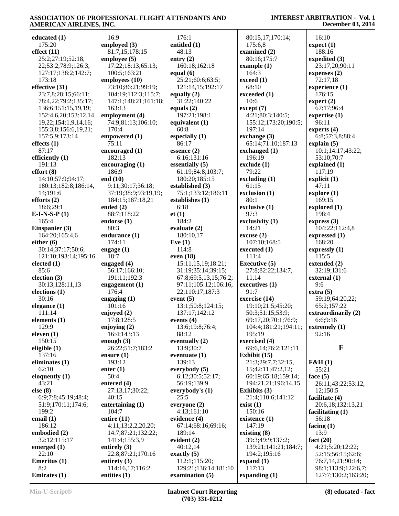| educated (1)          | 16:9                 | 176:1                 | 80:15,17;170:14;                                | 16:10               |
|-----------------------|----------------------|-----------------------|-------------------------------------------------|---------------------|
| 175:20                | employed (3)         | entitled (1)          | 175:6,8                                         | expect(1)           |
| effect $(11)$         | 81:7,15;178:15       | 48:13                 | examined $(2)$                                  | 188:16              |
| 25:2;27:19;52:18,     | employee (5)         | entry $(2)$           | 80:16;175:7                                     | expedited (3)       |
| 22;53:2;78:9;126:3;   | 17:22;18:13;65:13;   | 160:18;162:18         | example $(1)$                                   | 23:17,20;90:11      |
| 127:17;138:2;142:7;   | 100:5;163:21         | equal $(6)$           | 164:3                                           | expenses (2)        |
| 173:18                | employees (10)       | 25:21;60:6;63:5;      | exceed (1)                                      | 72:17,18            |
|                       |                      |                       |                                                 |                     |
| effective (31)        | 73:10;86:21;99:19;   | 121:14,15;192:17      | 68:10                                           | experience (1)      |
| 23:7,8;28:15;66:11;   | 104:19;112:3;115:7;  | equally $(2)$         | exceeded (1)                                    | 176:15              |
| 78:4,22;79:2;135:17;  | 147:1;148:21;161:18; | 31:22;140:22          | 10:6                                            | expert $(2)$        |
| 136:6;151:15,19,19;   | 163:13               | equals $(2)$          | except (7)                                      | 67:17;96:4          |
| 152:4,6,20;153:12,14, | employment (4)       | 197:21;198:1          | 4:21;80:3;140:5;                                | expertise $(1)$     |
| 19,22;154:1,9,14,16;  | 74:9;81:13;106:10;   | equivalent (1)        | 155:12;173:20;190:5;                            | 96:11               |
| 155:3,8;156:6,19,21;  | 170:4                | 60:8                  | 197:14                                          | experts $(4)$       |
| 157:5,9;173:14        | empowered (1)        | especially (1)        | exchange $(3)$                                  | 6:8;57:3,8;88:4     |
|                       |                      |                       |                                                 |                     |
| effects $(1)$         | 75:11                | 86:17                 | 65:14;71:10;187:13                              | explain $(5)$       |
| 87:17                 | encouraged $(1)$     | $e$ ssence $(2)$      | exchanged (1)                                   | 10:1;14:17;43:22;   |
| efficiently $(1)$     | 182:13               | 6:16;131:16           | 196:19                                          | 53:10;70:7          |
| 191:13                | encouraging(1)       | essentially $(5)$     | $\boldsymbol{\mathrm{exclude}\left( 1\right) }$ | explained (1)       |
| effort(8)             | 186:9                | 61:19;84:8;103:7;     | 79:22                                           | 117:19              |
| 14:10;57:9;94:17;     | end (10)             | 180:20;185:15         | excluding $(1)$                                 | explicit $(1)$      |
| 180:13;182:8;186:14,  | 9:11;30:17;36:18;    | established (3)       | 61:15                                           | 47:11               |
| 14;191:6              | 37:19;38:9;93:19,19; | 75:1;133:12;186:11    | exclusion (1)                                   |                     |
|                       |                      |                       |                                                 | explore $(1)$       |
| efforts $(2)$         | 184:15;187:18,21     | establishes (1)       | 80:1                                            | 169:15              |
| 18:6;29:1             | ended $(2)$          | 6:18                  | exclusive (1)                                   | explored (1)        |
| $E-I-N-S-P(1)$        | 88:7;118:22          | et(1)                 | 97:3                                            | 198:4               |
| 165:4                 | endorse $(1)$        | 184:2                 | exclusivity $(1)$                               | express $(3)$       |
| Einspanier $(3)$      | 80:3                 | evaluate (2)          | 14:21                                           | 104:22;112:4,8      |
| 164:20;165:4,6        | endurance (1)        | 180:10,17             | excuse(2)                                       | expressed (1)       |
| either $(6)$          | 174:11               | Eve $(1)$             | 107:10;168:5                                    | 168:20              |
| 30:14;37:17;50:6;     | engage $(1)$         | 114:8                 | executed $(1)$                                  |                     |
|                       |                      |                       |                                                 | expressly $(1)$     |
| 121:10;193:14;195:16  | 18:7                 | even $(18)$           | 111:4                                           | 115:5               |
| elected $(1)$         | engaged (4)          | 15:11,15,19;18:21;    | <b>Executive (5)</b>                            | extended (2)        |
| 85:6                  | 56:17;166:10;        | 31:19;35:14;39:15;    | 27:8;82:22;134:7,                               | 32:19;131:6         |
| election $(3)$        | 191:11;192:3         | 67:8;69:5,13,15;76:2; | 11,14                                           | external (1)        |
| 30:13;128:11,13       | engagement (1)       | 97:11;105:12;106:16,  | executives (1)                                  | 9:6                 |
| elections (1)         | 176:4                | 22;110:17;187:3       | 91:7                                            | extra(5)            |
| 30:16                 | engaging (1)         | event $(5)$           | exercise (14)                                   | 59:19;64:20,22;     |
| elegance $(1)$        | 101:16               | 13:1;50:8;124:15;     | 19:10;21:5;45:20;                               | 65:2;157:22         |
| 111:14                |                      | 137:17;142:12         | 50:3;51:15;53:9;                                | extraordinarily (2) |
|                       | enjoyed $(2)$        |                       |                                                 |                     |
| elements $(1)$        | 17:8;128:5           | events (4)            | 69:17,20;70:1;76:9;                             | 6:6;9:16            |
| 129:9                 | enjoying $(2)$       | 13:6;19:8;76:4;       | 104:4;181:21;194:11;                            | extremely $(1)$     |
| eleven $(1)$          | 16:4;143:13          | 88:12                 | 195:19                                          | 92:16               |
| 150:15                | enough $(3)$         | eventually (2)        | exercised (4)                                   |                     |
| eligible $(1)$        | 26:22;51:7;183:2     | 13:9;30:7             | 69:6,14;76:2;121:11                             | $\mathbf F$         |
| 137:16                | ensure $(1)$         | eventuate $(1)$       | Exhibit (15)                                    |                     |
| eliminates $(1)$      | 193:12               | 139:13                | 21:3;29:7,7;32:15,                              | F&H(1)              |
| 62:10                 | enter $(1)$          | everybody (5)         | 15;42:11;47:2,12;                               | 55:21               |
|                       |                      |                       | 60:19;65:18;159:14;                             |                     |
| eloquently $(1)$      | 50:4                 | 6:12;30:5;52:17;      |                                                 | face $(5)$          |
| 43:21                 | entered (4)          | 56:19;139:9           | 194:21,21;196:14,15                             | 26:11;43:22;53:12,  |
| else (8)              | 27:13,17;30:22;      | everybody's (1)       | Exhibits (3)                                    | 12;150:5            |
| 6:9;7:8;45:19;48:4;   | 40:15                | 25:5                  | 21:4;110:6;141:12                               | facilitate (4)      |
| 51:9;170:11;174:6;    | entertaining $(1)$   | everyone (2)          | exist(1)                                        | 20:6,18;132:13,21   |
| 199:2                 | 104:7                | 4:13;161:10           | 150:16                                          | facilitating $(1)$  |
| email $(1)$           | entire $(11)$        | evidence (4)          | existence (1)                                   | 56:18               |
| 186:12                | 4:11;13:2,2,20,20;   | 67:14;68:16;69:16;    | 147:19                                          | facing $(1)$        |
|                       |                      |                       |                                                 |                     |
| embodied (2)          | 14:7;87:21;132:22;   | 189:14                | existing $(8)$                                  | 13:9                |
| 32:12;115:17          | 141:4;155:3,9        | evident $(2)$         | 39:3;49:9;137:2;                                | fact $(20)$         |
| emerged $(1)$         | entirely $(3)$       | 40:12,14              | 139:21;141:21;184:7;                            | 4:21;5:20;12:22;    |
| 22:10                 | 22:8;87:21;170:16    | exactly $(5)$         | 194:2;195:16                                    | 52:15;56:15;62:6;   |
| Emeritus (1)          | entirety $(3)$       | 112:1;115:20;         | expand $(1)$                                    | 76:7,14,21;90:14;   |
| 8:2                   | 114:16,17;116:2      | 129:21;136:14;181:10  | 117:13                                          | 98:1;113:9;122:6,7; |
| Emirates (1)          | entities (1)         | examination (5)       | expanding $(1)$                                 | 127:7;130:2;163:20; |
|                       |                      |                       |                                                 |                     |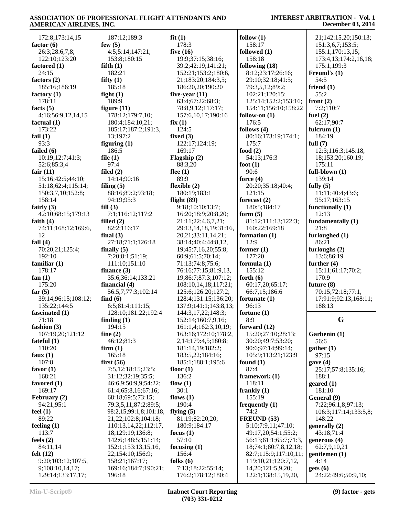#### **INTEREST ARBITRATION - Vol. 1 December 03, 2014**

 172:8;173:14,15 **factor (6)** 26:3;28:6,7,8; 122:10;123:20 **factored (1)** 24:15 **factors (2)** 185:16;186:19 **factory (1)** 178:11 **facts (5)** 4:16;56:9,12,14,15 **factual (1)** 173:22 **fail (1)** 93:3 **failed (6)** 10:19;12:7;41:3; 52:6;85:3,4 **fair (11)** 15:16;42:5;44:10; 51:18;62:4;115:14; 150:3,7,10;152:8; 158:14 **fairly (3)** 42:10;68:15;179:13 **faith (4)** 74:11;168:12;169:6, 12 **fall (4)** 70:20,21;125:4; 192:10 **familiar (1)** 178:17 **fan (1)** 175:20 **far (5)** 39:14;96:15;108:12; 135:22;144:5 **fascinated (1)** 71:18 **fashion (3)** 107:19,20;121:12 **fateful (1)** 110:20 **faux (1)** 107:8 **favor (1)** 168:21 **favored (1)** 169:17 **February (2)** 94:21;95:1 **feel (1)** 89:22 **feeling (1)** 113:7 **feels (2)** 84:11,14 **felt (12)** 9:20;103:12;107:5, 9;108:10,14,17; 129:14;133:17,17;

 187:12;189:3 **few (5)** 4:5;5:14;147:21; 153:8;180:15 **fifth (1)** 182:21 **fifty (1)** 185:18 **fight (1)** 189:9 **figure (11)** 178:12;179:7,10; 180:4;184:10,21; 185:17;187:2;191:3, 13;197:2 **figuring (1)** 186:5 **file (1)** 97:4 **filed (2)** 14:14;90:16 **filing (5)** 88:16;89:2;93:18; 94:19;95:3 **fill (3)** 7:1;116:12;117:2 **filled (2)** 82:2;116:17 **final (3)** 27:18;71:1;126:18 **finally (5)** 7:20;8:1;51:19; 111:10;151:10 **finance (3)** 35:6;36:14;133:21 **financial (4)** 56:5,7;77:3;102:14 **find (6)** 6:5;81:4;111:15; 128:10;181:22;192:4 **finding (1)** 194:15 **fine (2)** 46:12;81:3 **firm (1)** 165:18 **first (56)** 7:5,12;18:15;23:5; 31:12;32:19;35:5; 46:6,9;50:9,9;54:22; 61:4;65:8,16;67:16; 68:18;69:5;73:15; 79:3,5,11;87:2;89:5; 98:2,15;99:1,8;101:18, 21,22;102:8;104:18; 110:13,14,22;112:17, 18;129:19;136:8; 142:6;148:5;151:14; 152:1;153:13,15,16, 22;154:10;156:9; 158:21;167:17; 169:16;184:7;190:21; 196:18

**fit (1)** 178:3 **five (16)** 19:9;37:15;38:16; 39:2;42:19;141:21; 152:21;153:2;180:6, 21;183:20;184:3,5; 186:20,20;190:20 **five-year (11)** 63:4;67:22;68:3; 78:8,9,12;117:17; 157:6,10,17;190:16 **fix (1)** 124:5 **fixed (3)** 122:17;124:19; 169:17 **Flagship (2)** 88:3,20 **flee (1)** 89:9 **flexible (2)** 180:19;183:1 **flight (89)** 9:18;10:10;13:7; 16:20;18:9;20:8,20; 21:11;22:4,6,7,21; 29:13,14,18,19;31:16, 20,21;33:11,14,21; 38:14;40:4;44:8,12, 19;45:7,16,20;55:8; 60:9;61:5;70:14; 71:13;74:8;75:6; 76:16;77:15;81:9,13, 19;86:7;87:3;107:12; 108:10,14,18;117:21; 125:6;126:20;127:2; 128:4;131:15;136:20; 137:9;141:1;143:8,13; 144:3,17,22;148:3; 152:14;160:7,9,16; 161:1,4;162:3,10,19; 163:16;172:10;178:2, 2,14;179:4,5;180:8; 181:14,19;182:2; 183:5,22;184:16; 185:1;188:1;195:6 **floor (1)** 136:2 **flow (1)** 30:1 **flows (1)** 190:4 **flying (5)** 81:19;82:20,20; 180:9;184:17 **focus (1)** 57:10 **focusing (1)** 156:4 **folks (6)** 7:13;18:22;55:14; 176:2;178:12;180:4

**follow (1)** 158:17 **followed (1)** 158:18 **following (18)** 8:12;23:17;26:16; 29:10;32:18;41:5; 79:3,5,12;89:2; 102:21;120:15; 125:14;152:2;153:16; 154:11;156:10;158:22 **follow-on (1)** 176:5 **follows (4)** 80:16;173:19;174:1; 175:7 **food (2)** 54:13;176:3 **foot (1)** 90:6 **force (4)** 20:20;35:18;40:4; 121:15 **forecast (2)** 180:5;184:17 **form (5)** 81:12;111:13;122:3; 160:22;169:18 **formation (1)** 12:9 **former (1)** 177:20 **formula (1)** 155:12 **forth (6)** 60:17,20;65:17; 66:7,15;186:6 **fortunate (1)** 96:13 **fortune (1)** 8:9 **forward (12)** 15:20;27:10;28:13; 30:20;49:7;53:20; 90:6;97:14;99:14; 105:9;113:21;123:9 **found (1)** 87:4 **framework (1)** 118:11 **frankly (1)** 155:19 **frequently (1)** 74:2 **FREUND (53)** 5:10;7:9,11;47:10; 49:17,20;54:1;55:2; 56:13;61:1;65:7;71:3, 18;74:1;80:7,8,12,18; 82:7;115:9;117:10,11;

> 119:10,21;120:7,12, 14,20;121:5,9,20; 122:1;138:15,19,20,

 21;142:15,20;150:13; 151:3,6,7;153:5; 155:1;170:13,15; 173:4,13;174:2,16,18; 175:1;199:3 **Freund's (1)** 54:5 **friend (1)** 55:2 **front (2)** 7:2;110:7 **fuel (2)** 62:17;90:7 **fulcrum (1)** 184:19 **full (7)** 12:3;116:3;145:18, 18;153:20;160:19; 175:11 **full-blown (1)** 139:14 **fully (5)** 11:11;40:4;43:6; 95:17;163:15 **functionally (1)** 12:13 **fundamentally (1)** 21:8 **furloughed (1)** 86:21 **furloughs (2)** 13:6;86:19 **further (4)** 15:11;61:17;70:2; 170:9 **future (8)** 70:15;72:18;77:1, 17;91:9;92:13;168:11;

# **G**

188:13

**Garbenin (1)** 56:6 **gather (1)** 97:15 **gave (4)** 25:17;57:8;135:16; 188:1 **geared (1)** 181:10 **General (9)** 7:22;96:1,8;97:13; 106:3;117:14;133:5,8; 148:22 **generally (2)** 43:18;71:4 **generous (4)** 62:7,9,10,21 **gentlemen (1)** 4:14 **gets (6)**

24:22;49:6;50:9,10;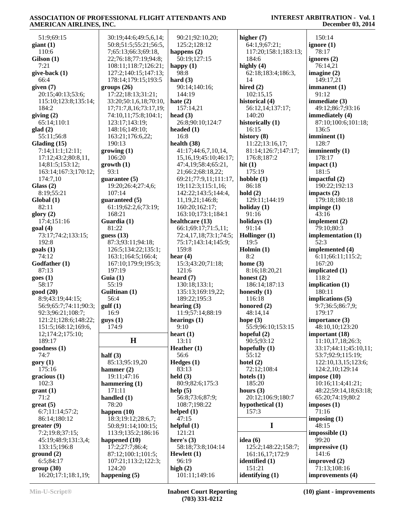#### 51:9;69:15 **giant (1)** 110:6 **Gilson (1)** 7:21 **give-back (1)** 66:4 **given (7)** 20:15;40:13;53:6; 115:10;123:8;135:14; 184:2 **giving (2)** 65:14;110:1 **glad (2)** 55:11;56:8 **Glading (15)** 7:14;11:1;12:11; 17:12;43:2;80:8,11, 14;81:5;153:12; 163:14;167:3;170:12; 174:7,10 **Glass (2)** 8:19;55:21 **Global (1)** 82:11 **glory (2)** 17:4;151:16 **goal (4)** 73:17;74:2;133:15; 192:8 **goals (1)** 74:12 **Godfather (1)** 87:13 **goes (1)** 58:17 **good (20)** 8:9;43:19;44:15; 56:9;65:7;74:11;90:3; 92:3;96:21;108:7; 121:21;128:6;148:22; 151:5;168:12;169:6, 12;174:2;175:10; 189:17 **goodness (1)** 74:7 **gory (1)** 175:16 **gracious (1)** 102:3 **grant (1)** 71:2 **great (5)** 6:7;11:14;57:2; 86:14;180:12 **greater (9)** 7:2;19:8;37:15; 45:19;48:9;131:3,4; 133:15;196:8 **ground (2)** 6:5;84:17 **group (30)** 16:20;17:1;18:1,19; 30:19;44:6;49:5,6,14; 50:8;51:5;55:21;56:5, 7;65:13;66:3;69:18, 22;76:18;77:19;94:8; 108:11;118:7;126:21; 127:2;140:15;147:13; 178:14;179:15;193:5 **groups (26)** 17:22;18:13;31:21; 33:20;50:1,6,18;70:10, 17;71:7,8,16;73:17,19; 74:10,11;75:8;104:1; 123:17;143:19; 148:16;149:10; 163:21;176:6,22; 190:13 **growing (1)** 106:20 **growth (1)** 93:1 **guarantee (5)** 19:20;26:4;27:4,6; 107:14 **guaranteed (5)** 61:19;62:2,6;73:19; 168:21 **Guardia (1)** 81:22 **guess (13)** 87:3;93:11;94:18; 126:5;134:22;135:1; 163:1;164:5;166:4; 167:10;179:9;195:3; 197:19 **Guia (1)** 55:19 **Guiltinan (1)** 56:4 **gulf (1)** 16:9 **guys (1)** 174:9 **H half (3)** 85:13;95:19,20 **hammer (2)** 19:11;47:16 **hammering (1)** 171:11 **handled (1)** 78:20 **happen (10)** 18:3;19:12;28:6,7; 50:8;91:14;100:15; 113:9;135:2;186:16 **happened (10)** 17:2;27:7;86:4; 87:12;100:1;101:5; 107:21;113:2;122:3; 124:20 **happening (5)** 90:21;92:10,20; 125:2;128:12 **happens (2)** 50:19;127:15 **happy (1)** 98:8 **hard (3)** 90:14;140:16; 144:19 **hate (2)** 157:14,21 **head (3)** 26:8;90:10;124:7 **headed (1)** 16:8 **health (38)** 41:17;44:6,7,10,14, 15,16,19;45:10;46:17; 47:4,19;58:4;65:21, 21;66:2;68:18,22; 69:21;77:9,11;111:17, 19;112:3;115:1,16; 142:22;143:5;144:4, 11,19,21;146:8; 160:20;162:17; 163:10;173:1;184:1 **healthcare (13)** 66:1;69:17;71:5,11; 72:4,17,18;73:1;74:5; 75:17;143:14;145:9; 159:8 **hear (4)** 15:3;43:20;71:18; 121:6 **heard (7)** 130:18;133:1; 135:13;169:19,22; 189:22;195:3 **hearing (3)** 11:9;57:14;88:19 **hearings (1)** 9:10 **heart (1)** 13:11 **Heather (1)** 56:6 **Hedges (1)** 83:13 **held (3)** 80:9;82:6;175:3 **help (5)** 56:8;73:6;87:9; 108:7;198:22 **helped (1)** 47:15 **helpful (1)** 121:21 **here's (3)** 58:18;73:8;104:14 **Hewlett (1)** 96:19 **high (2)** 101:11;149:16 **higher (7)** 64:1,9;67:21; 117:20;158:1;183:13; 184:6 **highly (4)** 62:18;183:4;186:3, 14 **hired (2)** 102:15,15 **historical (4)** 56:12,14;137:17; 140:20 **historically (1)** 16:15 **history (8)** 11:22;13:16,17; 81:14;126:7;147:17; 176:8;187:2 **hit (1)** 175:19 **hobble (1)** 86:18 **hold (2)** 129:11;144:19 **holiday (1)** 91:16 **holidays (1)** 91:14 **Hollinger (1)** 19:5 **Holmin (1)** 8:2 **home (3)** 8:16;18:20,21 **honest (2)** 186:14;187:13 **honestly (1)** 116:18 **honored (2)** 48:14,14 **hope (3)** 55:9;96:10;153:15 **hopeful (2)** 90:5;93:12 **hopefully (1)** 55:12 **hotel (2)** 72:12;108:4 **hotels (1)** 185:20 **hours (3)** 20:12;106:9;180:7 **hypothetical (1)** 157:3 **I idea (6)** 125:2;148:22;158:7; 161:16,17;172:9 **identified (1)** 151:21 **identifying (1)** 150:14 **ignore (1)** 78:17 **ignores (2)** 76:14,21 **imagine (2)** 149:17,21 **immanent (1)** 91:12 **immediate (3)** 49:12;86:7;93:16 **immediately (4)** 87:10;100:6;101:18; 136:5 **imminent (1)** 128:7 **imminently (1)** 178:17 **impact (1)** 181:5 **impactful (2)** 190:22;192:13 **impacts (2)** 179:18;180:18 **impinge (1)** 43:16 **implement (2)** 79:10;80:3 **implementation (1)** 52:3 **implemented (4)** 6:11;66:11;115:2; 167:20 **implicated (1)** 118:2 **implication (1)** 180:11 **implications (5)** 9:7;36:5;86:7,9; 179:17 **importance (3)** 48:10,10;123:20 **important (18)** 11:10,17,18;26:3; 33:17;44:11;45:10,11; 53:7;92:9;115:19; 122:10,13,15;123:6; 124:2,10;129:14 **impose (10)** 10:16;11:4;41:21; 48:22;59:14,18;63:18; 65:20;74:19;80:2 **imposes (1)** 71:16 **imposing (1)** 48:15 **impossible (1)** 99:20 **impressive (1)** 141:6 **improved (2)** 71:13;108:16 **improvements (4)**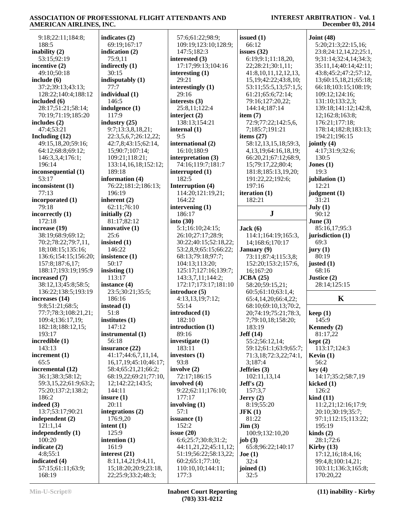| 9:18;22:11;184:8;     | indicates $(2)$             | 57:6;61:22;98:9;      | issued $(1)$               | Joint $(48)$              |
|-----------------------|-----------------------------|-----------------------|----------------------------|---------------------------|
| 188:5                 | 69:19;167:17                | 109:19;123:10;128:9;  | 66:12                      | 5:20;21:3;22:15,16;       |
| inability (2)         | indication $(2)$            | 147:5:182:3           | issues $(32)$              | 23:8;24:12,14,22;25:1,    |
| 53:15;92:19           | 75:9,11                     | interested $(3)$      | 6:19;9:1;11:18,20,         | 9;31:14;32:4,14;34:3;     |
| incentive (2)         | indirectly (1)              | 17:17;99:13;104:16    | 22;28:21;30:1,11;          | 35:11,14;40:14;42:11;     |
| 49:10:50:18           | 30:15                       | interesting $(1)$     | 41:8, 10, 11, 12, 12, 13,  | 43:8;45:2;47:2;57:12,     |
| include (6)           | indisputably (1)            | 29:21                 |                            | 13;60:15,18,21;65:18;     |
|                       |                             |                       | 15, 19; 42: 22; 43: 8, 10; |                           |
| 37:2;39:13;43:13;     | 77:7                        | interestingly $(1)$   | 53:11;55:5,13;57:1,5;      | 66:18;103:15;108:19;      |
| 128:22;140:4;188:12   | individual (1)              | 29:16                 | 61:21;65:6;72:14;          | 109:12;124:16;            |
| included (6)          | 146:5                       | interests (3)         | 79:16;127:20,22;           | 131:10;133:2,3;           |
| 28:17:51:21:58:14;    | indulgence (1)              | 25:8,11;122:4         | 144:14;187:14              | 139:18;141:12;142:8,      |
| 70:19;71:19;185:20    | 117:9                       | interject $(2)$       | item $(7)$                 | 12;162:8;163:8;           |
| includes (2)          | industry $(25)$             | 138:13:154:21         | 72:9;77:22;142:5,6,        | 176:21;177:18;            |
| 47:4;53:21            | 9:7;13:3,8,18,21;           | internal $(1)$        | 7;185:7;191:21             | 178:14;182:8;183:13;      |
| Including (12)        | 22:3,5,6,7;26:12,22;        | 9:5                   | items $(27)$               | 194:21;196:15             |
| 49:15,18,20;59:16;    | 42:7,8;43:15;62:14,         | international (2)     | 58:12,13,15,18;59:3,       | jointly $(4)$             |
| 64:12;68:8;69:12;     | 15;90:7;107:14;             | 16:10;180:9           | 4, 13, 19; 64: 16, 18, 19; | 4:17;31:9;32:6;           |
| 146:3,3,4;176:1;      | 109:21;118:21;              | interpretation (3)    | 66:20,21;67:12;68:9,       | 130:5                     |
| 196:14                | 133:14,16,18;152:12;        | 74:16;119:7;181:7     | 15;79:17,22;80:4;          | Jones $(1)$               |
| inconsequential (1)   | 189:18                      | interrupted (1)       | 181:8;185:13,19,20;        | 19:3                      |
|                       |                             | 182:5                 |                            |                           |
| 53:17                 | information (4)             |                       | 191:22,22;192:6;           | jubilation (1)            |
| inconsistent (1)      | 76:22;181:2;186:13;         | Interruption (4)      | 197:16                     | 12:21                     |
| 77:13                 | 196:19                      | 114:20;121:19,21;     | iteration $(1)$            | judgment (1)              |
| incorporated (1)      | inherent $(2)$              | 164:22                | 182:21                     | 31:21                     |
| 79:18                 | 62:11;76:10                 | intervening (1)       |                            | July $(1)$                |
| incorrectly (1)       | initially $(2)$             | 186:17                | ${\bf J}$                  | 90:12                     |
| 172:18                | 81:17;82:12                 | into $(30)$           |                            | June $(3)$                |
| increase (19)         | innovative $(1)$            | 5:1;16:10;24:15;      | Jack(6)                    | 85:16,17;95:3             |
| 38:19;68:9;69:12;     | 25:6                        | 26:10;27:17;28:9;     | 114:1;164:19;165:3,        | jurisdiction $(1)$        |
| 70:2;78:22;79:7,11,   | insisted $(1)$              | 30:22;40:15;52:18,22; | 14;168:6;170:17            | 69:3                      |
| 18;108:15;135:16;     | 146:22                      | 53:2,8,9;65:15;66:22; | January (9)                | jury(1)                   |
| 136:6;154:15;156:20;  | insistence $(1)$            | 68:13;79:18;97:7;     | 73:11;87:4;115:3,8;        | 80:19                     |
| 157:8;187:6,17;       | 50:17                       | 104:13;113:20;        | 152:20;153:2;157:6,        | justed $(1)$              |
| 188:17;193:19;195:9   | insisting $(1)$             | 125:17;127:16;139:7;  | 16;167:20                  | 68:16                     |
|                       | 113:17                      |                       |                            | Justice (2)               |
| increased (7)         |                             | 143:3,7,11;144:2;     | JCBA(25)                   |                           |
| 38:12,13;45:8;58:5;   | instance (4)                | 172:17;173:17;181:10  | 58:20;59:15,21;            | 28:14;125:15              |
| 136:22;138:5;193:19   | 23:5;30:21;35:5;            | introduce (5)         | 60:5;61:10;63:1,4;         |                           |
| increases (14)        | 186:16                      | 4:13,13,19;7:12;      | 65:4,14,20;66:4,22;        | K                         |
| 9:8;51:21;68:5;       | instead $(1)$               | 55:14                 | 68:10;69:10,13;70:2,       |                           |
| 77:7;78:3;108:21,21;  | 51:8                        | introduced (1)        | 20;74:19;75:21;78:3,       | keep(1)                   |
| 109:4;136:17,19;      | institutes $(1)$            | 182:10                | 7;79:10,18;158:20;         | 145:9                     |
| 182:18;188:12,15;     | 147:12                      | introduction (1)      | 183:19                     | Kennedy (2)               |
| 193:17                | instrumental (1)            | 89:16                 | Jeff(14)                   | 81:17,22                  |
| incredible (1)        | 56:18                       | investigate (1)       | 55:2;56:12,14;             | kept(2)                   |
| 143:13                | insurance (22)              | 183:11                | 59:12;61:1;63:9;65:7;      | 113:17;124:3              |
| increment (1)         | 41:17;44:6,7,11,14,         | investors (1)         | 71:3,18;72:3,22;74:1,      | Kevin $(1)$               |
| 65:5                  | 16, 17, 19; 45: 10; 46: 17; | 93:8                  | 3;187:4                    | 56:2                      |
| incremental (12)      | 58:4;65:21,21;66:2;         | involve $(2)$         | Jeffries (3)               | key(4)                    |
| 36:1;38:3;58:12;      | 68:19,22;69:21;77:10,       | 72:17;186:15          | 102:11,13,14               | 14:17;35:2;58:7,19        |
|                       |                             |                       |                            |                           |
| 59:3,15,22;61:9;63:2; | 12;142:22;143:5;            | involved (4)          | Jeff's(2)                  | kicked $(1)$              |
| 75:20;137:2;138:2;    | 144:11                      | 9:22;62:11;176:10;    | 157:3,7                    | 126:2                     |
| 186:2                 | insure (1)                  | 177:17                | Jerry $(2)$                | $\operatorname{kind}(11)$ |
| indeed (3)            | 20:11                       | involving $(1)$       | 8:19;55:20                 | 11:2,21;12:16;17:9;       |
| 13:7;53:17;90:21      | integrations (2)            | 57:1                  | JFK(1)                     | 20:10:30:19:35:7;         |
| independent (2)       | 176:9,20                    | issuance (1)          | 81:22                      | 97:1;112:15;113:22;       |
| 121:1,14              | intent $(1)$                | 152:2                 | $\text{Jim} (3)$           | 195:19                    |
| independently (1)     | 125:9                       | issue $(20)$          | 100:9;132:10,20            | kinds $(2)$               |
| 100:20                | intention $(1)$             | 6:6;25:7;30:8;31:2;   | job $(3)$                  | 28:1;72:6                 |
| indicate (2)          | 161:9                       | 44:11,21,22;45:11,12; | 65:8;96:22;140:17          | Kirby $(13)$              |
| 4:8;55:1              | interest $(21)$             | 51:19;56:22;58:13,22; | Joe (1)                    | 17:12,16;18:4,16;         |
| indicated (4)         | 8:11, 14, 21; 9:4, 11,      | 60:2;65:1;77:10;      | 32:4                       | 99:4,8;100:14,21;         |
| 57:15;61:11;63:9;     | 15;18:20;20:9;23:18,        | 110:10,10;144:11;     | joined $(1)$               | 103:11;136:3;165:8;       |
|                       |                             |                       | 32:5                       |                           |
| 168:19                | 22;25:9;33:2;48:3;          | 177:3                 |                            | 170:20,22                 |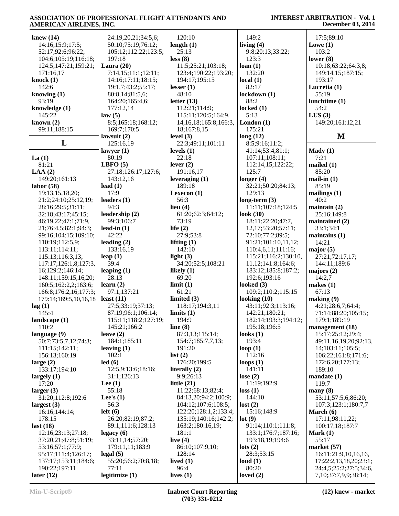| knew $(14)$                    | 24:19,20,21;34:5,6;  | 120:10                                       | 149:2                        | 17:5;89:10                |
|--------------------------------|----------------------|----------------------------------------------|------------------------------|---------------------------|
| 14:16;15:9;17:5;               | 50:10;75:19;76:12;   | length $(1)$                                 | living $(4)$                 | Lowe $(1)$                |
| 52:17;92:6;96:22;              | 105:12;112:22;123:5; | 25:13                                        | 9:8;20:13;33:22;             | 103:2                     |
| 104:6;105:19;116:18;           | 197:18               | less(8)                                      | 123:3                        | lower $(8)$               |
| 124:5;147:21;159:21;           | Laura $(20)$         | 11:5;25:21;103:18;                           | loan(1)                      | 10:18;63:22;64:3,8;       |
| 171:16,17                      | 7:14,15;11:1;12:11;  | 123:4;190:22;193:20;                         | 132:20                       | 149:14,15;187:15;         |
| knock $(1)$                    | 14:16;17:11;18:15;   | 194:17;195:15                                | local(1)                     | 193:17                    |
| 142:6                          |                      |                                              | 82:17                        | Lucretia $(1)$            |
|                                | 19:1,7;43:2;55:17;   | lesser $(1)$<br>48:10                        | lockdown (1)                 | 55:19                     |
| knowing $(1)$                  | 80:8,14;81:5,6;      |                                              |                              |                           |
| 93:19                          | 164:20;165:4,6;      | letter $(13)$                                | 88:2                         | lunchtime (1)             |
| knowledge $(1)$                | 177:12,14            | 112:21;114:9;                                | locked $(1)$                 | 54:2                      |
| 145:22                         | law(5)               | 115:11;120:5;164:9,                          | 5:13                         | LUS(3)                    |
| known $(2)$                    | 8:5;165:18;168:12;   | 14, 16, 18; 165: 8; 166: 3,                  | London $(1)$                 | 149:20;161:12,21          |
| 99:11;188:15                   | 169:7;170:5          | 18;167:8,15                                  | 175:21                       |                           |
|                                | lawsuit $(2)$        | level $(3)$                                  | long(12)                     | M                         |
| L                              | 125:16,19            | 22:3;49:11;101:11                            | 8:5;9:16;11:2;               |                           |
|                                | lawyer $(1)$         | levels $(1)$                                 | 41:14;53:4;81:1;             | $\text{Mady}(1)$          |
| La $(1)$                       | 80:19                | 22:18                                        | 107:11;108:11;               | 7:21                      |
| 81:21                          | LBFO $(5)$           | lever $(2)$                                  | 112:14,15;122:22;            | mailed $(1)$              |
| LAA(2)                         | 27:18;126:17;127:6;  | 191:16,17                                    | 125:7                        | 85:20                     |
| 149:20;161:13                  | 143:12,16            | leveraging $(1)$                             | longer $(4)$                 | $mail-in(1)$              |
| labor(58)                      | lead $(1)$           | 189:18                                       | 32:21;50:20;84:13;           | 85:19                     |
| 19:13,15,18,20;                | 17:9                 | Lexecon $(1)$                                | 129:13                       | mailings $(1)$            |
| 21:2;24:10;25:12,19;           | leaders $(1)$        | 56:3                                         | long-term $(3)$              | 40:2                      |
| 28:16;29:5;31:11;              | 94:3                 | lieu $(4)$                                   | 11:11;107:18;124:5           | maintain $(2)$            |
| 32:18;43:17;45:15;             | leadership (2)       | 61:20;62:3;64:12;                            | look $(30)$                  | 25:16;149:8               |
| 46:19,22;47:1;71:9,            | 99:3;106:7           | 73:19                                        | 18:11;22:20;47:7,            | maintained (2)            |
| 21;76:4,5;82:1;94:3;           | lead-in $(1)$        | life $(2)$                                   | 12, 17; 53: 20; 57: 11;      | 33:1;34:1                 |
| 99:16;104:15;109:10;           | 42:22                | 27:9;53:8                                    | 72:10;77:2;89:5;             | maintains $(1)$           |
| 110:19;112:5,9;                | leading $(2)$        | lifting $(1)$                                | 91:21;101:10,11,12;          | 14:21                     |
| 113:11;114:11;                 | 133:16,19            | 142:10                                       | 110:4,6,11;111:16;           | major $(5)$               |
| 115:13;116:3,13;               | leap $(1)$           | light $(3)$                                  | 115:21;116:2;130:10,         | 27:21;72:17,17;           |
| 117:17;126:1,8;127:3,          | 39:4                 | 34:20;52:5;108:21                            | 11, 12; 141: 8; 164: 6;      | 144:11;189:6              |
| 16;129:2;146:14;               | leaping $(1)$        | likely $(1)$                                 | 183:12;185:8;187:2;          | majors $(2)$              |
| 148:11;159:15,16,20;           | 28:13                | 69:20                                        | 192:6;193:16                 | 14:2,7                    |
| 160:5;162:2,2;163:6;           | learn $(2)$          | limit(1)                                     | looked $(3)$                 | makes $(1)$               |
| 166:8;176:2,16;177:3;          | 97:1;137:21          | 61:21                                        | 109:2;110:2;115:15           | 67:13                     |
| 179:14;189:5,10,16,18          | least $(11)$         | limited $(3)$                                | looking $(10)$               | making (9)                |
| lag(1)                         | 27:5;33:19;37:13;    | 118:17;194:3,11                              | 43:11;92:3;113:16;           | 4:21;28:6,7;64:4;         |
| 145:4                          | 87:19:96:1:106:14;   | $\lim$ its (1)                               | 142:21;180:21;               | 71:14;88:20;105:15;       |
| landscape (1)                  | 115:11;118:2;127:19; | 194:9                                        | 182:14;193:3;194:12;         | 179:1;189:19              |
| 110:2                          | 145:21;166:2         | line $(8)$                                   | 195:18;196:5                 | management (18)           |
| language (9)                   | leave $(2)$          | 87:3,13;115:14;                              | looks $(1)$                  | 15:17;25:12;29:4;         |
| 50:7;73:5,7,12;74:3;           | 184:1;185:11         | 154:7;185:7,7,13;                            | 193:4                        | 49:11, 16, 19, 20; 92:13, |
| 111:15;142:11;                 | leaving $(1)$        | 191:20                                       | loop $(1)$                   | 14;103:11;105:5;          |
| 156:13;160:19                  | 102:1                | list $(2)$                                   | 112:16                       | 106:22;161:8;171:6;       |
| large $(2)$                    | led(6)               | 176:20;199:5                                 | loops $(1)$                  | 172:6,20;177:13;          |
| 133:17;194:10                  | 12:5,9;13:6;18:16;   | literally $(2)$                              | 141:11                       | 189:10                    |
| largely $(1)$                  | 31:1;126:13          | 9:9:26:13                                    | lose $(2)$                   | mandate(1)                |
| 17:20                          | Lee $(1)$            | little $(21)$                                | 11:19;192:9                  | 119:7                     |
| larger $(3)$                   | 55:18                | 11:22;68:13;82:4;                            | loss(1)                      | many(8)                   |
| 31:20;112:8;192:6              | Lee's $(1)$          | 84:13,20;94:2;100:9;                         | 144:10                       | 53:11;57:5,6;86:20;       |
|                                | 56:3                 |                                              | lost(2)                      | 107:3;123:1;180:7,7       |
| largest $(3)$<br>16:16;144:14; | left(6)              | 104:12;107:6;108:5;<br>122:20;128:1,2;133:4; | 15:16;148:9                  | March $(6)$               |
|                                |                      |                                              |                              |                           |
| 178:15                         | 26:20;82:19;87:2;    | 135:19;140:16;142:2;                         | lot(9)<br>91:14;110:1;111:8; | 17:11;98:11,22;           |
| last $(18)$                    | 89:1;111:6;128:13    | 163:2;180:16,19;<br>181:1                    |                              | 100:17,18;187:7           |
| 12:16;23:13;27:18;             | legacy(6)            |                                              | 133:1;176:7;187:16;          | Mark $(1)$                |
| 37:20,21;47:8;51:19;           | 33:11,14;57:20;      | live $(4)$                                   | 193:18,19;194:6              | 55:17                     |
| 53:16;57:1;77:9;               | 179:11,11;183:9      | 86:10;107:9,10;                              | $\text{lots}$ (2)            | market $(57)$             |
| 95:17;111:4;126:17;            | legal(5)             | 128:14                                       | 28:3;53:15                   | 16:11;21:9,10,16,16,      |
| 137:17;153:11;184:6;           | 55:20;56:2;70:8,18;  | lived $(1)$                                  | loud $(1)$                   | 17;22:2,13,18,20;23:1;    |
| 190:22;197:11                  | 77:11                | 96:4                                         | 80:20                        | 24:4,5;25:2;27:5;34:6,    |
| later $(12)$                   | legitimize $(1)$     | lives $(1)$                                  | loved $(2)$                  | 7,10;37:7,9,9;38:14;      |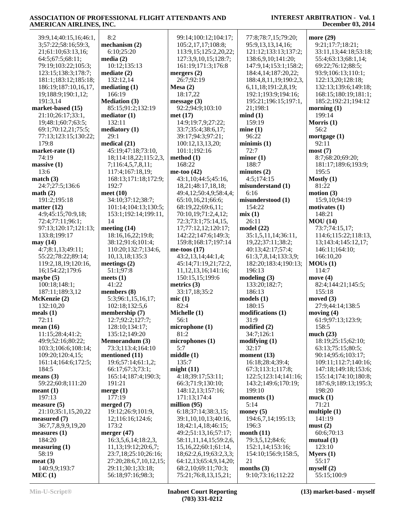| 39:9,14;40:15,16;46:1, | 8:2                                   | 99:14;100:12;104:17;       | 77:8;78:7,15;79:20;       | more (29)             |
|------------------------|---------------------------------------|----------------------------|---------------------------|-----------------------|
| 3;57:22;58:16;59:3,    | mechanism (2)                         | 105:2,17,17;108:8;         | 95:9,13,13,14,16;         | 9:21;17:7;18:21;      |
|                        | 6:10;25:20                            | 113:9,15;125:2,20,22;      |                           | 33:11,13;44:18;53:18; |
| 21;61:10;63:13,16;     |                                       |                            | 121:12;133:13;137:2;      |                       |
| 64:5;67:5;68:11;       | media(2)                              | 127:3,9,10,15;128:7;       | 138:6,9,10;141:20;        | 55:4;63:13;68:1,14;   |
| 79:19;103:22;105:3;    | 10:12;135:13                          | 161:19;171:3;176:8         | 147:9,14;153:1;158:2;     | 69:22;76:12;88:5;     |
| 123:15;138:3;178:7;    | mediate $(2)$                         | mergers $(2)$              | 184:4,14;187:20,22;       | 93:9;106:13;110:1;    |
| 181:1;183:12;185:18;   | 132:12,14                             | 26:7;92:19                 | 188:4,8,11,19;190:2,3,    | 122:13,20;128:18;     |
| 186:19;187:10,16,17,   | mediating $(1)$                       | Mesa(2)                    | 6, 11, 18; 191: 2, 8, 19; | 132:13;139:6;149:18;  |
| 19;188:9;190:1,12;     | 166:19                                | 18:17,22                   | 192:1;193:9;194:16;       | 168:15;180:19;181:1;  |
| 191:3,14               | <b>Mediation (3)</b>                  | message(3)                 | 195:21;196:15;197:1,      | 185:2;192:21;194:12   |
| market-based (15)      | 85:15;91:2;132:19                     | 92:2:94:9:103:10           | 21;198:1                  | morning $(1)$         |
| 21:10;26:17;33:1,      | mediator(1)                           | met(17)                    | mind(1)                   | 199:14                |
| 19;48:1;60:7;63:5;     | 132:11                                | 14:9;19:7,9;27:22;         | 159:19                    | Morris (1)            |
| 69:1;70:12,21;75:5;    | mediatory(1)                          | 33:7;35:4;38:6,17;         | mine(1)                   | 56:2                  |
| 77:13;123:15;130:22;   | 29:1                                  | 39:17;94:3;97:21;          | 96:22                     | mortgage $(1)$        |
| 179:8                  | medical (21)                          | 100:12,13,13,20;           | minimis(1)                | 92:11                 |
| market-rate (1)        | 45:19;47:18;73:10,                    | 101:1;192:16               | 72:7                      | most(7)               |
| 74:19                  | 18;114:18,22;115:2,3,                 | method (1)                 | minor(1)                  | 8:7;68:20;69:20;      |
|                        |                                       | 168:22                     | 188:7                     | 181:17;189:6;193:9;   |
| massive(1)<br>13:6     | 7;116:4,5,7,8,11;<br>117:4;167:18,19; | me-too $(42)$              |                           | 195:5                 |
|                        |                                       |                            | minutes $(2)$             |                       |
| match(3)               | 168:13;171:18;172:9;                  | 43:1,10;44:5;45:16,        | 4:5;174:15                | Mostly $(1)$          |
| 24:7;27:5;136:6        | 192:7                                 | 18,21;48:17,18,18;         | misunderstand (1)         | 81:22                 |
| math(2)                | meet $(10)$                           | 49:4,12;50:4,9;58:4,4;     | 6:16                      | motion(3)             |
| 191:2;195:18           | 34:10;37:12;38:7;                     | 65:10,16,21;66:6;          | misunderstood (1)         | 15:9,10;94:19         |
| matter $(12)$          | 101:14;104:13;130:5;                  | 68:19,22;69:6,11;          | 154:22                    | motivates(1)          |
| 4:9;45:15;70:9,18;     | 153:1;192:14;199:11,                  | 70:10,19;71:2,4,12;        | mix(1)                    | 148:21                |
| 72:4;77:11;96:1;       | 14                                    | 72:3;73:1;75:14,15,        | 26:11                     | MOU(14)               |
| 97:13;120:17;121:13;   | meeting $(14)$                        | 17;77:12,12;120:17;        | model(22)                 | 73:7;74:15,17;        |
| 133:8;199:17           | 18:16,16,22;19:8;                     | 142:22;147:6;149:3;        | 35:1,5,11,14;36:11,       | 114:6;115:22;118:13,  |
| may(14)                | 38:12;91:6;101:4;                     | 159:8;168:17;197:14        | 19,22;37:11;38:2;         | 13;143:4;145:12,17;   |
| 4:7;8:1,13;49:11;      | 110:20;132:7;134:6,                   | me-toos $(17)$             | 40:13;42:17;57:4;         | 146:11;164:10;        |
| 55:22;78:22;89:14;     | 10,13,18;135:3                        | 43:2,13,14;44:1,4;         | 61:3,7,8,14;133:3,9;      | 166:10,20             |
| 119:2,18,19;120:16,    | meetings $(2)$                        | 45:14;71:19,21;72:2,       | 182:20;183:4;190:13;      | MOUs(1)               |
| 16;154:22;179:6        | 51:1;97:8                             | 11, 12, 13, 16; 141: 16;   | 196:13                    | 114:7                 |
| maybe $(5)$            | meets $(1)$                           | 150:15,15;199:6            | modeling(3)               | move $(4)$            |
|                        | 41:22                                 |                            |                           |                       |
| 100:18;148:1;          |                                       | metrics $(3)$              | 133:20;182:7;             | 82:4;144:21;145:5;    |
| 187:11;189:3,12        | members (8)                           | 33:17,18;35:2              | 186:13                    | 155:18                |
| McKenzie (2)           | 5:3;96:1,15,16,17;                    | mic(1)                     | models(1)                 | moved (3)             |
| 132:10,20              | 102:18;132:5,6                        | 82:4                       | 180:15                    | 27:9;44:14;138:5      |
| meals $(1)$            | membership (7)                        | Michelle (1)               | modifications (1)         | moving $(4)$          |
| 72:11                  | 12:7;92:2;127:7;                      | 56:1                       | 31:9                      | 61:9;97:13;123:9;     |
| mean $(16)$            | 128:10;134:17;                        | microphone $(1)$           | modified $(2)$            | 158:5                 |
| 11:15;28:4;41:2;       | 135:12;149:20                         | 81:2                       | 34:7;126:1                | much $(23)$           |
| 49:9;52:16;80:22;      | Memorandum (3)                        | microphones (1)            | modifying (1)             | 18:19;25:15;62:10;    |
| 103:3;106:6;108:14;    | 73:3;113:4;164:10                     | 5:7                        | 32:17                     | 63:13;75:15;80:5;     |
| 109:20;120:4,15;       | mentioned (11)                        | middle(1)                  | moment $(13)$             | 90:14;95:6;103:17;    |
| 161:14;164:6;172:5;    | 19:6;57:14;61:1,2;                    | 135:7                      | 16:18;28:4;39:4;          | 109:11;112:7;140:16;  |
| 184:5                  | 66:17;67:3;73:1;                      | might $(11)$               | 67:3;113:1;117:8;         | 147:18;149:18;153:6;  |
| means $(3)$            | 165:14;187:4;190:3;                   | 4:18;39:17;53:11;          | 122:5;123:14;141:16;      | 155:14;174:10;180:8;  |
| 59:22;60:8;111:20      | 191:21                                | 66:3;71:9;130:10;          | 143:2;149:6;170:19;       | 187:6,9;189:13;195:3; |
| meant(1)               | merge $(1)$                           | 148:12,13;157:16;          | 199:10                    | 198:20                |
| 197:13                 | 177:19                                | 171:13;174:4               | moments $(1)$             | muck(1)               |
| measure $(5)$          | merged $(7)$                          | million $(95)$             | 5:14                      | 71:21                 |
|                        |                                       |                            |                           |                       |
| 21:10;35:1,15,20,22    | 19:12;26:9;101:9,                     | 6:18;37:14;38:3,15;        | money $(5)$               | multiple $(1)$        |
| measured (7)           | 12;116:16;124:6;                      | 39:1,10,10,13;40:16,       | 194:6,7,14;195:13;        | 141:19                |
| 36:7,7,8,9,9,19,20     | 173:2                                 | 18;42:1,4,18;46:15;        | 196:3                     | must(2)               |
| measures $(1)$         | merger $(47)$                         | 49:2;51:13,16;57:17;       | month $(11)$              | 60:6;70:13            |
| 184:20                 | 16:3,5,6,14;18:2,3,                   | 58:11,11,14,15;59:2,6,     | 79:3,5,12;84:6;           | mutual $(1)$          |
| measuring (1)          | 11, 13; 19: 12; 20: 6, 7;             | 15, 16, 22; 60: 1; 61: 14, | 152:1,14;153:16;          | 123:10                |
| 58:19                  | 23:7,18;25:10;26:16;                  | 18;62:2,6,19;63:2,3,3;     | 154:10;156:9;158:5,       | Myers(1)              |
| meat(3)                | 27:20;28:6,7,10,12,15;                | 64:12,13;65:4,9,14,20;     | 21                        | 55:17                 |
| 140:9,9;193:7          | 29:11;30:1;33:18;                     | 68:2,10;69:11;70:3;        | months $(3)$              | myself(2)             |
| MEC(1)                 | 56:18;97:16;98:3;                     | 75:21;76:8,13,15,21;       | 9:10;73:16;112:22         | 55:15;100:9           |
|                        |                                       |                            |                           |                       |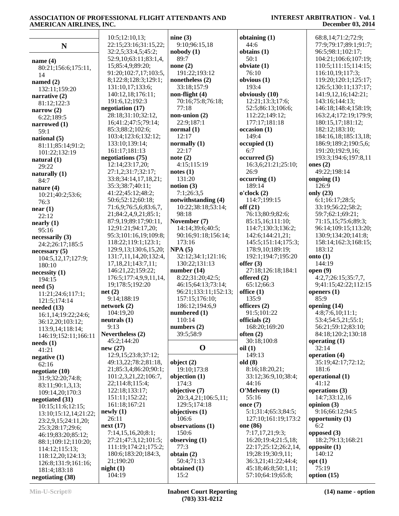|                                | 10:5;12:10,13;          | nine $(3)$           | obtaining (1)        | 68:8,14;71:2;72:9;    |
|--------------------------------|-------------------------|----------------------|----------------------|-----------------------|
| ${\bf N}$                      | 22:15;23:16;31:15,22;   | 9:10;96:15,18        | 44:6                 | 77:9;79:17;89:1;91:7; |
|                                | 32:2,5;33:4,5;45:2;     | nobody(1)            | obtains (1)          | 96:5;98:1;102:17;     |
|                                | 52:9,10;63:11;83:1,4,   | 89:7                 | 50:1                 | 104:21;106:6;107:19;  |
| name $(4)$                     | 15;85:4,9;89:20;        | none $(2)$           | obviate (1)          | 110:5;111:15;114:15;  |
| 80:21;156:6;175:11,            | 91:20;102:7,17;103:5,   | 191:22;193:12        | 76:10                | 116:10,19;117:3;      |
| 14                             | 8;122:8;128:3;129:1;    | nonetheless (2)      | obvious (1)          | 119:20;120:1;125:17;  |
| named (2)                      | 131:10,17;133:6;        | 33:18;157:9          | 193:4                | 126:5;130:11;137:17;  |
| 132:11;159:20                  | 140:12,18;176:11;       | non-flight (4)       | obviously (10)       | 141:9,12,16;142:21;   |
| narrative $(2)$                | 191:6,12;192:3          | 70:16;75:8;76:18;    | 12:21;13:3;17:6;     | 143:16;144:13;        |
| 81:12;122:3                    | negotiation (17)        | 77:18                | 52:5;86:13;106:6;    | 146:18;148:4;158:19;  |
| narrow $(2)$                   | 28:18;31:10;32:12,      | $non-union(2)$       | 112:22;149:12;       | 163:2,4;172:19;179:9; |
| 6:22;189:5                     | 16;41:2;47:5;79:14;     | 22:9;187:1           | 177:17;181:18        | 180:15,17;181:12;     |
| narrowed (1)<br>59:1           | 85:3;88:2;102:6;        | normal(1)            | occasion(1)          | 182:12;183:10;        |
| national $(5)$                 | 103:4;123:6;132:12;     | 12:17                | 149:4                | 184:16,18;185:13,18;  |
| 81:11;85:14;91:2;              | 133:10;139:14;          | normally (1)         | occupied(1)          | 186:9;189:2;190:5,6;  |
| 101:22;132:19                  | 161:17;181:13           | 22:17                | 6:7                  | 191:20;192:9,16;      |
| natural $(1)$                  | negotiations (75)       | note $(2)$           | occurred (5)         | 193:3;194:6;197:8,11  |
| 29:22                          | 12:14;23:17,20;         | 4:15;115:19          | 16:3,6;21:21;25:10;  | ones $(2)$            |
|                                | 27:1,2;31:7;32:17;      | notes(1)             | 26:9                 | 49:22;198:14          |
| naturally (1)<br>84:7          | 33:8;34:14,17,18,21;    | 131:20               | occurring (1)        | ongoing $(1)$         |
|                                | 35:3;38:7;40:11;        | notion(3)            | 189:14               | 126:9                 |
| nature $(4)$                   | 41:22;45:12;48:2;       | 7:1;26:3,5           | o'clock(2)           | only $(23)$           |
| 10:21;40:2;53:6;<br>76:3       | 50:6;52:12;60:18;       | notwithstanding (4)  | 114:7;199:15         | 6:1;16:17;28:5;       |
| near(1)                        | 71:6,9;76:5,6;83:6,7,   | 10:22;38:18;53:14;   | off(21)              | 33:19;56:22;58:2;     |
| 22:12                          | 21;84:2,4,9,21;85:1;    | 98:18                | 76:13;80:9;82:6;     | 59:7;62:1;69:21;      |
|                                | 87:9,19;89:17;90:11,    | November (7)         | 85:15,16;111:10;     | 71:15,15;75:6;89:3;   |
| nearly (1)                     | 12;91:21;94:17,20;      | 14:14:39:6:40:5:     | 114:7;130:3;136:2;   | 96:14;109:15;113:20;  |
| 95:16                          | 95:3;101:16,19;109:8;   | 90:16;91:18;156:14;  | 142:6;144:21,21;     | 130:9;134:20;141:8;   |
| necessarily (3)                | 118:22;119:1;123:1;     | 173:16               | 145:5;151:14;175:3;  | 158:14;162:3;168:15;  |
| 24:2;26:17;185:5               | 129:9,13;130:6,15,20;   | NPA(5)               | 178:9,10;189:19;     | 183:12                |
| necessary (5)                  | 131:7,11,14,20;132:4,   | 32:12;34:1;121:16;   | 192:1;194:7;195:20   | onto $(1)$            |
| 104:5,12,17;127:9;             | 17, 18, 21; 143: 7, 11; | 130:22;131:13        | offer $(3)$          | 144:19                |
| 180:10                         | 146:21,22;159:22;       | number $(14)$        | 27:18;126:18;184:1   | open (9)              |
| necessity(1)<br>194:15         | 176:5;177:4,9,9,11,14,  | 8:22;31:20;42:5;     | offered $(2)$        | 4:2,7;26:15;35:7,7,   |
| need(5)                        | 19;178:5;192:20         | 46:15;64:13;73:14;   | 65:12;66:3           | 9;41:15;42:22;112:15  |
| 11:21;24:6;117:1;              | net(2)                  | 96:21;133:11;152:13; | office $(1)$         | openers (1)           |
| 121:5;174:14                   | 9:14;188:19             | 157:15;176:10;       | 135:9                | 85:9                  |
| needed $(13)$                  | network(2)              | 186:12;194:6,9       | officers $(2)$       | opening $(14)$        |
| 16:1,14;19:22;24:6;            | 104:19,20               | numbered (1)         | 91:5;101:22          | 4:8;7:6,10;11:1;      |
| 36:12,20;103:12;               | neutrals <sub>(1)</sub> | 110:14               | officials (2)        | 53:4;54:5,21;55:1;    |
| 113:9,14;118:14;               | 9:13                    | numbers $(2)$        | 168:20;169:20        | 56:21;59:12;83:10;    |
| 146:19;152:11;166:11           | Nevertheless (2)        | 39:5;58:9            | often $(2)$          | 84:18;120:2;130:18    |
| $\boldsymbol{\text{needs}}(1)$ | 45:2;144:20             |                      | 30:18;100:8          | operating $(1)$       |
| 41:21                          | new(27)                 | $\mathbf 0$          | oil(1)               | 32:14                 |
| negative(1)                    | 12:9,15;23:8;37:12;     |                      | 149:13               | operation (4)         |
| 62:16                          | 49:13,22;78:2;81:18,    | object $(2)$         | old(8)               | 35:19;42:17;72:12;    |
| negotiate(10)                  | 21;85:3,4;86:20;90:1;   | 19:10;173:8          | 8:16;18:20,21;       | 181:6                 |
| 31:9;32:20;74:8;               | 101:2,3,21,22;106:7,    | objection (1)        | 33:12;36:9,10;38:4;  | operational (1)       |
| 83:11;90:1,3,13;               | 22;114:8;115:4;         | 174:3                | 44:16                | 41:12                 |
| 109:14,20;170:3                | 122:18;133:17;          | objective (7)        | O'Melveny(1)         | operations (3)        |
| negotiated (31)                | 151:11;152:22;          | 20:3,4,21;106:5,11;  | 55:16                | 14:7;33:12,16         |
| 10:15;11:6;12:15;              | 161:18;167:21           | 129:5;174:18         | once $(7)$           | opinion $(3)$         |
| 13:10;15:12,14;21:22;          | newly(1)                | objectives (1)       | 5:1;31:4;65:3;84:5;  | 9:16;66:12;94:5       |
| 23:2,9,15;24:11,20;            | 26:11                   | 106:6                | 127:10;161:19;173:2  | opportunity $(1)$     |
| 25:3;28:17;29:6;               | next(17)                | observations (1)     | one (86)             | 6:2                   |
| 46:19;83:20;85:12;             | 7:14,15,16,20;8:1;      | 150:6                | 7:17,17,21;9:3;      | opposed $(3)$         |
| 88:1;109:12;110:20;            | 27:21;47:3,12;101:5;    | observing $(1)$      | 16:20;19:4;21:5,18;  | 18:2;79:13;168:21     |
| 114:12;115:13;                 | 111:19;174:21;175:2;    | 77:3                 | 22:17;25:12;26:2,14, | opposite $(1)$        |
| 118:12,20;124:13;              | 180:6;183:20;184:3,     | obtain (2)           | 19;28:19;30:9,11;    | 140:12                |
| 126:8;131:9;161:16;            | 21;190:20               | 50:4;71:13           | 36:3,21;41:22;44:4;  | opt(1)                |
| 181:4;183:18                   | night(1)                | obtained (1)         | 45:18;46:8;50:1,11;  | 75:19                 |
| negotiating (38)               | 104:19                  | 15:2                 | 57:10;64:19;65:8;    | option (15)           |
|                                |                         |                      |                      |                       |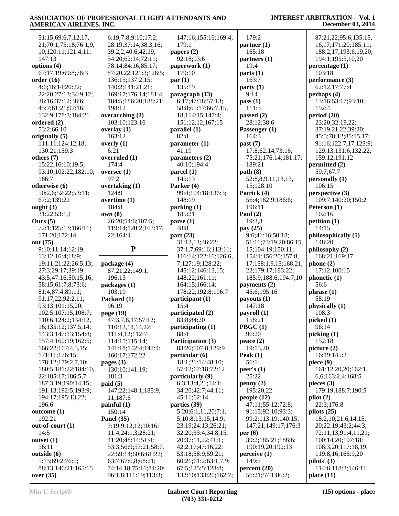| 51:15;69:6,7,12,17,                | 6:19;7:8;9:10;17:2;                           | 147:16;155:16;169:4;                      | 179:2                           | 87:21,22;95:6;135:15,              |
|------------------------------------|-----------------------------------------------|-------------------------------------------|---------------------------------|------------------------------------|
| 21;70:1;75:18;76:1,9,              | 28:19;37:14;38:3,16;                          | 179:1                                     | partner(1)                      | 16, 17; 171: 20; 185: 11;          |
| 10;120:11;121:4,11;                | 39:2,2;40:6;42:19;                            | papers $(2)$                              | 165:18                          | 188:2,17;193:6,19,20;              |
|                                    |                                               |                                           |                                 |                                    |
| 147:13                             | 54:20;62:14;72:11;                            | 92:18;93:6                                | partners $(1)$                  | 194:1;195:5,10,20                  |
| options (4)                        | 78:14;84:16;85:17;                            | paperwork (1)                             | 19:4                            | percentage (1)                     |
| 67:17,19;69:8;76:3                 | 87:20,22;121:3;126:5;                         | 179:10                                    | parts(1)                        | 103:18                             |
| order(16)                          | 136:15;137:2,15;                              | par(1)                                    | 163:7                           | performance (3)                    |
| 4:6;16:14;20:22;                   | 140:2;141:21,21;                              | 135:19                                    | party(1)                        | 62:12,17;77:4                      |
| 22:20;27:13;34:9,12;               | 169:17;176:14;181:4;                          | paragraph (13)                            | 9:14                            | perhaps (4)                        |
|                                    |                                               |                                           |                                 |                                    |
| 36:16;37:12;38:6;                  | 184:5;186:20;188:21;                          | 6:17;47:18;57:13;                         | pass $(1)$                      | 13:16;53:17;93:10;                 |
| 45:7;61:21;97:16;                  | 198:12                                        | 58:8;65:17;66:7,15,                       | 111:3                           | 192:4                              |
| 132:9;178:3;184:21                 | overarching $(2)$                             | 18;114:15;147:4;                          | passed $(2)$                    | period(20)                         |
| ordered $(2)$                      | 103:10;123:16                                 | 151:12,12;167:15                          | 28:12;38:6                      | 23:20;32:19,22;                    |
| 53:2;66:10                         | overlay $(1)$                                 | parallel (1)                              | Passenger (1)                   | 37:19,21,22;39:20;                 |
| originally (5)                     | 163:12                                        | 82:8                                      | 164:3                           | 45:5;78:12;85:15,17;               |
|                                    |                                               |                                           |                                 |                                    |
| 111:11;124:12,18;                  | overly $(1)$                                  | parameter (1)                             | past (7)                        | 91:16;122:7,17;123:9;              |
| 130:21;159:3                       | 6:21                                          | 41:19                                     | 17:8;62:14;73:16;               | 129:13;131:6;132:22;               |
| others (7)                         | overruled (1)                                 | parameters (2)                            | 75:21;176:14;181:17;            | 159:12;191:12                      |
| 15:22;16:10;19:5;                  | 174:4                                         | 40:10;194:4                               | 189:21                          | permitted (2)                      |
| 93:10;102:22;182:10;               | oversee $(1)$                                 | parcel $(1)$                              | path (8)                        | 59:7:67:7                          |
|                                    |                                               |                                           |                                 |                                    |
| 186:7                              | 97:2                                          | 145:13                                    | 52:8,8,9,11,13,13,              | personally (1)                     |
| otherwise (6)                      | overtaking (1)                                | Parker (4)                                | 15;128:10                       | 106:15                             |
| 50:2,6;52:22;53:11;                | 124:9                                         | 99:4;104:18;136:3;                        | Patrick (4)                     | perspective (3)                    |
| 67:2;139:22                        | overtime (1)                                  | 148:19                                    | 56:4;182:9;186:6;               | 109:7;140:20;150:2                 |
| ought $(3)$                        | 184:8                                         | parking(1)                                | 196:11                          | Peterson (1)                       |
| 31:22;53:1,1                       | own(8)                                        | 185:21                                    | Paul $(2)$                      | 102:16                             |
| Ours $(5)$                         | 26:20;54:6;107:5;                             | parse(1)                                  | 19:3,3                          | petition(1)                        |
|                                    |                                               |                                           |                                 |                                    |
| 72:1;125:13;166:11;                | 119:14;120:2;163:17,                          | 48:8                                      | pay (25)                        | 14:15                              |
| 171:20;172:14                      | 22;164:4                                      | part $(23)$                               | 9:6;41:16;50:18;                | philosophically (1)                |
| out (75)                           |                                               | 31:12,13;36:22;                           | 51:11;73:19,20;86:15,           | 148:20                             |
| 9:10;11:14;12:19;                  | ${\bf P}$                                     | 37:1,7;69:16;113:11;                      | 15;104:19;150:11;               | philosophy (2)                     |
| 13:12;16:4;18:9;                   |                                               | 116:14;122:16;126:6,                      | 154:1;156:20;157:8,             | 168:21;169:17                      |
|                                    |                                               |                                           |                                 |                                    |
|                                    |                                               |                                           |                                 |                                    |
| 19:11;21:22;26:5,13;               | package (4)                                   | 7;127:19;128:22;                          | 17;158:1,9,15;168:21,           | phone $(2)$                        |
| 27:3;29:17;39:19;                  | 87:21,22;149:1;                               | 145:12;146:13,15;                         | 22;179:17;183:22;               | 17:12;100:15                       |
| 43:5;47:16;50:15,16;               | 196:13                                        | 148:22;161:11;                            | 185:9;188:6;194:7,10            | phonetic(1)                        |
| 58:15;61:7,8;73:6;                 | packages (1)                                  | 164:15;166:14;                            | payments (2)                    | 56:6                               |
|                                    |                                               |                                           |                                 |                                    |
| 81:4;87:4;89:11;                   | 103:19                                        | 178:22;192:8;196:7                        | 45:6;195:16                     | phrase(1)                          |
| 91:17,22;92:2,11;                  | Packard (1)                                   | participant (1)                           | payouts (1)                     | 58:19                              |
| 93:13;101:15,20;                   | 96:19                                         | 15:4                                      | 147:18                          | physically (1)                     |
| 102:5;107:15;108:7;                | page (19)                                     | participated (2)                          | payroll (1)                     | 108:3                              |
| 110:6;124:2;134:12.                | 47:3,7,8,17;57:12;                            | 83:8;84:20                                | 158:21                          | picked (1)                         |
| 16;135:12;137:5,14;                | 110:13,14,14,22;                              | participating (1)                         | PBC(1)                          | 96:14                              |
| 143:3;147:13;154:8;                |                                               | 88:4                                      | 96:20                           |                                    |
|                                    | 111:4,12;112:7;                               |                                           |                                 | picking (1)                        |
| 157:4;160:19;162:5;                | 114:15;115:14;                                | Participation (3)                         | peace $(2)$                     | 152:18                             |
| 166:22;167:4,5,15;                 | 141:18;142:4;147:4;                           | 83:20;107:8;129:9                         | 19:15,20                        | picture $(2)$                      |
| 171:11;176:15;                     | 160:17;172:22                                 | particular (6)                            | Peak $(1)$                      | 16:19;145:3                        |
| 178:12;179:2,7,10;                 | pages $(3)$                                   | 18:1;21:14;48:10;                         | 56:1                            | piece $(9)$                        |
| 180:5;181:22;184:10,               | 130:10;141:19;                                | 57:12;67:18;72:12                         | peer's $(1)$                    | 161:12,20,20;162:1,                |
| 22;185:17;186:5,7;                 | 181:3                                         | particularly (9)                          | 25:22                           | 6,6;163:2,4;168:5                  |
|                                    |                                               |                                           |                                 |                                    |
| 187:3,19;190:14,15;                | paid(5)                                       | 6:3;13:4,21;14:1;                         | penny(2)                        | pieces $(3)$                       |
| 191:13;192:5;193:9;                | 147:22;148:1;185:9,                           | 34:20;42:7;44:11;                         | 195:20,22                       | 179:19;188:7;190:5                 |
| 194:17:195:13.22:                  | 11;187:6                                      | 45:11;62:14                               | people(12)                      | pilot(2)                           |
| 196:6                              | painful (1)                                   | parties (39)                              | 47:11;55:12;72:8;               | 22:3;176:8                         |
| outcome(1)                         | 150:14                                        | 5:20;6:1,11,20;7:1,                       | 91:15;92:10;93:3;               | pilots $(25)$                      |
| 192:21                             | <b>Panel</b> (35)                             | 5;10:8;13:15;14:9;                        | 99:2;113:19;140:15;             | 18:2, 10:21:6, 14, 15,             |
| $out-of-count(1)$                  | 7:19;9:12,12;10:16;                           | 23:19;24:13;26:21;                        | 147:21;149:17;176:3             | 20;22:19;43:2;44:3;                |
| 14:5                               | 11:4;24:1,3;28:21;                            | 32:20;33:4;34:8,15,                       | per(6)                          | 72:11,13;91:4,11,21;               |
|                                    |                                               |                                           |                                 |                                    |
| outset $(1)$                       | 41:20;48:14;51:4;                             | 20;37:11,22;41:1;                         | 39:2;185:21;188:6;              | 100:14,20;107:18;                  |
| 56:11                              | 53:3;56:9;57:21;58:7,                         | 42:2,17;47:16,22;                         | 190:19,20;192:13                | 108:3,20;117:18,19;                |
| outside (6)                        | 22;59:14;60:6;61:22;                          | 53:18;58:9;59:21;                         | $\text{perceive}(1)$            | 119:8,16;166:9,20                  |
| 5:13;69:2;76:5;                    | 63:7;67:6,8;68:21;                            | 60:21;61:2;63:1,7,9;                      | 149:7                           | pilots' (3)                        |
| 88:13;146:21;165:15<br>over $(35)$ | 74:14,18;75:11;84:20;<br>96:1,8;111:19;113:3; | 67:5;125:5;128:8;<br>132:10;133:20;162:7; | percent(20)<br>56:21;57:1;86:2; | 114:6;118:3;146:11<br>place $(11)$ |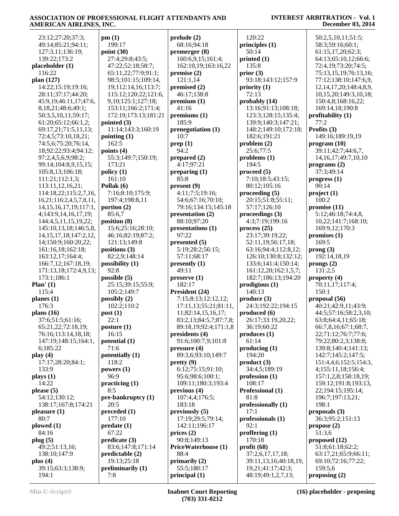23:12;27:20;37:3; 49:14;85:21;94:11; 127:3,11;136:19; 139:22;173:2 **placeholder (1)** 116:22 **plan (127)** 14:22;15:19;19:16; 28:11;37:17;44:20; 45:9,19;46:11,17;47:6, 8,18,21;48:6;49:1; 50:3,5,10,11;59:17; 61:20;65:12;66:1,2; 69:17,21;71:5,11,13; 72:4,5;73:10,18,21; 74:5,6;75:20;76:14, 18;92:22;93:4;94:12; 97:2,4,5,6,9;98:2; 99:14;104:8,9,15,15; 105:8,13;106:18; 111:21;112:1,3; 113:11,12,16,21; 114:18,22;115:2,7,16, 16,21;116:2,4,5,7,8,11, 14,15,16,17,19;117:1, 4;143:9,14,16,17,19; 144:4,5,11,15,19,22; 145:10,13,18;146:5,8, 14,15,17,18;147:2,12, 14;150:9;160:20,22; 161:16,18;162:18; 163:12,17;164:4; 166:7,12;167:18,19; 171:13,18;172:4,9,13; 173:1;186:1 **Plan' (1)** 115:4 **planes (1)** 176:3 **plans (16)** 37:6;51:5;61:16; 65:21,22;72:18,19; 76:16;113:14,18,18; 147:19;148:15;164:1, 6;185:22 **play (4)** 17:17;28:20;84:1; 133:9 **plays (1)** 14:22 **please (5)** 54:12;130:12; 138:17;167:8;174:21 **pleasure (1)** 80:7 **plowed (1)** 84:16 **plug (5)** 49:2;51:13,16; 138:10;147:9 **plus (4)** 39:15;63:3;138:9; 194:1

**pm (1)** 199:17 **point (30)** 27:4;29:8;43:5; 47:22;52:18;58:7; 65:11,22;77:9;91:1; 98:5;101:15;109:14, 19;112:14,16;113:7; 115:12;120:22;121:6, 9,10;125:1;127:18; 153:11;166:2;171:4; 172:19;173:13;181:21 **pointed (3)** 11:14;143:3;160:19 **pointing (1)** 162:5 **points (4)** 55:3;149:7;150:19; 173:21 **policy (1)** 161:10 **Pollak (6)** 7:16;8:10;175:9; 197:4;198:8,11 **portion (2)** 85:6,7 **position (8)** 15:6;25:16;28:10; 46:16;82:19;87:2; 121:13;149:8 **positions (3)** 82:2,9;148:14 **possibility (1)** 92:8 **possible (5)** 25:15;39:15;55:9; 105:2;149:7 **possibly (2)** 102:2;110:2 **post (1)** 22:1 **posture (1)** 16:15 **potential (1)** 71:6 **potentially (1)** 118:2 **powers (1)** 96:9 **practicing (1)** 8:5 **pre-bankruptcy (1)** 20:5 **preceded (1)** 177:10 **predate (1)** 67:22 **predicate (3)** 83:6;147:8;171:14 **predictable (2)** 19:13;25:18 **preliminarily (1)**  $7.8$ 

**prelude (2)** 68:16;94:18 **premerger (8)** 160:6,9,15;161:4; 162:10,19;163:16,22 **premise (2)** 121:1,14 **premised (2)** 46:17;138:8 **premium (1)** 41:16 **premiums (1)** 185:9 **prenegotiation (1)** 10:7 **prep (1)** 94:2 **prepared (2)** 4:17;97:21 **preparing (1)** 85:8 **present (9)** 4:11;7:5;19:16; 54:6;67:16;70:10; 79:16;134:15;145:18 **presentation (2)** 88:10;97:20 **presentations (1)** 97:22 **presented (5)** 5:19;28:2;56:15; 57:11;68:17 **presently (1)** 49:11 **preserve (1)** 182:17 **President (24)** 7:15;8:13;12:12,12; 17:11,13;55:21;81:11, 11;82:14,15,16,17; 83:2,13;84:5,7;87:7,8; 89:18,19;92:4;171:1,8 **presidents (4)** 91:6;100:7,9;101:8 **pressure (4)** 89:3,6;93:10;149:7 **pretty (9)** 6:12;75:15;91:10; 95:6;98:6;100:1; 109:11;180:3;193:4 **previous (4)** 107:4,4;176:5; 183:18 **previously (5)** 17:19;29:5;79:14; 142:11;196:17 **prices (2)** 90:8;149:13 **PriceWaterhouse (1)** 88:4 **primarily (2)** 55:5;180:17 **principal (1)**

 120:22 **principles (1) printed (1) prior (3)** 93:18;143:12;157:9 **priority (1) probably (14)** 13:16;91:13;108:18; 123:3;128:15;135:4; 139:9;140:3;147:21; 148:2;149:10;172:18; 182:6;191:21 **problem (2)** 25:6;77:5 **problems (1) proceed (5)** 7:10;18:5;43:15; 80:12;105:16 **proceeding (5)** 20:15;51:8;55:11; 57:17;126:10 **proceedings (3)** 4:3;7:19;199:16 **process (25)** 23:17;39:19,22; 52:11,19;56:17,18; 63:16;94:4;112:8,12; 126:10;130:8;132:12; 133:6;141:4;150:14; 161:12,20;162:1,5,7; 182:7;186:13;194:20 **prodigious (1)** 140:13 **produce (3)** 24:3;192:22;194:15 **produced (6)** 26:17;33:19,20,22; 36:19;60:22 **produces (1) producing (1)** 50:2,5,10,11;51:5; 58:3;59:16;60:1; 61:15,17,20;62:3; 64:13;65:10,12;66:6; 72:4,19;73:20;74:5; 75:13,15,19;76:13,16; 77:12;138:10;147:6,9, 12,14,17,20;148:4,8,9, 10,15,20;149:3,10,18; 150:4,8;168:16,22; 169:14,18;190:8 **profitability (1)** 77:2 **Profits (3)** 149:16;189:19,19 **program (10)** 39:11;42:7;44:6,7, 14,16,17;49:7,10,10 **programs (2)** 37:3;49:14 **progress (1)** 90:14 **project (1)** 100:2 **promise (11)** 5:12;46:18;74:4,8, 10,22;141:7;168:10; 169:9,12;170:3 **promises (1)** 169:5 **prong (3)** 192:14,18,19 **prongs (2)** 131:2,5 **property (4)** 150:1 **proposal (56)**

 39:11,13,16;40:18,19, 70:11,17;117:4; 40:21;42:9,11;43:9; 44:5;57:16;58:2,3,10; 63:8;64:4,11;65:18; 66:7,8,16;67:1;68:7, 22;71:12;76:7;77:6; 79:22;80:2,3;138:8; 139:8;140:4;141:13; 142:7;145:2;147:5; 151:4,4,6;152:5;154:3, 4;155:11,18;156:4; 157:1,2,8;158:18,19; 159:12;191:8;193:13, 22;194:15;195:14; 196:7;197:13,21; 198:1 **proposals (3)** 36:3;95:2;151:13 **propose (2)** 51:3,6 **proposed (12)** 51:8;61:18;62:2; 63:17,21;65:9;66:11; 69:10;72:16;77:22;

50:14

135:8

72:13

194:5

61:14

 194:20 **product (3)** 34:4,5;189:19 **profession (1)** 108:17 **Professional (1)** 81:8

**professionally (1)**

37:2,6,17,17,18;

 19,21;41:17;42:3; 48:19;49:1,2,7,13;

 17:1 **professionals (1)**

 92:1 **proffering (1)** 170:18 **profit (68)**

 159:5,6 **proposing (2)**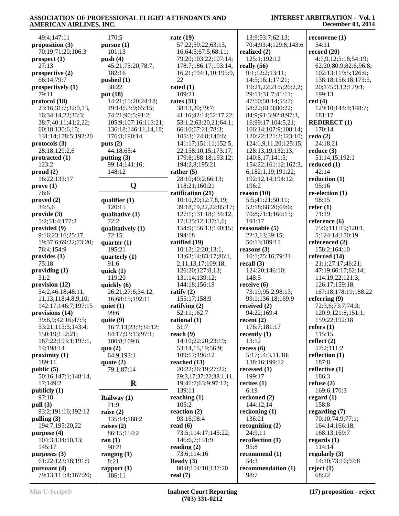| 49:4;147:11          | 170:5                | rate $(19)$            | 13:9;53:7;62:13;            | reconvene $(1)$       |
|----------------------|----------------------|------------------------|-----------------------------|-----------------------|
| proposition (3)      | pursue(1)            | 57:22;59:22;63:13,     | 70:4;93:4;129:8;143:6       | 54:11                 |
| 70:19;71:20;106:3    | 101:13               | 16;64:5;67:5;68:11;    | realized $(2)$              | record $(20)$         |
| prospect(1)          | push $(4)$           | 79:20;103:22;107:14;   | 125:1;192:12                | 4:7,9,12;5:18;54:19;  |
| 27:13                | 45:21;75:20;78:7;    | 178:7;186:17;193:14,   | really $(56)$               | 62:20;80:9;82:6;96:8; |
| prospective $(2)$    | 182:16               | 16,21;194:1,10;195:9,  | 9:1;12:2;13:11;             | 102:13;119:5;126:6;   |
| 66:14;79:7           | pushed $(1)$         | 22                     | 14:5;16:1;17:21;            | 138:18;156:18;173:5,  |
| prospectively (1)    | 38:22                | rated $(1)$            | 19:21, 22; 21: 5; 26: 2, 2; | 20;175:3,12;179:1;    |
| 79:11                | put (18)             | 109:21                 | 29:11;31:7;41:11;           | 199:13                |
|                      |                      |                        |                             |                       |
| protocol (18)        | 14:21;15:20;24:18;   | rates $(31)$           | 47:10:50:14:55:7;           | red(4)                |
| 23:16;31:7;32:9,13,  | 49:14;53:9;65:15;    | 38:13,20;39:7;         | 58:22;61:3;80:22;           | 129:10;144:4;148:7;   |
| 16;34:14,22;35:3;    | 74:21;90:5;91:2;     | 41:16;42:14;52:17,22;  | 84:9;91:3;92:8;97:3,        | 181:17                |
| 38:7;40:11;41:2,22;  | 105:9;107:16;113:21; | 53:1,2;63:20,21;64:1;  | 16;99:17;104:5,21;          | <b>REDIRECT</b> (1)   |
| 60:18;130:6,15;      | 136:18;146:11,14,18; | 66:10;67:21;78:3;      | 106:14;107:9;108:14;        | 170:14                |
| 131:14;178:5;192:20  | 176:3;190:14         | 105:3;124:8;140:6;     | 120:22;121:3;123:10;        | $\text{redo} (2)$     |
| protocols $(3)$      | puts $(2)$           | 141:17;151:11;152:5,   | 124:1,9,11,20;125:15;       | 24:18,21              |
| 28:18;129:2,6        | 44:18;65:4           | 22;158:10,15;173:17;   | 128:13,19;132:13;           | reduce $(3)$          |
| protracted $(1)$     | putting $(3)$        | 179:8;188:18;193:12;   | 140:8,17;141:5;             | 51:14,15;192:1        |
| 123:2                | 99:14;141:16;        | 194:2,8;195:21         | 154:22;161:12;162:3,        | reduced $(1)$         |
| prod(2)              | 148:12               | rather $(5)$           | 6;182:1,19;191:22;          | 42:14                 |
| 16:22;133:17         |                      | 28:10;49:2;66:13;      | 192:12,14;194:12;           | reduction $(1)$       |
| prove(1)             | Q                    | 118:21;160:21          | 196:2                       | 95:16                 |
| 76:6                 |                      | ratification (21)      | reason $(10)$               | re-election $(1)$     |
| proved (2)           | qualifier $(1)$      | 10:10,20;12:7,8,19;    | 5:5;41:21;50:11;            | 98:15                 |
|                      |                      |                        |                             |                       |
| 34:5,6               | 120:15               | 39:18,19,22,22;85:17;  | 52:18;68:20;69:6;           | refer $(1)$           |
| provide(3)           | qualitative (1)      | 127:1;131:18;134:12,   | 70:8;71:1;166:13;           | 71:19                 |
| 5:2;51:4;177:2       | 72:2                 | 17;135:12;137:1,6;     | 191:17                      | reference $(6)$       |
| provided (9)         | qualitatively (1)    | 154:9;156:13;190:15;   | reasonable (5)              | 75:6;111:19;120:1,    |
| 9:16;23:16;25:17,    | 72:15                | 194:18                 | 22:3,13;39:15;              | 5;124:14;150:19       |
| 19;37:6;69:22;73:20; | quarter $(1)$        | ratified (19)          | 50:13;189:11                | referenced (2)        |
| 76:4;154:9           | 195:21               | 10:13;12:20;13:1,      | reasons $(3)$               | 158:2;164:10          |
| provides (1)         | quarterly (1)        | 13;63:14;83:17;86:1,   | 10:1;75:16;79:21            | referred $(14)$       |
| 75:18                | 91:6                 | 2,11,13,17;109:18;     | recall $(3)$                | 21:1;27:17;46:21;     |
| providing(1)         | quick $(1)$          | 126:20;127:8,13;       | 124:20;146:10;              | 47:19;66:17;82:14;    |
| 31:2                 | 119:20               | 131:14;139:12;         | 148:5                       | 114:19,22;121:3;      |
| provision (12)       | quickly $(6)$        | 144:18;156:19          | receive $(6)$               | 126:17;159:18;        |
| 34:2;46:18;48:11,    | 26:21;27:6;34:12,    | ratify $(2)$           | 73:19;95:2;98:13;           | 167:18;178:19;188:22  |
| 11,13;118:4,8,9,10;  | 16;68:15;192:11      | 155:17;158:9           | 99:1;136:18;169:9           | referring $(9)$       |
| 142:17;146:7;197:15  |                      | ratifying $(2)$        | received $(2)$              | 72:3,6;73:7;74:3;     |
|                      | quiet $(1)$          |                        |                             |                       |
| provisions (14)      | 99:6                 | 52:11;162:7            | 94:22;169:4                 | 120:9;121:8;151:1;    |
| 39:8,9;42:16;47:5;   | quite $(9)$          | rational(1)            | recent $(2)$                | 159:22;192:18         |
| 53:21;115:5;143:4;   | 16:7,13;23:3;34:12;  | 51:7                   | 176:7;181:17                | refers $(1)$          |
| 150:19;152:21;       | 84:17;93:13;97:1;    | reach $(9)$            | recently $(1)$              | 115:15                |
| 167:22;193:1;197:1,  | 100:8;109:6          | 14:10;22:20;23:19;     | 13:12                       | reflect $(2)$         |
| 14;198:14            | quo $(2)$            | 53:14,15,19;56:9;      | recess $(6)$                | 57:2;111:2            |
| proximity(1)         | 64:9;193:1           | 109:17;196:12          | 5:17;54:3,11,18;            | reflection $(1)$      |
| 189:11               | quote $(2)$          | reached (13)           | 138:16;199:12               | 187:8                 |
| public (5)           | 79:1;87:14           | 20:22;26:19;27:22;     | recessed $(1)$              | reflective $(1)$      |
| 50:16;147:1;148:14,  |                      | 29:3,17;37:22;38:1,11, | 199:17                      | 186:3                 |
| 17;149:2             | $\mathbf R$          | 19;41:7;63:9;97:12;    | recites $(1)$               | refuse $(2)$          |
| publicly(1)          |                      | 139:11                 | 6:19                        | 169:6;170:3           |
| 97:18                | Railway (1)          | reaching $(1)$         | reckoned (2)                | regard $(1)$          |
| pull (3)             | 71:9                 | 105:2                  | 144:12,14                   | 158:8                 |
| 93:2;191:16;192:12   |                      | reaction (2)           | reckoning (1)               | regarding (7)         |
|                      | raise $(2)$          |                        |                             |                       |
| pulling $(3)$        | 135:14;188:2         | 93:16;98:4             | 136:21                      | 70:10;74:9;77:1;      |
| 194:7;195:20,22      | raises $(2)$         | read $(6)$             | recognizing $(2)$           | 164:14;166:18;        |
| purpose $(4)$        | 86:15;154:2          | 73:5;114:17;145:22;    | 24:9,11                     | 168:13;169:7          |
| 104:3;134:10,13;     | ran $(1)$            | 146:6,7;151:9          | recollection (1)            | regards $(1)$         |
| 145:17               | 98:21                | reading $(2)$          | 95:8                        | 114:14                |
| purposes $(3)$       | ranging $(1)$        | 73:6;114:16            | recommend (1)               | regularly $(3)$       |
| 61:22;123:18;191:9   | 8:21                 | Ready $(3)$            | 54:3                        | 14:10;73:16;97:8      |
| pursuant $(4)$       | rapport $(1)$        | 80:8;104:10;137:20     | recommendation (1)          | reject $(1)$          |
| 79:13;115:4;167:20;  | 186:11               | real $(7)$             | 98:7                        | 68:22                 |
|                      |                      |                        |                             |                       |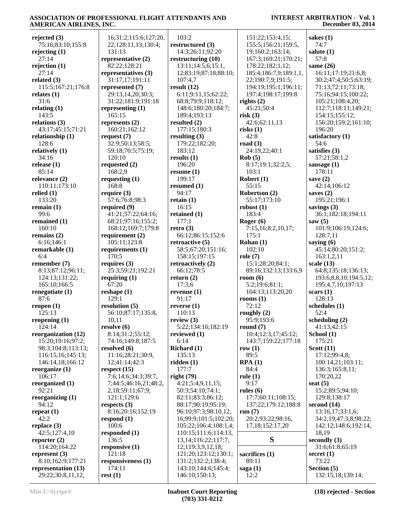**rejected (3)** 75:16;83:10;155:8 **rejecting (1)** 27:14 **rejection (1)** 27:14 **related (3)** 115:5;167:21;176:8 **relates (1)** 31:6 **relating (1)** 143:5 **relations (3)** 43:17;45:15;71:21 **relationship (1)** 128:6 **relatively (1)** 34:16 **release (1)** 85:14 **relevance (2)** 110:11;173:10 **relied (1)** 133:20 **remain (1)** 99:6 **remained (1)** 160:10 **remains (2)** 6:16;146:1 **remarkable (1)** 6:4 **remember (7)** 8:13;87:12;96:11; 124:13;131:22; 165:10;166:5 **renegotiate (1)** 87:6 **reopen (1)** 125:13 **reopening (1)** 124:14 **reorganization (12)** 15:20;19:16;97:2; 98:3;104:8;113:13; 116:15,16;145:13; 146:14,18;166:12 **reorganize (1)** 106:17 **reorganized (1)** 92:21 **reorganizing (1)** 94:12 **repeat (1)** 42:2 **replace (3)** 42:5;127:4,10 **reporter (2)** 114:20;164:22 **represent (3)** 8:10;162:9;177:21 **representation (13)** 29:22;30:8,11,12,

 16;31:2;115:6;127:20, 22;128:11,13;130:4; 131:13 **representative (2)** 82:22;128:21 **representatives (3)** 31:17,17;191:11 **represented (7)** 29:13,14,20;30:3; 31:22;181:9;191:18 **representing (1)** 165:15 **represents (2)** 160:21;162:12 **request (7)** 32:9;50:13;58:5; 59:18;70:5;75:19; 120:10 **requested (2)** 168:2,9 **requesting (1)** 168:8 **require (3)** 57:6;76:8;98:3 **required (9)** 41:21;57:22;64:16; 68:21;97:16;155:2; 168:12;169:7;179:8 **requirement (2)** 105:11;123:8 **requirements (1)** 170:5 **requires (3)** 25:3;59:21;192:21 **requiring (1)** 67:20 **reshape (1)** 129:1 **resolution (5)** 56:10;87:17;135:8, 10,11 **resolve (6)** 8:14;31:2;55:12; 74:16;149:8;187:5 **resolved (6)** 11:16;28:21;30:9, 12;41:14;42:3 **respect (15)** 7:6;14:6;34:3;39:7, 7;44:5;46:16,21;48:2, 2,18;59:11;67:9; 121:1;129:6 **respects (3)** 8:16;20:16;152:19 **respond (1)** 100:6 **responded (1)** 136:5 **responsive (1)** 121:18 **responsiveness (1)** 174:11 **rest (1)**

 103:2 **restructured (3)** 14:3;26:11;92:20 **restructuring (10)** 13:11;14:5,6;15:1,  $\begin{array}{c|c} 12;83:19;87:18;88:10; & 18 \\ 107:4.7 & 22 \end{array}$  107:4,7 **result (12)** 6:11;9:11,15;62:22; 68:8;79:9;118:12; 148:6;180:20;184:7; 189:4;193:13 **resulted (2)** 177:15;180:3 **resulting (3)** 179:22;182:20; 183:12 **results (1)** 196:20 **resume (1)** 199:17 **resumed (1)** 94:17 **retain (1)** 16:15 **retained (1)** 177:1 **retro (3)** 66:12;86:15;152:6 **retroactive (5)** 58:5;67:20;151:16; 158:15;197:15 **retroactively (2)** 66:12;78:5 **return (2)** 17:3,6 **revenue (1)** 91:17 **reverse (1)** 110:13 **review (3)** 5:22;134:16;182:19 **reviewed (1)** 6:14 **Richard (1)** 135:13 **ridden (1)** 177:7 **right (79)** 4:21;5:4,9,11,15; 50:3;54:10;74:1; 82:11;83:3;86:12; 88:17;90:19;95:19; 96:10;97:3;98:10,12, 16;99:9;101:5;102:20; <br>105:22;106:4;108:1,4; 11 105:22;106:4;108:1,4; 110:15;111:6;114:13, 13,14;116:22;117:7, 12;119:3,9,12,18; 121:20;123:12;130:1; 131:2;132:2;138:4; 143:10;144:6;145:4; 146:10;150:13;

| 151:22;153:4,15;                | sakes (1)              |
|---------------------------------|------------------------|
| 155:5;156:21;159:5,             | 74:7                   |
| 19;160:2;163:14;                | salute $(1)$           |
| 167:3;169:21;170:21;            | 57:8                   |
| 178:22;182:1,12;                | same $(26)$            |
| 185:4;186:7,9;189:1,1,          | 16:11;17:19;21:6,8;    |
| 22;190:7,9;191:5;               | 30:2;47:4;50:5;63:19;  |
| 194:19;195:1;196:11;            | 71:13;72:11;73:18;     |
| 197:4;198:17;199:8              | 75:16;94:15;100:22;    |
| rights $(2)$                    | 105:21;108:4,20;       |
| 45:21;50:4                      | 112:7;118:11;149:21;   |
| risk(3)                         | 154:15;155:12;         |
| 42:6;62:11,13                   | 156:20;159:2;161:10;   |
| risks(1)                        | 196:20                 |
| 42:8                            | satisfactory (1)       |
| road $(3)$                      | 54:6                   |
| 24:19,22;40:1                   | satisfies (3)          |
| Rob(5)                          | 57:21;58:1,2           |
| 8:17;19:1;32:2,5;               | sausage $(1)$          |
| 103:1                           | 178:11                 |
| Robert (1)                      | save $(2)$             |
| 55:15                           | 42:14;106:12           |
| Robertson (2)                   | saves $(2)$            |
| 55:17;173:10                    | 195:21;196:1           |
| robust $(1)$                    | savings $(3)$          |
| 183:4                           | 36:1;182:18;194:11     |
| Roger (6)                       | saw $(5)$              |
| 7:15,16;8:2,10,17;              | 101:9;106:19;124:6;    |
| 175:1                           | 128:7,11               |
| Rohan $(1)$                     | saying $(6)$           |
| 102:10                          | 45:14;80:20;151:2;     |
| role(7)                         | 163:1,2,11             |
| 15:1;28:20;84:1;                | scale $(13)$           |
| 89:16;132:13;133:6,9            | 64:8;135:18;136:13;    |
| room $(6)$                      | 193:6,8,8,10;194:5,12; |
| 5:2;19:6;81:1;                  | 195:4,7,10;197:13      |
| 104:13;113:20,20<br>rooms $(1)$ | scars(1)<br>128:13     |
| 72:12                           | schedules (1)          |
| roughly $(2)$                   | 52:4                   |
| 95:9;193:6                      | scheduling (2)         |
| round $(7)$                     | 41:13;42:15            |
| 10:4;12:3,17;45:12;             | School (1)             |
| 143:7;159:22;177:18             | 175:21                 |
| row $(1)$                       | Scott $(11)$           |
| 89:5                            | 17:12;99:4,8;          |
| RPA(1)                          | 100:14,21;103:11;      |
| 84:4                            | 136:3;165:8,11;        |
| rule $(1)$                      | 170:20,22              |
| 9:17                            | seat $(5)$             |
| rules $(6)$                     | 15:2;89:5;94:10;       |
| 17:7;60:11;108:15;              | 129:8;138:17           |
| 137:22;179:12;188:8             | second (14)            |
| run $(7)$                       | 13:16,17;33:1,6;       |
| 20:2;93:22;98:16,               | 34:2,19;47:3,8;98:22;  |
| 17, 18; 152: 17, 20             | 142:12;148:6;192:14,   |
|                                 | 18,19                  |
| S                               | secondly $(3)$         |
|                                 | 31:6;61:8;65:19        |
| sacrifices $(1)$                | secret $(1)$           |
| 89:11                           | 73:22                  |
| saga (1)                        | Section (5)            |
| 12:2                            | 132:15,18;139:14;      |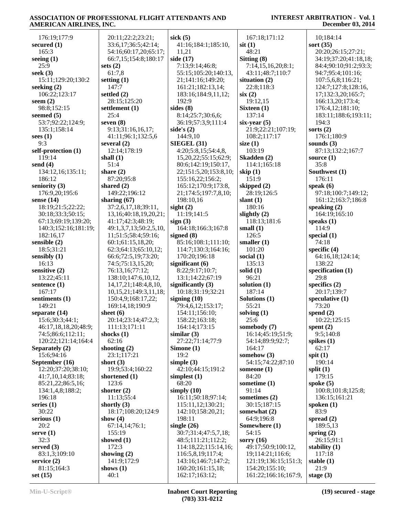| 176:19;177:9         | 20:11;22:2;23:21;           | sick $(5)$            | 167:18;171:12         | 10;184:14             |
|----------------------|-----------------------------|-----------------------|-----------------------|-----------------------|
| secured $(1)$        | 33:6,17;36:5;42:14;         | 41:16;184:1;185:10,   | $s$ it $(1)$          | sort $(35)$           |
| 165:3                | 54:16;60:17,20;65:17;       | 11,21                 | 48:21                 | 20:20;26:15;27:21;    |
| seeing $(1)$         | 66:7,15;154:8;180:17        | side (17)             | Sitting (8)           | 34:19;37:20;41:18,18; |
| 25:9                 | sets $(2)$                  | 7:13;9:14;46:8;       | 7:14,15,16,20;8:1;    | 84:4;90:10;91:2;93:3; |
| seek $(3)$           | 61:7,8                      | 55:15;105:20;140:13,  | 43:11;48:7;110:7      | 94:7;95:4;101:16;     |
| 15:11;129:20;130:2   | setting $(1)$               | 21;141:16;149:20;     | situation $(2)$       | 107:5,6,8;116:21;     |
| seeking $(2)$        | 147:7                       | 161:21;182:13,14;     | 22:8;118:3            | 124:7;127:8;128:16,   |
|                      |                             |                       |                       |                       |
| 106:22;123:17        | settled (2)                 | 183:16;184:9,11,12;   | six(2)                | 17;132:3,20;165:7;    |
| seem $(2)$           | 28:15;125:20                | 192:9                 | 19:12,15              | 166:13,20;173:4;      |
| 98:8;152:15          | settlement (1)              | sides $(8)$           | Sixteen (1)           | 176:4,12;181:10;      |
| seemed $(5)$         | 25:4                        | 8:14;25:7;30:6,6;     | 137:14                | 183:11;188:6;193:11;  |
| 53:7;92:22;124:9;    | seven $(8)$                 | 36:19;57:3,9;111:4    | $six-year(5)$         | 194:3                 |
| 135:1;158:14         | 9:13;31:16,16,17;           | side's $(2)$          | 21:9;22:21;107:19;    | sorts $(2)$           |
| sees $(1)$           | 41:11;96:1;132:5,6          | 144:9,10              | 108:2;117:17          | 176:1;180:9           |
| 9:3                  | several $(2)$               | SIEGEL(31)            | size $(1)$            | sounds $(3)$          |
| self-protection (1)  | 12:14;178:19                | 4:20;5:8,15;54:4,8,   | 103:19                | 87:13;132:2;167:7     |
| 119:14               | shall $(1)$                 | 15,20,22;55:15;62:9;  | Skadden (2)           | source $(1)$          |
| send $(4)$           | 51:4                        | 80:6;142:19;150:17,   | 114:1;165:18          | 35:8                  |
| 134:12,16;135:11;    | share $(2)$                 | 22;151:5,20;153:8,10; | skip $(1)$            | Southwest (1)         |
| 186:12               | 87:20;95:8                  | 155:16,22;156:2;      | 151:9                 | 176:11                |
| seniority $(3)$      | shared $(2)$                | 165:12;170:9;173:8,   | skipped (2)           | speak $(6)$           |
| 176:9,20;195:6       | 149:22;196:12               | 21;174:5;197:7,8,10;  | 28:19;126:5           | 97:18;100:7;149:12;   |
| sense $(14)$         |                             | 198:10,16             |                       | 161:12;163:7;186:8    |
|                      | sharing (67)                |                       | slant $(1)$<br>180:16 |                       |
| 18:19;21:5;22:22;    | 37:2,6,17,18;39:11,         | sight $(2)$           |                       | speaking $(2)$        |
| 30:18;33:3;50:15;    | 13, 16; 40: 18, 19, 20, 21; | 11:19;141:5           | slightly $(2)$        | 164:19;165:10         |
| 67:13;69:19;139:20;  | 41:17;42:3;48:19;           | sign(3)               | 118:13;181:6          | speaks $(1)$          |
| 140:3;152:16;181:19; | 49:1,3,7,13;50:2,5,10,      | 164:18;166:3;167:8    | small $(1)$           | 114:9                 |
| 182:16,17            | 11;51:5;58:4;59:16;         | signed $(8)$          | 126:5                 | special $(1)$         |
| sensible (2)         | 60:1;61:15,18,20;           | 85:16;108:1;111:10;   | smaller $(1)$         | 74:18                 |
| 18:5;31:21           | 62:3;64:13;65:10,12;        | 114:7;130:3;164:16;   | 101:20                | specific $(4)$        |
| sensibly $(1)$       | 66:6;72:5,19;73:20;         | 170:20;196:18         | social $(1)$          | 64:16,18;124:14;      |
| 16:13                | 74:5;75:13,15,20;           | significant $(6)$     | 135:13                | 138:22                |
| sensitive (2)        | 76:13,16;77:12;             | 8:22;9:17;10:7;       | solid $(1)$           | specification (1)     |
| 13:22;45:11          | 138:10;147:6,10,12,         | 13:1;14:22;67:19      | 96:21                 | 29:8                  |
| sentence (1)         | 14, 17, 21; 148: 4, 8, 10,  | significantly $(3)$   | solution $(1)$        | specifics $(2)$       |
| 167:17               | 10,15,21;149:3,11,18;       | 10:18;31:19;32:21     | 187:14                | 20:17;139:7           |
| sentiments (1)       | 150:4,9;168:17,22;          | signing $(10)$        | Solutions (1)         | speculative $(1)$     |
| 149:21               | 169:14,18;190:9             | 79:4,6,12;153:17;     | 55:21                 | 73:20                 |
| separate (14)        | sheet $(6)$                 | 154:11;156:10;        | solving $(1)$         | spend $(2)$           |
| 15:6;30:3;44:1;      |                             | 158:22;163:18;        | 25:6                  |                       |
|                      | 20:14;23:14;47:2,3;         |                       |                       | 10:22;125:15          |
| 46:17,18,18,20;48:9; | 111:13;171:11               | 164:14;173:15         | somebody $(7)$        | spent $(2)$           |
| 74:5;86:6;112:11;    | shocks $(1)$                | similar $(3)$         | 16:14;45:19;51:9;     | 9:5;140:8             |
| 120:22;121:14;164:4  | 62:16                       | 27:22;71:14;77:9      | 54:14;89:9;92:7;      | spikes $(1)$          |
| Separately (2)       | shooting $(2)$              | Simone $(1)$          | 164:17                | 62:17                 |
| 15:6:94:16           | 23:1;117:21                 | 19:2                  | somehow $(3)$         | spit $(1)$            |
| September (16)       | short $(3)$                 | simple $(3)$          | 54:15;74:22;87:10     | 190:14                |
| 12:20;37:20;38:10;   | 19:9;53:4;160:22            | 42:10;44:15;191:2     | someone $(1)$         | split $(1)$           |
| 41:7,10,14;83:18;    | shortened $(1)$             | simplest $(1)$        | 84:20                 | 179:15                |
| 85:21,22;86:5,16;    | 123:6                       | 68:20                 | sometime $(1)$        | spoke $(5)$           |
| 134:1,4,8;188:2;     | shorter $(2)$               | simply $(10)$         | 91:14                 | 100:8;101:8;125:8;    |
| 196:18               | 11:13;55:4                  | 16:11;50:18;97:14;    | sometimes $(2)$       | 136:15;161:21         |
| series $(1)$         | shortly $(3)$               | 115:11,12;130:21;     | 30:15;187:15          | spoken $(1)$          |
| 30:22                | 18:17;108:20;124:9          | 142:10;158:20,21;     | somewhat $(2)$        | 83:9                  |
| serious $(1)$        | show $(4)$                  | 198:11                | 64:9;196:8            | spread $(2)$          |
|                      |                             |                       |                       |                       |
| 20:2                 | 67:14,14;76:1;              | single $(26)$         | Somewhere (1)         | 189:5,13              |
| serve $(1)$          | 155:19                      | 30:7;31:4;47:5,7,18;  | 54:15                 | spring $(2)$          |
| 32:3                 | showed $(1)$                | 48:5;111:21;112:2;    | sorry $(16)$          | 26:15:91:1            |
| served $(3)$         | 172:3                       | 114:18,22;115:14,16;  | 49:17;50:9;100:12,    | stability $(1)$       |
| 83:1,3;109:10        | showing $(2)$               | 116:5,8,19;117:4;     | 19;114:21;116:6;      | 117:18                |
| service $(2)$        | 141:9;172:9                 | 143:16;146:7;147:2;   | 121:19;136:15;151:3;  | stable $(1)$          |
| 81:15;164:3          | shows $(1)$                 | 160:20;161:15,18;     | 154:20;155:10;        | 21:9                  |
| set $(15)$           | 40:1                        | 162:17;163:12;        | 161:22;166:16;167:9,  | stage $(3)$           |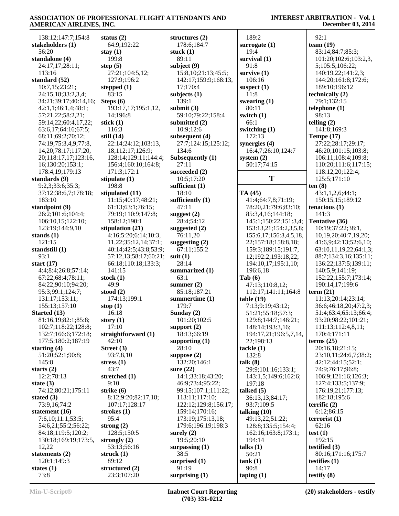| 138:12;147:7;154:8                      | status $(2)$          | structures $(2)$             | 189:2                     | 92:1                           |
|-----------------------------------------|-----------------------|------------------------------|---------------------------|--------------------------------|
| stakeholders (1)                        | 64:9;192:22           | 178:6;184:7                  | surrogate $(1)$           | team $(19)$                    |
| 56:20                                   | stay $(1)$            | stuck $(1)$                  | 19:4                      | 83:14;84:7;85:3;               |
| standalone (4)                          | 199:8                 | 89:11                        | survival $(1)$            | 101:20;102:6;103:2,3,          |
| 24:17,17;28:11;                         | step $(5)$            | subject $(9)$                | 91:8                      | 5;105:5;106:22;                |
| 113:16                                  | 27:21;104:5,12;       | 15:8, 10; 21:13; 45:5;       | survive $(1)$             | 140:19,22;141:2,3;             |
| standard (52)                           | 127:9;196:2           | 142:17;159:9;168:13,         | 106:16                    | 144:20;161:8;172:6;            |
| 10:7,15;23:21;                          | stepped $(1)$         | 17;170:4                     | suspect $(1)$             | 189:10;196:12                  |
| 24:15,18;33:2,3,4;                      | 83:15                 | subjects $(1)$               | 11:8                      | technically (2)                |
| 34:21;39:17;40:14,16;                   | Steps $(6)$           | 139:1                        | swearing $(1)$            | 79:1:132:15                    |
| 42:1,1;46:1,4;48:1;                     | 193:17,17;195:1,12,   | submit $(3)$                 | 80:11                     | telphone(1)                    |
| 57:21,22;58:2,21;                       | 14;196:8              | 59:10;79:22;158:4            | switch (1)                | 98:13                          |
| 59:14,22;60:4,17,22;                    | stick $(1)$           | submitted (2)                | 66:1                      | telling $(2)$                  |
| 63:6,17;64:16;67:5;                     | 116:3                 | 10:9;12:6                    | switching (1)             | 141:8;169:3                    |
| 68:11;69:2;70:12;                       | still $(14)$          | subsequent (4)               | 172:13                    | Tempe $(17)$                   |
| 74:19;75:3,4,9;77:8,                    | 22:14;24:12;103:13,   | 27:7;124:15;125:12;          | synergies (4)             | 27:22;28:17;29:17;             |
| 14, 20; 78: 17; 117: 20,                | 18;112:17;126:9;      | 134:6                        | 16:4,7;26:10;124:7        | 46:20;101:15;103:8;            |
| 20;118:17,17;123:16,                    | 128:14;129:11;144:4;  | Subsequently (1)             | system $(2)$              | 106:11;108:4;109:8;            |
| 16;130:20;153:1;                        | 156:4;160:10;164:8;   | 27:11                        | 50:17;74:15               | 110:20;111:6;117:15;           |
| 178:4,19;179:13                         | 171:3;172:1           | succeeded (2)                |                           | 118:12,20;122:4;               |
| standards (9)                           | stipulate $(1)$       | 10:5;17:20                   | T                         | 125:5;171:10                   |
| 9:2,3;33:6;35:3;                        | 198:8                 | sufficient $(1)$             |                           | ten(8)                         |
| 37:12;38:6,7;178:18;                    | stipulated (11)       | 18:10                        | TA (45)                   | 43:1,1,2,6;44:1;               |
| 183:10                                  | 11:15;40:17;48:21;    | sufficiently (1)             | 41:4;64:7,8;71:19;        | 150:15,15;189:12               |
| standpoint (9)                          | 61:13;63:1;76:15;     | 47:11                        | 78:20,21;79:6;83:10;      | tenacious $(1)$                |
| 26:2;101:6;104:4;                       | 79:19;110:9;147:8;    | suggest $(2)$                | 85:3,4,16;144:18;         | 141:3                          |
| 106:10,15;122:10;                       | 158:12;190:1          | 28:4;54:12                   | 145:1;150:22;151:3,4;     | Tentative (36)                 |
| 123:19;144:9,10                         | stipulation (21)      | suggested $(2)$              | 153:13,21;154:2,3,5,8;    | 10:19;37:22;38:1,              |
| stands $(1)$                            | 4:16;5:20;6:14;10:3,  | 76:11,20                     | 155:6,17;156:3,4,5,18,    | 10, 19, 20; 40: 7, 19, 20;     |
| 121:15                                  | 11,22;35:12,14;37:1;  | suggesting $(2)$             | 22;157:18;158:8,18;       | 41:6,9;42:13;52:6,10;          |
| standstill $(1)$                        | 40:14;42:5;43:8;53:9; | 67:11;155:2                  | 159:3;189:15;191:7,       | 63:10,11,19,22;64:1,3;         |
| 93:1                                    | 57:12,13;58:17;60:21; | suit $(1)$                   | 12;192:2;193:18,22;       | 88:7;134:3,16;135:11;          |
| start $(17)$                            | 66:18;110:18;133:3;   | 28:14                        | 194:10,17;195:1,10;       | 136:22;137:5;139:11;           |
| 4:4;8:4;26:8;57:14;                     | 141:15                | summarized (1)               | 196:6,18                  | 140:5,9;141:19;                |
| 67:22;68:4;78:11;<br>84:22;90:10;94:20; | stock $(1)$<br>49:9   | 63:1                         | Tab(6)<br>47:13;110:8,12; | 152:22;155:7;173:14;           |
| 95:3;99:1;124:7;                        | stood $(2)$           | summer $(2)$<br>85:18;187:21 | 112:17;141:11;164:8       | 190:14,17;199:6<br>term $(21)$ |
| 131:17;153:11;                          | 174:13;199:1          | summertime (1)               | table(19)                 | 11:13;20:14;23:14;             |
| 155:13;157:10                           | stop $(1)$            | 179:7                        | 7:13;9:19;43:12;          | 36:6;46:18,20;47:2,3;          |
| Started (13)                            | 16:18                 | Sunday $(2)$                 | 51:21;55:18;57:3;         | 51:4;63:4;65:13;66:4;          |
| 81:16,19;82:1;85:8;                     | story $(1)$           | 101:20;102:5                 | 129:8;144:7;146:21;       | 93:20;98:22;101:21;            |
| 102:7;118:22;128:8;                     | 17:10                 | support $(2)$                | 148:14;193:3,16;          | 111:13;112:4,8,11;             |
| 132:7;166:6;172:18;                     | straightforward (1)   | 18:13;66:19                  | 194:17,21;196:5,7,14,     | 170:4;171:11                   |
| 177:5;180:2;187:19                      | 42:10                 | supporting $(1)$             | 22;198:13                 | terms $(25)$                   |
| starting $(4)$                          | Street (3)            | 28:10                        | tackle(1)                 | 20:16,18;21:15;                |
| 51:20;52:1;90:8;                        | 93:7,8,10             | suppose $(2)$                | 132:8                     | 23:10,11;24:6,7;38:2;          |
| 145:8                                   | stress $(1)$          | 132:20;146:1                 | talk (8)                  | 42:12;44:15;52:1;              |
| starts $(2)$                            | 43:7                  | sure $(22)$                  | 29:9;101:16;133:1;        | 74:9;76:17;96:8;               |
| 12:2;78:13                              | stretched (1)         | 14:1;33:18;43:20;            | 143:1,5;149:6;162:6;      | 106:9;121:16;126:3;            |
| state $(3)$                             | 9:10                  | 46:9;73:4;95:22;             | 197:18                    | 127:4;133:5;137:9;             |
| 74:12;80:21;175:11                      | strike $(6)$          | 99:15;107:1;111:22;          | talked $(5)$              | 176:19,21;177:13;              |
| stated $(3)$                            | 8:12;9:20;82:17,18;   | 113:11;117:10;               | 36:13,13;84:17;           | 182:18;195:6                   |
| 73:9,16;74:2                            | 107:17;128:17         | 122:12;129:8;156:17;         | 93:7;109:5                | terrific $(2)$                 |
| statement (16)                          | strokes $(1)$         | 159:14;170:16;               | talking $(10)$            | 6:12;86:15                     |
| 7:6,10;11:1;53:5;                       | 95:4                  | 173:19;175:13,18;            | 49:13,22;51:22;           | $\text{terrorist}(1)$          |
| 54:6,21;55:2;56:22;                     | strong $(2)$          | 179:6;196:19;198:3           | 128:8;135:5;154:4;        | 62:16                          |
| 84:18;119:5;120:2;                      | 128:5;150:5           | surely $(2)$                 | 162:16;163:8;173:1;       | test $(1)$                     |
| 130:18;169:19;173:5,                    | strongly $(2)$        | 19:5;20:10                   | 194:14                    | 192:15                         |
| 12,22                                   | 53:13;56:16           | surpassing $(1)$             | talks $(1)$               | testified $(3)$                |
| statements $(2)$                        | struck $(1)$          | 38:5                         | 50:21                     | 80:16;171:16;175:7             |
| 120:1;149:3                             | 89:12                 | surprised (1)                | tank(1)                   | testifies $(1)$                |
| states $(1)$                            | structured $(2)$      | 91:19                        | 90:8                      | 14:17                          |
| 73:8                                    | 23:3;107:20           | surprising $(1)$             | taping $(1)$              | testify $(8)$                  |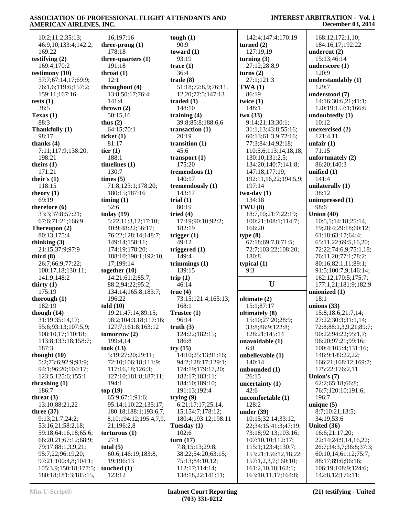#### **INTEREST ARBITRATION - Vol. 1 December 03, 2014**

| 10:2;11:2;35:13;                              | 16;197:16                     | tough $(1)$                         | 142:4;147:4;170:19                        | 16             |
|-----------------------------------------------|-------------------------------|-------------------------------------|-------------------------------------------|----------------|
| 46:9,10;133:4;142:2;                          | three-prong $(1)$             | 90:9                                | turned $(2)$                              | 18             |
| 169:22                                        | 178:18                        | toward $(1)$                        | 127:19,19                                 | und            |
| testifying $(2)$                              | three-quarters $(1)$          | 93:19                               | turning $(3)$                             | 15             |
| 169:4;170:2                                   | 191:18                        | trace $(1)$                         | 27:12:28:8.9                              | und            |
| testimony (10)                                | throat $(1)$                  | 36:4                                | turns $(2)$                               | 12             |
| 57:7;67:14,17;69:9;                           | 12:1                          | trade(8)                            | 27:1;121:3                                | und            |
| 76:1,6;119:6;157:2;                           | throughout (4)                | 51:18;72:8,9;76:11,                 | TWA(1)                                    | 12             |
| 159:11;167:16                                 | 13:8;50:17;76:4;              | 12, 20; 77: 5; 147: 13              | 86:19                                     | und            |
| tests $(1)$                                   | 141:4                         | traded $(1)$                        | twice $(1)$                               | 14             |
| 38:5<br>Texas $(1)$                           | thrown $(2)$<br>50:15,16      | 148:10                              | 148:1<br>two(33)                          | 12<br>und      |
| 88:3                                          | thus $(2)$                    | training $(4)$<br>39:8;85:8;188:6,6 | 9:14;21:13;30:1;                          | 10             |
| Thankfully (1)                                | 64:15:70:1                    | transaction $(1)$                   | 31:1,13;43:8;55:16;                       | unex           |
| 98:17                                         | ticket $(1)$                  | 20:19                               | 60:13;61:3,9;72:16;                       | 12             |
| thanks $(4)$                                  | 81:17                         | transition $(1)$                    | 77:3;84:14;92:18;                         | unfa           |
| 7:11;117:9;138:20;                            | tier $(1)$                    | 45:6                                | 110:5,6;113:14,18,18;                     | 71             |
| 198:21                                        | 188:1                         | transport $(1)$                     | 130:10;131:2,5;                           | unfo           |
| theirs (1)                                    | timelines $(1)$               | 175:20                              | 134:20;140:7;141:8;                       | 86             |
| 171:21                                        | 130:7                         | tremendous $(1)$                    | 147:18;177:19;                            | unifi          |
| their's (1)                                   | times (5)                     | 140:17                              | 192:11, 16, 22; 194: 5, 9;                | 14             |
| 118:15                                        | 71:8;123:1;178:20;            | tremendously (1)                    | 197:14                                    | unila          |
| theory (1)                                    | 180:15;187:16                 | 143:17                              | $two$ -day $(1)$                          | 38             |
| 69:19                                         | $\liminf(1)$                  | trial $(1)$                         | 134:18                                    | unin           |
| therefore (6)                                 | 52:6                          | 80:19                               | TWU(8)                                    | 98             |
| 33:3;37:8;57:21;                              | today $(19)$                  | tried $(4)$                         | 18:7,10;21:7;22:19;                       | Unio           |
| 67:6;71:21;166:9                              | 5:22;11:3,12;17:10;           | 17:19;90:10;92:2;                   | 100:21;108:1;114:7;                       | 10             |
| Thereupon (2)                                 | 40:9;48:22;56:17;             | 182:19                              | 166:20                                    | 1 <sup>5</sup> |
| 80:13;175:4                                   | 76:22;128:14;148:7;           | trigger $(1)$                       | type(8)                                   | 61             |
| thinking $(3)$                                | 149:14;158:11;                | 49:12                               | 67:18;69:7,8;71:5;                        | 65             |
| 21:15;37:9;97:9                               | 174:19;178:20;                | triggered $(1)$                     | 72:7;103:22;108:20;                       | 72             |
| third (8)                                     | 188:10;190:1;192:10,          | 149:4                               | 180:8                                     | 76             |
| 26:7;66:9;77:22;<br>100:17,18;130:11;         | 17;199:14<br>together $(10)$  | trimmings $(1)$<br>139:15           | typical $(1)$<br>9:3                      | 80<br>91       |
| 141:9;148:2                                   | 14:21;61:2;85:7;              | trip $(1)$                          |                                           | 16             |
| thirty $(1)$                                  | 88:2;94:22;95:2;              | 46:14                               | U                                         | 17             |
| 175:19                                        | 134:14;165:8;183:7;           | true(4)                             |                                           | unio           |
| thorough (1)                                  | 196:22                        | 73:15;121:4;165:13;                 | ultimate $(2)$                            | 18             |
| 182:19                                        | told $(10)$                   | 168:1                               | 15:1;87:17                                | unio           |
| though $(14)$                                 | 19:21;47:14;89:15;            | Trustee (1)                         | ultimately (8)                            | 15             |
| 31:19;35:14,17;                               | 98:2;104:3,18;117:16;         | 96:14                               | 15:10;27:20;28:9;                         | 27             |
| 55:6;93:13;107:5,9;                           | 127:7;161:8;163:12            | truth $(3)$                         | 33:8;86:9;122:8;                          | 72             |
| 108:10,17;110:18;                             | tomorrow $(2)$                | 124:22;182:15;                      | 128:21;145:14                             | 90             |
| 113:8;133:18;158:7;                           | 199:4,14                      | 186:8                               | unavoidable (1)                           | 96             |
| 187:3                                         | took(13)                      | try(15)                             | 6:8                                       | 10             |
| thought $(10)$                                | 5:19;27:20;29:11;             | 14:10;25:13;91:16;                  | unbelievable (1)                          | 14             |
| 5:2;73:6;92:9;93:9;                           | 72:10;106:18;111:9;           | 94:2;128:17;129:1;                  | 140:14                                    | 16             |
| 94:1;96:20;104:17;                            | 117:16,18;126:3;              | 174:19;179:17,20;                   | unbounded (1)                             | 17             |
| 123:5;125:6;155:1                             | 127:10;181:8;187:11;          | 182:17;183:11;                      | 26:15                                     | Unio           |
| thrashing (1)<br>186:7                        | 194:1                         | 184:10;189:10;                      | uncertainty $(1)$<br>42:6                 | 62             |
|                                               |                               |                                     |                                           | 76             |
|                                               | top(19)                       | 191:13;192:4                        |                                           |                |
| threat (3)                                    | 65:9;67:1;91:6;               | trying $(9)$                        | uncomfortable (1)                         | 1 <sup>5</sup> |
| 13:10;88:21,22                                | 95:14;110:22;135:17;          | 6:21;17:17;25:14,                   | 128:2                                     | uniq           |
| three (37)                                    | 180:18;188:1;193:6,7,         | 15;154:7;178:12;                    | under $(39)$                              | 8:             |
| 9:13;21:7;24:2;                               | 8, 10; 194: 12; 195: 4, 7, 9, | 180:4;193:12;198:11                 | 10:15;32:14;33:12,                        | 34             |
| 53:16,21;58:2,18;                             | 21;196:2,8<br>torturous(1)    | Tuesday (1)<br>102:6                | 22;34:15;41:3;47:19;                      | Unit<br>16     |
| 59:18;64:16,18;65:6;<br>66:20,21;67:12;68:9;  | 27:1                          | turn $(17)$                         | 73:18;92:13;103:16;<br>107:10,10;112:17;  | 22             |
| 79:17;88:1,3,9,21;                            | total $(5)$                   | 7:8;15:13;29:8;                     | 115:1;123:4;130:7;                        |                |
| 95:7,22;96:19,20;                             | 60:6;146:19;183:8,            | 38:22;54:20;63:15;                  | 153:21;156:12,18,22;                      | 26<br>60       |
| 97:21;100:4,8;104:1;                          | 19;196:13                     | 75:13;84:10,12;                     | 157:1,2,3,7;160:10;                       | 88             |
| 105:3,9;150:18;177:5;<br>180:18;181:3;185:15, | touched $(1)$<br>123:12       | 112:17;114:14;<br>138:18,22;141:11; | 161:2,10,18;162:1;<br>163:10,11,17;164:8; | 10<br>14       |

 168:12;172:1,10; 184:16,17;192:22 **undercut (2)** 15:13;46:14 **underscore (1)** 120:9 **understandably (1)** 129:7 **understood (7)** 14:16;30:6,21;41:1; 120:19;157:1;166:6 **undoubtedly (1)** 10:12 **unexercised (2)** 121:4,11 **unfair (1)** 71:15 **unfortunately (2)** 86:20;140:3 **unified (1)** 141:4 **unilaterally (1)** 38:12 **unimpressed (1)** 98:6 **Union (40)** 10:5,5;14:18;25:14, 19;28:4;29:18;60:12; 61:18;63:17;64:4; 65:11,22;69:5,16,20; 72:22;74:6,9;75:1,18; 76:11,20;77:1;78:2; 80:16;82:1,11;89:1; 91:5;100:7,9;146:14; 162:12;170:5;175:7; 177:1,21;181:9;182:9 **unionized (1)** 18:1 **unions (33)** 15:8;18:6;21:7,14; 27:22;30:3;31:1,14; 72:8;88:1,3,9,21;89:7; 90:22;94:22;95:1,7; 96:20;97:21;99:16; 100:4;105:4;131:16; 148:9;149:22,22; 166:21;168:12;169:7; 175:22;176:2,11 **Union's (7)** 62:2;65:18;66:8; 76:7;120:10;191:6; 196:7 **unique (5)** 8:7;10:21;13:5; 34:19;53:6 **United (36)** 16:6;21:17,20; 22:14;24:9,14,16,22; 26:7;34:3,7;36:8;37:3; 60:10,14;61:12;75:7; 88:17;89:6;96:16; 106:19;108:9;124:6; 142:8,12;176:11;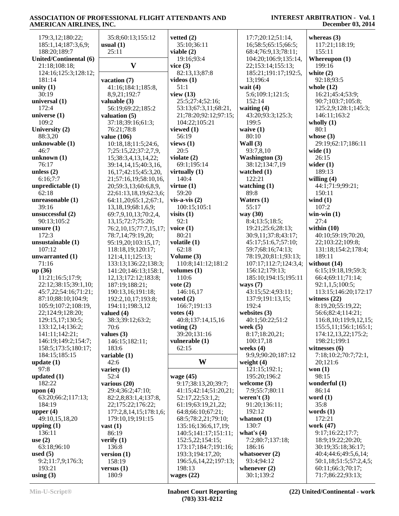# ASSOCIATION OF PROFESSIONAL FLIGHT ATTENDANTS AND AMERICAN AIRLINES, INC.

| 179:3,12;180:22;             | 35:8;60:13;155:12                           | vetted $(2)$                           | 17:7;20:12;51:14,                   | whereas $(3)$             |
|------------------------------|---------------------------------------------|----------------------------------------|-------------------------------------|---------------------------|
| 185:1,14;187:3,6,9;          | usual $(1)$                                 | 35:10;36:11                            | 16;58:5;65:15;66:5;                 | 117:21;118:19;            |
| 188:20;189:7                 | 25:11                                       | viable $(2)$                           | 68:4;76:9,13;78:11;                 | 155:11                    |
| United/Continental (6)       |                                             | 19:16;93:4                             | 104:20;106:9;135:14,                | Whereupon $(1)$           |
| 21:18;108:18;                | $\mathbf{V}$                                | vice $(3)$                             | 22;153:14;155:13;                   | 199:16                    |
| 124:16;125:3;128:12;         |                                             | 82:13,13;87:8                          | 185:21;191:17;192:5,                | white $(2)$               |
| 181:14                       | vacation (7)                                | videos $(1)$                           | 13;196:4                            | 92:18;93:5                |
| unity $(1)$                  | 41:16;184:1;185:8,                          | 51:1                                   | wait $(4)$                          | whole $(12)$              |
| 30:19                        | 8,9,21;192:7                                | view $(13)$                            | 5:6;109:1;121:5;                    | 16:21;45:4;53:9;          |
| universal (1)                | valuable (3)                                | 25:5;27:4;52:16;                       | 152:14                              | 90:7;103:7;105:8;         |
| 172:4                        | 56:19;69:22;185:2                           | 53:13;67:3,11;68:21,                   | waiting $(4)$                       | 125:2,9;128:1;145:3;      |
| universe $(1)$               | valuation (5)                               | 21;78:20;92:12;97:15;                  | 43:20;93:3;125:3;                   | 146:11:163:2              |
| 109:2                        | 37:18;39:16;61:3;                           | 104:22;105:21                          | 199:5                               | wholly $(1)$              |
| University (2)               | 76:21;78:8                                  | viewed $(1)$                           | waive $(1)$                         | 80:1                      |
| 88:3,20                      | value (106)                                 | 56:19                                  | 80:10                               | whose $(3)$               |
| unknowable (1)               | 10:18,18;11:5;24:6,                         | views $(1)$                            | Wall $(3)$                          | 29:19;62:17;186:11        |
| 46:7                         | 7;25:15,22;37:2,7,9,                        | 20:5                                   | 93:7,8,10                           | wide $(1)$                |
| unknown(1)                   | 15;38:3,4,13,14,22;                         | violate $(2)$                          | <b>Washington</b> (3)               | 26:15                     |
| 76:17                        | 39:14,14,15;40:3,16,                        | 69:1;195:14                            | 38:12;134:7,19                      | wider $(1)$               |
| unless $(2)$                 | 16, 17; 42: 15; 45: 3, 20,                  | virtually $(1)$                        | watched $(1)$                       | 189:13                    |
| 6:16;7:7                     | 21;57:16,19;58:10,16,                       | 140:4                                  | 122:21                              | willing $(4)$             |
| unpredictable (1)            | 20;59:3,13;60:6,8,9,                        | virtue $(1)$                           | watching $(1)$                      | 44:1;71:9;99:21;          |
| 62:18                        | 22;61:13,18,19;62:3,6;                      | 59:20                                  | 89:8                                | 150:11                    |
| unreasonable (1)             | 64:11,20;65:1,2;67:1,                       | $vis-a-vis (2)$                        | Waters (1)                          | wind $(1)$                |
| 39:16                        | 13, 18, 19; 68: 1, 6, 9;                    | 100:15;105:1                           | 55:17                               | 107:2                     |
| unsuccessful (2)             | 69:7,9,10,13;70:2,4,                        | visits $(1)$                           | way (30)                            | win-win $(1)$             |
| 90:13;105:2                  | 13, 15; 72: 7; 75: 20;                      | 92:1                                   | 8:4;13:5;18:5;<br>19:21;25:6;28:13; | 27:4<br>within $(10)$     |
| unsure $(1)$<br>172:3        | 76:2,10,15;77:7,15,17;<br>78:7,14;79:19,20; | voice $(1)$<br>80:21                   | 30:9,11;37:8;43:17;                 | 40:10;59:19;70:20,        |
| unsustainable (1)            | 95:19,20;103:15,17;                         | volatile (1)                           | 45:17;51:6,7;57:10;                 | 22;103:22;109:8;          |
| 107:12                       | 118:18,19;120:17;                           | 62:18                                  | 59:7;68:16;74:13;                   | 131:18;154:2;178:4;       |
| unwarranted (1)              | 121:4,11;125:13;                            | Volume (3)                             | 78:19,20;81:1;93:13;                | 189:11                    |
| 71:16                        | 133:13;136:22;138:3;                        | 110:8;141:12;181:2                     | 107:17;112:7;124:3,4;               | without $(14)$            |
| up (36)                      | 141:20;146:13;158:1,                        | volumes $(1)$                          | 156:12;179:13;                      | 6:15;19:18,19;59:3;       |
| 11:21;16:5;17:9;             | 12, 13; 172: 12; 183: 8;                    | 110:6                                  | 185:10;194:15;195:11                | 66:4;69:11;71:14;         |
| 22:12;38:15;39:1,10;         | 187:19;188:21;                              | vote $(2)$                             | ways $(7)$                          | 92:1,1,5;100:5;           |
| 45:7,22;54:16;71:21;         | 190:13,16;191:18;                           | 146:16,17                              | 43:15;52:4;93:11;                   | 113:15;146:20;172:17      |
| 87:10;88:10;104:9;           | 192:2,10,17;193:8;                          | voted $(2)$                            | 137:9;191:13,15;                    | witness $(22)$            |
| 105:9;107:2;108:19,          | 194:11;198:3,12                             | 166:7;191:13                           | 192:4                               | 8:19,20;55:19,22;         |
| 22;124:9;128:20;             | valued (4)                                  | votes $(4)$                            | websites $(3)$                      | 56:6;82:4;114:21;         |
| 129:15,17;130:5;             | 38:3;39:12;63:2;                            | 40:8;137:14,15,16                      | 40:1;50:22;51:2                     | 116:8, 10; 119:9, 12, 15; |
| 133:12,14;136:2;             | 70:6                                        | voting $(2)$                           | week $(5)$                          | 155:5,11;156:1;165:1;     |
| 141:11;142:21;               | values $(3)$                                | 39:20;131:16                           | 8:17;18:20,21;                      | 174:12,13,22;175:2;       |
| 146:19;149:2;154:7;          | 146:15;182:11;                              | vulnerable (1)                         | 100:17,18                           | 198:21;199:1              |
| 158:5;173:5;180:17;          | 183:6                                       | 62:15                                  | weeks $(4)$                         | witnesses $(6)$           |
| 184:15;185:15                | variable (1)                                |                                        | 9:9,9;90:20;187:12                  | 7:18;10:2;70:7;72:1,      |
| update $(1)$                 | 42:6                                        | W                                      | weight $(4)$                        | 20;121:6                  |
| 97:8                         | variety (1)                                 |                                        | 121:15;192:1;                       | won $(1)$                 |
| updated $(1)$                | 52:4                                        | wage (45)                              | 195:20;196:2                        | 98:15                     |
| 182:22                       | various (20)                                | 9:17;38:13,20;39:7;                    | welcome $(3)$                       | wonderful $(1)$           |
| upon $(4)$                   | 29:4;36:2;47:10;                            | 41:15;42:14;51:20,21;                  | 7:9;55:7;80:11                      | 86:14                     |
| 63:20;66:2;117:13;<br>184:19 | 82:2,8;83:1,4;137:8,<br>22;175:22;176:22;   | 52:17,22;53:1,2;<br>61:19:63:19.21.22; | weren't $(3)$<br>91:20;136:11;      | word $(1)$<br>35:8        |
| upper $(4)$                  | 177:2,8,14,15;178:1,6;                      | 64:8;66:10;67:21;                      | 192:12                              | words $(1)$               |
| 49:10,15,18,20               | 179:10,19;191:15                            | 68:5;78:2,21;79:10;                    | whatnot $(1)$                       | 172:21                    |
| upping $(1)$                 | $\text{vast}(1)$                            | 135:16;136:6,17,19;                    | 130:7                               | work (47)                 |
| 136:11                       | 86:19                                       | 140:5;141:17;151:11;                   | what's $(4)$                        | 9:17;16:22;17:7;          |
| use $(2)$                    | verify $(1)$                                | 152:5,22;154:15;                       | 7:2;80:7;137:18;                    | 18:9;19:22;20:20;         |
| 63:18;96:10                  | 136:8                                       | 173:17;184:7;191:16;                   | 186:16                              | 30:19;35:18;36:17;        |
| used $(5)$                   | version $(1)$                               | 193:3;194:17,20;                       | whatsoever $(2)$                    | 40:4;44:6;49:5,6,14;      |
| 9:2;11:7,9;176:3;            | 158:19                                      | 196:5,6,14,22;197:13;                  | 93:4;94:12                          | 50:1,18;51:5;57:2,4,5;    |
| 193:21                       | versus $(1)$                                | 198:13                                 | whenever $(2)$                      | 60:11;66:3;70:17;         |
| using $(3)$                  | 180:9                                       | wages $(22)$                           | 30:1;139:2                          | 71:7;86:22;93:13;         |
|                              |                                             |                                        |                                     |                           |

#### **INTEREST ARBITRATION - Vol. 1** December 03, 2014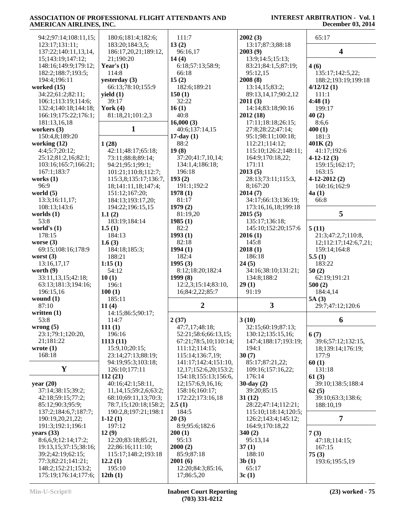# **ASSOCIATION OF PROFESSIONAL FLIGHT ATTENDANTS AND AMERICAN AIRLINES, INC.**

#### **INTEREST ARBITRATION - Vol. 1 December 03, 2014**

| 94:2;97:14;108:11,15;                       | 180:6;181:4;182:6;                      | 111:7                                               | 2002(3)                                | 65:17                          |
|---------------------------------------------|-----------------------------------------|-----------------------------------------------------|----------------------------------------|--------------------------------|
| 123:17;131:11;<br>137:22;140:11,13,14,      | 183:20;184:3,5;<br>186:17,20,21;189:12, | 13(2)<br>96:16,17                                   | 13:17;87:3;88:18<br>2003(9)            | $\overline{\mathbf{4}}$        |
| 15;143:19;147:12;                           | 21;190:20                               | 14(4)                                               | 13:9;14:5;15:13;                       |                                |
| 148:16;149:9;179:12;                        | Year's $(1)$                            | 6:18;57:13;58:9;                                    | 83:21;84:1,5;87:19;                    | 4(6)                           |
| 182:2;188:7;193:5;                          | 114:8                                   | 66:18                                               | 95:12,15                               | 135:17;142:5,22;               |
| 194:4;196:11                                | yesterday $(3)$                         | 15(2)                                               | 2008(8)                                | 188:2;193:19;199:18            |
| worked $(15)$                               | 66:13;78:10;155:9                       | 182:6;189:21                                        | 13:14,15;83:2;                         | 4/12/12(1)                     |
| 34:22;61:2;82:11;                           | yield $(1)$<br>39:17                    | 150(1)<br>32:22                                     | 89:13,14,17;90:2,12                    | 111:1                          |
| 106:1;113:19;114:6;<br>132:4;140:18;144:18; | York $(4)$                              | 16(1)                                               | 2011(3)<br>14:14;83:18;90:16           | 4:48(1)<br>199:17              |
| 166:19;175:22;176:1;                        | 81:18,21;101:2,3                        | 40:8                                                | 2012(18)                               | 40(2)                          |
| 181:13,16,18                                |                                         | 16,000(3)                                           | 17:11;18:18;26:15;                     | 8:6,6                          |
| workers $(3)$                               | 1                                       | 40:6;137:14,15                                      | 27:8;28:22;47:14;                      | 400(1)                         |
| 150:4,8;189:20                              |                                         | $17$ -day $(1)$                                     | 95:1;98:11;100:18;                     | 181:3                          |
| working $(12)$                              | 1(28)                                   | 88:2                                                | 112:21;114:12;                         | 401K(2)                        |
| 4:4;5:7;20:12;<br>25:12;81:2,16;82:1;       | 42:11;48:17;65:18;                      | 19(8)                                               | 115:10;126:2;148:11;                   | 41:17;192:6                    |
| 103:16;165:7;166:21;                        | 73:11;88:8;89:14;<br>94:21;95:1;99:1;   | 37:20;41:7,10,14;<br>134:1,4;186:18;                | 164:9;170:18,22;<br>171:11             | $4-12-12(3)$<br>159:15;162:17; |
| 167:1;183:7                                 | 101:21;110:8;112:7;                     | 196:18                                              | 2013(5)                                | 163:15                         |
| works $(1)$                                 | 115:3,8;135:17;136:7,                   | 193(2)                                              | 28:13;73:11;115:3,                     | $4-12-2012(2)$                 |
| 96:9                                        | 18;141:11,18;147:4;                     | 191:1;192:2                                         | 8;167:20                               | 160:16;162:9                   |
| world $(5)$                                 | 151:12;167:20;                          | 1978(1)                                             | 2014(7)                                | 4a(1)                          |
| 13:3;16:11,17;                              | 184:13;193:17,20;                       | 81:17                                               | 34:17;66:13;136:19;                    | 66:8                           |
| 108:13;143:6                                | 194:22;196:15,15                        | 1979(2)                                             | 173:16,16,18;199:18                    |                                |
| worlds $(1)$                                | 1.1(2)                                  | 81:19,20                                            | 2015(5)                                | 5                              |
| 53:8<br>world's $(1)$                       | 183:19;184:14<br>1.5(1)                 | 1985(1)<br>82:2                                     | 135:17;136:18;<br>145:10;152:20;157:6  | 5(11)                          |
| 178:15                                      | 184:13                                  | 1993(1)                                             | 2016(1)                                | 21:3;47:2,7;110:8,             |
| worse $(3)$                                 | 1.6(3)                                  | 82:18                                               | 145:8                                  | 12;112:17;142:6,7,21;          |
| 69:15;108:16;178:9                          | 184:18;185:3;                           | 1994(1)                                             | 2018(1)                                | 159:14;164:8                   |
| worst $(3)$                                 | 188:21                                  | 182:4                                               | 186:18                                 | 5.5(1)                         |
|                                             |                                         |                                                     |                                        |                                |
| 13:16,17,17                                 | 1:15(1)                                 | 1995(3)                                             | 24(5)                                  | 183:22                         |
| worth $(9)$                                 | 54:12                                   | 8:12;18:20;182:4                                    | 34:16;38:10;131:21;                    | 50(2)                          |
| 33:11,13,15;42:18;                          | 10(1)                                   | 1999(8)                                             | 134:8;188:2                            | 62:19;191:21                   |
| 63:13;181:3;194:16;                         | 196:1                                   | 12:2,3;15:14;83:10,                                 | 29(1)                                  | 500(2)                         |
| 196:15,16                                   | 100(1)                                  | 16;84:2,22;85:7                                     | 91:19                                  | 184:4,14                       |
| wound $(1)$                                 | 185:11                                  |                                                     |                                        | 5A(3)                          |
| 87:10<br>written $(1)$                      | 11(4)<br>14:15;86:5;90:17;              | $\overline{2}$                                      | $\mathbf{3}$                           | 29:7;47:12;120:6               |
| 53:8                                        | 114:7                                   | 2(37)                                               | 3(10)                                  | 6                              |
| wrong $(5)$                                 | 111(1)                                  | 47:7,17;48:18;                                      | 32:15;60:19;87:13;                     |                                |
| 23:1;79:1;120:20,                           | 196:16                                  | 52:21;58:6;66:13,15;                                | 130:12;135:15,16;                      | 6(7)                           |
| 21;181:22                                   | 1113(11)                                | 67:21;78:5,10;110:14;                               | 147:4;188:17;193:19;                   | 39:6;57:12;132:15,             |
| wrote $(1)$                                 | 15:9,10:20:15:                          | 111:12;114:15;                                      | 194:1                                  | 18;139:14;176:19;              |
| 168:18                                      | 23:14;27:13;88:19;                      | 115:14;136:7,19;                                    | 30(7)                                  | 177:9                          |
| Y                                           | 94:19:95:3:103:18;<br>126:10;177:11     | 141:17;142:4;151:10,<br>12, 17; 152: 6, 20; 153: 2; | 85:17;87:21,22;<br>109:16;157:16,22;   | 60(1)<br>131:18                |
|                                             | 112(21)                                 | 154:18;155:13;156:6,                                | 176:14                                 | 61(3)                          |
| year $(20)$                                 | 40:16;42:1;58:11,                       | 12;157:6,9,16,16;                                   | $30$ -day $(2)$                        | 39:10;138:5;188:4              |
| 37:14;38:15;39:2;                           | 11, 14, 15; 59: 2, 6; 63: 2;            | 158:16;160:17;                                      | 39:20;85:15                            | 62(5)                          |
| 42:18;59:15;77:2;                           | 68:10;69:11,13;70:3;                    | 172:22;173:16,18                                    | 31(12)                                 | 39:10;63:3;138:6;              |
| 85:12;90:3;95:9;                            | 78:7,15;120:18;158:2;                   | 2.5(1)                                              | 28:22;47:14;112:21;                    | 188:10,19                      |
| 137:2;184:6,7;187:7;                        | 190:2,8;197:21;198:1                    | 184:5                                               | 115:10;118:14;120:5;                   |                                |
| 190:19,20,21,22;                            | $1-12(1)$<br>197:12                     | 20(3)<br>8:9;95:6;182:6                             | 126:2;143:4;145:12;<br>164:9;170:18,22 | 7                              |
| 191:3;192:1;196:1<br>years $(33)$           | 12(9)                                   | 200(1)                                              | 340(2)                                 | 7(3)                           |
| 8:6,6,9;12:14;17:2;                         | 12:20;83:18;85:21,                      | 95:13                                               | 95:13,14                               | 47:18;114:15;                  |
| 19:13,15;37:15;38:16;                       | 22;86:16;111:10;                        | 2000(2)                                             | 37(1)                                  | 167:15                         |
| 39:2;42:19;62:15;                           | 115:17;148:2;193:18                     | 85:9;87:18                                          | 188:10                                 | 75(3)                          |
| 77:3;82:21;141:21;                          | 12.2(1)                                 | 2001(6)                                             | 3b(1)                                  | 193:6;195:5,19                 |
| 148:2;152:21;153:2;<br>175:19;176:14;177:6; | 195:10<br>12th(1)                       | 12:20;84:3;85:16,<br>17;86:5,20                     | 65:17<br>3c(1)                         |                                |